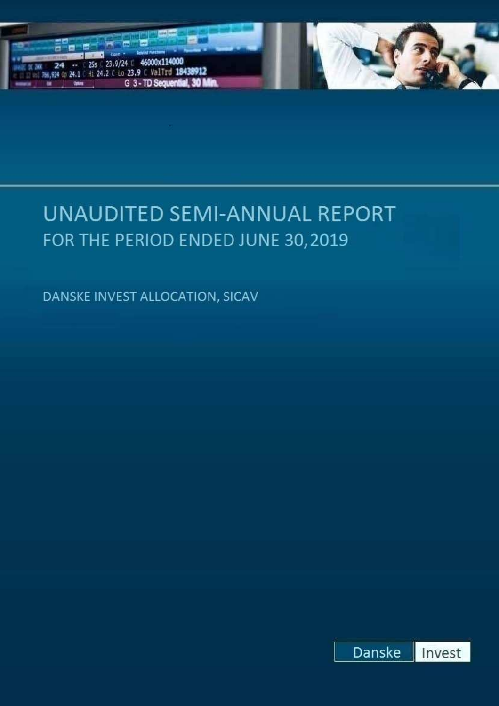



DANSKE INVEST ALLOCATION, SICAV

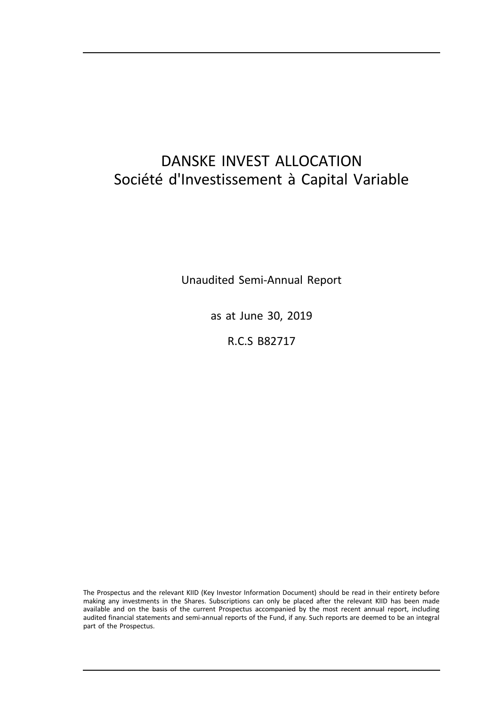# DANSKE INVEST ALLOCATION Société d'Investissement à Capital Variable

Unaudited Semi-Annual Report

as at June 30, 2019

R.C.S B82717

The Prospectus and the relevant KIID (Key Investor Information Document) should be read in their entirety before making any investments in the Shares. Subscriptions can only be placed after the relevant KIID has been made available and on the basis of the current Prospectus accompanied by the most recent annual report, including audited financial statements and semi-annual reports of the Fund, if any. Such reports are deemed to be an integral part of the Prospectus.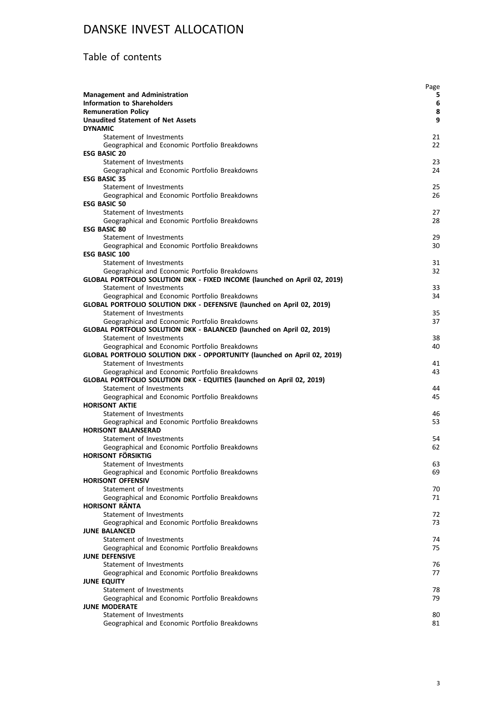### Table of contents

|                                                                            | Page     |
|----------------------------------------------------------------------------|----------|
| <b>Management and Administration</b>                                       | 5        |
| <b>Information to Shareholders</b>                                         | 6        |
| <b>Remuneration Policy</b>                                                 | 8        |
| <b>Unaudited Statement of Net Assets</b><br><b>DYNAMIC</b>                 | 9        |
| Statement of Investments                                                   | 21       |
| Geographical and Economic Portfolio Breakdowns                             | 22       |
| <b>ESG BASIC 20</b>                                                        |          |
| Statement of Investments                                                   | 23       |
| Geographical and Economic Portfolio Breakdowns                             | 24       |
| <b>ESG BASIC 35</b>                                                        |          |
| Statement of Investments                                                   | 25       |
| Geographical and Economic Portfolio Breakdowns                             | 26       |
| <b>ESG BASIC 50</b>                                                        |          |
| Statement of Investments                                                   | 27       |
| Geographical and Economic Portfolio Breakdowns                             | 28       |
| <b>ESG BASIC 80</b>                                                        |          |
| Statement of Investments                                                   | 29       |
| Geographical and Economic Portfolio Breakdowns                             | 30       |
| <b>ESG BASIC 100</b>                                                       |          |
| Statement of Investments                                                   | 31       |
| Geographical and Economic Portfolio Breakdowns                             | 32       |
| GLOBAL PORTFOLIO SOLUTION DKK - FIXED INCOME (launched on April 02, 2019)  |          |
| Statement of Investments<br>Geographical and Economic Portfolio Breakdowns | 33<br>34 |
| GLOBAL PORTFOLIO SOLUTION DKK - DEFENSIVE (launched on April 02, 2019)     |          |
| Statement of Investments                                                   | 35       |
| Geographical and Economic Portfolio Breakdowns                             | 37       |
| GLOBAL PORTFOLIO SOLUTION DKK - BALANCED (launched on April 02, 2019)      |          |
| Statement of Investments                                                   | 38       |
| Geographical and Economic Portfolio Breakdowns                             | 40       |
| GLOBAL PORTFOLIO SOLUTION DKK - OPPORTUNITY (launched on April 02, 2019)   |          |
| Statement of Investments                                                   | 41       |
| Geographical and Economic Portfolio Breakdowns                             | 43       |
| GLOBAL PORTFOLIO SOLUTION DKK - EQUITIES (launched on April 02, 2019)      |          |
| Statement of Investments                                                   | 44       |
| Geographical and Economic Portfolio Breakdowns                             | 45       |
| <b>HORISONT AKTIE</b>                                                      |          |
| Statement of Investments                                                   | 46       |
| Geographical and Economic Portfolio Breakdowns                             | 53       |
| <b>HORISONT BALANSERAD</b><br>Statement of Investments                     | 54       |
| Geographical and Economic Portfolio Breakdowns                             | 62       |
| HORISONT FÖRSIKTIG                                                         |          |
| Statement of Investments                                                   | 63       |
| Geographical and Economic Portfolio Breakdowns                             | 69       |
| <b>HORISONT OFFENSIV</b>                                                   |          |
| Statement of Investments                                                   | 70       |
| Geographical and Economic Portfolio Breakdowns                             | 71       |
| <b>HORISONT RÄNTA</b>                                                      |          |
| Statement of Investments                                                   | 72       |
| Geographical and Economic Portfolio Breakdowns                             | 73       |
| <b>JUNE BALANCED</b>                                                       |          |
| Statement of Investments                                                   | 74       |
| Geographical and Economic Portfolio Breakdowns                             | 75       |
| <b>JUNE DEFENSIVE</b><br>Statement of Investments                          |          |
| Geographical and Economic Portfolio Breakdowns                             | 76<br>77 |
| <b>JUNE EQUITY</b>                                                         |          |
| Statement of Investments                                                   | 78       |
| Geographical and Economic Portfolio Breakdowns                             | 79       |
| <b>JUNE MODERATE</b>                                                       |          |
| Statement of Investments                                                   | 80       |
| Geographical and Economic Portfolio Breakdowns                             | 81       |
|                                                                            |          |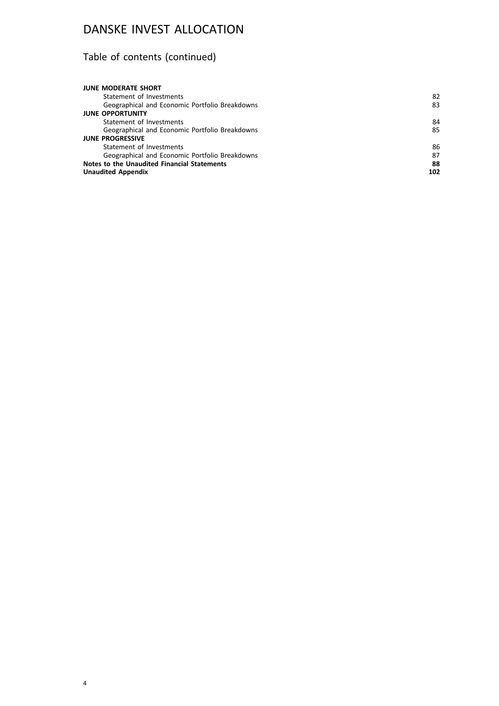# Table of contents (continued)

| <b>JUNE MODERATE SHORT</b>                     |     |
|------------------------------------------------|-----|
| Statement of Investments                       | 82  |
| Geographical and Economic Portfolio Breakdowns | 83  |
| <b>JUNE OPPORTUNITY</b>                        |     |
| Statement of Investments                       | 84  |
| Geographical and Economic Portfolio Breakdowns | 85  |
| <b>JUNE PROGRESSIVE</b>                        |     |
| Statement of Investments                       | 86  |
| Geographical and Economic Portfolio Breakdowns | 87  |
| Notes to the Unaudited Financial Statements    | 88  |
| <b>Unaudited Appendix</b>                      | 102 |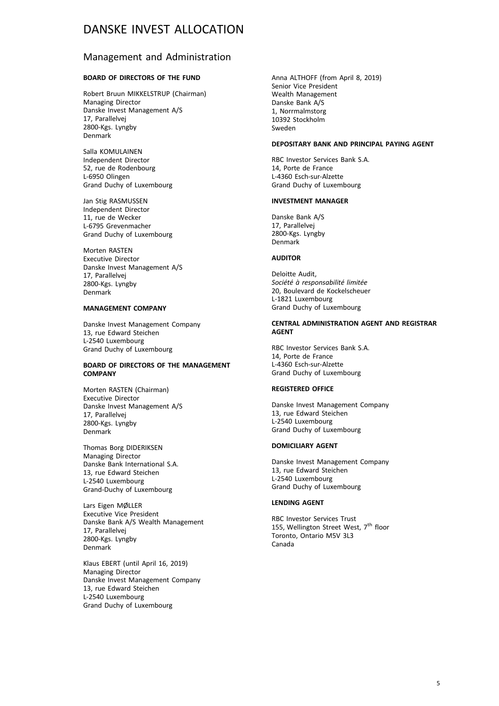### Management and Administration

#### **BOARD OF DIRECTORS OF THE FUND**

Robert Bruun MIKKELSTRUP (Chairman) Managing Director Danske Invest Management A/S 17, Parallelvej 2800-Kgs. Lyngby Denmark

Salla KOMULAINEN Independent Director 52, rue de Rodenbourg L-6950 Olingen Grand Duchy of Luxembourg

Jan Stig RASMUSSEN Independent Director 11, rue de Wecker L-6795 Grevenmacher Grand Duchy of Luxembourg

Morten RASTEN Executive Director Danske Invest Management A/S 17, Parallelvej 2800-Kgs. Lyngby Denmark

#### **MANAGEMENT COMPANY**

Danske Invest Management Company 13, rue Edward Steichen L-2540 Luxembourg Grand Duchy of Luxembourg

#### **BOARD OF DIRECTORS OF THE MANAGEMENT COMPANY**

Morten RASTEN (Chairman) Executive Director Danske Invest Management A/S 17, Parallelvej 2800-Kgs. Lyngby Denmark

Thomas Borg DIDERIKSEN Managing Director Danske Bank International S.A. 13, rue Edward Steichen L-2540 Luxembourg Grand-Duchy of Luxembourg

Lars Eigen MØLLER Executive Vice President Danske Bank A/S Wealth Management 17, Parallelvej 2800-Kgs. Lyngby Denmark

Klaus EBERT (until April 16, 2019) Managing Director Danske Invest Management Company 13, rue Edward Steichen L-2540 Luxembourg Grand Duchy of Luxembourg

Anna ALTHOFF (from April 8, 2019) Senior Vice President Wealth Management Danske Bank A/S 1, Norrmalmstorg 10392 Stockholm Sweden

#### **DEPOSITARY BANK AND PRINCIPAL PAYING AGENT**

RBC Investor Services Bank S.A. 14, Porte de France L-4360 Esch-sur-Alzette Grand Duchy of Luxembourg

#### **INVESTMENT MANAGER**

Danske Bank A/S 17, Parallelvej 2800-Kgs. Lyngby Denmark

#### **AUDITOR**

Deloitte Audit, *Société à responsabilité limitée* 20, Boulevard de Kockelscheuer L-1821 Luxembourg Grand Duchy of Luxembourg

#### **CENTRAL ADMINISTRATION AGENT AND REGISTRAR AGENT**

RBC Investor Services Bank S.A. 14, Porte de France L-4360 Esch-sur-Alzette Grand Duchy of Luxembourg

#### **REGISTERED OFFICE**

Danske Invest Management Company 13, rue Edward Steichen L-2540 Luxembourg Grand Duchy of Luxembourg

#### **DOMICILIARY AGENT**

Danske Invest Management Company 13, rue Edward Steichen L-2540 Luxembourg Grand Duchy of Luxembourg

#### **LENDING AGENT**

RBC Investor Services Trust 155, Wellington Street West, 7<sup>th</sup> floor Toronto, Ontario M5V 3L3 Canada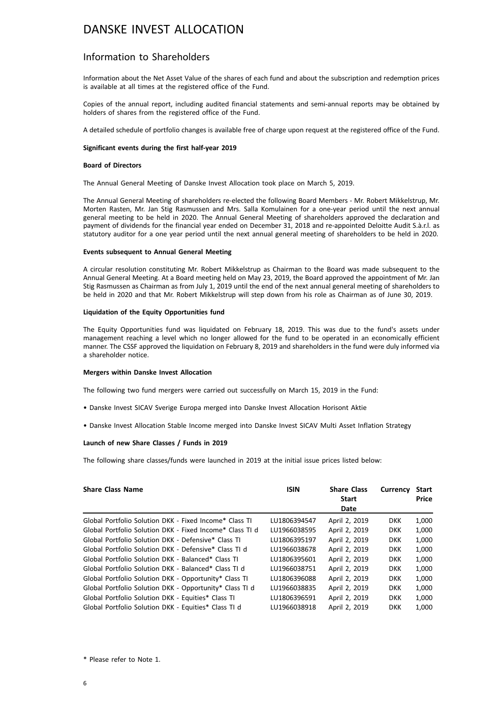### Information to Shareholders

Information about the Net Asset Value of the shares of each fund and about the subscription and redemption prices is available at all times at the registered office of the Fund.

Copies of the annual report, including audited financial statements and semi-annual reports may be obtained by holders of shares from the registered office of the Fund.

A detailed schedule of portfolio changes is available free of charge upon request at the registered office of the Fund.

#### **Significant events during the first half-year 2019**

#### **Board of Directors**

The Annual General Meeting of Danske Invest Allocation took place on March 5, 2019.

The Annual General Meeting of shareholders re-elected the following Board Members - Mr. Robert Mikkelstrup, Mr. Morten Rasten, Mr. Jan Stig Rasmussen and Mrs. Salla Komulainen for a one-year period until the next annual general meeting to be held in 2020. The Annual General Meeting of shareholders approved the declaration and payment of dividends for the financial year ended on December 31, 2018 and re-appointed Deloitte Audit S.à.r.l. as statutory auditor for a one year period until the next annual general meeting of shareholders to be held in 2020.

#### **Events subsequent to Annual General Meeting**

A circular resolution constituting Mr. Robert Mikkelstrup as Chairman to the Board was made subsequent to the Annual General Meeting. At a Board meeting held on May 23, 2019, the Board approved the appointment of Mr. Jan Stig Rasmussen as Chairman as from July 1, 2019 until the end of the next annual general meeting of shareholders to be held in 2020 and that Mr. Robert Mikkelstrup will step down from his role as Chairman as of June 30, 2019.

#### **Liquidation of the Equity Opportunities fund**

The Equity Opportunities fund was liquidated on February 18, 2019. This was due to the fund's assets under management reaching a level which no longer allowed for the fund to be operated in an economically efficient manner. The CSSF approved the liquidation on February 8, 2019 and shareholders in the fund were duly informed via a shareholder notice.

#### **Mergers within Danske Invest Allocation**

The following two fund mergers were carried out successfully on March 15, 2019 in the Fund:

- Danske Invest SICAV Sverige Europa merged into Danske Invest Allocation Horisont Aktie
- Danske Invest Allocation Stable Income merged into Danske Invest SICAV Multi Asset Inflation Strategy

#### **Launch of new Share Classes / Funds in 2019**

The following share classes/funds were launched in 2019 at the initial issue prices listed below:

| <b>Share Class Name</b>                                  | <b>ISIN</b>  | <b>Share Class</b><br><b>Start</b><br>Date | <b>Currency</b> | Start<br>Price |
|----------------------------------------------------------|--------------|--------------------------------------------|-----------------|----------------|
| Global Portfolio Solution DKK - Fixed Income* Class TI   | LU1806394547 | April 2, 2019                              | <b>DKK</b>      | 1,000          |
| Global Portfolio Solution DKK - Fixed Income* Class TI d | LU1966038595 | April 2, 2019                              | <b>DKK</b>      | 1,000          |
| Global Portfolio Solution DKK - Defensive* Class TI      | LU1806395197 | April 2, 2019                              | <b>DKK</b>      | 1,000          |
| Global Portfolio Solution DKK - Defensive* Class TLd     | LU1966038678 | April 2, 2019                              | <b>DKK</b>      | 1,000          |
| Global Portfolio Solution DKK - Balanced* Class TI       | LU1806395601 | April 2, 2019                              | <b>DKK</b>      | 1,000          |
| Global Portfolio Solution DKK - Balanced* Class TI d     | LU1966038751 | April 2, 2019                              | <b>DKK</b>      | 1,000          |
| Global Portfolio Solution DKK - Opportunity* Class TI    | LU1806396088 | April 2, 2019                              | <b>DKK</b>      | 1,000          |
| Global Portfolio Solution DKK - Opportunity* Class TI d  | LU1966038835 | April 2, 2019                              | <b>DKK</b>      | 1,000          |
| Global Portfolio Solution DKK - Equities* Class TI       | LU1806396591 | April 2, 2019                              | <b>DKK</b>      | 1,000          |
| Global Portfolio Solution DKK - Equities* Class TI d     | LU1966038918 | April 2, 2019                              | <b>DKK</b>      | 1.000          |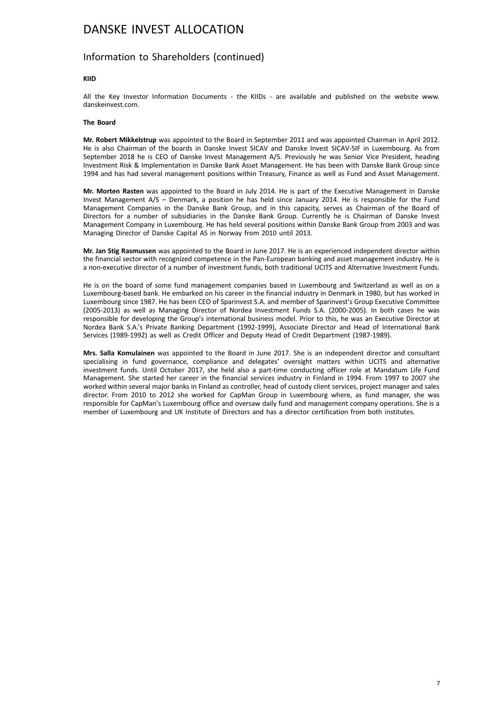### Information to Shareholders (continued)

#### **KIID**

All the Key Investor Information Documents - the KIIDs - are available and published on the website www. danskeinvest.com.

#### **The Board**

**Mr. Robert Mikkelstrup** was appointed to the Board in September 2011 and was appointed Chairman in April 2012. He is also Chairman of the boards in Danske Invest SICAV and Danske Invest SICAV-SIF in Luxembourg. As from September 2018 he is CEO of Danske Invest Management A/S. Previously he was Senior Vice President, heading Investment Risk & Implementation in Danske Bank Asset Management. He has been with Danske Bank Group since 1994 and has had several management positions within Treasury, Finance as well as Fund and Asset Management.

**Mr. Morten Rasten** was appointed to the Board in July 2014. He is part of the Executive Management in Danske Invest Management A/S – Denmark, a position he has held since January 2014. He is responsible for the Fund Management Companies in the Danske Bank Group, and in this capacity, serves as Chairman of the Board of Directors for a number of subsidiaries in the Danske Bank Group. Currently he is Chairman of Danske Invest Management Company in Luxembourg. He has held several positions within Danske Bank Group from 2003 and was Managing Director of Danske Capital AS in Norway from 2010 until 2013.

**Mr. Jan Stig Rasmussen** was appointed to the Board in June 2017. He is an experienced independent director within the financial sector with recognized competence in the Pan-European banking and asset management industry. He is a non-executive director of a number of investment funds, both traditional UCITS and Alternative Investment Funds.

He is on the board of some fund management companies based in Luxembourg and Switzerland as well as on a Luxembourg-based bank. He embarked on his career in the financial industry in Denmark in 1980, but has worked in Luxembourg since 1987. He has been CEO of Sparinvest S.A. and member of Sparinvest's Group Executive Committee (2005-2013) as well as Managing Director of Nordea Investment Funds S.A. (2000-2005). In both cases he was responsible for developing the Group's international business model. Prior to this, he was an Executive Director at Nordea Bank S.A.'s Private Banking Department (1992-1999), Associate Director and Head of International Bank Services (1989-1992) as well as Credit Officer and Deputy Head of Credit Department (1987-1989).

**Mrs. Salla Komulainen** was appointed to the Board in June 2017. She is an independent director and consultant specialising in fund governance, compliance and delegates' oversight matters within UCITS and alternative investment funds. Until October 2017, she held also a part-time conducting officer role at Mandatum Life Fund Management. She started her career in the financial services industry in Finland in 1994. From 1997 to 2007 she worked within several major banks in Finland as controller, head of custody client services, project manager and sales director. From 2010 to 2012 she worked for CapMan Group in Luxembourg where, as fund manager, she was responsible for CapMan's Luxembourg office and oversaw daily fund and management company operations. She is a member of Luxembourg and UK Institute of Directors and has a director certification from both institutes.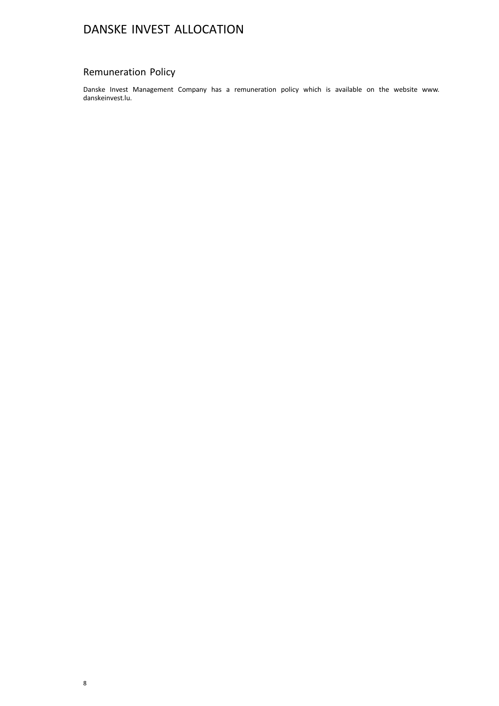### Remuneration Policy

Danske Invest Management Company has a remuneration policy which is available on the website www. danskeinvest.lu.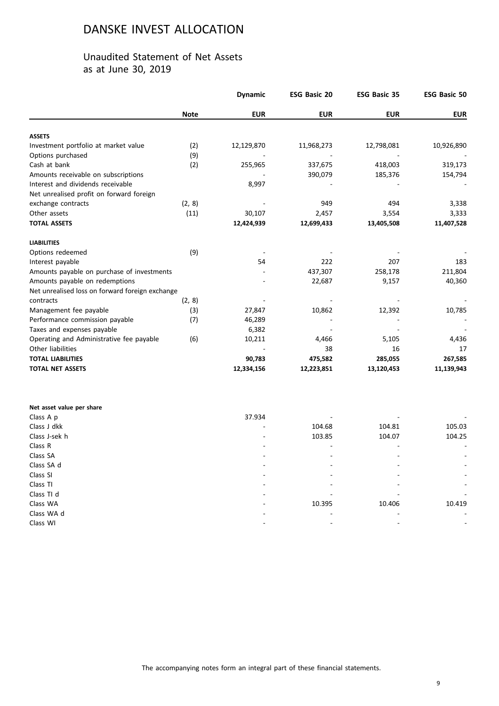### Unaudited Statement of Net Assets as at June 30, 2019

|                                                 |             | <b>Dynamic</b> | <b>ESG Basic 20</b> | <b>ESG Basic 35</b> | <b>ESG Basic 50</b> |
|-------------------------------------------------|-------------|----------------|---------------------|---------------------|---------------------|
|                                                 | <b>Note</b> | <b>EUR</b>     | <b>EUR</b>          | <b>EUR</b>          | <b>EUR</b>          |
|                                                 |             |                |                     |                     |                     |
| <b>ASSETS</b>                                   |             |                |                     |                     |                     |
| Investment portfolio at market value            | (2)         | 12,129,870     | 11,968,273          | 12,798,081          | 10,926,890          |
| Options purchased                               | (9)         |                |                     |                     |                     |
| Cash at bank                                    | (2)         | 255,965        | 337,675             | 418,003             | 319,173             |
| Amounts receivable on subscriptions             |             |                | 390,079             | 185,376             | 154,794             |
| Interest and dividends receivable               |             | 8,997          |                     |                     |                     |
| Net unrealised profit on forward foreign        |             |                |                     |                     |                     |
| exchange contracts                              | (2, 8)      |                | 949                 | 494                 | 3,338               |
| Other assets                                    | (11)        | 30,107         | 2,457               | 3,554               | 3,333               |
| <b>TOTAL ASSETS</b>                             |             | 12,424,939     | 12,699,433          | 13,405,508          | 11,407,528          |
| <b>LIABILITIES</b>                              |             |                |                     |                     |                     |
| Options redeemed                                | (9)         |                |                     |                     |                     |
| Interest payable                                |             | 54             | 222                 | 207                 | 183                 |
| Amounts payable on purchase of investments      |             |                | 437,307             | 258,178             | 211,804             |
| Amounts payable on redemptions                  |             |                | 22,687              | 9,157               | 40,360              |
| Net unrealised loss on forward foreign exchange |             |                |                     |                     |                     |
| contracts                                       | (2, 8)      |                |                     |                     |                     |
| Management fee payable                          | (3)         | 27,847         | 10,862              | 12,392              | 10,785              |
| Performance commission payable                  | (7)         | 46,289         |                     |                     |                     |
| Taxes and expenses payable                      |             | 6,382          |                     |                     |                     |
| Operating and Administrative fee payable        | (6)         | 10,211         | 4,466               | 5,105               | 4,436               |
| Other liabilities                               |             |                | 38                  | 16                  | 17                  |
| <b>TOTAL LIABILITIES</b>                        |             | 90,783         | 475,582             | 285,055             | 267,585             |
| <b>TOTAL NET ASSETS</b>                         |             | 12,334,156     | 12,223,851          | 13,120,453          | 11,139,943          |

| Net asset value per share |        |        |        |                          |
|---------------------------|--------|--------|--------|--------------------------|
| Class A p                 | 37.934 |        |        | ٠                        |
| Class J dkk               |        | 104.68 | 104.81 | 105.03                   |
| Class J-sek h             | -      | 103.85 | 104.07 | 104.25                   |
| Class R                   |        | ۰      |        | ۰.                       |
| Class SA                  |        | ۰      |        | $\overline{\phantom{a}}$ |
| Class SA d                |        |        |        | ۰.                       |
| Class SI                  |        | ۰      |        | $\sim$                   |
| Class TI                  |        |        |        | ۰.                       |
| Class TI d                |        |        |        |                          |
| Class WA                  |        | 10.395 | 10.406 | 10.419                   |
| Class WA d                |        |        |        | $\overline{\phantom{a}}$ |
| Class WI                  |        |        |        | ۰.                       |
|                           |        |        |        |                          |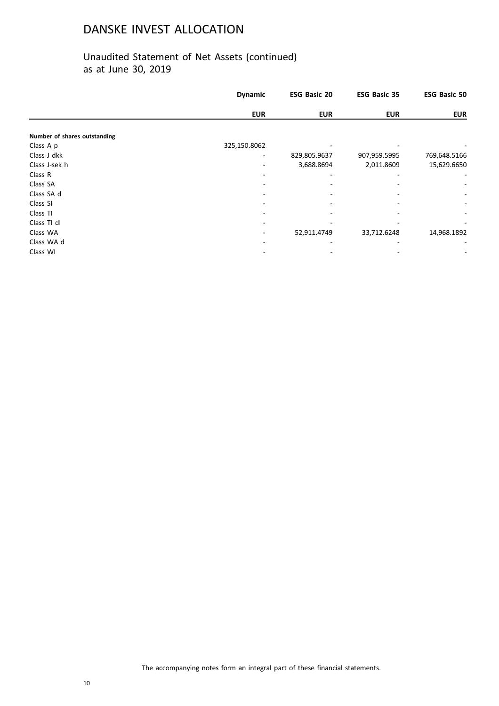|                              | <b>Dynamic</b> | <b>ESG Basic 20</b> | <b>ESG Basic 35</b> | <b>ESG Basic 50</b>      |
|------------------------------|----------------|---------------------|---------------------|--------------------------|
|                              | <b>EUR</b>     | <b>EUR</b>          | <b>EUR</b>          | <b>EUR</b>               |
|                              |                |                     |                     |                          |
| Number of shares outstanding |                |                     |                     |                          |
| Class A p                    | 325,150.8062   |                     |                     |                          |
| Class J dkk                  |                | 829,805.9637        | 907,959.5995        | 769,648.5166             |
| Class J-sek h                |                | 3,688.8694          | 2,011.8609          | 15,629.6650              |
| Class R                      |                |                     |                     |                          |
| Class SA                     |                |                     |                     |                          |
| Class SA d                   |                |                     |                     |                          |
| Class SI                     |                |                     |                     | $\overline{\phantom{a}}$ |
| Class TI                     |                |                     |                     |                          |
| Class TI dI                  |                |                     |                     |                          |
| Class WA                     | ۰              | 52,911.4749         | 33,712.6248         | 14,968.1892              |
| Class WA d                   |                |                     |                     |                          |
| Class WI                     |                |                     |                     |                          |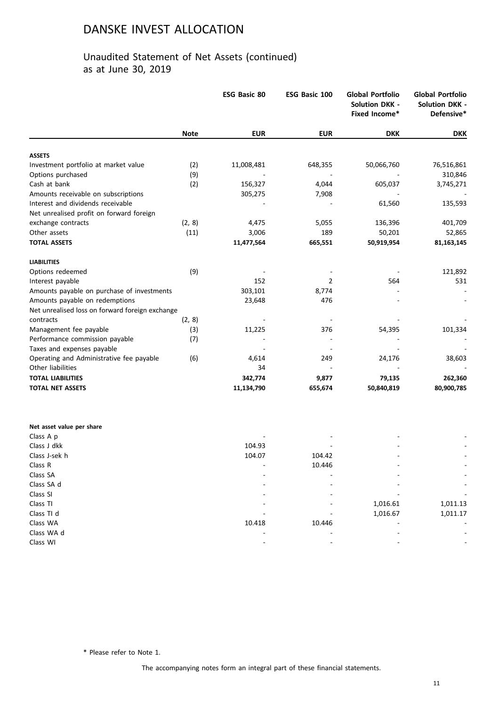### Unaudited Statement of Net Assets (continued) as at June 30, 2019

|                                                       |             | <b>ESG Basic 80</b> | ESG Basic 100 | <b>Global Portfolio</b><br><b>Solution DKK -</b><br>Fixed Income* | <b>Global Portfolio</b><br><b>Solution DKK -</b><br>Defensive* |
|-------------------------------------------------------|-------------|---------------------|---------------|-------------------------------------------------------------------|----------------------------------------------------------------|
|                                                       | <b>Note</b> | <b>EUR</b>          | <b>EUR</b>    | <b>DKK</b>                                                        | DKK                                                            |
|                                                       |             |                     |               |                                                                   |                                                                |
| <b>ASSETS</b><br>Investment portfolio at market value | (2)         | 11,008,481          | 648,355       | 50,066,760                                                        | 76,516,861                                                     |
| Options purchased                                     | (9)         |                     |               |                                                                   | 310,846                                                        |
| Cash at bank                                          | (2)         | 156,327             | 4,044         | 605,037                                                           |                                                                |
| Amounts receivable on subscriptions                   |             | 305,275             | 7,908         |                                                                   | 3,745,271                                                      |
| Interest and dividends receivable                     |             |                     |               | 61,560                                                            | 135,593                                                        |
| Net unrealised profit on forward foreign              |             |                     |               |                                                                   |                                                                |
| exchange contracts                                    | (2, 8)      | 4,475               | 5,055         | 136,396                                                           | 401,709                                                        |
| Other assets                                          | (11)        | 3,006               | 189           | 50,201                                                            | 52,865                                                         |
| <b>TOTAL ASSETS</b>                                   |             | 11,477,564          | 665,551       | 50,919,954                                                        | 81,163,145                                                     |
| <b>LIABILITIES</b>                                    |             |                     |               |                                                                   |                                                                |
| Options redeemed                                      | (9)         |                     |               |                                                                   | 121,892                                                        |
| Interest payable                                      |             | 152                 | 2             | 564                                                               | 531                                                            |
| Amounts payable on purchase of investments            |             | 303,101             | 8,774         |                                                                   |                                                                |
| Amounts payable on redemptions                        |             | 23,648              | 476           |                                                                   |                                                                |
| Net unrealised loss on forward foreign exchange       |             |                     |               |                                                                   |                                                                |
| contracts                                             | (2, 8)      |                     |               |                                                                   |                                                                |
| Management fee payable                                | (3)         | 11,225              | 376           | 54,395                                                            | 101,334                                                        |
| Performance commission payable                        | (7)         |                     |               |                                                                   |                                                                |
| Taxes and expenses payable                            |             |                     |               |                                                                   |                                                                |
| Operating and Administrative fee payable              | (6)         | 4,614               | 249           | 24,176                                                            | 38,603                                                         |
| Other liabilities                                     |             | 34                  |               |                                                                   |                                                                |
| <b>TOTAL LIABILITIES</b>                              |             | 342,774             | 9,877         | 79,135                                                            | 262,360                                                        |
| <b>TOTAL NET ASSETS</b>                               |             | 11,134,790          | 655,674       | 50,840,819                                                        | 80,900,785                                                     |
|                                                       |             |                     |               |                                                                   |                                                                |
| Net asset value per share                             |             |                     |               |                                                                   |                                                                |
| Class A p                                             |             |                     |               |                                                                   |                                                                |
| Class J dkk                                           |             | 104.93              |               |                                                                   |                                                                |
| Class J-sek h                                         |             | 104.07              | 104.42        |                                                                   |                                                                |
| Class R                                               |             |                     | 10.446        |                                                                   |                                                                |
| Class SA                                              |             |                     |               |                                                                   |                                                                |
| Class SA d                                            |             |                     |               |                                                                   |                                                                |
| Class SI                                              |             |                     |               |                                                                   |                                                                |
| Class TI                                              |             |                     |               | 1,016.61                                                          | 1,011.13                                                       |
| Class TI d                                            |             |                     |               | 1,016.67                                                          | 1,011.17                                                       |
| Class WA                                              |             | 10.418              | 10.446        |                                                                   |                                                                |
| Class WA d                                            |             |                     |               |                                                                   |                                                                |
| Class WI                                              |             |                     |               |                                                                   |                                                                |

\* Please refer to Note 1.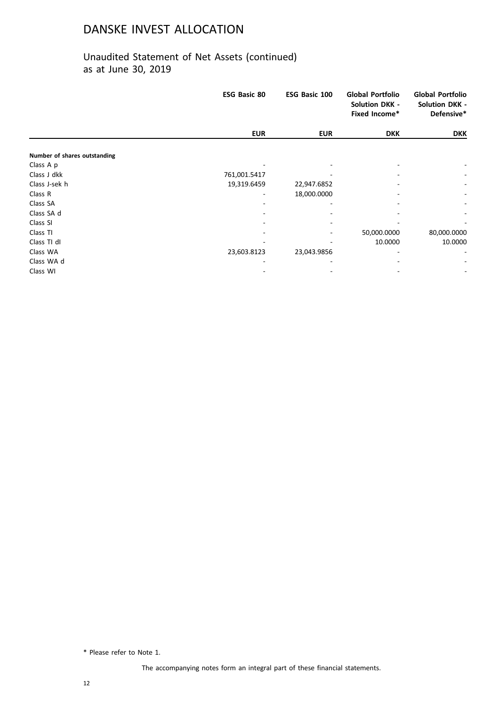### Unaudited Statement of Net Assets (continued) as at June 30, 2019

|                              | <b>ESG Basic 80</b> | ESG Basic 100 | <b>Global Portfolio</b><br><b>Solution DKK -</b><br>Fixed Income* | <b>Global Portfolio</b><br><b>Solution DKK -</b><br>Defensive* |
|------------------------------|---------------------|---------------|-------------------------------------------------------------------|----------------------------------------------------------------|
|                              | <b>EUR</b>          | <b>EUR</b>    | <b>DKK</b>                                                        | <b>DKK</b>                                                     |
| Number of shares outstanding |                     |               |                                                                   |                                                                |
| Class A p                    |                     |               |                                                                   |                                                                |
| Class J dkk                  | 761,001.5417        |               |                                                                   |                                                                |
| Class J-sek h                | 19,319.6459         | 22,947.6852   |                                                                   |                                                                |
| Class R                      |                     | 18,000.0000   |                                                                   |                                                                |
| Class SA                     |                     |               |                                                                   |                                                                |
| Class SA d                   |                     |               |                                                                   |                                                                |
| Class SI                     |                     |               |                                                                   |                                                                |
| Class TI                     |                     |               | 50,000.0000                                                       | 80,000.0000                                                    |
| Class TI dI                  |                     |               | 10.0000                                                           | 10.0000                                                        |
| Class WA                     | 23,603.8123         | 23,043.9856   |                                                                   |                                                                |
| Class WA d                   |                     |               |                                                                   | $\overline{\phantom{a}}$                                       |
| Class WI                     |                     |               |                                                                   | $\overline{\phantom{a}}$                                       |

\* Please refer to Note 1.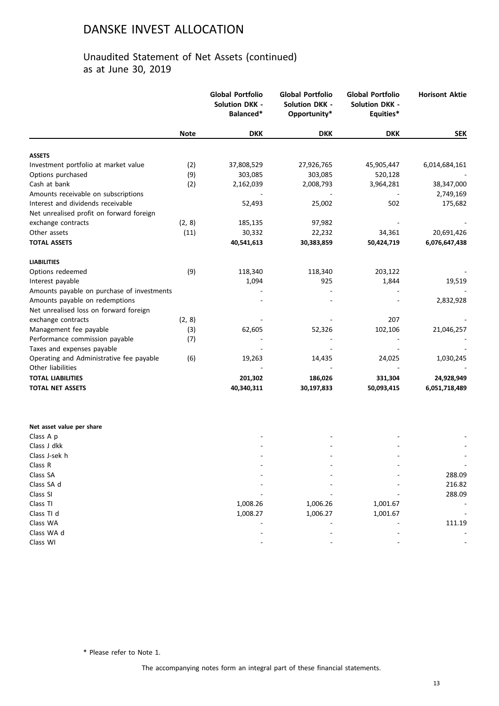### Unaudited Statement of Net Assets (continued) as at June 30, 2019

|                                            |             | <b>Global Portfolio</b><br><b>Solution DKK -</b><br>Balanced* | <b>Global Portfolio</b><br><b>Solution DKK -</b><br>Opportunity* | <b>Global Portfolio</b><br><b>Solution DKK -</b><br>Equities* | <b>Horisont Aktie</b> |
|--------------------------------------------|-------------|---------------------------------------------------------------|------------------------------------------------------------------|---------------------------------------------------------------|-----------------------|
|                                            | <b>Note</b> | <b>DKK</b>                                                    | <b>DKK</b>                                                       | <b>DKK</b>                                                    | <b>SEK</b>            |
| <b>ASSETS</b>                              |             |                                                               |                                                                  |                                                               |                       |
| Investment portfolio at market value       | (2)         | 37,808,529                                                    | 27,926,765                                                       | 45,905,447                                                    | 6,014,684,161         |
| Options purchased                          | (9)         | 303,085                                                       | 303,085                                                          | 520,128                                                       |                       |
| Cash at bank                               | (2)         | 2,162,039                                                     | 2,008,793                                                        | 3,964,281                                                     | 38,347,000            |
| Amounts receivable on subscriptions        |             |                                                               |                                                                  |                                                               | 2,749,169             |
| Interest and dividends receivable          |             | 52,493                                                        | 25,002                                                           | 502                                                           | 175,682               |
| Net unrealised profit on forward foreign   |             |                                                               |                                                                  |                                                               |                       |
| exchange contracts                         | (2, 8)      | 185,135                                                       | 97,982                                                           |                                                               |                       |
| Other assets                               | (11)        | 30,332                                                        | 22,232                                                           | 34,361                                                        | 20,691,426            |
| <b>TOTAL ASSETS</b>                        |             | 40,541,613                                                    | 30,383,859                                                       | 50,424,719                                                    | 6,076,647,438         |
| <b>LIABILITIES</b>                         |             |                                                               |                                                                  |                                                               |                       |
| Options redeemed                           | (9)         | 118,340                                                       | 118,340                                                          | 203,122                                                       |                       |
| Interest payable                           |             | 1,094                                                         | 925                                                              | 1,844                                                         | 19,519                |
| Amounts payable on purchase of investments |             |                                                               |                                                                  |                                                               |                       |
| Amounts payable on redemptions             |             |                                                               |                                                                  |                                                               | 2,832,928             |
| Net unrealised loss on forward foreign     |             |                                                               |                                                                  |                                                               |                       |
| exchange contracts                         | (2, 8)      |                                                               |                                                                  | 207                                                           |                       |
| Management fee payable                     | (3)         | 62,605                                                        | 52,326                                                           | 102,106                                                       | 21,046,257            |
| Performance commission payable             | (7)         |                                                               |                                                                  |                                                               |                       |
| Taxes and expenses payable                 |             |                                                               |                                                                  |                                                               |                       |
| Operating and Administrative fee payable   | (6)         | 19,263                                                        | 14,435                                                           | 24,025                                                        | 1,030,245             |
| Other liabilities                          |             |                                                               |                                                                  |                                                               |                       |
| <b>TOTAL LIABILITIES</b>                   |             | 201,302                                                       | 186,026                                                          | 331,304                                                       | 24,928,949            |
| <b>TOTAL NET ASSETS</b>                    |             | 40,340,311                                                    | 30,197,833                                                       | 50,093,415                                                    | 6,051,718,489         |
| Net asset value per share                  |             |                                                               |                                                                  |                                                               |                       |
| Class A p                                  |             |                                                               |                                                                  |                                                               |                       |
| Class J dkk                                |             |                                                               |                                                                  |                                                               |                       |
| Class J-sek h                              |             |                                                               |                                                                  |                                                               |                       |
| Class R                                    |             |                                                               |                                                                  |                                                               |                       |
| Class SA                                   |             |                                                               |                                                                  |                                                               | 288.09                |
| Class SA d                                 |             |                                                               |                                                                  |                                                               | 216.82                |
| Class SI                                   |             |                                                               |                                                                  |                                                               | 288.09                |
| Class TI                                   |             | 1,008.26                                                      | 1,006.26                                                         | 1,001.67                                                      |                       |
| Class TI d                                 |             | 1,008.27                                                      | 1,006.27                                                         | 1,001.67                                                      |                       |
| Class WA                                   |             |                                                               |                                                                  |                                                               | 111.19                |
| Class WA d                                 |             |                                                               |                                                                  |                                                               |                       |

\* Please refer to Note 1.

Class WI - - - -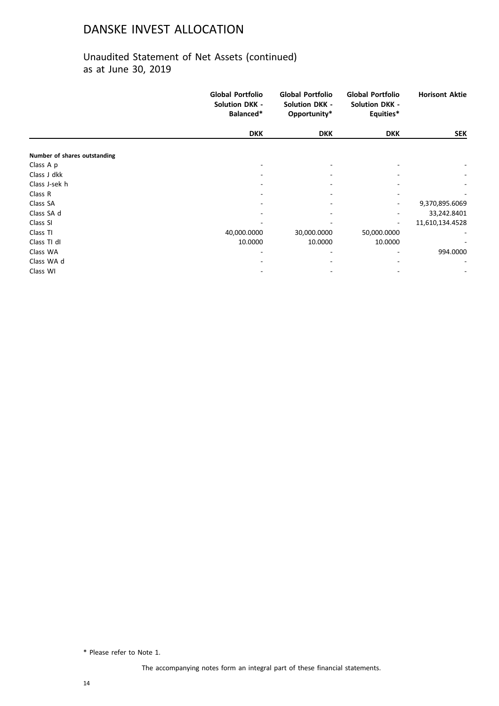### Unaudited Statement of Net Assets (continued) as at June 30, 2019

|                              | <b>Global Portfolio</b><br><b>Solution DKK -</b><br>Balanced* | <b>Global Portfolio</b><br><b>Solution DKK -</b><br>Opportunity* | <b>Global Portfolio</b><br><b>Solution DKK -</b><br>Equities* | <b>Horisont Aktie</b> |
|------------------------------|---------------------------------------------------------------|------------------------------------------------------------------|---------------------------------------------------------------|-----------------------|
|                              | <b>DKK</b>                                                    | <b>DKK</b>                                                       | <b>DKK</b>                                                    | <b>SEK</b>            |
| Number of shares outstanding |                                                               |                                                                  |                                                               |                       |
| Class A p                    |                                                               |                                                                  |                                                               |                       |
| Class J dkk                  |                                                               |                                                                  |                                                               |                       |
| Class J-sek h                |                                                               |                                                                  |                                                               |                       |
| Class R                      |                                                               |                                                                  |                                                               |                       |
| Class SA                     |                                                               |                                                                  |                                                               | 9,370,895.6069        |
| Class SA d                   |                                                               |                                                                  |                                                               | 33,242.8401           |
| Class SI                     |                                                               |                                                                  |                                                               | 11,610,134.4528       |
| Class TI                     | 40,000.0000                                                   | 30,000.0000                                                      | 50,000.0000                                                   |                       |
| Class TI dI                  | 10.0000                                                       | 10.0000                                                          | 10.0000                                                       |                       |
| Class WA                     |                                                               |                                                                  |                                                               | 994.0000              |
| Class WA d                   |                                                               |                                                                  |                                                               |                       |
| Class WI                     |                                                               |                                                                  |                                                               |                       |

\* Please refer to Note 1.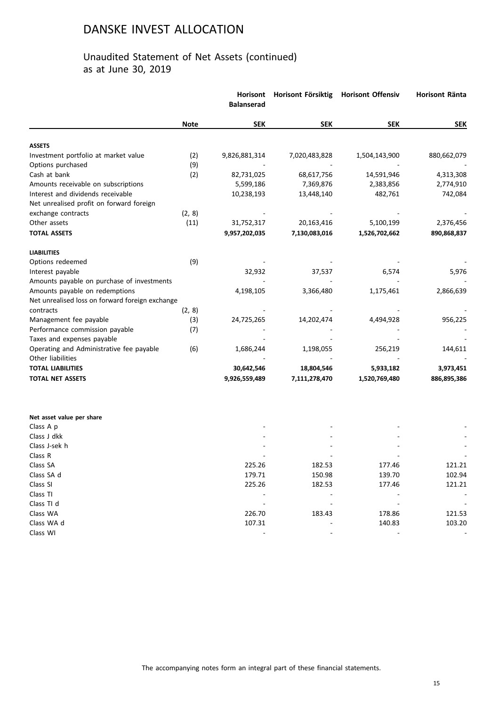|                                                 |             | Horisont<br><b>Balanserad</b> | Horisont Försiktig | <b>Horisont Offensiv</b> | Horisont Ränta |
|-------------------------------------------------|-------------|-------------------------------|--------------------|--------------------------|----------------|
|                                                 | <b>Note</b> | <b>SEK</b>                    | <b>SEK</b>         | <b>SEK</b>               | <b>SEK</b>     |
| <b>ASSETS</b>                                   |             |                               |                    |                          |                |
| Investment portfolio at market value            | (2)         | 9,826,881,314                 | 7,020,483,828      | 1,504,143,900            | 880,662,079    |
| Options purchased                               | (9)         |                               |                    |                          |                |
| Cash at bank                                    | (2)         | 82,731,025                    | 68,617,756         | 14,591,946               | 4,313,308      |
| Amounts receivable on subscriptions             |             | 5,599,186                     | 7,369,876          | 2,383,856                | 2,774,910      |
| Interest and dividends receivable               |             | 10,238,193                    | 13,448,140         | 482,761                  | 742,084        |
| Net unrealised profit on forward foreign        |             |                               |                    |                          |                |
| exchange contracts                              | (2, 8)      |                               |                    |                          |                |
| Other assets                                    | (11)        | 31,752,317                    | 20,163,416         | 5,100,199                | 2,376,456      |
| <b>TOTAL ASSETS</b>                             |             | 9,957,202,035                 | 7,130,083,016      | 1,526,702,662            | 890,868,837    |
| <b>LIABILITIES</b>                              |             |                               |                    |                          |                |
| Options redeemed                                | (9)         |                               |                    |                          |                |
| Interest payable                                |             | 32,932                        | 37,537             | 6,574                    | 5,976          |
| Amounts payable on purchase of investments      |             |                               |                    |                          |                |
| Amounts payable on redemptions                  |             | 4,198,105                     | 3,366,480          | 1,175,461                | 2,866,639      |
| Net unrealised loss on forward foreign exchange |             |                               |                    |                          |                |
| contracts                                       | (2, 8)      |                               |                    |                          |                |
| Management fee payable                          | (3)         | 24,725,265                    | 14,202,474         | 4,494,928                | 956,225        |
| Performance commission payable                  | (7)         |                               |                    |                          |                |
| Taxes and expenses payable                      |             |                               |                    |                          |                |
| Operating and Administrative fee payable        | (6)         | 1,686,244                     | 1,198,055          | 256,219                  | 144,611        |
| Other liabilities                               |             |                               |                    |                          |                |
| <b>TOTAL LIABILITIES</b>                        |             | 30,642,546                    | 18,804,546         | 5,933,182                | 3,973,451      |
| <b>TOTAL NET ASSETS</b>                         |             | 9,926,559,489                 | 7,111,278,470      | 1,520,769,480            | 886,895,386    |
| Net asset value per share                       |             |                               |                    |                          |                |
| Class A p                                       |             |                               |                    |                          |                |
| Class J dkk                                     |             |                               |                    |                          |                |
| Class J-sek h                                   |             |                               |                    |                          |                |
| Class R                                         |             |                               |                    |                          |                |
| Class SA                                        |             | 225.26                        | 182.53             | 177.46                   | 121.21         |
| Class SA d                                      |             | 179.71                        | 150.98             | 139.70                   | 102.94         |
| Class SI                                        |             | 225.26                        | 182.53             | 177.46                   | 121.21         |
| Class TI                                        |             |                               |                    |                          |                |
| Class TI d                                      |             |                               |                    |                          |                |
| Class WA                                        |             | 226.70                        | 183.43             | 178.86                   | 121.53         |
| Class WA d                                      |             | 107.31                        |                    | 140.83                   | 103.20         |
| Class WI                                        |             |                               |                    |                          |                |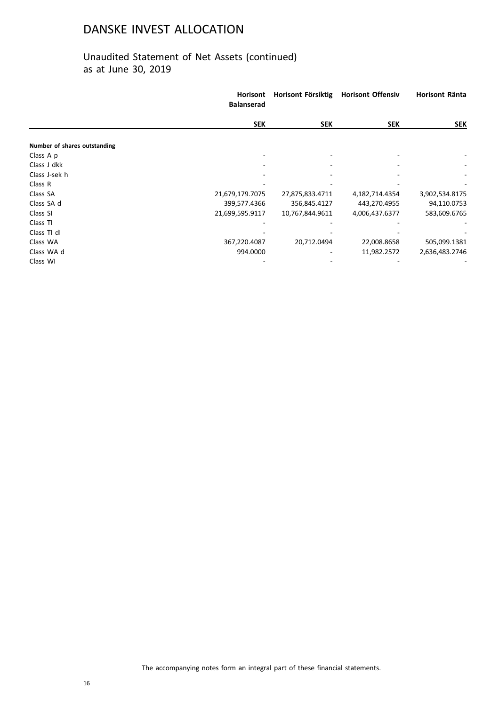|                              | <b>Horisont</b><br><b>Balanserad</b> | Horisont Försiktig | <b>Horisont Offensiv</b> | Horisont Ränta |
|------------------------------|--------------------------------------|--------------------|--------------------------|----------------|
|                              | <b>SEK</b>                           | <b>SEK</b>         | <b>SEK</b>               | <b>SEK</b>     |
| Number of shares outstanding |                                      |                    |                          |                |
| Class A p                    |                                      |                    |                          |                |
| Class J dkk                  |                                      |                    |                          |                |
| Class J-sek h                |                                      |                    |                          |                |
| Class R                      |                                      |                    |                          |                |
| Class SA                     | 21,679,179.7075                      | 27,875,833.4711    | 4,182,714.4354           | 3,902,534.8175 |
| Class SA d                   | 399,577.4366                         | 356,845.4127       | 443,270.4955             | 94,110.0753    |
| Class SI                     | 21,699,595.9117                      | 10,767,844.9611    | 4,006,437.6377           | 583,609.6765   |
| Class TI                     |                                      |                    |                          |                |
| Class TI dI                  |                                      |                    |                          |                |
| Class WA                     | 367,220.4087                         | 20,712.0494        | 22,008.8658              | 505,099.1381   |
| Class WA d                   | 994.0000                             |                    | 11,982.2572              | 2,636,483.2746 |
| Class WI                     |                                      |                    |                          |                |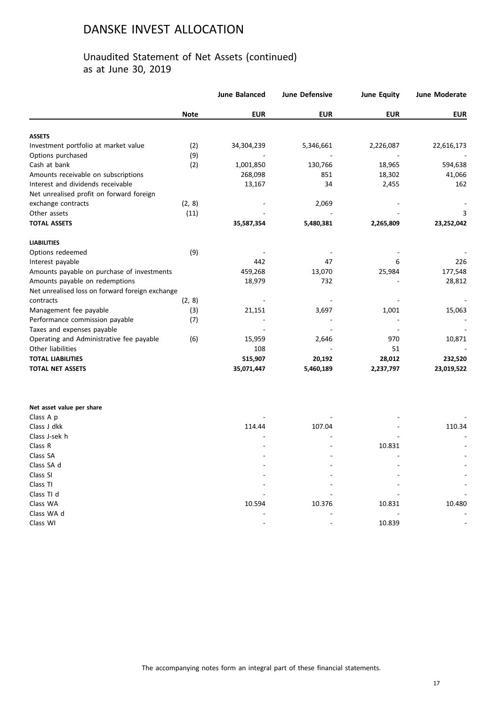|                                                 |             | <b>June Balanced</b> | <b>June Defensive</b> | <b>June Equity</b> | <b>June Moderate</b> |
|-------------------------------------------------|-------------|----------------------|-----------------------|--------------------|----------------------|
|                                                 | <b>Note</b> | <b>EUR</b>           | <b>EUR</b>            | <b>EUR</b>         | <b>EUR</b>           |
| <b>ASSETS</b>                                   |             |                      |                       |                    |                      |
| Investment portfolio at market value            | (2)         | 34,304,239           | 5,346,661             | 2,226,087          | 22,616,173           |
| Options purchased                               | (9)         |                      |                       |                    |                      |
| Cash at bank                                    | (2)         | 1,001,850            | 130,766               | 18,965             | 594,638              |
| Amounts receivable on subscriptions             |             | 268,098              | 851                   | 18,302             | 41,066               |
| Interest and dividends receivable               |             | 13,167               | 34                    | 2,455              | 162                  |
| Net unrealised profit on forward foreign        |             |                      |                       |                    |                      |
| exchange contracts                              | (2, 8)      |                      | 2,069                 |                    |                      |
| Other assets                                    | (11)        |                      |                       |                    | 3                    |
| <b>TOTAL ASSETS</b>                             |             | 35,587,354           | 5,480,381             | 2,265,809          | 23,252,042           |
| <b>LIABILITIES</b>                              |             |                      |                       |                    |                      |
| Options redeemed                                | (9)         |                      |                       |                    |                      |
| Interest payable                                |             | 442                  | 47                    | 6                  | 226                  |
| Amounts payable on purchase of investments      |             | 459,268              | 13,070                | 25,984             | 177,548              |
| Amounts payable on redemptions                  |             | 18,979               | 732                   |                    | 28,812               |
| Net unrealised loss on forward foreign exchange |             |                      |                       |                    |                      |
| contracts                                       | (2, 8)      |                      |                       |                    |                      |
| Management fee payable                          | (3)         | 21,151               | 3,697                 | 1,001              | 15,063               |
| Performance commission payable                  | (7)         |                      |                       |                    |                      |
| Taxes and expenses payable                      |             |                      |                       |                    |                      |
| Operating and Administrative fee payable        | (6)         | 15,959               | 2,646                 | 970                | 10,871               |
| Other liabilities                               |             | 108                  |                       | 51                 |                      |
| <b>TOTAL LIABILITIES</b>                        |             | 515,907              | 20,192                | 28,012             | 232,520              |
| <b>TOTAL NET ASSETS</b>                         |             | 35,071,447           | 5,460,189             | 2,237,797          | 23,019,522           |
|                                                 |             |                      |                       |                    |                      |

| Net asset value per share |        |                          |        |                          |
|---------------------------|--------|--------------------------|--------|--------------------------|
| Class A p                 |        |                          |        | $\overline{\phantom{a}}$ |
| Class J dkk               | 114.44 | 107.04                   |        | 110.34                   |
| Class J-sek h             |        | -                        |        | ٠                        |
| Class R                   |        | $\overline{\phantom{a}}$ | 10.831 | ۰.                       |
| Class SA                  |        | $\overline{\phantom{a}}$ |        | $\sim$                   |
| Class SA d                |        | ۰                        |        | ٠                        |
| Class SI                  |        |                          |        | $\sim$                   |
| Class TI                  |        |                          |        | $\sim$                   |
| Class TI d                |        |                          |        | $\overline{\phantom{a}}$ |
| Class WA                  | 10.594 | 10.376                   | 10.831 | 10.480                   |
| Class WA d                |        | -                        |        | $\sim$                   |
| Class WI                  |        | $\overline{\phantom{a}}$ | 10.839 | ۰.                       |
|                           |        |                          |        |                          |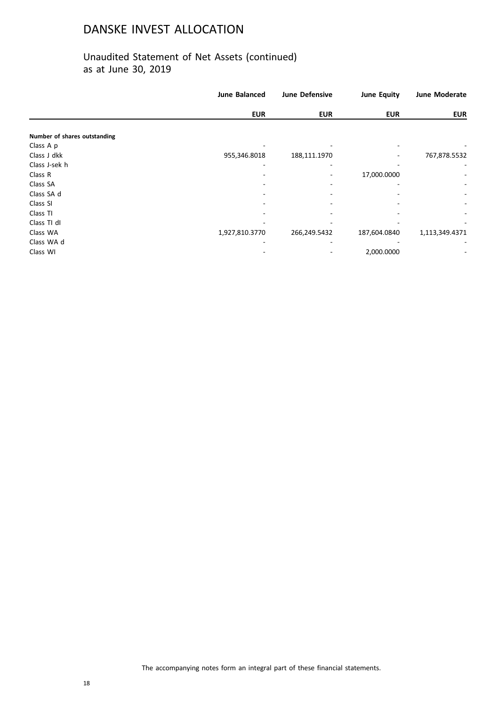|                              | <b>June Balanced</b> | <b>June Defensive</b> | <b>June Equity</b> | <b>June Moderate</b>     |
|------------------------------|----------------------|-----------------------|--------------------|--------------------------|
|                              | <b>EUR</b>           | <b>EUR</b>            | <b>EUR</b>         | <b>EUR</b>               |
|                              |                      |                       |                    |                          |
| Number of shares outstanding |                      |                       |                    |                          |
| Class A p                    |                      |                       |                    |                          |
| Class J dkk                  | 955,346.8018         | 188,111.1970          |                    | 767,878.5532             |
| Class J-sek h                |                      |                       |                    |                          |
| Class R                      |                      |                       | 17,000.0000        |                          |
| Class SA                     |                      |                       |                    |                          |
| Class SA d                   |                      |                       |                    |                          |
| Class SI                     |                      |                       |                    | $\overline{\phantom{a}}$ |
| Class TI                     |                      |                       |                    | ۰                        |
| Class TI dI                  |                      |                       |                    |                          |
| Class WA                     | 1,927,810.3770       | 266,249.5432          | 187,604.0840       | 1,113,349.4371           |
| Class WA d                   |                      |                       |                    |                          |
| Class WI                     |                      |                       | 2,000.0000         |                          |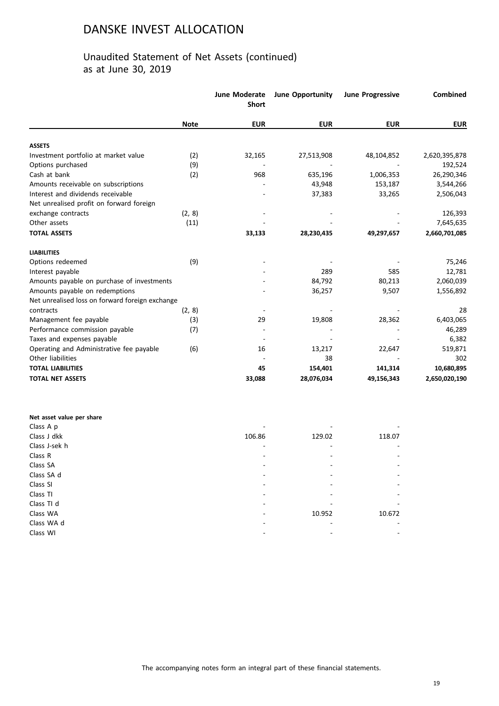|                                                 |             | June Moderate<br><b>Short</b> | <b>June Opportunity</b> | <b>June Progressive</b> | Combined      |
|-------------------------------------------------|-------------|-------------------------------|-------------------------|-------------------------|---------------|
|                                                 | <b>Note</b> | <b>EUR</b>                    | <b>EUR</b>              | <b>EUR</b>              | <b>EUR</b>    |
| <b>ASSETS</b>                                   |             |                               |                         |                         |               |
| Investment portfolio at market value            | (2)         | 32,165                        | 27,513,908              | 48,104,852              | 2,620,395,878 |
| Options purchased                               | (9)         |                               |                         |                         | 192,524       |
| Cash at bank                                    | (2)         | 968                           | 635,196                 | 1,006,353               | 26,290,346    |
| Amounts receivable on subscriptions             |             |                               | 43,948                  | 153,187                 | 3,544,266     |
| Interest and dividends receivable               |             |                               | 37,383                  | 33,265                  | 2,506,043     |
| Net unrealised profit on forward foreign        |             |                               |                         |                         |               |
| exchange contracts                              | (2, 8)      |                               |                         |                         | 126,393       |
| Other assets                                    | (11)        |                               |                         |                         | 7,645,635     |
| <b>TOTAL ASSETS</b>                             |             | 33,133                        | 28,230,435              | 49,297,657              | 2,660,701,085 |
| <b>LIABILITIES</b>                              |             |                               |                         |                         |               |
| Options redeemed                                | (9)         |                               |                         |                         | 75,246        |
| Interest payable                                |             |                               | 289                     | 585                     | 12,781        |
| Amounts payable on purchase of investments      |             |                               | 84,792                  | 80,213                  | 2,060,039     |
| Amounts payable on redemptions                  |             |                               | 36,257                  | 9,507                   | 1,556,892     |
| Net unrealised loss on forward foreign exchange |             |                               |                         |                         |               |
| contracts                                       | (2, 8)      |                               |                         |                         | 28            |
| Management fee payable                          | (3)         | 29                            | 19,808                  | 28,362                  | 6,403,065     |
| Performance commission payable                  | (7)         |                               |                         |                         | 46,289        |
| Taxes and expenses payable                      |             |                               |                         |                         | 6,382         |
| Operating and Administrative fee payable        | (6)         | 16                            | 13,217                  | 22,647                  | 519,871       |
| Other liabilities                               |             |                               | 38                      |                         | 302           |
| <b>TOTAL LIABILITIES</b>                        |             | 45                            | 154,401                 | 141,314                 | 10,680,895    |
| <b>TOTAL NET ASSETS</b>                         |             | 33,088                        | 28,076,034              | 49,156,343              | 2,650,020,190 |

| Net asset value per share |        |        |                |
|---------------------------|--------|--------|----------------|
| Class A p                 |        |        |                |
| Class J dkk               | 106.86 | 129.02 | 118.07         |
| Class J-sek h             |        |        | $\overline{a}$ |
| Class R                   |        |        | $\overline{a}$ |
| Class SA                  |        |        | ÷              |
| Class SA d                |        |        | ÷              |
| Class SI                  |        |        | ٠              |
| Class TI                  |        |        | ÷              |
| Class TI d                |        |        |                |
| Class WA                  |        | 10.952 | 10.672         |
| Class WA d                |        |        |                |
| Class WI                  |        |        |                |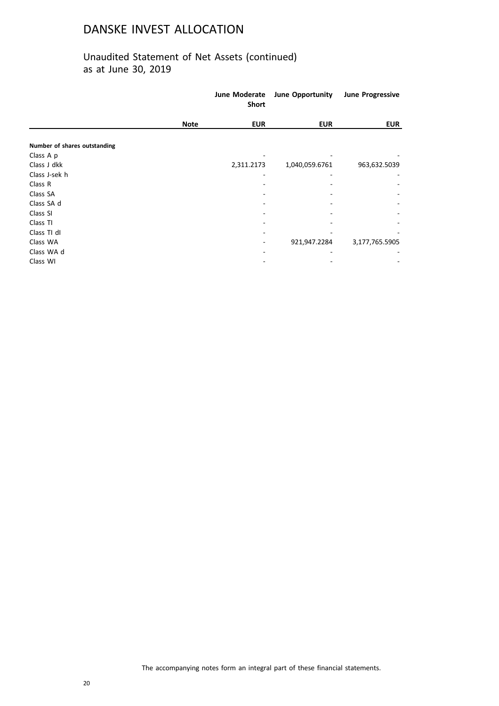|                              | <b>June Opportunity</b><br>June Moderate<br><b>Short</b> |                | <b>June Progressive</b> |  |
|------------------------------|----------------------------------------------------------|----------------|-------------------------|--|
| <b>Note</b>                  | <b>EUR</b>                                               | <b>EUR</b>     | <b>EUR</b>              |  |
| Number of shares outstanding |                                                          |                |                         |  |
| Class A p                    |                                                          |                |                         |  |
| Class J dkk                  | 2,311.2173                                               | 1,040,059.6761 | 963,632.5039            |  |
| Class J-sek h                |                                                          |                |                         |  |
| Class R                      |                                                          |                |                         |  |
| Class SA                     |                                                          |                |                         |  |
| Class SA d                   |                                                          |                |                         |  |
| Class SI                     |                                                          |                |                         |  |
| Class TI                     |                                                          |                |                         |  |
| Class TI dI                  |                                                          |                |                         |  |
| Class WA                     |                                                          | 921,947.2284   | 3,177,765.5905          |  |
| Class WA d                   |                                                          |                |                         |  |
| Class WI                     |                                                          |                |                         |  |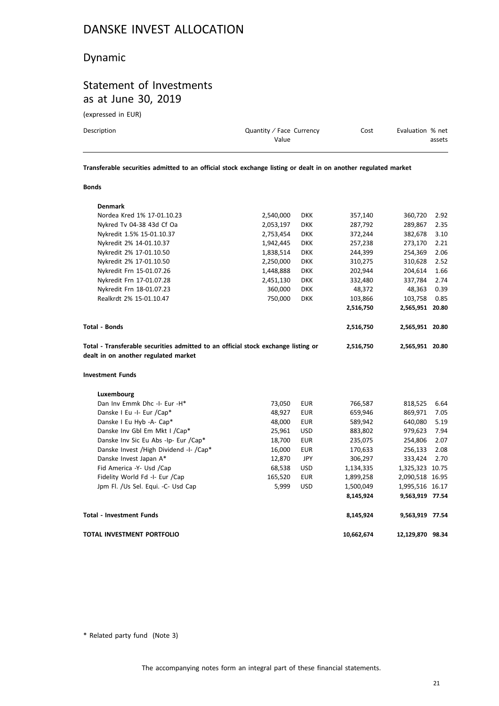### Dynamic

## Statement of Investments as at June 30, 2019

(expressed in EUR)

| Description | Quantity / Face Currency | Cost | Evaluation % net |
|-------------|--------------------------|------|------------------|
|             | Value                    |      | assets           |
|             |                          |      |                  |

**Transferable securities admitted to an official stock exchange listing or dealt in on another regulated market**

#### **Bonds**

| <b>Denmark</b>                                                                                                            |           |            |           |                 |      |
|---------------------------------------------------------------------------------------------------------------------------|-----------|------------|-----------|-----------------|------|
| Nordea Kred 1% 17-01.10.23                                                                                                | 2,540,000 | <b>DKK</b> | 357,140   | 360,720         | 2.92 |
| Nykred Tv 04-38 43d Cf Oa                                                                                                 | 2,053,197 | <b>DKK</b> | 287,792   | 289,867         | 2.35 |
| Nykredit 1.5% 15-01.10.37                                                                                                 | 2,753,454 | <b>DKK</b> | 372,244   | 382,678         | 3.10 |
| Nykredit 2% 14-01.10.37                                                                                                   | 1,942,445 | <b>DKK</b> | 257,238   | 273,170         | 2.21 |
| Nykredit 2% 17-01.10.50                                                                                                   | 1,838,514 | <b>DKK</b> | 244,399   | 254,369         | 2.06 |
| Nykredit 2% 17-01.10.50                                                                                                   | 2,250,000 | <b>DKK</b> | 310,275   | 310,628         | 2.52 |
| Nykredit Frn 15-01.07.26                                                                                                  | 1,448,888 | <b>DKK</b> | 202,944   | 204,614         | 1.66 |
| Nykredit Frn 17-01.07.28                                                                                                  | 2,451,130 | <b>DKK</b> | 332,480   | 337,784         | 2.74 |
| Nykredit Frn 18-01.07.23                                                                                                  | 360,000   | <b>DKK</b> | 48,372    | 48,363          | 0.39 |
| Realkrdt 2% 15-01.10.47                                                                                                   | 750,000   | <b>DKK</b> | 103,866   | 103,758         | 0.85 |
|                                                                                                                           |           |            | 2,516,750 | 2,565,951 20.80 |      |
| <b>Total - Bonds</b>                                                                                                      |           |            | 2,516,750 | 2,565,951 20.80 |      |
| Total - Transferable securities admitted to an official stock exchange listing or<br>dealt in on another regulated market |           |            | 2,516,750 | 2,565,951 20.80 |      |
| <b>Investment Funds</b>                                                                                                   |           |            |           |                 |      |
| Luxembourg                                                                                                                |           |            |           |                 |      |
| Dan Inv Emmk Dhc -I- Eur -H*                                                                                              | 73,050    | <b>EUR</b> | 766,587   | 818,525         | 6.64 |
| Danske I Eu -I- Eur /Cap*                                                                                                 | 48,927    | <b>EUR</b> | 659,946   | 869,971         | 7.05 |
| Danske I Eu Hyb -A- Cap*                                                                                                  | 48,000    | <b>EUR</b> | 589,942   | 640,080         | 5.19 |
| Danske Inv Gbl Em Mkt I / Cap*                                                                                            | 25,961    | <b>USD</b> | 883,802   | 979,623         | 7.94 |
| Danske Inv Sic Eu Abs -Ip- Eur /Cap*                                                                                      | 18,700    | <b>EUR</b> | 235,075   | 254,806         | 2.07 |
| Danske Invest / High Dividend -I- / Cap*                                                                                  | 16,000    | <b>EUR</b> | 170,633   | 256,133         | 2.08 |
| Danske Invest Japan A*                                                                                                    | 12,870    | JPY        | 306,297   | 333,424         | 2.70 |
| Fid America -Y- Usd /Cap                                                                                                  | 68,538    | <b>USD</b> | 1,134,335 | 1,325,323 10.75 |      |
| Fidelity World Fd -I- Eur /Cap                                                                                            | 165,520   | <b>EUR</b> | 1,899,258 | 2,090,518 16.95 |      |
| Jpm Fl. /Us Sel. Equi. -C- Usd Cap                                                                                        | 5,999     | <b>USD</b> | 1,500,049 | 1,995,516 16.17 |      |
|                                                                                                                           |           |            | 8,145,924 | 9,563,919 77.54 |      |
| <b>Total - Investment Funds</b>                                                                                           |           |            | 8,145,924 | 9,563,919 77.54 |      |
| TOTAL INVESTMENT PORTFOLIO                                                                                                |           |            |           |                 |      |

\* Related party fund (Note 3)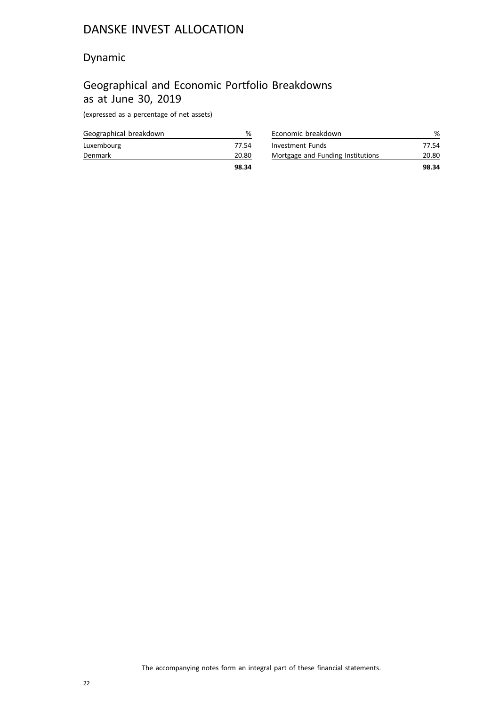### Dynamic

## Geographical and Economic Portfolio Breakdowns as at June 30, 2019

(expressed as a percentage of net assets)

|                        | 98.34 |
|------------------------|-------|
| Denmark                | 20.80 |
| Luxembourg             | 77.54 |
| Geographical breakdown |       |

| Economic breakdown                |       |
|-----------------------------------|-------|
| Investment Funds                  | 77.54 |
| Mortgage and Funding Institutions | 20.80 |
|                                   | 98.34 |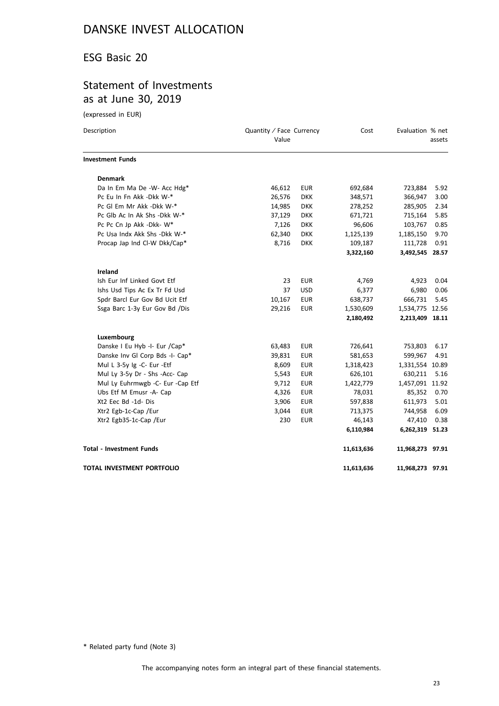### ESG Basic 20

### Statement of Investments as at June 30, 2019

(expressed in EUR)

| Description                        | Quantity / Face Currency<br>Value |            | Cost       | Evaluation % net | assets |
|------------------------------------|-----------------------------------|------------|------------|------------------|--------|
| <b>Investment Funds</b>            |                                   |            |            |                  |        |
| <b>Denmark</b>                     |                                   |            |            |                  |        |
| Da In Em Ma De -W- Acc Hdg*        | 46,612                            | <b>EUR</b> | 692,684    | 723,884          | 5.92   |
| Pc Eu In Fn Akk -Dkk W-*           | 26,576                            | <b>DKK</b> | 348,571    | 366,947          | 3.00   |
| Pc GI Em Mr Akk -Dkk W-*           | 14,985                            | <b>DKK</b> | 278,252    | 285,905          | 2.34   |
| Pc Glb Ac In Ak Shs -Dkk W-*       | 37,129                            | <b>DKK</b> | 671,721    | 715,164          | 5.85   |
| Pc Pc Cn Jp Akk -Dkk- W*           | 7,126                             | <b>DKK</b> | 96,606     | 103,767          | 0.85   |
| Pc Usa Indx Akk Shs - Dkk W-*      | 62,340                            | <b>DKK</b> | 1,125,139  | 1,185,150        | 9.70   |
| Procap Jap Ind Cl-W Dkk/Cap*       | 8,716                             | <b>DKK</b> | 109,187    | 111,728          | 0.91   |
|                                    |                                   |            | 3,322,160  | 3,492,545        | 28.57  |
| <b>Ireland</b>                     |                                   |            |            |                  |        |
| Ish Eur Inf Linked Govt Etf        | 23                                | <b>EUR</b> | 4,769      | 4,923            | 0.04   |
| Ishs Usd Tips Ac Ex Tr Fd Usd      | 37                                | <b>USD</b> | 6,377      | 6,980            | 0.06   |
| Spdr Barcl Eur Gov Bd Ucit Etf     | 10,167                            | <b>EUR</b> | 638,737    | 666,731          | 5.45   |
| Ssga Barc 1-3y Eur Gov Bd /Dis     | 29,216                            | <b>EUR</b> | 1,530,609  | 1,534,775 12.56  |        |
|                                    |                                   |            | 2,180,492  | 2,213,409 18.11  |        |
| Luxembourg                         |                                   |            |            |                  |        |
| Danske I Eu Hyb -I- Eur /Cap*      | 63,483                            | <b>EUR</b> | 726,641    | 753,803          | 6.17   |
| Danske Inv Gl Corp Bds -I- Cap*    | 39,831                            | <b>EUR</b> | 581,653    | 599,967          | 4.91   |
| Mul L 3-5y Ig -C- Eur -Etf         | 8,609                             | <b>EUR</b> | 1,318,423  | 1,331,554        | 10.89  |
| Mul Ly 3-5y Dr - Shs -Acc- Cap     | 5,543                             | <b>EUR</b> | 626,101    | 630,211          | 5.16   |
| Mul Ly Euhrmwgb - C- Eur - Cap Etf | 9,712                             | <b>EUR</b> | 1,422,779  | 1,457,091 11.92  |        |
| Ubs Etf M Emusr -A- Cap            | 4,326                             | <b>EUR</b> | 78,031     | 85,352           | 0.70   |
| Xt2 Eec Bd -1d- Dis                | 3,906                             | <b>EUR</b> | 597,838    | 611,973          | 5.01   |
| Xtr2 Egb-1c-Cap /Eur               | 3,044                             | <b>EUR</b> | 713,375    | 744,958          | 6.09   |
| Xtr2 Egb35-1c-Cap /Eur             | 230                               | <b>EUR</b> | 46,143     | 47,410           | 0.38   |
|                                    |                                   |            | 6,110,984  | 6,262,319 51.23  |        |
| <b>Total - Investment Funds</b>    |                                   |            | 11,613,636 | 11,968,273 97.91 |        |
| TOTAL INVESTMENT PORTFOLIO         |                                   |            | 11,613,636 | 11,968,273 97.91 |        |

\* Related party fund (Note 3)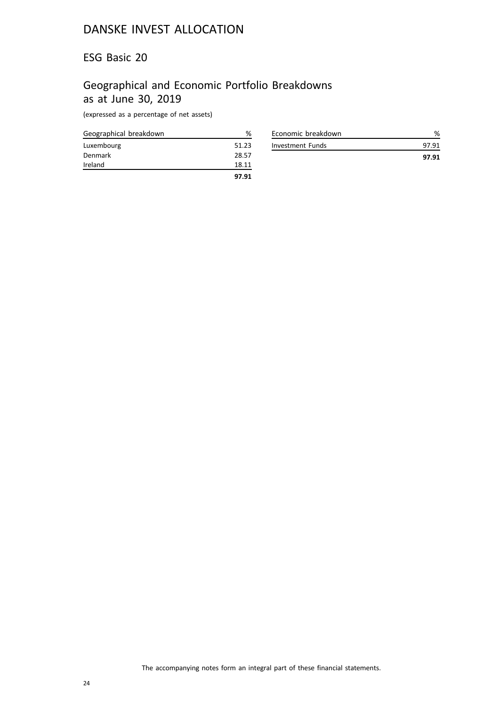### ESG Basic 20

## Geographical and Economic Portfolio Breakdowns as at June 30, 2019

(expressed as a percentage of net assets)

| Geographical breakdown | %     |
|------------------------|-------|
| Luxembourg             | 51.23 |
| Denmark                | 28.57 |
| Ireland                | 18.11 |
|                        | 97.91 |

| Economic breakdown |       |
|--------------------|-------|
| Investment Funds   | 97 91 |
|                    | 97.91 |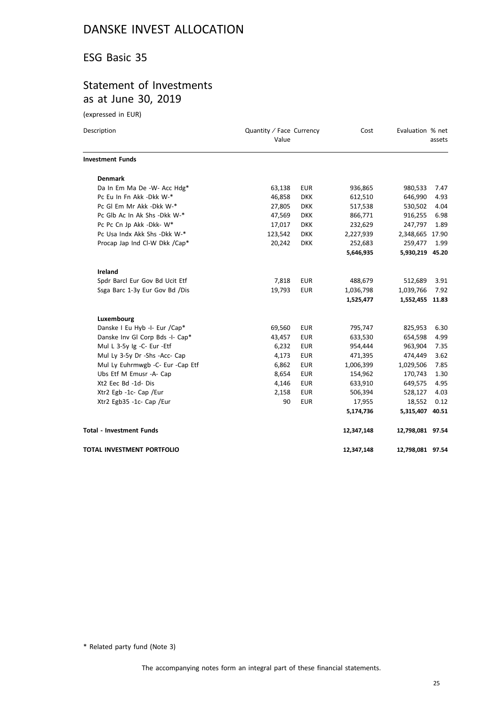### ESG Basic 35

### Statement of Investments as at June 30, 2019

(expressed in EUR)

| Description                      | Quantity / Face Currency<br>Value |            | Cost       | Evaluation % net | assets |
|----------------------------------|-----------------------------------|------------|------------|------------------|--------|
| <b>Investment Funds</b>          |                                   |            |            |                  |        |
| <b>Denmark</b>                   |                                   |            |            |                  |        |
| Da In Em Ma De -W- Acc Hdg*      | 63,138                            | <b>EUR</b> | 936,865    | 980,533          | 7.47   |
| Pc Eu In Fn Akk -Dkk W-*         | 46,858                            | <b>DKK</b> | 612,510    | 646,990          | 4.93   |
| Pc Gl Em Mr Akk -Dkk W-*         | 27,805                            | <b>DKK</b> | 517,538    | 530,502          | 4.04   |
| Pc Glb Ac In Ak Shs - Dkk W-*    | 47,569                            | <b>DKK</b> | 866,771    | 916,255          | 6.98   |
| Pc Pc Cn Jp Akk -Dkk- W*         | 17,017                            | <b>DKK</b> | 232,629    | 247,797          | 1.89   |
| Pc Usa Indx Akk Shs -Dkk W-*     | 123,542                           | <b>DKK</b> | 2,227,939  | 2,348,665 17.90  |        |
| Procap Jap Ind Cl-W Dkk /Cap*    | 20,242                            | <b>DKK</b> | 252,683    | 259,477          | 1.99   |
|                                  |                                   |            | 5,646,935  | 5,930,219        | 45.20  |
| Ireland                          |                                   |            |            |                  |        |
| Spdr Barcl Eur Gov Bd Ucit Etf   | 7,818                             | <b>EUR</b> | 488,679    | 512,689          | 3.91   |
| Ssga Barc 1-3y Eur Gov Bd /Dis   | 19,793                            | <b>EUR</b> | 1,036,798  | 1,039,766        | 7.92   |
|                                  |                                   |            | 1,525,477  | 1,552,455 11.83  |        |
| Luxembourg                       |                                   |            |            |                  |        |
| Danske I Eu Hyb -I- Eur /Cap*    | 69,560                            | <b>EUR</b> | 795,747    | 825,953          | 6.30   |
| Danske Inv Gl Corp Bds -I- Cap*  | 43,457                            | <b>EUR</b> | 633,530    | 654,598          | 4.99   |
| Mul L 3-5y Ig -C- Eur -Etf       | 6,232                             | <b>EUR</b> | 954,444    | 963,904          | 7.35   |
| Mul Ly 3-5y Dr -Shs -Acc- Cap    | 4,173                             | <b>EUR</b> | 471,395    | 474,449          | 3.62   |
| Mul Ly Euhrmwgb -C- Eur -Cap Etf | 6,862                             | <b>EUR</b> | 1,006,399  | 1,029,506        | 7.85   |
| Ubs Etf M Emusr -A- Cap          | 8,654                             | <b>EUR</b> | 154,962    | 170,743          | 1.30   |
| Xt2 Eec Bd -1d- Dis              | 4,146                             | <b>EUR</b> | 633,910    | 649,575          | 4.95   |
| Xtr2 Egb -1c- Cap /Eur           | 2,158                             | <b>EUR</b> | 506,394    | 528,127          | 4.03   |
| Xtr2 Egb35 -1c- Cap /Eur         | 90                                | <b>EUR</b> | 17,955     | 18,552           | 0.12   |
|                                  |                                   |            | 5,174,736  | 5,315,407 40.51  |        |
| <b>Total - Investment Funds</b>  |                                   |            | 12,347,148 | 12,798,081 97.54 |        |
| TOTAL INVESTMENT PORTFOLIO       |                                   |            | 12,347,148 | 12,798,081 97.54 |        |

\* Related party fund (Note 3)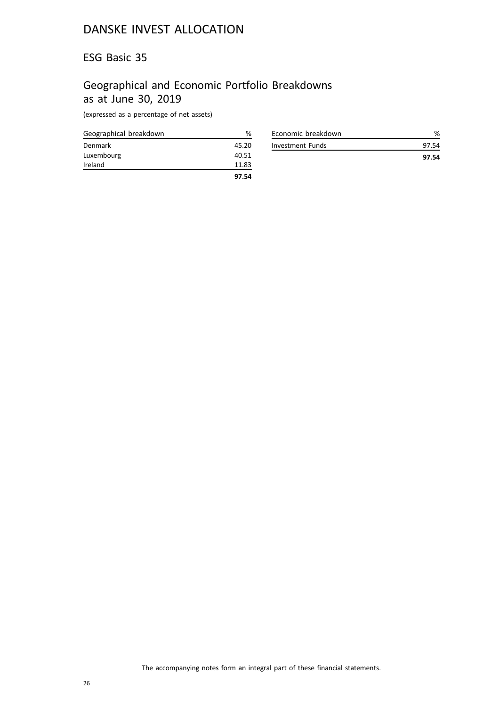### ESG Basic 35

## Geographical and Economic Portfolio Breakdowns as at June 30, 2019

(expressed as a percentage of net assets)

| Geographical breakdown | ℅     |
|------------------------|-------|
| Denmark                | 45.20 |
| Luxembourg             | 40.51 |
| Ireland                | 11.83 |
|                        | 97.54 |

| Economic breakdown |       |
|--------------------|-------|
| Investment Funds   | 97 54 |
|                    | 97.54 |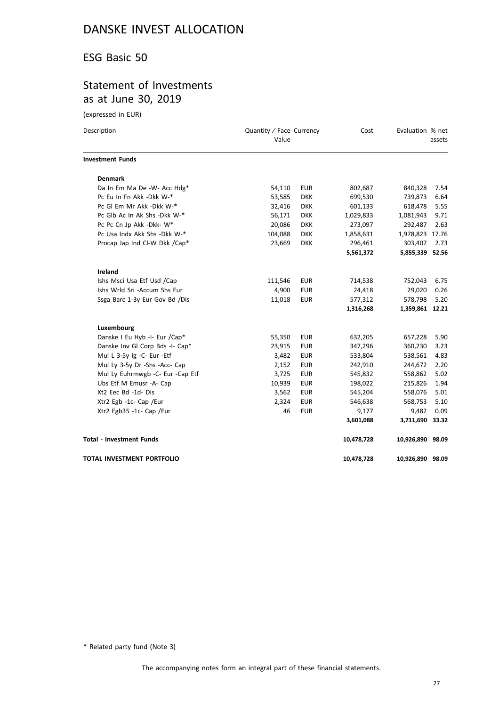### ESG Basic 50

### Statement of Investments as at June 30, 2019

(expressed in EUR)

| Description                      | Quantity / Face Currency<br>Value |            | Cost       | Evaluation % net | assets |
|----------------------------------|-----------------------------------|------------|------------|------------------|--------|
| <b>Investment Funds</b>          |                                   |            |            |                  |        |
| <b>Denmark</b>                   |                                   |            |            |                  |        |
| Da In Em Ma De -W- Acc Hdg*      | 54,110                            | <b>EUR</b> | 802,687    | 840,328          | 7.54   |
| Pc Eu In Fn Akk -Dkk W-*         | 53,585                            | <b>DKK</b> | 699,530    | 739,873          | 6.64   |
| Pc GI Em Mr Akk -Dkk W-*         | 32,416                            | <b>DKK</b> | 601,133    | 618,478          | 5.55   |
| Pc Glb Ac In Ak Shs -Dkk W-*     | 56,171                            | <b>DKK</b> | 1,029,833  | 1,081,943        | 9.71   |
| Pc Pc Cn Jp Akk -Dkk- W*         | 20,086                            | <b>DKK</b> | 273,097    | 292,487          | 2.63   |
| Pc Usa Indx Akk Shs - Dkk W-*    | 104,088                           | <b>DKK</b> | 1,858,631  | 1,978,823 17.76  |        |
| Procap Jap Ind Cl-W Dkk /Cap*    | 23,669                            | <b>DKK</b> | 296,461    | 303,407          | 2.73   |
|                                  |                                   |            | 5,561,372  | 5,855,339 52.56  |        |
| <b>Ireland</b>                   |                                   |            |            |                  |        |
| Ishs Msci Usa Etf Usd /Cap       | 111,546                           | <b>EUR</b> | 714,538    | 752,043          | 6.75   |
| Ishs Wrld Sri -Accum Shs Eur     | 4,900                             | <b>EUR</b> | 24,418     | 29,020           | 0.26   |
| Ssga Barc 1-3y Eur Gov Bd /Dis   | 11,018                            | <b>EUR</b> | 577,312    | 578,798          | 5.20   |
|                                  |                                   |            | 1,316,268  | 1,359,861 12.21  |        |
| Luxembourg                       |                                   |            |            |                  |        |
| Danske I Eu Hyb -I- Eur /Cap*    | 55,350                            | <b>EUR</b> | 632,205    | 657,228          | 5.90   |
| Danske Inv Gl Corp Bds -I- Cap*  | 23,915                            | <b>EUR</b> | 347,296    | 360,230          | 3.23   |
| Mul L 3-5y Ig -C- Eur -Etf       | 3,482                             | <b>EUR</b> | 533,804    | 538,561          | 4.83   |
| Mul Ly 3-5y Dr -Shs -Acc- Cap    | 2,152                             | <b>EUR</b> | 242,910    | 244,672          | 2.20   |
| Mul Ly Euhrmwgb -C- Eur -Cap Etf | 3,725                             | <b>EUR</b> | 545,832    | 558,862          | 5.02   |
| Ubs Etf M Emusr -A- Cap          | 10,939                            | <b>EUR</b> | 198,022    | 215,826          | 1.94   |
| Xt2 Eec Bd -1d- Dis              | 3,562                             | <b>EUR</b> | 545,204    | 558,076          | 5.01   |
| Xtr2 Egb -1c- Cap /Eur           | 2,324                             | <b>EUR</b> | 546,638    | 568,753          | 5.10   |
| Xtr2 Egb35 -1c- Cap /Eur         | 46                                | <b>EUR</b> | 9,177      | 9,482            | 0.09   |
|                                  |                                   |            | 3,601,088  | 3,711,690        | 33.32  |
| <b>Total - Investment Funds</b>  |                                   |            | 10,478,728 | 10,926,890 98.09 |        |
| TOTAL INVESTMENT PORTFOLIO       |                                   |            | 10,478,728 | 10,926,890 98.09 |        |

\* Related party fund (Note 3)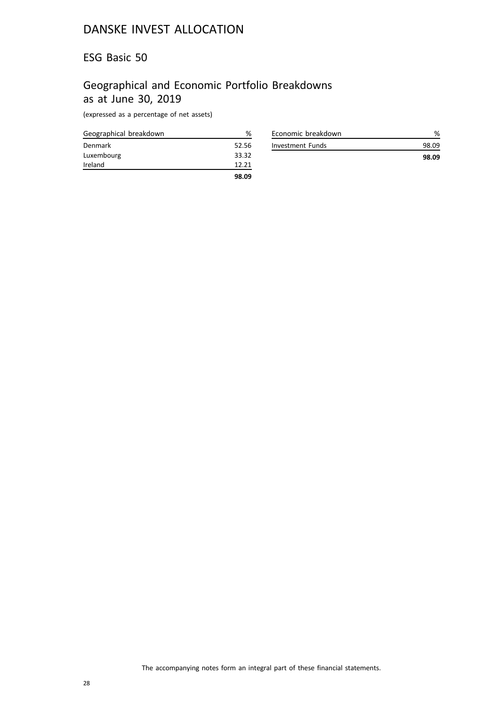### ESG Basic 50

## Geographical and Economic Portfolio Breakdowns as at June 30, 2019

(expressed as a percentage of net assets)

| Geographical breakdown | %     |
|------------------------|-------|
| Denmark                | 52.56 |
| Luxembourg             | 33.32 |
| Ireland                | 12.21 |
|                        | 98.09 |

| Economic breakdown | %     |
|--------------------|-------|
| Investment Funds   | 98.09 |
|                    | 98.09 |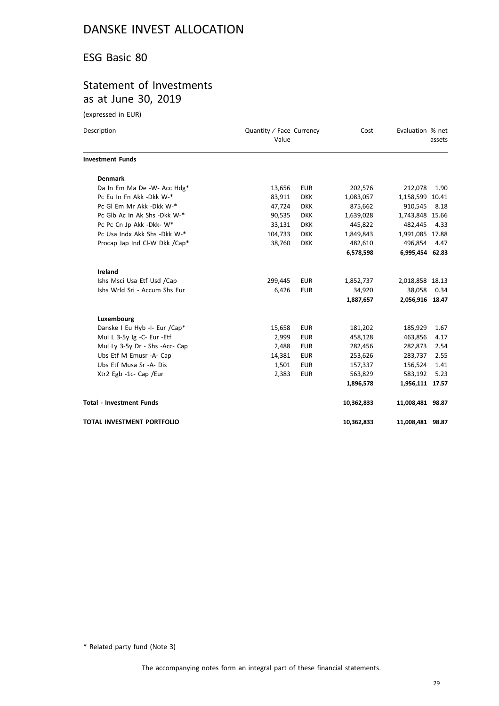### ESG Basic 80

### Statement of Investments as at June 30, 2019

(expressed in EUR)

| Description                       | Quantity / Face Currency<br>Value |            | Cost       | Evaluation % net | assets |
|-----------------------------------|-----------------------------------|------------|------------|------------------|--------|
| <b>Investment Funds</b>           |                                   |            |            |                  |        |
| <b>Denmark</b>                    |                                   |            |            |                  |        |
| Da In Em Ma De -W- Acc Hdg*       | 13,656                            | <b>EUR</b> | 202,576    | 212,078          | 1.90   |
| Pc Eu In Fn Akk -Dkk W-*          | 83,911                            | <b>DKK</b> | 1,083,057  | 1,158,599 10.41  |        |
| Pc GI Em Mr Akk -Dkk W-*          | 47,724                            | <b>DKK</b> | 875,662    | 910,545          | 8.18   |
| Pc Glb Ac In Ak Shs - Dkk W-*     | 90,535                            | <b>DKK</b> | 1,639,028  | 1,743,848 15.66  |        |
| Pc Pc Cn Jp Akk -Dkk- W*          | 33,131                            | <b>DKK</b> | 445,822    | 482,445          | 4.33   |
| Pc Usa Indx Akk Shs - Dkk W-*     | 104,733                           | <b>DKK</b> | 1,849,843  | 1,991,085 17.88  |        |
| Procap Jap Ind Cl-W Dkk /Cap*     | 38,760                            | <b>DKK</b> | 482,610    | 496,854          | 4.47   |
|                                   |                                   |            | 6,578,598  | 6,995,454 62.83  |        |
| Ireland                           |                                   |            |            |                  |        |
| Ishs Msci Usa Etf Usd /Cap        | 299,445                           | <b>EUR</b> | 1,852,737  | 2,018,858 18.13  |        |
| Ishs Wrld Sri - Accum Shs Eur     | 6,426                             | <b>EUR</b> | 34,920     | 38,058           | 0.34   |
|                                   |                                   |            | 1,887,657  | 2,056,916 18.47  |        |
| Luxembourg                        |                                   |            |            |                  |        |
| Danske I Eu Hyb -I- Eur /Cap*     | 15,658                            | <b>EUR</b> | 181,202    | 185,929          | 1.67   |
| Mul L 3-5y Ig -C- Eur -Etf        | 2,999                             | <b>EUR</b> | 458,128    | 463,856          | 4.17   |
| Mul Ly 3-5y Dr - Shs -Acc- Cap    | 2,488                             | <b>EUR</b> | 282,456    | 282,873          | 2.54   |
| Ubs Etf M Emusr -A- Cap           | 14,381                            | <b>EUR</b> | 253,626    | 283,737          | 2.55   |
| Ubs Etf Musa Sr -A- Dis           | 1,501                             | <b>EUR</b> | 157,337    | 156,524          | 1.41   |
| Xtr2 Egb -1c- Cap /Eur            | 2,383                             | <b>EUR</b> | 563,829    | 583,192          | 5.23   |
|                                   |                                   |            | 1,896,578  | 1,956,111 17.57  |        |
| <b>Total - Investment Funds</b>   |                                   |            | 10,362,833 | 11,008,481 98.87 |        |
| <b>TOTAL INVESTMENT PORTFOLIO</b> |                                   |            | 10,362,833 | 11,008,481 98.87 |        |

\* Related party fund (Note 3)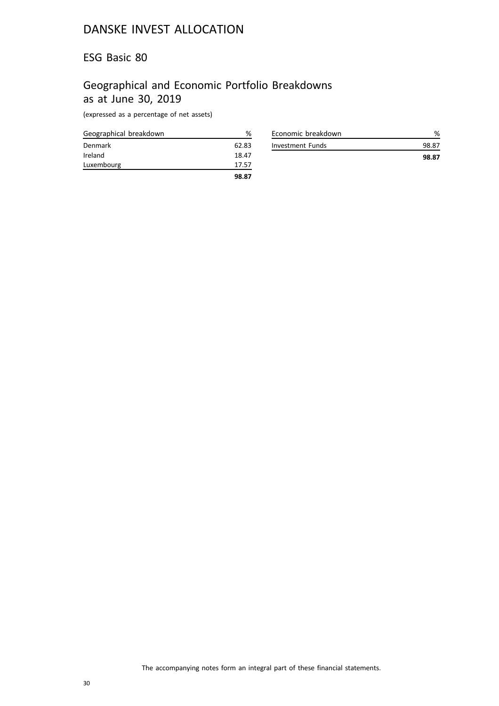### ESG Basic 80

## Geographical and Economic Portfolio Breakdowns as at June 30, 2019

(expressed as a percentage of net assets)

| Geographical breakdown | %     |
|------------------------|-------|
| Denmark                | 62.83 |
| Ireland                | 18.47 |
| Luxembourg             | 17.57 |
|                        | 98.87 |

|                    | 98.87 |
|--------------------|-------|
| Investment Funds   | 98.87 |
| Economic breakdown |       |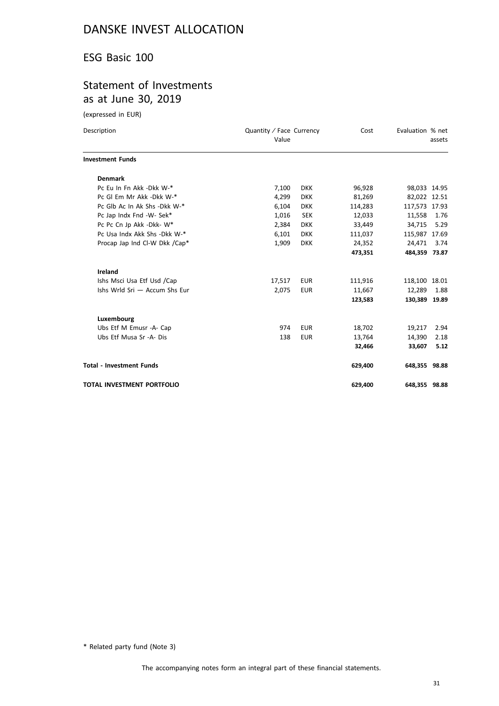### ESG Basic 100

### Statement of Investments as at June 30, 2019

(expressed in EUR)

| Description                     | Quantity / Face Currency<br>Value |            | Cost    | Evaluation % net | assets       |
|---------------------------------|-----------------------------------|------------|---------|------------------|--------------|
| <b>Investment Funds</b>         |                                   |            |         |                  |              |
| <b>Denmark</b>                  |                                   |            |         |                  |              |
| Pc Eu In Fn Akk -Dkk W-*        | 7,100                             | <b>DKK</b> | 96,928  |                  | 98,033 14.95 |
| Pc GI Em Mr Akk -Dkk W-*        | 4,299                             | <b>DKK</b> | 81,269  | 82,022 12.51     |              |
| Pc Glb Ac In Ak Shs - Dkk W-*   | 6,104                             | <b>DKK</b> | 114,283 | 117,573 17.93    |              |
| Pc Jap Indx Fnd -W- Sek*        | 1,016                             | <b>SEK</b> | 12,033  | 11,558           | 1.76         |
| Pc Pc Cn Jp Akk -Dkk- W*        | 2,384                             | <b>DKK</b> | 33,449  | 34,715           | 5.29         |
| Pc Usa Indx Akk Shs - Dkk W-*   | 6,101                             | <b>DKK</b> | 111,037 | 115,987 17.69    |              |
| Procap Jap Ind Cl-W Dkk /Cap*   | 1,909                             | <b>DKK</b> | 24,352  | 24,471           | 3.74         |
|                                 |                                   |            | 473,351 | 484,359 73.87    |              |
| Ireland                         |                                   |            |         |                  |              |
| Ishs Msci Usa Etf Usd /Cap      | 17,517                            | <b>EUR</b> | 111,916 | 118,100 18.01    |              |
| Ishs Wrld Sri - Accum Shs Eur   | 2,075                             | <b>EUR</b> | 11,667  | 12,289           | 1.88         |
|                                 |                                   |            | 123,583 | 130,389 19.89    |              |
| Luxembourg                      |                                   |            |         |                  |              |
| Ubs Etf M Emusr -A- Cap         | 974                               | <b>EUR</b> | 18,702  | 19,217           | 2.94         |
| Ubs Etf Musa Sr -A- Dis         | 138                               | <b>EUR</b> | 13,764  | 14,390           | 2.18         |
|                                 |                                   |            | 32,466  | 33,607           | 5.12         |
| <b>Total - Investment Funds</b> |                                   |            | 629,400 | 648,355 98.88    |              |
| TOTAL INVESTMENT PORTFOLIO      |                                   |            | 629,400 | 648,355 98.88    |              |

\* Related party fund (Note 3)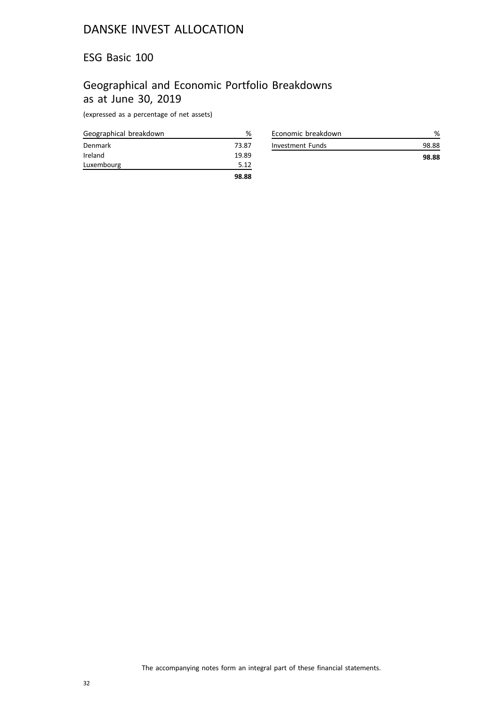### ESG Basic 100

## Geographical and Economic Portfolio Breakdowns as at June 30, 2019

(expressed as a percentage of net assets)

| Geographical breakdown | %     |
|------------------------|-------|
| Denmark                | 73.87 |
| Ireland                | 19.89 |
| Luxembourg             | 5.12  |
|                        | 98.88 |

| Economic breakdown | %     |
|--------------------|-------|
| Investment Funds   | 98.88 |
|                    | 98.88 |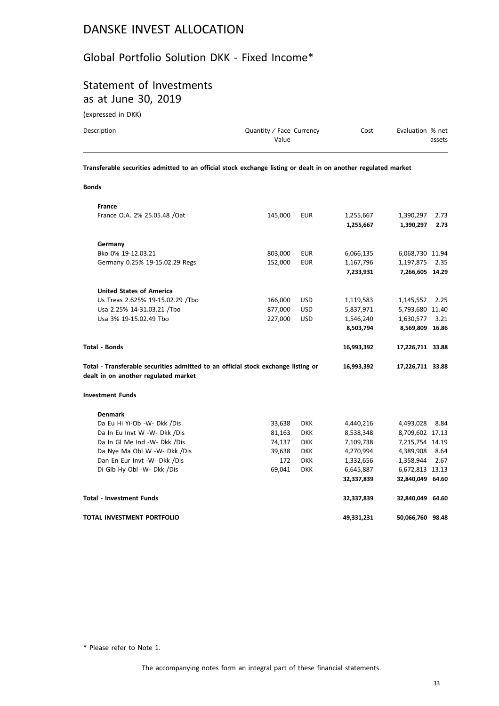### Global Portfolio Solution DKK - Fixed Income\*

## Statement of Investments as at June 30, 2019

(expressed in DKK)

| Description | Quantity / Face Currency | Cost | Evaluation % net |
|-------------|--------------------------|------|------------------|
|             | Value                    |      | assets           |
|             |                          |      |                  |

**Transferable securities admitted to an official stock exchange listing or dealt in on another regulated market**

#### **Bonds**

| <b>France</b>                                                                     |         |            |            |                  |      |
|-----------------------------------------------------------------------------------|---------|------------|------------|------------------|------|
| France O.A. 2% 25.05.48 /Oat                                                      | 145,000 | <b>EUR</b> | 1,255,667  | 1,390,297        | 2.73 |
|                                                                                   |         |            | 1,255,667  | 1,390,297        | 2.73 |
| Germany                                                                           |         |            |            |                  |      |
| Bko 0% 19-12.03.21                                                                | 803,000 | <b>EUR</b> | 6,066,135  | 6,068,730 11.94  |      |
| Germany 0.25% 19-15.02.29 Regs                                                    | 152,000 | <b>EUR</b> | 1,167,796  | 1,197,875        | 2.35 |
|                                                                                   |         |            | 7,233,931  | 7,266,605 14.29  |      |
| <b>United States of America</b>                                                   |         |            |            |                  |      |
| Us Treas 2.625% 19-15.02.29 /Tbo                                                  | 166,000 | <b>USD</b> | 1,119,583  | 1,145,552        | 2.25 |
| Usa 2.25% 14-31.03.21 /Tbo                                                        | 877,000 | <b>USD</b> | 5,837,971  | 5,793,680 11.40  |      |
| Usa 3% 19-15.02.49 Tbo                                                            | 227,000 | <b>USD</b> | 1,546,240  | 1,630,577        | 3.21 |
|                                                                                   |         |            | 8,503,794  | 8,569,809 16.86  |      |
| <b>Total - Bonds</b>                                                              |         |            | 16,993,392 | 17,226,711 33.88 |      |
| Total - Transferable securities admitted to an official stock exchange listing or |         |            | 16,993,392 | 17,226,711 33.88 |      |
| dealt in on another regulated market                                              |         |            |            |                  |      |
| <b>Investment Funds</b>                                                           |         |            |            |                  |      |
| <b>Denmark</b>                                                                    |         |            |            |                  |      |
| Da Eu Hi Yi-Ob -W- Dkk /Dis                                                       | 33,638  | <b>DKK</b> | 4,440,216  | 4,493,028        | 8.84 |
| Da In Eu Invt W -W- Dkk /Dis                                                      | 81,163  | <b>DKK</b> | 8,538,348  | 8,709,602 17.13  |      |
| Da In Gl Me Ind -W- Dkk /Dis                                                      | 74,137  | <b>DKK</b> | 7,109,738  | 7,215,754 14.19  |      |
| Da Nye Ma Obl W -W- Dkk /Dis                                                      | 39,638  | <b>DKK</b> | 4,270,994  | 4,389,908        | 8.64 |
| Dan En Eur Invt -W- Dkk /Dis                                                      | 172     | <b>DKK</b> | 1,332,656  | 1,358,944        | 2.67 |
| Di Glb Hy Obl -W- Dkk /Dis                                                        | 69,041  | <b>DKK</b> | 6,645,887  | 6,672,813 13.13  |      |
|                                                                                   |         |            | 32,337,839 | 32,840,049 64.60 |      |
| <b>Total - Investment Funds</b>                                                   |         |            | 32,337,839 | 32,840,049 64.60 |      |

\* Please refer to Note 1.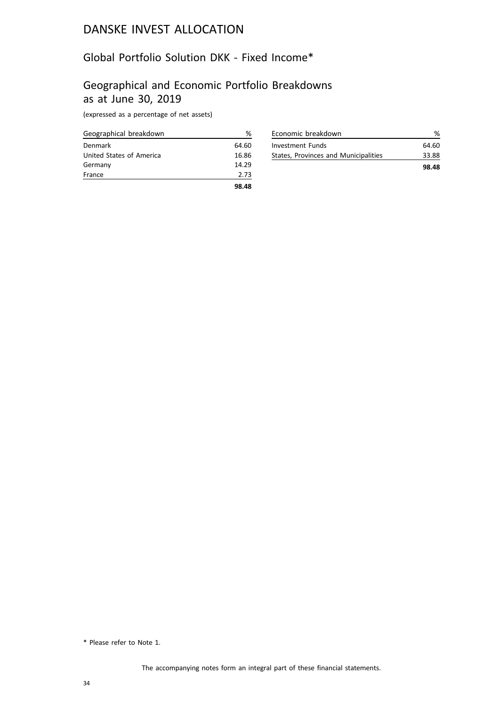# Global Portfolio Solution DKK - Fixed Income\*

### Geographical and Economic Portfolio Breakdowns as at June 30, 2019

(expressed as a percentage of net assets)

| Geographical breakdown   | ℅     |
|--------------------------|-------|
| Denmark                  | 64.60 |
| United States of America | 16.86 |
| Germany                  | 14.29 |
| France                   | 2.73  |
|                          | 98.48 |

| Economic breakdown                   |       |
|--------------------------------------|-------|
| <b>Investment Funds</b>              | 64.60 |
| States, Provinces and Municipalities | 33.88 |
|                                      | 98.48 |

<sup>\*</sup> Please refer to Note 1.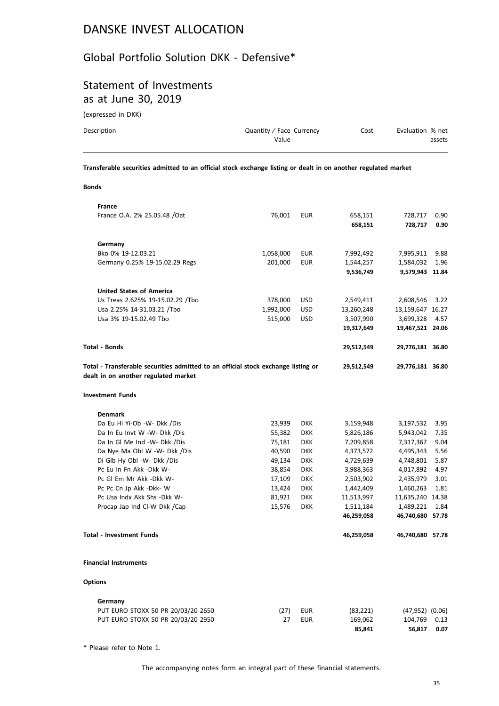### Global Portfolio Solution DKK - Defensive\*

## Statement of Investments as at June 30, 2019

(expressed in DKK)

| Description | Quantity / Face Currency | Cost | Evaluation % net |
|-------------|--------------------------|------|------------------|
|             | Value                    |      | assets           |
|             |                          |      |                  |

**Transferable securities admitted to an official stock exchange listing or dealt in on another regulated market**

#### **Bonds**

| France                                                                            |           |            |            |                     |      |
|-----------------------------------------------------------------------------------|-----------|------------|------------|---------------------|------|
| France O.A. 2% 25.05.48 / Oat                                                     | 76,001    | <b>EUR</b> | 658,151    | 728,717             | 0.90 |
|                                                                                   |           |            | 658,151    | 728,717             | 0.90 |
|                                                                                   |           |            |            |                     |      |
| Germany                                                                           |           |            |            |                     |      |
| Bko 0% 19-12.03.21                                                                | 1,058,000 | <b>EUR</b> | 7,992,492  | 7,995,911           | 9.88 |
| Germany 0.25% 19-15.02.29 Regs                                                    | 201,000   | <b>EUR</b> | 1,544,257  | 1,584,032           | 1.96 |
|                                                                                   |           |            | 9,536,749  | 9,579,943 11.84     |      |
| <b>United States of America</b>                                                   |           |            |            |                     |      |
| Us Treas 2.625% 19-15.02.29 /Tbo                                                  | 378,000   | <b>USD</b> | 2,549,411  | 2,608,546           | 3.22 |
| Usa 2.25% 14-31.03.21 /Tbo                                                        | 1,992,000 | <b>USD</b> | 13,260,248 | 13,159,647 16.27    |      |
| Usa 3% 19-15.02.49 Tbo                                                            | 515,000   | <b>USD</b> | 3,507,990  | 3,699,328           | 4.57 |
|                                                                                   |           |            | 19,317,649 | 19,467,521 24.06    |      |
|                                                                                   |           |            |            |                     |      |
| <b>Total - Bonds</b>                                                              |           |            | 29,512,549 | 29,776,181 36.80    |      |
| Total - Transferable securities admitted to an official stock exchange listing or |           |            | 29,512,549 | 29,776,181 36.80    |      |
| dealt in on another regulated market                                              |           |            |            |                     |      |
| <b>Investment Funds</b>                                                           |           |            |            |                     |      |
|                                                                                   |           |            |            |                     |      |
| <b>Denmark</b>                                                                    |           |            |            |                     |      |
| Da Eu Hi Yi-Ob -W- Dkk /Dis                                                       | 23,939    | <b>DKK</b> | 3,159,948  | 3,197,532           | 3.95 |
| Da In Eu Invt W -W- Dkk /Dis                                                      | 55,382    | <b>DKK</b> | 5,826,186  | 5,943,042           | 7.35 |
| Da In Gl Me Ind -W- Dkk /Dis                                                      | 75,181    | <b>DKK</b> | 7,209,858  | 7,317,367           | 9.04 |
| Da Nye Ma Obl W -W- Dkk /Dis                                                      | 40,590    | <b>DKK</b> | 4,373,572  | 4,495,343           | 5.56 |
| Di Glb Hy Obl -W- Dkk /Dis                                                        | 49,134    | <b>DKK</b> | 4,729,639  | 4,748,801           | 5.87 |
| Pc Eu In Fn Akk -Dkk W-                                                           | 38,854    | <b>DKK</b> | 3,988,363  | 4,017,892           | 4.97 |
| Pc Gl Em Mr Akk -Dkk W-                                                           | 17,109    | <b>DKK</b> | 2,503,902  | 2,435,979           | 3.01 |
| Pc Pc Cn Jp Akk -Dkk- W                                                           | 13,424    | <b>DKK</b> | 1,442,409  | 1,460,263           | 1.81 |
| Pc Usa Indx Akk Shs - Dkk W-                                                      | 81,921    | <b>DKK</b> | 11,513,997 | 11,635,240 14.38    |      |
| Procap Jap Ind Cl-W Dkk /Cap                                                      | 15,576    | <b>DKK</b> | 1,511,184  | 1,489,221           | 1.84 |
|                                                                                   |           |            | 46,259,058 | 46,740,680 57.78    |      |
| <b>Total - Investment Funds</b>                                                   |           |            | 46,259,058 | 46,740,680 57.78    |      |
| <b>Financial Instruments</b>                                                      |           |            |            |                     |      |
| <b>Options</b>                                                                    |           |            |            |                     |      |
| Germany                                                                           |           |            |            |                     |      |
| PUT EURO STOXX 50 PR 20/03/20 2650                                                | (27)      | <b>EUR</b> | (83, 221)  | $(47,952)$ $(0.06)$ |      |
| PUT EURO STOXX 50 PR 20/03/20 2950                                                | 27        | <b>EUR</b> | 169,062    | 104,769             | 0.13 |
|                                                                                   |           |            | 85,841     | 56,817              | 0.07 |

\* Please refer to Note 1.

The accompanying notes form an integral part of these financial statements.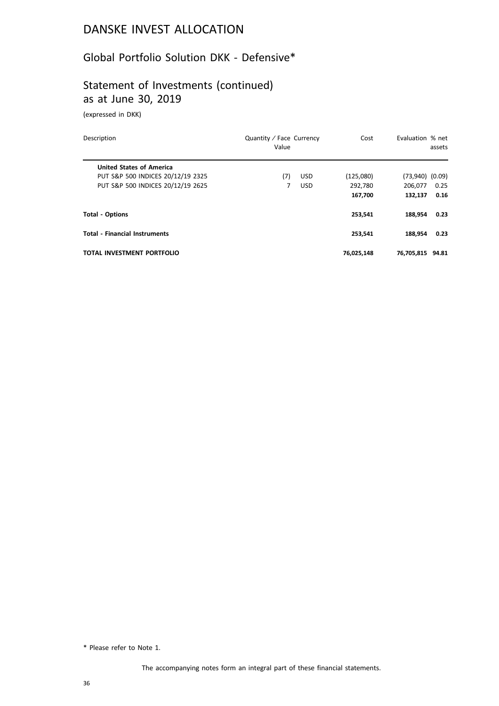## Global Portfolio Solution DKK - Defensive\*

## Statement of Investments (continued) as at June 30, 2019

(expressed in DKK)

| Description                          | Quantity / Face Currency<br>Value |            | Cost       | Evaluation % net    | assets |
|--------------------------------------|-----------------------------------|------------|------------|---------------------|--------|
| <b>United States of America</b>      |                                   |            |            |                     |        |
| PUT S&P 500 INDICES 20/12/19 2325    | (7)                               | <b>USD</b> | (125,080)  | $(73,940)$ $(0.09)$ |        |
| PUT S&P 500 INDICES 20/12/19 2625    | 7                                 | <b>USD</b> | 292,780    | 206.077             | 0.25   |
|                                      |                                   |            | 167,700    | 132,137             | 0.16   |
| <b>Total - Options</b>               |                                   |            | 253.541    | 188.954             | 0.23   |
| <b>Total - Financial Instruments</b> |                                   |            | 253.541    | 188.954             | 0.23   |
| <b>TOTAL INVESTMENT PORTFOLIO</b>    |                                   |            | 76,025,148 | 76.705.815          | 94.81  |

\* Please refer to Note 1.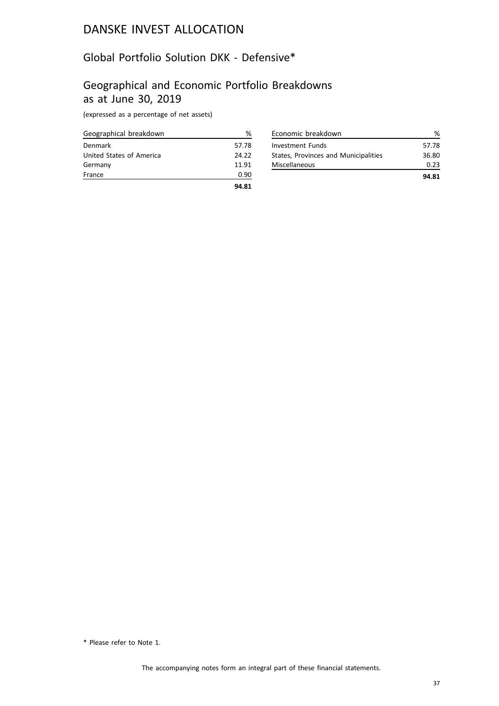### Global Portfolio Solution DKK - Defensive\*

### Geographical and Economic Portfolio Breakdowns as at June 30, 2019

(expressed as a percentage of net assets)

| Geographical breakdown   | ℅     |
|--------------------------|-------|
| Denmark                  | 57.78 |
| United States of America | 24.22 |
| Germany                  | 11.91 |
| France                   | 0.90  |
|                          | 94.81 |

| Economic breakdown                   |       |
|--------------------------------------|-------|
| Investment Funds                     | 57.78 |
| States, Provinces and Municipalities | 36.80 |
| Miscellaneous                        | 0.23  |
|                                      | 94.81 |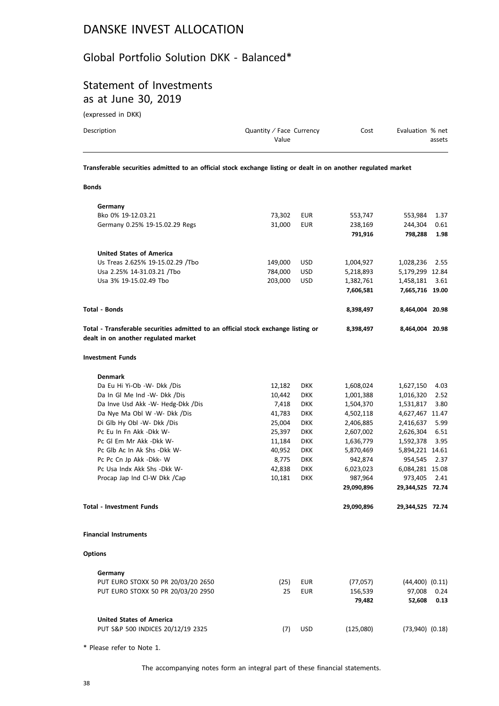### Global Portfolio Solution DKK - Balanced\*

### Statement of Investments as at June 30, 2019

(expressed in DKK)

| Description  | Quantity / Face Currency<br>Value                                                                              | Cost | Evaluation % net | assets |
|--------------|----------------------------------------------------------------------------------------------------------------|------|------------------|--------|
|              | Transferable securities admitted to an official stock exchange listing or dealt in on another regulated market |      |                  |        |
| <b>Bonds</b> |                                                                                                                |      |                  |        |

| Germany                                                                           |         |            |            |                      |      |
|-----------------------------------------------------------------------------------|---------|------------|------------|----------------------|------|
| Bko 0% 19-12.03.21                                                                | 73,302  | <b>EUR</b> | 553,747    | 553,984              | 1.37 |
| Germany 0.25% 19-15.02.29 Regs                                                    | 31,000  | <b>EUR</b> | 238,169    | 244,304              | 0.61 |
|                                                                                   |         |            | 791,916    | 798,288              | 1.98 |
| <b>United States of America</b>                                                   |         |            |            |                      |      |
| Us Treas 2.625% 19-15.02.29 /Tbo                                                  | 149,000 | <b>USD</b> | 1,004,927  | 1,028,236            | 2.55 |
| Usa 2.25% 14-31.03.21 /Tbo                                                        | 784,000 | <b>USD</b> | 5,218,893  | 5,179,299 12.84      |      |
| Usa 3% 19-15.02.49 Tbo                                                            | 203,000 | <b>USD</b> | 1,382,761  | 1,458,181            | 3.61 |
|                                                                                   |         |            | 7,606,581  | 7,665,716 19.00      |      |
| <b>Total - Bonds</b>                                                              |         |            | 8,398,497  | 8,464,004 20.98      |      |
| Total - Transferable securities admitted to an official stock exchange listing or |         |            | 8,398,497  | 8,464,004 20.98      |      |
| dealt in on another regulated market                                              |         |            |            |                      |      |
| <b>Investment Funds</b>                                                           |         |            |            |                      |      |
| <b>Denmark</b>                                                                    |         |            |            |                      |      |
| Da Eu Hi Yi-Ob -W- Dkk /Dis                                                       | 12,182  | <b>DKK</b> | 1,608,024  | 1,627,150            | 4.03 |
| Da In Gl Me Ind -W- Dkk /Dis                                                      | 10,442  | <b>DKK</b> | 1,001,388  | 1,016,320            | 2.52 |
| Da Inve Usd Akk -W- Hedg-Dkk /Dis                                                 | 7,418   | <b>DKK</b> | 1,504,370  | 1,531,817            | 3.80 |
| Da Nye Ma Obl W -W- Dkk /Dis                                                      | 41,783  | <b>DKK</b> | 4,502,118  | 4,627,467 11.47      |      |
| Di Glb Hy Obl -W- Dkk /Dis                                                        | 25,004  | <b>DKK</b> | 2,406,885  | 2,416,637            | 5.99 |
| Pc Eu In Fn Akk -Dkk W-                                                           | 25,397  | <b>DKK</b> | 2,607,002  | 2,626,304            | 6.51 |
| Pc GI Em Mr Akk -Dkk W-                                                           | 11,184  | <b>DKK</b> | 1,636,779  | 1,592,378            | 3.95 |
| Pc Glb Ac In Ak Shs -Dkk W-                                                       | 40,952  | <b>DKK</b> | 5,870,469  | 5,894,221 14.61      |      |
| Pc Pc Cn Jp Akk -Dkk- W                                                           | 8,775   | <b>DKK</b> | 942,874    | 954,545              | 2.37 |
| Pc Usa Indx Akk Shs -Dkk W-                                                       | 42,838  | <b>DKK</b> | 6,023,023  | 6,084,281 15.08      |      |
| Procap Jap Ind Cl-W Dkk /Cap                                                      | 10,181  | <b>DKK</b> | 987,964    | 973,405              | 2.41 |
|                                                                                   |         |            | 29,090,896 | 29,344,525 72.74     |      |
| <b>Total - Investment Funds</b>                                                   |         |            | 29,090,896 | 29,344,525 72.74     |      |
| <b>Financial Instruments</b>                                                      |         |            |            |                      |      |
| <b>Options</b>                                                                    |         |            |            |                      |      |
| Germany                                                                           |         |            |            |                      |      |
| PUT EURO STOXX 50 PR 20/03/20 2650                                                | (25)    | EUR        | (77,057)   | $(44, 400)$ $(0.11)$ |      |
| PUT EURO STOXX 50 PR 20/03/20 2950                                                | 25      | <b>EUR</b> | 156,539    | 97,008               | 0.24 |
|                                                                                   |         |            | 79,482     | 52,608               | 0.13 |
| <b>United States of America</b>                                                   |         |            |            |                      |      |
| PUT S&P 500 INDICES 20/12/19 2325                                                 | (7)     | <b>USD</b> | (125,080)  | $(73,940)$ $(0.18)$  |      |

\* Please refer to Note 1.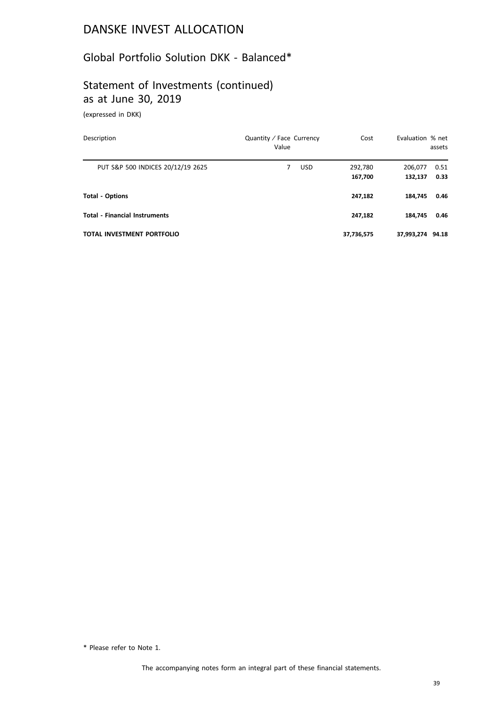### Global Portfolio Solution DKK - Balanced\*

# Statement of Investments (continued) as at June 30, 2019

(expressed in DKK)

| Description                          | Quantity / Face Currency<br>Value | Cost               | Evaluation % net   | assets       |
|--------------------------------------|-----------------------------------|--------------------|--------------------|--------------|
| PUT S&P 500 INDICES 20/12/19 2625    | <b>USD</b><br>7                   | 292,780<br>167,700 | 206,077<br>132,137 | 0.51<br>0.33 |
| <b>Total - Options</b>               |                                   | 247,182            | 184.745            | 0.46         |
| <b>Total - Financial Instruments</b> |                                   | 247,182            | 184.745            | 0.46         |
| <b>TOTAL INVESTMENT PORTFOLIO</b>    |                                   | 37,736,575         | 37,993,274         | 94.18        |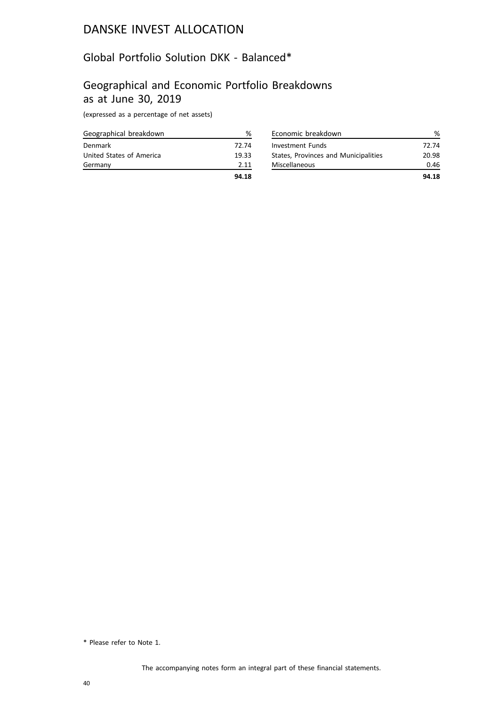### Global Portfolio Solution DKK - Balanced\*

#### Geographical and Economic Portfolio Breakdowns as at June 30, 2019

(expressed as a percentage of net assets)

| Geographical breakdown   | %     |
|--------------------------|-------|
| Denmark                  | 72.74 |
| United States of America | 19.33 |
| Germany                  | 2.11  |
|                          | 94.18 |

| Economic breakdown                   |       |
|--------------------------------------|-------|
| <b>Investment Funds</b>              | 72.74 |
| States, Provinces and Municipalities | 20.98 |
| Miscellaneous                        | 0.46  |
|                                      | 94.18 |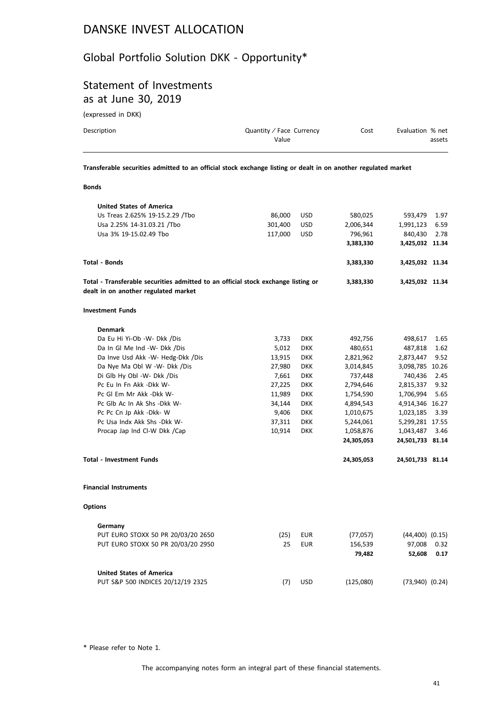### Global Portfolio Solution DKK - Opportunity\*

#### Statement of Investments as at June 30, 2019

(expressed in DKK)

| Description | Quantity / Face Currency<br>Value | Cost | Evaluation % net<br>assets |
|-------------|-----------------------------------|------|----------------------------|
|             |                                   |      |                            |

**Transferable securities admitted to an official stock exchange listing or dealt in on another regulated market**

| <br>۰.<br>. |  |
|-------------|--|
|-------------|--|

| <b>United States of America</b>                                                                                           |         |            |            |                      |      |
|---------------------------------------------------------------------------------------------------------------------------|---------|------------|------------|----------------------|------|
| Us Treas 2.625% 19-15.2.29 /Tbo                                                                                           | 86,000  | <b>USD</b> | 580,025    | 593,479              | 1.97 |
| Usa 2.25% 14-31.03.21 /Tbo                                                                                                | 301,400 | <b>USD</b> | 2,006,344  | 1,991,123            | 6.59 |
| Usa 3% 19-15.02.49 Tbo                                                                                                    | 117,000 | <b>USD</b> | 796,961    | 840,430              | 2.78 |
|                                                                                                                           |         |            | 3,383,330  | 3,425,032 11.34      |      |
| Total - Bonds                                                                                                             |         |            | 3,383,330  | 3,425,032 11.34      |      |
| Total - Transferable securities admitted to an official stock exchange listing or<br>dealt in on another regulated market |         |            | 3,383,330  | 3,425,032 11.34      |      |
| <b>Investment Funds</b>                                                                                                   |         |            |            |                      |      |
| <b>Denmark</b>                                                                                                            |         |            |            |                      |      |
| Da Eu Hi Yi-Ob -W- Dkk /Dis                                                                                               | 3,733   | <b>DKK</b> | 492,756    | 498,617              | 1.65 |
| Da In GI Me Ind -W- Dkk /Dis                                                                                              | 5,012   | <b>DKK</b> | 480,651    | 487,818              | 1.62 |
| Da Inve Usd Akk -W- Hedg-Dkk /Dis                                                                                         | 13,915  | <b>DKK</b> | 2,821,962  | 2,873,447            | 9.52 |
| Da Nye Ma Obl W -W- Dkk /Dis                                                                                              | 27,980  | <b>DKK</b> | 3,014,845  | 3,098,785 10.26      |      |
| Di Glb Hy Obl -W- Dkk /Dis                                                                                                | 7,661   | <b>DKK</b> | 737,448    | 740,436              | 2.45 |
| Pc Eu In Fn Akk -Dkk W-                                                                                                   | 27,225  | <b>DKK</b> | 2,794,646  | 2,815,337            | 9.32 |
| Pc GI Em Mr Akk -Dkk W-                                                                                                   | 11,989  | <b>DKK</b> | 1,754,590  | 1,706,994            | 5.65 |
| Pc Glb Ac In Ak Shs -Dkk W-                                                                                               | 34,144  | <b>DKK</b> | 4,894,543  | 4,914,346 16.27      |      |
| Pc Pc Cn Jp Akk -Dkk- W                                                                                                   | 9,406   | <b>DKK</b> | 1,010,675  | 1,023,185            | 3.39 |
| Pc Usa Indx Akk Shs -Dkk W-                                                                                               | 37,311  | <b>DKK</b> | 5,244,061  | 5,299,281 17.55      |      |
| Procap Jap Ind CI-W Dkk / Cap                                                                                             | 10,914  | <b>DKK</b> | 1,058,876  | 1,043,487            | 3.46 |
|                                                                                                                           |         |            | 24,305,053 | 24,501,733 81.14     |      |
| <b>Total - Investment Funds</b>                                                                                           |         |            | 24,305,053 | 24,501,733 81.14     |      |
| <b>Financial Instruments</b>                                                                                              |         |            |            |                      |      |
| <b>Options</b>                                                                                                            |         |            |            |                      |      |
| Germany                                                                                                                   |         |            |            |                      |      |
| PUT EURO STOXX 50 PR 20/03/20 2650                                                                                        | (25)    | <b>EUR</b> | (77,057)   | $(44, 400)$ $(0.15)$ |      |
| PUT EURO STOXX 50 PR 20/03/20 2950                                                                                        | 25      | <b>EUR</b> | 156,539    | 97,008               | 0.32 |
|                                                                                                                           |         |            | 79,482     | 52,608               | 0.17 |
| <b>United States of America</b>                                                                                           |         |            |            |                      |      |
| PUT S&P 500 INDICES 20/12/19 2325                                                                                         | (7)     | <b>USD</b> | (125,080)  | $(73,940)$ $(0.24)$  |      |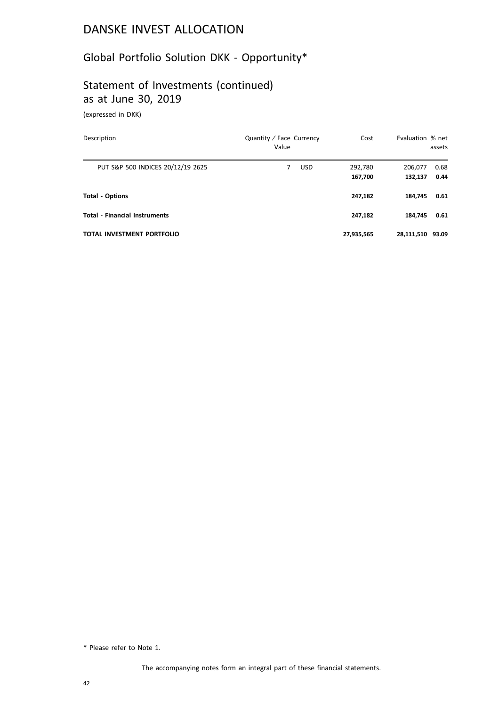### Global Portfolio Solution DKK - Opportunity\*

### Statement of Investments (continued) as at June 30, 2019

(expressed in DKK)

| Description                          | Quantity / Face Currency<br>Value | Cost               | Evaluation % net   | assets       |
|--------------------------------------|-----------------------------------|--------------------|--------------------|--------------|
| PUT S&P 500 INDICES 20/12/19 2625    | <b>USD</b><br>7                   | 292,780<br>167,700 | 206,077<br>132,137 | 0.68<br>0.44 |
| <b>Total - Options</b>               |                                   | 247,182            | 184.745            | 0.61         |
| <b>Total - Financial Instruments</b> |                                   | 247,182            | 184.745            | 0.61         |
| <b>TOTAL INVESTMENT PORTFOLIO</b>    |                                   | 27,935,565         | 28,111,510 93.09   |              |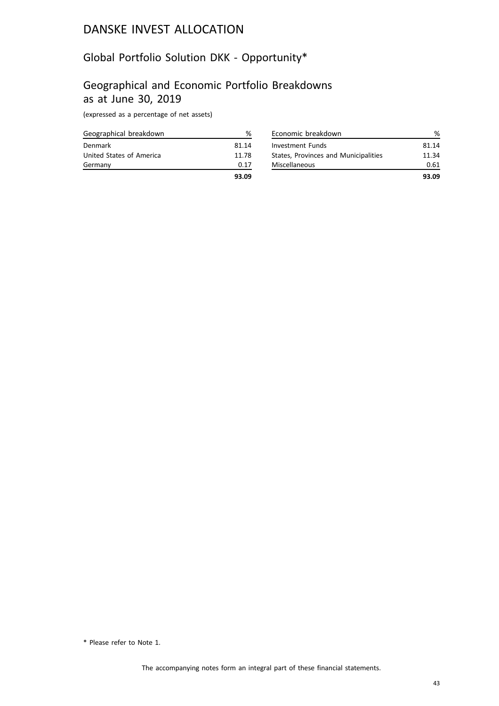### Global Portfolio Solution DKK - Opportunity\*

#### Geographical and Economic Portfolio Breakdowns as at June 30, 2019

(expressed as a percentage of net assets)

| Geographical breakdown   | ℅     |
|--------------------------|-------|
| Denmark                  | 81.14 |
| United States of America | 11.78 |
| Germany                  | 0.17  |
|                          | 93.09 |

| Economic breakdown                   |       |
|--------------------------------------|-------|
| <b>Investment Funds</b>              | 81.14 |
| States, Provinces and Municipalities | 11.34 |
| Miscellaneous                        | 0.61  |
|                                      | 93.09 |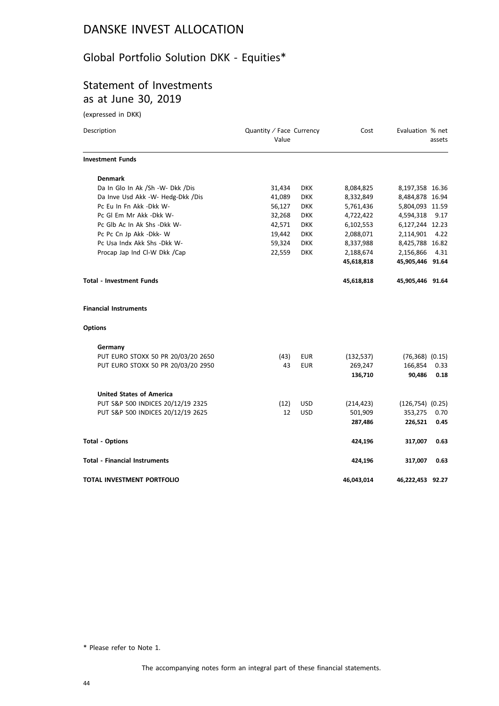# Global Portfolio Solution DKK - Equities\*

### Statement of Investments as at June 30, 2019

(expressed in DKK)

| Description                          | Quantity / Face Currency<br>Value |            | Cost       | Evaluation % net      | assets |
|--------------------------------------|-----------------------------------|------------|------------|-----------------------|--------|
| <b>Investment Funds</b>              |                                   |            |            |                       |        |
| <b>Denmark</b>                       |                                   |            |            |                       |        |
| Da In Glo In Ak /Sh -W- Dkk /Dis     | 31,434                            | <b>DKK</b> | 8,084,825  | 8,197,358 16.36       |        |
| Da Inve Usd Akk -W- Hedg-Dkk /Dis    | 41,089                            | <b>DKK</b> | 8,332,849  | 8,484,878 16.94       |        |
| Pc Eu In Fn Akk -Dkk W-              | 56,127                            | <b>DKK</b> | 5,761,436  | 5,804,093 11.59       |        |
| Pc GI Em Mr Akk -Dkk W-              | 32,268                            | <b>DKK</b> | 4,722,422  | 4,594,318             | 9.17   |
| Pc Glb Ac In Ak Shs -Dkk W-          | 42,571                            | <b>DKK</b> | 6,102,553  | 6,127,244 12.23       |        |
| Pc Pc Cn Jp Akk -Dkk- W              | 19,442                            | <b>DKK</b> | 2,088,071  | 2,114,901             | 4.22   |
| Pc Usa Indx Akk Shs - Dkk W-         | 59,324                            | <b>DKK</b> | 8,337,988  | 8,425,788 16.82       |        |
| Procap Jap Ind Cl-W Dkk /Cap         | 22,559                            | <b>DKK</b> | 2,188,674  | 2,156,866             | 4.31   |
|                                      |                                   |            | 45,618,818 | 45,905,446 91.64      |        |
| <b>Total - Investment Funds</b>      |                                   |            | 45,618,818 | 45,905,446 91.64      |        |
| <b>Financial Instruments</b>         |                                   |            |            |                       |        |
| <b>Options</b>                       |                                   |            |            |                       |        |
| Germany                              |                                   |            |            |                       |        |
| PUT EURO STOXX 50 PR 20/03/20 2650   | (43)                              | <b>EUR</b> | (132, 537) | $(76,368)$ $(0.15)$   |        |
| PUT EURO STOXX 50 PR 20/03/20 2950   | 43                                | <b>EUR</b> | 269,247    | 166,854               | 0.33   |
|                                      |                                   |            | 136,710    | 90,486                | 0.18   |
| <b>United States of America</b>      |                                   |            |            |                       |        |
| PUT S&P 500 INDICES 20/12/19 2325    | (12)                              | <b>USD</b> | (214, 423) | $(126, 754)$ $(0.25)$ |        |
| PUT S&P 500 INDICES 20/12/19 2625    | 12                                | <b>USD</b> | 501,909    | 353,275               | 0.70   |
|                                      |                                   |            | 287,486    | 226,521               | 0.45   |
| <b>Total - Options</b>               |                                   |            | 424,196    | 317,007               | 0.63   |
| <b>Total - Financial Instruments</b> |                                   |            | 424,196    | 317,007               | 0.63   |
| TOTAL INVESTMENT PORTFOLIO           |                                   |            | 46,043,014 | 46,222,453 92.27      |        |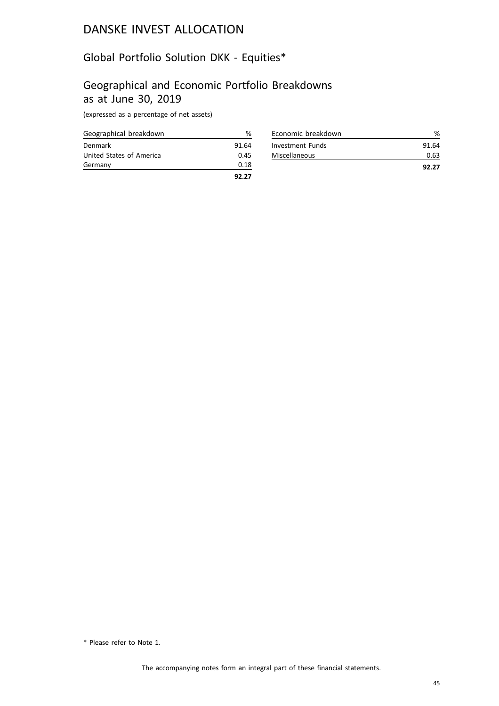### Global Portfolio Solution DKK - Equities\*

### Geographical and Economic Portfolio Breakdowns as at June 30, 2019

(expressed as a percentage of net assets)

| Geographical breakdown   | ℅     |
|--------------------------|-------|
| Denmark                  | 91.64 |
| United States of America | 0.45  |
| Germany                  | 0.18  |
|                          | 92.27 |

| Economic breakdown   |       |
|----------------------|-------|
| Investment Funds     | 91.64 |
| <b>Miscellaneous</b> | 0.63  |
|                      | 92.27 |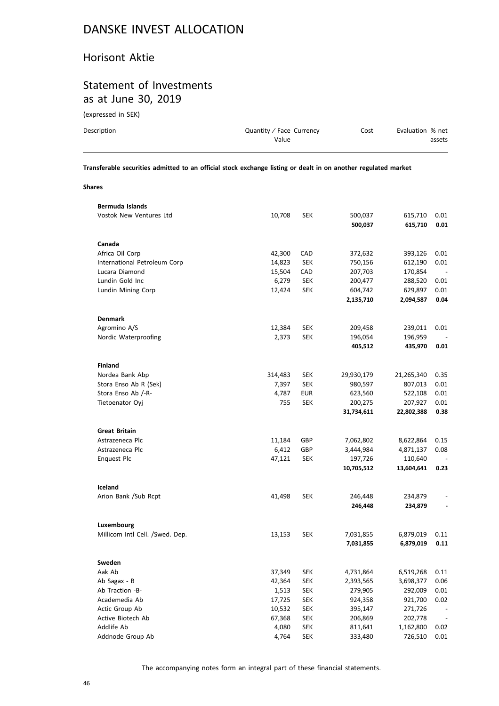#### Horisont Aktie

#### Statement of Investments as at June 30, 2019

(expressed in SEK)

| Description | Quantity / Face Currency | Cost | Evaluation % net |
|-------------|--------------------------|------|------------------|
|             | Value                    |      | assets           |
|             |                          |      |                  |

**Transferable securities admitted to an official stock exchange listing or dealt in on another regulated market**

**Shares**

| <b>Vostok New Ventures Ltd</b><br>10,708<br><b>SEK</b><br>500,037<br>615,710<br>0.01<br>615,710<br>0.01<br>500,037<br>Canada<br>Africa Oil Corp<br>42,300<br>CAD<br>372,632<br>393,126<br>0.01<br>International Petroleum Corp<br>14,823<br><b>SEK</b><br>750,156<br>612,190<br>0.01<br>Lucara Diamond<br>15,504<br>CAD<br>207,703<br>170,854<br>Lundin Gold Inc<br>6,279<br><b>SEK</b><br>200,477<br>288,520<br>0.01<br>Lundin Mining Corp<br>12,424<br><b>SEK</b><br>604,742<br>629,897<br>0.01<br>2,135,710<br>2,094,587<br>0.04<br><b>Denmark</b><br>Agromino A/S<br>12,384<br><b>SEK</b><br>209,458<br>239,011<br>0.01<br>Nordic Waterproofing<br><b>SEK</b><br>2,373<br>196,054<br>196,959<br>405,512<br>435,970<br>0.01<br><b>Finland</b><br>Nordea Bank Abp<br>314,483<br><b>SEK</b><br>29,930,179<br>0.35<br>21,265,340<br>Stora Enso Ab R (Sek)<br>7,397<br><b>SEK</b><br>980,597<br>807,013<br>0.01<br>Stora Enso Ab /-R-<br>4,787<br>EUR<br>623,560<br>522,108<br>0.01<br>Tietoenator Oyj<br>755<br><b>SEK</b><br>200,275<br>207,927<br>0.01<br>22,802,388<br>0.38<br>31,734,611<br><b>Great Britain</b><br>Astrazeneca Plc<br>GBP<br>11,184<br>7,062,802<br>8,622,864<br>0.15<br>Astrazeneca Plc<br>6,412<br>GBP<br>3,444,984<br>4,871,137<br>0.08<br><b>Enquest Plc</b><br>47,121<br><b>SEK</b><br>197,726<br>110,640<br>10,705,512<br>13,604,641<br>0.23 |
|-------------------------------------------------------------------------------------------------------------------------------------------------------------------------------------------------------------------------------------------------------------------------------------------------------------------------------------------------------------------------------------------------------------------------------------------------------------------------------------------------------------------------------------------------------------------------------------------------------------------------------------------------------------------------------------------------------------------------------------------------------------------------------------------------------------------------------------------------------------------------------------------------------------------------------------------------------------------------------------------------------------------------------------------------------------------------------------------------------------------------------------------------------------------------------------------------------------------------------------------------------------------------------------------------------------------------------------------------------------------------|
|                                                                                                                                                                                                                                                                                                                                                                                                                                                                                                                                                                                                                                                                                                                                                                                                                                                                                                                                                                                                                                                                                                                                                                                                                                                                                                                                                                         |
|                                                                                                                                                                                                                                                                                                                                                                                                                                                                                                                                                                                                                                                                                                                                                                                                                                                                                                                                                                                                                                                                                                                                                                                                                                                                                                                                                                         |
|                                                                                                                                                                                                                                                                                                                                                                                                                                                                                                                                                                                                                                                                                                                                                                                                                                                                                                                                                                                                                                                                                                                                                                                                                                                                                                                                                                         |
|                                                                                                                                                                                                                                                                                                                                                                                                                                                                                                                                                                                                                                                                                                                                                                                                                                                                                                                                                                                                                                                                                                                                                                                                                                                                                                                                                                         |
|                                                                                                                                                                                                                                                                                                                                                                                                                                                                                                                                                                                                                                                                                                                                                                                                                                                                                                                                                                                                                                                                                                                                                                                                                                                                                                                                                                         |
|                                                                                                                                                                                                                                                                                                                                                                                                                                                                                                                                                                                                                                                                                                                                                                                                                                                                                                                                                                                                                                                                                                                                                                                                                                                                                                                                                                         |
|                                                                                                                                                                                                                                                                                                                                                                                                                                                                                                                                                                                                                                                                                                                                                                                                                                                                                                                                                                                                                                                                                                                                                                                                                                                                                                                                                                         |
|                                                                                                                                                                                                                                                                                                                                                                                                                                                                                                                                                                                                                                                                                                                                                                                                                                                                                                                                                                                                                                                                                                                                                                                                                                                                                                                                                                         |
|                                                                                                                                                                                                                                                                                                                                                                                                                                                                                                                                                                                                                                                                                                                                                                                                                                                                                                                                                                                                                                                                                                                                                                                                                                                                                                                                                                         |
|                                                                                                                                                                                                                                                                                                                                                                                                                                                                                                                                                                                                                                                                                                                                                                                                                                                                                                                                                                                                                                                                                                                                                                                                                                                                                                                                                                         |
|                                                                                                                                                                                                                                                                                                                                                                                                                                                                                                                                                                                                                                                                                                                                                                                                                                                                                                                                                                                                                                                                                                                                                                                                                                                                                                                                                                         |
|                                                                                                                                                                                                                                                                                                                                                                                                                                                                                                                                                                                                                                                                                                                                                                                                                                                                                                                                                                                                                                                                                                                                                                                                                                                                                                                                                                         |
|                                                                                                                                                                                                                                                                                                                                                                                                                                                                                                                                                                                                                                                                                                                                                                                                                                                                                                                                                                                                                                                                                                                                                                                                                                                                                                                                                                         |
|                                                                                                                                                                                                                                                                                                                                                                                                                                                                                                                                                                                                                                                                                                                                                                                                                                                                                                                                                                                                                                                                                                                                                                                                                                                                                                                                                                         |
|                                                                                                                                                                                                                                                                                                                                                                                                                                                                                                                                                                                                                                                                                                                                                                                                                                                                                                                                                                                                                                                                                                                                                                                                                                                                                                                                                                         |
|                                                                                                                                                                                                                                                                                                                                                                                                                                                                                                                                                                                                                                                                                                                                                                                                                                                                                                                                                                                                                                                                                                                                                                                                                                                                                                                                                                         |
|                                                                                                                                                                                                                                                                                                                                                                                                                                                                                                                                                                                                                                                                                                                                                                                                                                                                                                                                                                                                                                                                                                                                                                                                                                                                                                                                                                         |
|                                                                                                                                                                                                                                                                                                                                                                                                                                                                                                                                                                                                                                                                                                                                                                                                                                                                                                                                                                                                                                                                                                                                                                                                                                                                                                                                                                         |
|                                                                                                                                                                                                                                                                                                                                                                                                                                                                                                                                                                                                                                                                                                                                                                                                                                                                                                                                                                                                                                                                                                                                                                                                                                                                                                                                                                         |
|                                                                                                                                                                                                                                                                                                                                                                                                                                                                                                                                                                                                                                                                                                                                                                                                                                                                                                                                                                                                                                                                                                                                                                                                                                                                                                                                                                         |
|                                                                                                                                                                                                                                                                                                                                                                                                                                                                                                                                                                                                                                                                                                                                                                                                                                                                                                                                                                                                                                                                                                                                                                                                                                                                                                                                                                         |
|                                                                                                                                                                                                                                                                                                                                                                                                                                                                                                                                                                                                                                                                                                                                                                                                                                                                                                                                                                                                                                                                                                                                                                                                                                                                                                                                                                         |
|                                                                                                                                                                                                                                                                                                                                                                                                                                                                                                                                                                                                                                                                                                                                                                                                                                                                                                                                                                                                                                                                                                                                                                                                                                                                                                                                                                         |
|                                                                                                                                                                                                                                                                                                                                                                                                                                                                                                                                                                                                                                                                                                                                                                                                                                                                                                                                                                                                                                                                                                                                                                                                                                                                                                                                                                         |
|                                                                                                                                                                                                                                                                                                                                                                                                                                                                                                                                                                                                                                                                                                                                                                                                                                                                                                                                                                                                                                                                                                                                                                                                                                                                                                                                                                         |
|                                                                                                                                                                                                                                                                                                                                                                                                                                                                                                                                                                                                                                                                                                                                                                                                                                                                                                                                                                                                                                                                                                                                                                                                                                                                                                                                                                         |
|                                                                                                                                                                                                                                                                                                                                                                                                                                                                                                                                                                                                                                                                                                                                                                                                                                                                                                                                                                                                                                                                                                                                                                                                                                                                                                                                                                         |
|                                                                                                                                                                                                                                                                                                                                                                                                                                                                                                                                                                                                                                                                                                                                                                                                                                                                                                                                                                                                                                                                                                                                                                                                                                                                                                                                                                         |
|                                                                                                                                                                                                                                                                                                                                                                                                                                                                                                                                                                                                                                                                                                                                                                                                                                                                                                                                                                                                                                                                                                                                                                                                                                                                                                                                                                         |
| Iceland                                                                                                                                                                                                                                                                                                                                                                                                                                                                                                                                                                                                                                                                                                                                                                                                                                                                                                                                                                                                                                                                                                                                                                                                                                                                                                                                                                 |
| Arion Bank /Sub Rcpt<br>41,498<br><b>SEK</b><br>246,448<br>234,879                                                                                                                                                                                                                                                                                                                                                                                                                                                                                                                                                                                                                                                                                                                                                                                                                                                                                                                                                                                                                                                                                                                                                                                                                                                                                                      |
| 246,448<br>234,879                                                                                                                                                                                                                                                                                                                                                                                                                                                                                                                                                                                                                                                                                                                                                                                                                                                                                                                                                                                                                                                                                                                                                                                                                                                                                                                                                      |
|                                                                                                                                                                                                                                                                                                                                                                                                                                                                                                                                                                                                                                                                                                                                                                                                                                                                                                                                                                                                                                                                                                                                                                                                                                                                                                                                                                         |
| Luxembourg                                                                                                                                                                                                                                                                                                                                                                                                                                                                                                                                                                                                                                                                                                                                                                                                                                                                                                                                                                                                                                                                                                                                                                                                                                                                                                                                                              |
| Millicom Intl Cell. /Swed. Dep.<br><b>SEK</b><br>7,031,855<br>6,879,019<br>0.11<br>13,153                                                                                                                                                                                                                                                                                                                                                                                                                                                                                                                                                                                                                                                                                                                                                                                                                                                                                                                                                                                                                                                                                                                                                                                                                                                                               |
| 7,031,855<br>6,879,019<br>0.11                                                                                                                                                                                                                                                                                                                                                                                                                                                                                                                                                                                                                                                                                                                                                                                                                                                                                                                                                                                                                                                                                                                                                                                                                                                                                                                                          |
|                                                                                                                                                                                                                                                                                                                                                                                                                                                                                                                                                                                                                                                                                                                                                                                                                                                                                                                                                                                                                                                                                                                                                                                                                                                                                                                                                                         |
| Sweden                                                                                                                                                                                                                                                                                                                                                                                                                                                                                                                                                                                                                                                                                                                                                                                                                                                                                                                                                                                                                                                                                                                                                                                                                                                                                                                                                                  |
| Aak Ab<br>37,349<br><b>SEK</b><br>6,519,268<br>4,731,864<br>0.11                                                                                                                                                                                                                                                                                                                                                                                                                                                                                                                                                                                                                                                                                                                                                                                                                                                                                                                                                                                                                                                                                                                                                                                                                                                                                                        |
| Ab Sagax - B<br>42,364<br>2,393,565<br>3,698,377<br>0.06<br><b>SEK</b>                                                                                                                                                                                                                                                                                                                                                                                                                                                                                                                                                                                                                                                                                                                                                                                                                                                                                                                                                                                                                                                                                                                                                                                                                                                                                                  |
| Ab Traction -B-<br>1,513<br><b>SEK</b><br>279,905<br>292,009<br>0.01                                                                                                                                                                                                                                                                                                                                                                                                                                                                                                                                                                                                                                                                                                                                                                                                                                                                                                                                                                                                                                                                                                                                                                                                                                                                                                    |
| Academedia Ab<br>924,358<br>921,700<br>0.02                                                                                                                                                                                                                                                                                                                                                                                                                                                                                                                                                                                                                                                                                                                                                                                                                                                                                                                                                                                                                                                                                                                                                                                                                                                                                                                             |
|                                                                                                                                                                                                                                                                                                                                                                                                                                                                                                                                                                                                                                                                                                                                                                                                                                                                                                                                                                                                                                                                                                                                                                                                                                                                                                                                                                         |
| 17,725<br><b>SEK</b><br>271,726                                                                                                                                                                                                                                                                                                                                                                                                                                                                                                                                                                                                                                                                                                                                                                                                                                                                                                                                                                                                                                                                                                                                                                                                                                                                                                                                         |
| Actic Group Ab<br><b>SEK</b><br>395,147<br>10,532<br>Active Biotech Ab                                                                                                                                                                                                                                                                                                                                                                                                                                                                                                                                                                                                                                                                                                                                                                                                                                                                                                                                                                                                                                                                                                                                                                                                                                                                                                  |
| 67,368<br><b>SEK</b><br>206,869<br>202,778<br>Addlife Ab<br>4,080<br><b>SEK</b><br>811,641<br>1,162,800<br>0.02                                                                                                                                                                                                                                                                                                                                                                                                                                                                                                                                                                                                                                                                                                                                                                                                                                                                                                                                                                                                                                                                                                                                                                                                                                                         |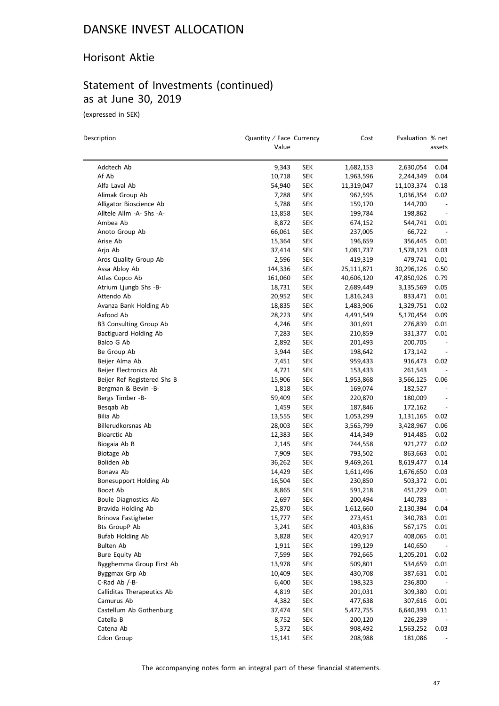#### Horisont Aktie

### Statement of Investments (continued) as at June 30, 2019

(expressed in SEK)

 $\overline{\phantom{0}}$ 

| Description                         | Quantity / Face Currency<br>Value |            | Cost                 | Evaluation % net   | assets                   |
|-------------------------------------|-----------------------------------|------------|----------------------|--------------------|--------------------------|
| Addtech Ab                          | 9,343                             | <b>SEK</b> | 1,682,153            | 2,630,054          | 0.04                     |
| Af Ab                               | 10,718                            | <b>SEK</b> | 1,963,596            | 2,244,349          | 0.04                     |
| Alfa Laval Ab                       | 54,940                            | <b>SEK</b> | 11,319,047           | 11,103,374         | 0.18                     |
| Alimak Group Ab                     | 7,288                             | <b>SEK</b> | 962,595              | 1,036,354          | 0.02                     |
| Alligator Bioscience Ab             | 5,788                             | <b>SEK</b> | 159,170              |                    | $\centerdot$             |
| Alltele Allm -A- Shs -A-            | 13,858                            | <b>SEK</b> | 199,784              | 144,700<br>198,862 | $\overline{\phantom{a}}$ |
| Ambea Ab                            | 8,872                             | <b>SEK</b> | 674,152              | 544,741            | 0.01                     |
| Anoto Group Ab                      | 66,061                            | <b>SEK</b> |                      | 66,722             |                          |
| Arise Ab                            | 15,364                            | SEK        | 237,005<br>196,659   | 356,445            | 0.01                     |
| Arjo Ab                             | 37,414                            | <b>SEK</b> |                      | 1,578,123          | 0.03                     |
| Aros Quality Group Ab               | 2,596                             | <b>SEK</b> | 1,081,737<br>419,319 | 479,741            | 0.01                     |
| Assa Abloy Ab                       | 144,336                           | <b>SEK</b> | 25,111,871           | 30,296,126         | 0.50                     |
|                                     |                                   |            |                      |                    |                          |
| Atlas Copco Ab                      | 161,060                           | <b>SEK</b> | 40,606,120           | 47,850,926         | 0.79<br>0.05             |
| Atrium Ljungb Shs -B-<br>Attendo Ab | 18,731                            | <b>SEK</b> | 2,689,449            | 3,135,569          |                          |
|                                     | 20,952                            | SEK        | 1,816,243            | 833,471            | 0.01                     |
| Avanza Bank Holding Ab              | 18,835                            | SEK        | 1,483,906            | 1,329,751          | 0.02                     |
| Axfood Ab                           | 28,223                            | <b>SEK</b> | 4,491,549            | 5,170,454          | 0.09                     |
| B3 Consulting Group Ab              | 4,246                             | <b>SEK</b> | 301,691              | 276,839            | 0.01                     |
| Bactiguard Holding Ab               | 7,283                             | <b>SEK</b> | 210,859              | 331,377            | 0.01                     |
| Balco G Ab                          | 2,892                             | <b>SEK</b> | 201,493              | 200,705            |                          |
| Be Group Ab                         | 3,944                             | SEK        | 198,642              | 173,142            |                          |
| Beijer Alma Ab                      | 7,451                             | <b>SEK</b> | 959,433              | 916,473            | 0.02                     |
| Beijer Electronics Ab               | 4,721                             | <b>SEK</b> | 153,433              | 261,543            |                          |
| Beijer Ref Registered Shs B         | 15,906                            | <b>SEK</b> | 1,953,868            | 3,566,125          | 0.06                     |
| Bergman & Bevin -B-                 | 1,818                             | <b>SEK</b> | 169,074              | 182,527            | $\overline{\phantom{a}}$ |
| Bergs Timber -B-                    | 59,409                            | <b>SEK</b> | 220,870              | 180,009            | $\overline{\phantom{0}}$ |
| Besqab Ab                           | 1,459                             | <b>SEK</b> | 187,846              | 172,162            |                          |
| Bilia Ab                            | 13,555                            | <b>SEK</b> | 1,053,299            | 1,131,165          | 0.02                     |
| Billerudkorsnas Ab                  | 28,003                            | <b>SEK</b> | 3,565,799            | 3,428,967          | 0.06                     |
| <b>Bioarctic Ab</b>                 | 12,383                            | <b>SEK</b> | 414,349              | 914,485            | 0.02                     |
| Biogaia Ab B                        | 2,145                             | <b>SEK</b> | 744,558              | 921,277            | 0.02                     |
| Biotage Ab                          | 7,909                             | <b>SEK</b> | 793,502              | 863,663            | 0.01                     |
| Boliden Ab                          | 36,262                            | SEK        | 9,469,261            | 8,619,477          | 0.14                     |
| Bonava Ab                           | 14,429                            | <b>SEK</b> | 1,611,496            | 1,676,650          | 0.03                     |
| Bonesupport Holding Ab              | 16,504                            | <b>SEK</b> | 230,850              | 503,372            | 0.01                     |
| Boozt Ab                            | 8,865                             | SEK        | 591,218              | 451,229            | 0.01                     |
| Boule Diagnostics Ab                | 2,697                             | SEK        | 200,494              | 140,783            |                          |
| Bravida Holding Ab                  | 25,870                            | SEK        | 1,612,660            | 2,130,394          | 0.04                     |
| Brinova Fastigheter                 | 15,777                            | SEK        | 273,451              | 340,783            | 0.01                     |
| Bts GroupP Ab                       | 3,241                             | <b>SEK</b> | 403,836              | 567,175            | 0.01                     |
| Bufab Holding Ab                    | 3,828                             | <b>SEK</b> | 420,917              | 408,065            | 0.01                     |
| <b>Bulten Ab</b>                    | 1,911                             | <b>SEK</b> | 199,129              | 140,650            | $\overline{\phantom{a}}$ |
| <b>Bure Equity Ab</b>               | 7,599                             | <b>SEK</b> | 792,665              | 1,205,201          | 0.02                     |
| Bygghemma Group First Ab            | 13,978                            | <b>SEK</b> | 509,801              | 534,659            | 0.01                     |
| Byggmax Grp Ab                      | 10,409                            | <b>SEK</b> | 430,708              | 387,631            | 0.01                     |
| C-Rad Ab /-B-                       | 6,400                             | <b>SEK</b> | 198,323              | 236,800            |                          |
| Calliditas Therapeutics Ab          | 4,819                             | <b>SEK</b> | 201,031              | 309,380            | 0.01                     |
| Camurus Ab                          | 4,382                             | <b>SEK</b> | 477,638              | 307,616            | 0.01                     |
| Castellum Ab Gothenburg             | 37,474                            | <b>SEK</b> | 5,472,755            | 6,640,393          | 0.11                     |
| Catella B                           | 8,752                             | <b>SEK</b> | 200,120              | 226,239            |                          |
| Catena Ab                           | 5,372                             | <b>SEK</b> | 908,492              | 1,563,252          | 0.03                     |
| Cdon Group                          | 15,141                            | <b>SEK</b> | 208,988              | 181,086            |                          |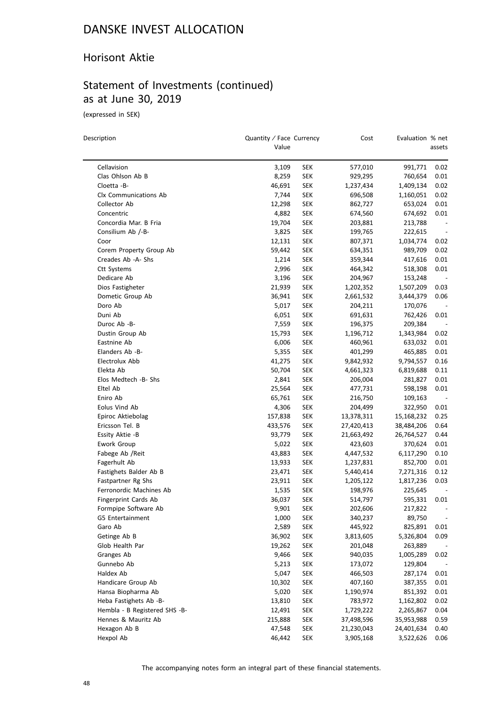#### Horisont Aktie

### Statement of Investments (continued) as at June 30, 2019

(expressed in SEK)

| Description                   | Quantity / Face Currency<br>Value |            | Cost       | Evaluation % net | assets                   |
|-------------------------------|-----------------------------------|------------|------------|------------------|--------------------------|
| Cellavision                   | 3,109                             | SEK        | 577,010    | 991,771          | 0.02                     |
| Clas Ohlson Ab B              | 8,259                             | <b>SEK</b> | 929,295    | 760,654          | 0.01                     |
| Cloetta -B-                   | 46,691                            | <b>SEK</b> | 1,237,434  | 1,409,134        | 0.02                     |
| Clx Communications Ab         | 7,744                             | <b>SEK</b> | 696,508    | 1,160,051        | 0.02                     |
| Collector Ab                  | 12,298                            | SEK        | 862,727    | 653,024          | 0.01                     |
| Concentric                    | 4,882                             | <b>SEK</b> | 674,560    | 674,692          | 0.01                     |
| Concordia Mar. B Fria         | 19,704                            | <b>SEK</b> | 203,881    | 213,788          | $\overline{\phantom{a}}$ |
| Consilium Ab /-B-             | 3,825                             | <b>SEK</b> | 199,765    | 222,615          | $\overline{\phantom{a}}$ |
| Coor                          | 12,131                            | <b>SEK</b> | 807,371    | 1,034,774        | 0.02                     |
| Corem Property Group Ab       | 59,442                            | <b>SEK</b> | 634,351    | 989,709          | 0.02                     |
| Creades Ab -A- Shs            | 1,214                             | <b>SEK</b> | 359,344    | 417,616          | 0.01                     |
| <b>Ctt Systems</b>            | 2,996                             | <b>SEK</b> | 464,342    | 518,308          | 0.01                     |
| Dedicare Ab                   | 3,196                             | <b>SEK</b> | 204,967    | 153,248          | $\overline{\phantom{a}}$ |
| Dios Fastigheter              | 21,939                            | <b>SEK</b> | 1,202,352  | 1,507,209        | 0.03                     |
| Dometic Group Ab              | 36,941                            | SEK        | 2,661,532  | 3,444,379        | 0.06                     |
| Doro Ab                       | 5,017                             | SEK        | 204,211    | 170,076          |                          |
| Duni Ab                       | 6,051                             | <b>SEK</b> | 691,631    | 762,426          | 0.01                     |
| Duroc Ab -B-                  | 7,559                             | SEK        | 196,375    | 209,384          | $\overline{\phantom{a}}$ |
| Dustin Group Ab               | 15,793                            | <b>SEK</b> | 1,196,712  | 1,343,984        | 0.02                     |
| Eastnine Ab                   | 6,006                             | <b>SEK</b> | 460,961    | 633,032          | 0.01                     |
| Elanders Ab -B-               | 5,355                             | <b>SEK</b> | 401,299    | 465,885          | 0.01                     |
| Electrolux Abb                | 41,275                            | <b>SEK</b> | 9,842,932  | 9,794,557        | 0.16                     |
| Elekta Ab                     | 50,704                            | SEK        | 4,661,323  | 6,819,688        | 0.11                     |
| Elos Medtech -B- Shs          | 2,841                             | <b>SEK</b> | 206,004    | 281,827          | 0.01                     |
| Eltel Ab                      | 25,564                            | <b>SEK</b> | 477,731    | 598,198          | 0.01                     |
| Eniro Ab                      | 65,761                            | SEK        | 216,750    | 109,163          |                          |
| Eolus Vind Ab                 | 4,306                             | <b>SEK</b> | 204,499    | 322,950          | 0.01                     |
| Epiroc Aktiebolag             | 157,838                           | <b>SEK</b> | 13,378,311 | 15,168,232       | 0.25                     |
| Ericsson Tel. B               | 433,576                           | <b>SEK</b> | 27,420,413 | 38,484,206       | 0.64                     |
| Essity Aktie -B               | 93,779                            | SEK        | 21,663,492 | 26,764,527       | 0.44                     |
| Ework Group                   | 5,022                             | <b>SEK</b> | 423,603    | 370,624          | 0.01                     |
| Fabege Ab / Reit              | 43,883                            | <b>SEK</b> | 4,447,532  | 6,117,290        | 0.10                     |
| Fagerhult Ab                  | 13,933                            | SEK        | 1,237,831  | 852,700          | 0.01                     |
| Fastighets Balder Ab B        | 23,471                            | <b>SEK</b> | 5,440,414  | 7,271,316        | 0.12                     |
| Fastpartner Rg Shs            | 23,911                            | <b>SEK</b> | 1,205,122  | 1,817,236        | 0.03                     |
| Ferronordic Machines Ab       | 1,535                             | SEK        | 198,976    | 225,645          |                          |
| <b>Fingerprint Cards Ab</b>   | 36,037                            | <b>SEK</b> | 514,797    | 595,331          | 0.01                     |
| Formpipe Software Ab          | 9,901                             | SEK        | 202,606    | 217,822          |                          |
| G5 Entertainment              | 1,000                             | <b>SEK</b> | 340,237    | 89,750           | $\overline{\phantom{a}}$ |
| Garo Ab                       | 2,589                             | <b>SEK</b> | 445,922    | 825,891          | 0.01                     |
| Getinge Ab B                  | 36,902                            | <b>SEK</b> | 3,813,605  | 5,326,804        | 0.09                     |
| Glob Health Par               | 19,262                            | <b>SEK</b> | 201,048    | 263,889          | $\overline{\phantom{a}}$ |
| Granges Ab                    | 9,466                             | <b>SEK</b> | 940,035    | 1,005,289        | 0.02                     |
| Gunnebo Ab                    | 5,213                             | <b>SEK</b> | 173,072    | 129,804          |                          |
| Haldex Ab                     | 5,047                             | <b>SEK</b> | 466,503    | 287,174          | 0.01                     |
| Handicare Group Ab            | 10,302                            | <b>SEK</b> | 407,160    | 387,355          | 0.01                     |
| Hansa Biopharma Ab            | 5,020                             | <b>SEK</b> | 1,190,974  | 851,392          | 0.01                     |
| Heba Fastighets Ab -B-        | 13,810                            | <b>SEK</b> | 783,972    | 1,162,802        | 0.02                     |
| Hembla - B Registered SHS -B- | 12,491                            | <b>SEK</b> | 1,729,222  | 2,265,867        | 0.04                     |
| Hennes & Mauritz Ab           | 215,888                           | <b>SEK</b> | 37,498,596 | 35,953,988       | 0.59                     |
| Hexagon Ab B                  | 47,548                            | <b>SEK</b> | 21,230,043 | 24,401,634       | 0.40                     |
| Hexpol Ab                     | 46,442                            | <b>SEK</b> | 3,905,168  | 3,522,626        | 0.06                     |
|                               |                                   |            |            |                  |                          |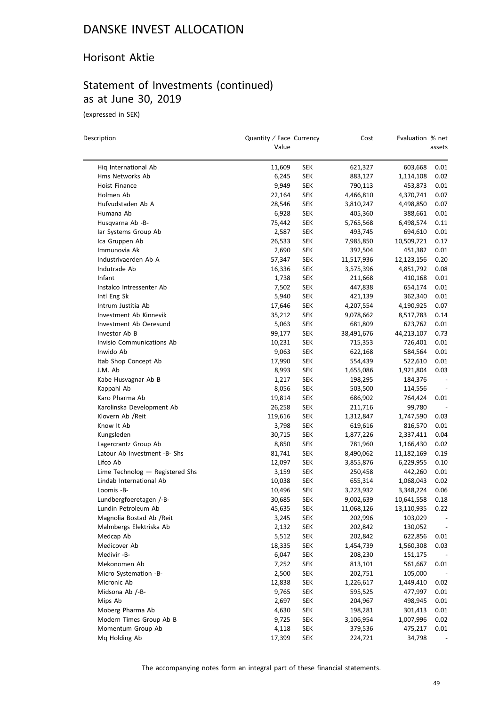#### Horisont Aktie

### Statement of Investments (continued) as at June 30, 2019

(expressed in SEK)

 $\overline{a}$ 

| Description                            | Quantity / Face Currency<br>Value |            | Cost                 | Evaluation % net     | assets                   |
|----------------------------------------|-----------------------------------|------------|----------------------|----------------------|--------------------------|
| Hiq International Ab                   | 11,609                            | SEK        | 621,327              | 603,668              | 0.01                     |
| Hms Networks Ab                        | 6,245                             | SEK        | 883,127              | 1,114,108            | 0.02                     |
| Hoist Finance                          | 9,949                             | <b>SEK</b> | 790,113              | 453,873              | 0.01                     |
| Holmen Ab                              | 22,164                            | <b>SEK</b> | 4,466,810            | 4,370,741            | 0.07                     |
| Hufvudstaden Ab A                      | 28,546                            | SEK        | 3,810,247            | 4,498,850            | 0.07                     |
| Humana Ab                              | 6,928                             | <b>SEK</b> | 405,360              | 388,661              | 0.01                     |
| Husqvarna Ab -B-                       | 75,442                            | <b>SEK</b> | 5,765,568            | 6,498,574            | 0.11                     |
| lar Systems Group Ab                   | 2,587                             | <b>SEK</b> | 493,745              | 694,610              | 0.01                     |
| Ica Gruppen Ab                         | 26,533                            | SEK        | 7,985,850            | 10,509,721           | 0.17                     |
| Immunovia Ak                           | 2,690                             | SEK        | 392,504              | 451,382              | 0.01                     |
| Industrivaerden Ab A                   | 57,347                            | SEK        | 11,517,936           | 12,123,156           | 0.20                     |
| Indutrade Ab                           | 16,336                            | <b>SEK</b> | 3,575,396            | 4,851,792            | 0.08                     |
| Infant                                 | 1,738                             | <b>SEK</b> | 211,668              | 410,168              | 0.01                     |
| Instalco Intressenter Ab               | 7,502                             | SEK        | 447,838              | 654,174              | 0.01                     |
| Intl Eng Sk                            | 5,940                             | <b>SEK</b> | 421,139              | 362,340              | 0.01                     |
| Intrum Justitia Ab                     | 17,646                            | <b>SEK</b> | 4,207,554            | 4,190,925            | 0.07                     |
| Investment Ab Kinnevik                 | 35,212                            | SEK        |                      |                      | 0.14                     |
| Investment Ab Oeresund                 | 5,063                             | <b>SEK</b> | 9,078,662<br>681,809 | 8,517,783<br>623,762 | 0.01                     |
| Investor Ab B                          |                                   |            |                      |                      |                          |
|                                        | 99,177                            | <b>SEK</b> | 38,491,676           | 44,213,107           | 0.73                     |
| Invisio Communications Ab<br>Inwido Ab | 10,231                            | SEK        | 715,353<br>622,168   | 726,401              | 0.01                     |
|                                        | 9,063                             | <b>SEK</b> |                      | 584,564              | 0.01                     |
| Itab Shop Concept Ab                   | 17,990                            | SEK        | 554,439              | 522,610              | 0.01                     |
| J.M. Ab                                | 8,993                             | <b>SEK</b> | 1,655,086            | 1,921,804            | 0.03                     |
| Kabe Husvagnar Ab B                    | 1,217                             | SEK        | 198,295              | 184,376              | $\overline{\phantom{a}}$ |
| Kappahl Ab                             | 8,056                             | <b>SEK</b> | 503,500              | 114,556              |                          |
| Karo Pharma Ab                         | 19,814                            | SEK        | 686,902              | 764,424              | 0.01                     |
| Karolinska Development Ab              | 26,258                            | SEK        | 211,716              | 99,780               |                          |
| Klovern Ab /Reit                       | 119,616                           | SEK        | 1,312,847            | 1,747,590            | 0.03                     |
| Know It Ab                             | 3,798                             | <b>SEK</b> | 619,616              | 816,570              | 0.01                     |
| Kungsleden                             | 30,715                            | <b>SEK</b> | 1,877,226            | 2,337,411            | 0.04                     |
| Lagercrantz Group Ab                   | 8,850                             | SEK        | 781,960              | 1,166,430            | 0.02                     |
| Latour Ab Investment -B- Shs           | 81,741                            | SEK        | 8,490,062            | 11,182,169           | 0.19                     |
| Lifco Ab                               | 12,097                            | SEK        | 3,855,876            | 6,229,955            | 0.10                     |
| Lime Technolog - Registered Shs        | 3,159                             | <b>SEK</b> | 250,458              | 442,260              | 0.01                     |
| Lindab International Ab                | 10,038                            | SEK        | 655,314              | 1,068,043            | 0.02                     |
| Loomis -B-                             | 10,496                            | <b>SEK</b> | 3,223,932            | 3,348,224            | 0.06                     |
| Lundbergfoeretagen /-B-                | 30,685                            | SEK        | 9,002,639            | 10,641,558           | 0.18                     |
| Lundin Petroleum Ab                    | 45,635                            | SEK        | 11,068,126           | 13,110,935           | 0.22                     |
| Magnolia Bostad Ab / Reit              | 3,245                             | <b>SEK</b> | 202,996              | 103,029              |                          |
| Malmbergs Elektriska Ab                | 2,132                             | <b>SEK</b> | 202,842              | 130,052              |                          |
| Medcap Ab                              | 5,512                             | <b>SEK</b> | 202,842              | 622,856              | 0.01                     |
| Medicover Ab                           | 18,335                            | <b>SEK</b> | 1,454,739            | 1,560,308            | 0.03                     |
| Medivir -B-                            | 6,047                             | <b>SEK</b> | 208,230              | 151,175              |                          |
| Mekonomen Ab                           | 7,252                             | <b>SEK</b> | 813,101              | 561,667              | 0.01                     |
| Micro Systemation -B-                  | 2,500                             | <b>SEK</b> | 202,751              | 105,000              |                          |
| Micronic Ab                            | 12,838                            | <b>SEK</b> | 1,226,617            | 1,449,410            | 0.02                     |
| Midsona Ab /-B-                        | 9,765                             | <b>SEK</b> | 595,525              | 477,997              | 0.01                     |
| Mips Ab                                | 2,697                             | <b>SEK</b> | 204,967              | 498,945              | 0.01                     |
| Moberg Pharma Ab                       | 4,630                             | <b>SEK</b> | 198,281              | 301,413              | 0.01                     |
| Modern Times Group Ab B                | 9,725                             | <b>SEK</b> | 3,106,954            | 1,007,996            | 0.02                     |
| Momentum Group Ab                      | 4,118                             | <b>SEK</b> | 379,536              | 475,217              | 0.01                     |
| Mq Holding Ab                          | 17,399                            | <b>SEK</b> | 224,721              | 34,798               |                          |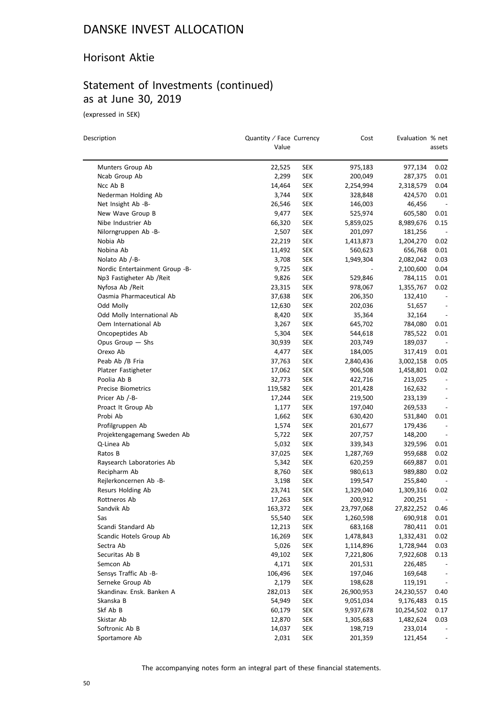#### Horisont Aktie

### Statement of Investments (continued) as at June 30, 2019

(expressed in SEK)

| Description                    | Quantity / Face Currency<br>Value |            | Cost       | Evaluation % net | assets                   |
|--------------------------------|-----------------------------------|------------|------------|------------------|--------------------------|
| Munters Group Ab               | 22,525                            | SEK        | 975,183    | 977,134          | 0.02                     |
| Ncab Group Ab                  | 2,299                             | <b>SEK</b> | 200,049    | 287,375          | 0.01                     |
| Ncc Ab B                       | 14,464                            | SEK        | 2,254,994  | 2,318,579        | 0.04                     |
| Nederman Holding Ab            | 3,744                             | SEK        | 328,848    | 424,570          | 0.01                     |
| Net Insight Ab -B-             | 26,546                            | SEK        | 146,003    | 46,456           | $\overline{\phantom{a}}$ |
| New Wave Group B               | 9,477                             | <b>SEK</b> | 525,974    | 605,580          | 0.01                     |
| Nibe Industrier Ab             | 66,320                            | <b>SEK</b> | 5,859,025  | 8,989,676        | 0.15                     |
| Nilorngruppen Ab -B-           | 2,507                             | <b>SEK</b> | 201,097    | 181,256          |                          |
| Nobia Ab                       | 22,219                            | SEK        | 1,413,873  | 1,204,270        | 0.02                     |
| Nobina Ab                      | 11,492                            | SEK        | 560,623    | 656,768          | 0.01                     |
| Nolato Ab /-B-                 | 3,708                             | SEK        | 1,949,304  | 2,082,042        | 0.03                     |
| Nordic Entertainment Group -B- | 9,725                             | SEK        |            | 2,100,600        | 0.04                     |
| Np3 Fastigheter Ab /Reit       | 9,826                             | SEK        | 529,846    | 784,115          | 0.01                     |
| Nyfosa Ab / Reit               | 23,315                            | <b>SEK</b> | 978,067    | 1,355,767        | 0.02                     |
| Oasmia Pharmaceutical Ab       | 37,638                            | SEK        | 206,350    | 132,410          |                          |
| Odd Molly                      | 12,630                            | SEK        | 202,036    | 51,657           | $\overline{\phantom{a}}$ |
| Odd Molly International Ab     | 8,420                             | <b>SEK</b> | 35,364     | 32,164           | $\overline{\phantom{a}}$ |
| Oem International Ab           | 3,267                             | SEK        | 645,702    | 784,080          | 0.01                     |
| Oncopeptides Ab                | 5,304                             | <b>SEK</b> | 544,618    | 785,522          | 0.01                     |
| Opus Group - Shs               | 30,939                            | SEK        | 203,749    | 189,037          |                          |
| Orexo Ab                       | 4,477                             | <b>SEK</b> | 184,005    | 317,419          | 0.01                     |
| Peab Ab /B Fria                | 37,763                            | SEK        | 2,840,436  | 3,002,158        | 0.05                     |
| Platzer Fastigheter            | 17,062                            | <b>SEK</b> | 906,508    | 1,458,801        | 0.02                     |
| Poolia Ab B                    | 32,773                            | SEK        | 422,716    | 213,025          | $\overline{\phantom{a}}$ |
| <b>Precise Biometrics</b>      | 119,582                           | SEK        | 201,428    | 162,632          | $\overline{\phantom{a}}$ |
| Pricer Ab /-B-                 | 17,244                            | <b>SEK</b> | 219,500    | 233,139          | $\overline{\phantom{m}}$ |
| Proact It Group Ab             | 1,177                             | SEK        | 197,040    | 269,533          |                          |
| Probi Ab                       | 1,662                             | SEK        | 630,420    | 531,840          | 0.01                     |
| Profilgruppen Ab               | 1,574                             | <b>SEK</b> | 201,677    | 179,436          | $\overline{\phantom{a}}$ |
| Projektengagemang Sweden Ab    | 5,722                             | SEK        | 207,757    | 148,200          | $\overline{\phantom{a}}$ |
| Q-Linea Ab                     | 5,032                             | SEK        | 339,343    | 329,596          | 0.01                     |
| Ratos B                        | 37,025                            | SEK        | 1,287,769  | 959,688          | 0.02                     |
| Raysearch Laboratories Ab      | 5,342                             | SEK        | 620,259    | 669,887          | 0.01                     |
| Recipharm Ab                   | 8,760                             | SEK        | 980,613    | 989,880          | 0.02                     |
| Rejlerkoncernen Ab -B-         | 3,198                             | <b>SEK</b> | 199,547    | 255,840          |                          |
| Resurs Holding Ab              | 23,741                            | SEK        | 1,329,040  | 1,309,316        | 0.02                     |
| Rottneros Ab                   | 17,263                            | <b>SEK</b> | 200,912    | 200,251          |                          |
| Sandvik Ab                     | 163,372                           | <b>SEK</b> | 23,797,068 | 27,822,252       | 0.46                     |
| Sas                            | 55,540                            | <b>SEK</b> | 1,260,598  | 690,918          | 0.01                     |
| Scandi Standard Ab             | 12,213                            | <b>SEK</b> | 683,168    | 780,411          | 0.01                     |
| Scandic Hotels Group Ab        | 16,269                            | <b>SEK</b> | 1,478,843  | 1,332,431        | 0.02                     |
| Sectra Ab                      | 5,026                             | <b>SEK</b> | 1,114,896  | 1,728,944        | 0.03                     |
| Securitas Ab B                 | 49,102                            | <b>SEK</b> | 7,221,806  | 7,922,608        | 0.13                     |
| Semcon Ab                      | 4,171                             | <b>SEK</b> | 201,531    | 226,485          |                          |
| Sensys Traffic Ab -B-          | 106,496                           | <b>SEK</b> | 197,046    | 169,648          |                          |
| Serneke Group Ab               | 2,179                             | <b>SEK</b> | 198,628    | 119,191          | $\overline{\phantom{a}}$ |
| Skandinav. Ensk. Banken A      | 282,013                           | <b>SEK</b> | 26,900,953 | 24,230,557       | 0.40                     |
| Skanska B                      | 54,949                            | <b>SEK</b> | 9,051,034  | 9,176,483        | 0.15                     |
| Skf Ab B                       | 60,179                            | <b>SEK</b> | 9,937,678  | 10,254,502       | 0.17                     |
| Skistar Ab                     | 12,870                            | <b>SEK</b> | 1,305,683  | 1,482,624        | 0.03                     |
| Softronic Ab B                 | 14,037                            | <b>SEK</b> | 198,719    | 233,014          |                          |
| Sportamore Ab                  | 2,031                             | <b>SEK</b> | 201,359    | 121,454          |                          |
|                                |                                   |            |            |                  |                          |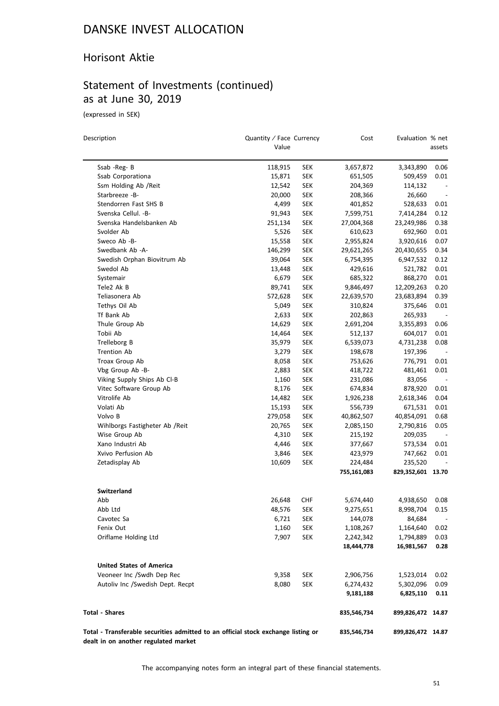### Horisont Aktie

### Statement of Investments (continued) as at June 30, 2019

(expressed in SEK)

| Description                                                                                                               | Quantity / Face Currency<br>Value |            | Cost               | Evaluation % net   | assets                   |
|---------------------------------------------------------------------------------------------------------------------------|-----------------------------------|------------|--------------------|--------------------|--------------------------|
|                                                                                                                           |                                   |            |                    |                    |                          |
| Ssab -Reg- B<br>Ssab Corporationa                                                                                         | 118,915<br>15,871                 | SEK        | 3,657,872          | 3,343,890          | 0.06<br>0.01             |
| Ssm Holding Ab / Reit                                                                                                     | 12,542                            | SEK<br>SEK | 651,505<br>204,369 | 509,459<br>114,132 |                          |
| Starbreeze -B-                                                                                                            | 20,000                            | SEK        | 208,366            | 26,660             | $\overline{\phantom{a}}$ |
| Stendorren Fast SHS B                                                                                                     | 4,499                             | SEK        | 401,852            | 528,633            | 0.01                     |
| Svenska Cellul. - B-                                                                                                      | 91,943                            | SEK        | 7,599,751          | 7,414,284          | 0.12                     |
| Svenska Handelsbanken Ab                                                                                                  | 251,134                           | SEK        | 27,004,368         | 23,249,986         | 0.38                     |
| Svolder Ab                                                                                                                | 5,526                             | SEK        | 610,623            | 692,960            | 0.01                     |
| Sweco Ab -B-                                                                                                              | 15,558                            | SEK        | 2,955,824          | 3,920,616          | 0.07                     |
| Swedbank Ab -A-                                                                                                           | 146,299                           | SEK        | 29,621,265         | 20,430,655         | 0.34                     |
| Swedish Orphan Biovitrum Ab                                                                                               | 39,064                            | <b>SEK</b> | 6,754,395          | 6,947,532          | 0.12                     |
| Swedol Ab                                                                                                                 | 13,448                            | SEK        | 429,616            | 521,782            | 0.01                     |
| Systemair                                                                                                                 | 6,679                             | SEK        | 685,322            | 868,270            | 0.01                     |
| Tele2 Ak B                                                                                                                | 89,741                            | SEK        | 9,846,497          | 12,209,263         | 0.20                     |
| Teliasonera Ab                                                                                                            | 572,628                           | SEK        | 22,639,570         | 23,683,894         | 0.39                     |
| Tethys Oil Ab                                                                                                             | 5,049                             | <b>SEK</b> | 310,824            | 375,646            | 0.01                     |
| Tf Bank Ab                                                                                                                | 2,633                             | SEK        | 202,863            | 265,933            |                          |
| Thule Group Ab                                                                                                            | 14,629                            | SEK        | 2,691,204          | 3,355,893          | 0.06                     |
| Tobii Ab                                                                                                                  | 14,464                            | SEK        | 512,137            | 604,017            | 0.01                     |
| Trelleborg B                                                                                                              | 35,979                            | SEK        | 6,539,073          | 4,731,238          | 0.08                     |
| <b>Trention Ab</b>                                                                                                        | 3,279                             | SEK        | 198,678            | 197,396            |                          |
| Troax Group Ab                                                                                                            | 8,058                             | SEK        | 753,626            | 776,791            | 0.01                     |
| Vbg Group Ab -B-                                                                                                          | 2,883                             | SEK        | 418,722            | 481,461            | 0.01                     |
| Viking Supply Ships Ab Cl-B                                                                                               | 1,160                             | SEK        | 231,086            | 83,056             | $\overline{\phantom{a}}$ |
| Vitec Software Group Ab                                                                                                   | 8,176                             | SEK        | 674,834            | 878,920            | 0.01                     |
| Vitrolife Ab                                                                                                              | 14,482                            | SEK        | 1,926,238          | 2,618,346          | 0.04                     |
| Volati Ab                                                                                                                 | 15,193                            | SEK        | 556,739            | 671,531            | 0.01                     |
| Volvo B                                                                                                                   | 279,058                           | <b>SEK</b> | 40,862,507         | 40,854,091         | 0.68                     |
| Wihlborgs Fastigheter Ab / Reit                                                                                           | 20,765                            | SEK        | 2,085,150          | 2,790,816          | 0.05                     |
| Wise Group Ab                                                                                                             | 4,310                             | SEK        | 215,192            | 209,035            | $\overline{\phantom{a}}$ |
| Xano Industri Ab                                                                                                          | 4,446                             | SEK        | 377,667            | 573,534            | 0.01                     |
| Xvivo Perfusion Ab                                                                                                        | 3,846                             | SEK        | 423,979            | 747,662            | 0.01                     |
| Zetadisplay Ab                                                                                                            | 10,609                            | SEK        | 224,484            | 235,520            |                          |
|                                                                                                                           |                                   |            | 755,161,083        | 829,352,601 13.70  |                          |
| <b>Switzerland</b>                                                                                                        |                                   |            |                    |                    |                          |
| Abb                                                                                                                       | 26,648                            | CHF        | 5,674,440          | 4,938,650          | 0.08                     |
| Abb Ltd                                                                                                                   | 48,576                            | <b>SEK</b> | 9,275,651          | 8,998,704          | 0.15                     |
| Cavotec Sa                                                                                                                | 6,721                             | <b>SEK</b> | 144,078            | 84,684             | $\overline{\phantom{a}}$ |
| Fenix Out                                                                                                                 | 1,160                             | SEK        | 1,108,267          | 1,164,640          | 0.02                     |
| Oriflame Holding Ltd                                                                                                      | 7,907                             | SEK        | 2,242,342          | 1,794,889          | 0.03                     |
|                                                                                                                           |                                   |            | 18,444,778         | 16,981,567         | 0.28                     |
| <b>United States of America</b>                                                                                           |                                   |            |                    |                    |                          |
| Veoneer Inc /Swdh Dep Rec                                                                                                 | 9,358                             | <b>SEK</b> | 2,906,756          | 1,523,014          | 0.02                     |
| Autoliv Inc /Swedish Dept. Recpt                                                                                          | 8,080                             | SEK        | 6,274,432          | 5,302,096          | 0.09                     |
|                                                                                                                           |                                   |            | 9,181,188          | 6,825,110          | 0.11                     |
| <b>Total - Shares</b>                                                                                                     |                                   |            | 835,546,734        | 899,826,472 14.87  |                          |
| Total - Transferable securities admitted to an official stock exchange listing or<br>dealt in on another regulated market |                                   |            | 835,546,734        | 899,826,472 14.87  |                          |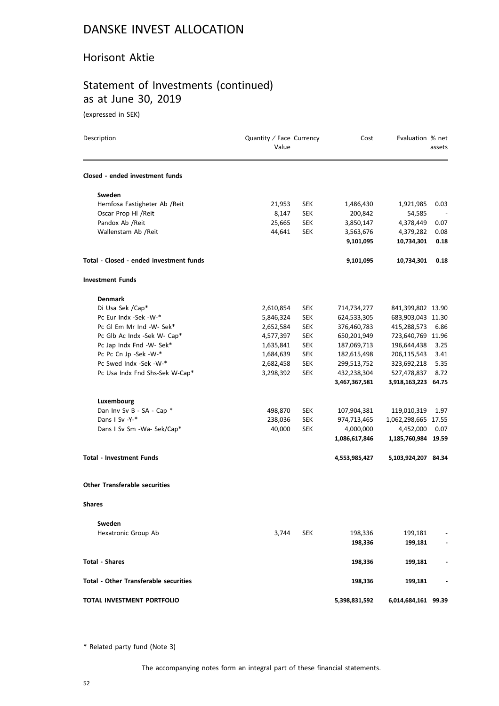#### Horisont Aktie

### Statement of Investments (continued) as at June 30, 2019

(expressed in SEK)

| Description                                  | Quantity / Face Currency<br>Value |            | Cost          | Evaluation % net    | assets |
|----------------------------------------------|-----------------------------------|------------|---------------|---------------------|--------|
| Closed - ended investment funds              |                                   |            |               |                     |        |
| Sweden                                       |                                   |            |               |                     |        |
| Hemfosa Fastigheter Ab /Reit                 | 21,953                            | <b>SEK</b> | 1,486,430     | 1,921,985           | 0.03   |
| Oscar Prop Hl / Reit                         | 8,147                             | SEK        | 200,842       | 54,585              |        |
| Pandox Ab / Reit                             | 25,665                            | <b>SEK</b> | 3,850,147     | 4,378,449           | 0.07   |
| Wallenstam Ab /Reit                          | 44,641                            | <b>SEK</b> | 3,563,676     | 4,379,282           | 0.08   |
|                                              |                                   |            | 9,101,095     | 10,734,301          | 0.18   |
| Total - Closed - ended investment funds      |                                   |            | 9,101,095     | 10,734,301          | 0.18   |
| <b>Investment Funds</b>                      |                                   |            |               |                     |        |
| <b>Denmark</b>                               |                                   |            |               |                     |        |
| Di Usa Sek /Cap*                             | 2,610,854                         | <b>SEK</b> | 714,734,277   | 841,399,802 13.90   |        |
| Pc Eur Indx -Sek -W-*                        | 5,846,324                         | <b>SEK</b> | 624,533,305   | 683,903,043 11.30   |        |
| Pc Gl Em Mr Ind -W- Sek*                     | 2,652,584                         | <b>SEK</b> | 376,460,783   | 415,288,573         | 6.86   |
| Pc Glb Ac Indx -Sek W- Cap*                  | 4,577,397                         | <b>SEK</b> | 650,201,949   | 723,640,769 11.96   |        |
| Pc Jap Indx Fnd -W- Sek*                     | 1,635,841                         | <b>SEK</b> | 187,069,713   | 196,644,438         | 3.25   |
| Pc Pc Cn Jp -Sek -W-*                        | 1,684,639                         | <b>SEK</b> | 182,615,498   | 206,115,543         | 3.41   |
| Pc Swed Indx -Sek -W-*                       | 2,682,458                         | <b>SEK</b> | 299,513,752   | 323,692,218         | 5.35   |
| Pc Usa Indx Fnd Shs-Sek W-Cap*               | 3,298,392                         | <b>SEK</b> | 432,238,304   | 527,478,837         | 8.72   |
|                                              |                                   |            | 3,467,367,581 | 3,918,163,223 64.75 |        |
| Luxembourg                                   |                                   |            |               |                     |        |
| Dan Inv Sv B - SA - Cap *                    | 498,870                           | <b>SEK</b> | 107,904,381   | 119,010,319         | 1.97   |
| Dans I Sv -Y-*                               | 238,036                           | <b>SEK</b> | 974,713,465   | 1,062,298,665 17.55 |        |
| Dans I Sv Sm -Wa- Sek/Cap*                   | 40,000                            | <b>SEK</b> | 4,000,000     | 4,452,000           | 0.07   |
|                                              |                                   |            | 1,086,617,846 | 1,185,760,984 19.59 |        |
| <b>Total - Investment Funds</b>              |                                   |            | 4,553,985,427 | 5,103,924,207 84.34 |        |
| <b>Other Transferable securities</b>         |                                   |            |               |                     |        |
| <b>Shares</b>                                |                                   |            |               |                     |        |
| Sweden                                       |                                   |            |               |                     |        |
| Hexatronic Group Ab                          | 3,744                             | <b>SEK</b> | 198,336       | 199,181             |        |
|                                              |                                   |            | 198,336       | 199,181             |        |
| <b>Total - Shares</b>                        |                                   |            | 198,336       | 199,181             |        |
| <b>Total - Other Transferable securities</b> |                                   |            | 198,336       | 199,181             |        |
| TOTAL INVESTMENT PORTFOLIO                   |                                   |            | 5,398,831,592 | 6,014,684,161 99.39 |        |

\* Related party fund (Note 3)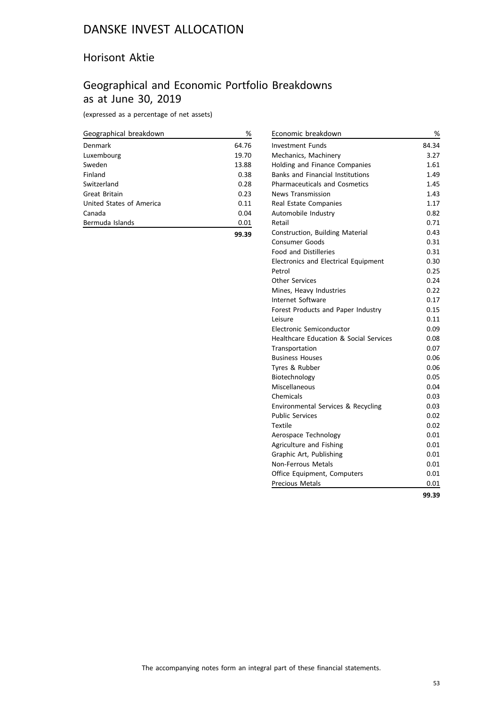### Horisont Aktie

### Geographical and Economic Portfolio Breakdowns as at June 30, 2019

(expressed as a percentage of net assets)

| Geographical breakdown   | %     |
|--------------------------|-------|
| Denmark                  | 64.76 |
| Luxembourg               | 19.70 |
| Sweden                   | 13.88 |
| Finland                  | 0.38  |
| Switzerland              | 0.28  |
| Great Britain            | 0.23  |
| United States of America | 0.11  |
| Canada                   | 0.04  |
| Bermuda Islands          | 0.01  |
|                          | 99.39 |

| Economic breakdown                      | %     |
|-----------------------------------------|-------|
| <b>Investment Funds</b>                 | 84.34 |
| Mechanics, Machinery                    | 3.27  |
| Holding and Finance Companies           | 1.61  |
| <b>Banks and Financial Institutions</b> | 1.49  |
| <b>Pharmaceuticals and Cosmetics</b>    | 1.45  |
| <b>News Transmission</b>                | 1.43  |
| Real Estate Companies                   | 1.17  |
| Automobile Industry                     | 0.82  |
| Retail                                  | 0.71  |
| Construction, Building Material         | 0.43  |
| Consumer Goods                          | 0.31  |
| <b>Food and Distilleries</b>            | 0.31  |
| Electronics and Electrical Equipment    | 0.30  |
| Petrol                                  | 0.25  |
| <b>Other Services</b>                   | 0.24  |
| Mines, Heavy Industries                 | 0.22  |
| Internet Software                       | 0.17  |
| Forest Products and Paper Industry      | 0.15  |
| Leisure                                 | 0.11  |
| Electronic Semiconductor                | 0.09  |
| Healthcare Education & Social Services  | 0.08  |
| Transportation                          | 0.07  |
| <b>Business Houses</b>                  | 0.06  |
| Tyres & Rubber                          | 0.06  |
| Biotechnology                           | 0.05  |
| Miscellaneous                           | 0.04  |
| Chemicals                               | 0.03  |
| Environmental Services & Recycling      | 0.03  |
| <b>Public Services</b>                  | 0.02  |
| Textile                                 | 0.02  |
| Aerospace Technology                    | 0.01  |
| Agriculture and Fishing                 | 0.01  |
| Graphic Art, Publishing                 | 0.01  |
| <b>Non-Ferrous Metals</b>               | 0.01  |
| Office Equipment, Computers             | 0.01  |
| <b>Precious Metals</b>                  | 0.01  |
|                                         | 99.39 |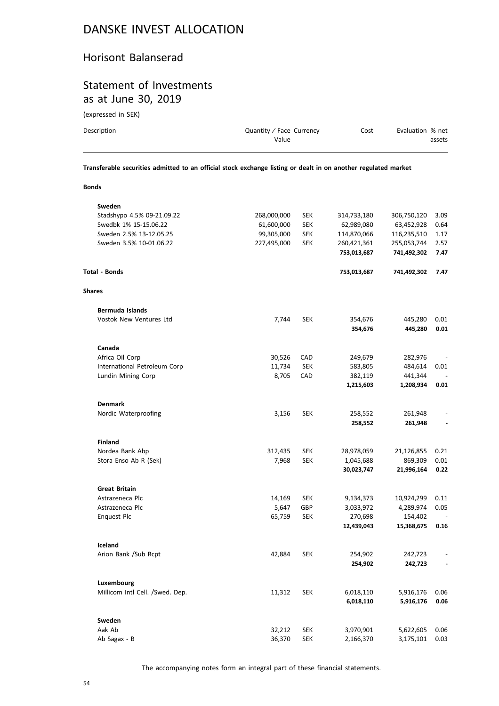#### Horisont Balanserad

#### Statement of Investments as at June 30, 2019

(expressed in SEK)

| Description                                                                                                    | Quantity / Face Currency<br>Value | Cost | Evaluation % net | assets |  |
|----------------------------------------------------------------------------------------------------------------|-----------------------------------|------|------------------|--------|--|
| Transferable securities admitted to an official stock exchange listing or dealt in on another regulated market |                                   |      |                  |        |  |

**Bonds**

| Sweden                          |             |            |             |             |                          |
|---------------------------------|-------------|------------|-------------|-------------|--------------------------|
| Stadshypo 4.5% 09-21.09.22      | 268,000,000 | <b>SEK</b> | 314,733,180 | 306,750,120 | 3.09                     |
| Swedbk 1% 15-15.06.22           | 61,600,000  | <b>SEK</b> | 62,989,080  | 63,452,928  | 0.64                     |
| Sweden 2.5% 13-12.05.25         | 99,305,000  | <b>SEK</b> | 114,870,066 | 116,235,510 | 1.17                     |
| Sweden 3.5% 10-01.06.22         | 227,495,000 | <b>SEK</b> | 260,421,361 | 255,053,744 | 2.57                     |
|                                 |             |            | 753,013,687 | 741,492,302 | 7.47                     |
| <b>Total - Bonds</b>            |             |            | 753,013,687 | 741,492,302 | 7.47                     |
| <b>Shares</b>                   |             |            |             |             |                          |
| <b>Bermuda Islands</b>          |             |            |             |             |                          |
| Vostok New Ventures Ltd         | 7,744       | <b>SEK</b> | 354,676     | 445,280     | 0.01                     |
|                                 |             |            | 354,676     | 445,280     | 0.01                     |
| Canada                          |             |            |             |             |                          |
| Africa Oil Corp                 | 30,526      | CAD        | 249,679     | 282,976     |                          |
| International Petroleum Corp    | 11,734      | <b>SEK</b> | 583,805     | 484,614     | 0.01                     |
| Lundin Mining Corp              | 8,705       | CAD        | 382,119     | 441,344     |                          |
|                                 |             |            | 1,215,603   | 1,208,934   | 0.01                     |
| <b>Denmark</b>                  |             |            |             |             |                          |
| Nordic Waterproofing            | 3,156       | <b>SEK</b> | 258,552     | 261,948     |                          |
|                                 |             |            | 258,552     | 261,948     |                          |
| <b>Finland</b>                  |             |            |             |             |                          |
| Nordea Bank Abp                 | 312,435     | <b>SEK</b> | 28,978,059  | 21,126,855  | 0.21                     |
| Stora Enso Ab R (Sek)           | 7,968       | <b>SEK</b> | 1,045,688   | 869,309     | 0.01                     |
|                                 |             |            | 30,023,747  | 21,996,164  | 0.22                     |
| <b>Great Britain</b>            |             |            |             |             |                          |
| Astrazeneca Plc                 | 14,169      | <b>SEK</b> | 9,134,373   | 10,924,299  | 0.11                     |
| Astrazeneca Plc                 | 5,647       | GBP        | 3,033,972   | 4,289,974   | 0.05                     |
| Enquest Plc                     | 65,759      | <b>SEK</b> | 270,698     | 154,402     |                          |
|                                 |             |            | 12,439,043  | 15,368,675  | 0.16                     |
| Iceland                         |             |            |             |             |                          |
| Arion Bank /Sub Rcpt            | 42,884      | <b>SEK</b> | 254,902     | 242,723     |                          |
|                                 |             |            | 254,902     | 242,723     | $\overline{\phantom{a}}$ |
| Luxembourg                      |             |            |             |             |                          |
| Millicom Intl Cell. /Swed. Dep. | 11,312      | <b>SEK</b> | 6,018,110   | 5,916,176   | 0.06                     |
|                                 |             |            | 6,018,110   | 5,916,176   | 0.06                     |
| Sweden                          |             |            |             |             |                          |
| Aak Ab                          | 32,212      | <b>SEK</b> | 3,970,901   | 5,622,605   | 0.06                     |
| Ab Sagax - B                    | 36,370      | <b>SEK</b> | 2,166,370   | 3,175,101   | 0.03                     |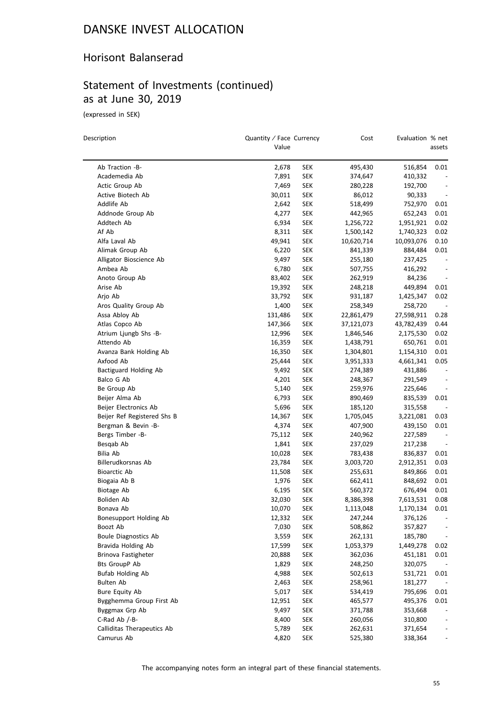#### Horisont Balanserad

### Statement of Investments (continued) as at June 30, 2019

(expressed in SEK)

 $\equiv$ 

| Description                                 | Quantity / Face Currency<br>Value |                          | Cost       | Evaluation % net | assets                           |
|---------------------------------------------|-----------------------------------|--------------------------|------------|------------------|----------------------------------|
| Ab Traction -B-                             | 2,678                             | SEK                      | 495,430    | 516,854          | 0.01                             |
| Academedia Ab                               | 7,891                             | <b>SEK</b>               | 374,647    | 410,332          |                                  |
| Actic Group Ab                              | 7,469                             | <b>SEK</b>               | 280,228    | 192,700          |                                  |
| Active Biotech Ab                           | 30,011                            | SEK                      | 86,012     | 90,333           | $\overline{\phantom{a}}$         |
| Addlife Ab                                  | 2,642                             | SEK                      | 518,499    | 752,970          | 0.01                             |
| Addnode Group Ab                            | 4,277                             | <b>SEK</b>               | 442,965    | 652,243          | 0.01                             |
| Addtech Ab                                  | 6,934                             | SEK                      | 1,256,722  | 1,951,921        | 0.02                             |
| Af Ab                                       | 8,311                             | <b>SEK</b>               | 1,500,142  | 1,740,323        | 0.02                             |
| Alfa Laval Ab                               | 49,941                            | <b>SEK</b>               | 10,620,714 | 10,093,076       | 0.10                             |
| Alimak Group Ab                             | 6,220                             | <b>SEK</b>               | 841,339    | 884,484          | 0.01                             |
| Alligator Bioscience Ab                     | 9,497                             | <b>SEK</b>               | 255,180    | 237,425          | $\overline{\phantom{a}}$         |
| Ambea Ab                                    | 6,780                             | <b>SEK</b>               | 507,755    | 416,292          | $\centerdot$                     |
| Anoto Group Ab                              | 83,402                            | SEK                      | 262,919    | 84,236           | $\overline{\phantom{a}}$         |
| Arise Ab                                    | 19,392                            | SEK                      | 248,218    | 449,894          | 0.01                             |
| Arjo Ab                                     | 33,792                            | <b>SEK</b>               | 931,187    | 1,425,347        | 0.02                             |
| Aros Quality Group Ab                       | 1,400                             | <b>SEK</b>               | 258,349    | 258,720          |                                  |
| Assa Abloy Ab                               | 131,486                           | SEK                      | 22,861,479 | 27,598,911       | 0.28                             |
| Atlas Copco Ab                              | 147,366                           | SEK                      | 37,121,073 | 43,782,439       | 0.44                             |
| Atrium Ljungb Shs -B-                       | 12,996                            | <b>SEK</b>               |            | 2,175,530        | 0.02                             |
| Attendo Ab                                  | 16,359                            | <b>SEK</b>               | 1,846,546  | 650,761          | 0.01                             |
| Avanza Bank Holding Ab                      | 16,350                            |                          | 1,438,791  |                  | 0.01                             |
| Axfood Ab                                   |                                   | <b>SEK</b>               | 1,304,801  | 1,154,310        | 0.05                             |
| Bactiguard Holding Ab                       | 25,444                            | SEK                      | 3,951,333  | 4,661,341        |                                  |
|                                             | 9,492                             | <b>SEK</b>               | 274,389    | 431,886          | $\centerdot$                     |
| Balco G Ab                                  | 4,201                             | <b>SEK</b>               | 248,367    | 291,549          |                                  |
| Be Group Ab                                 | 5,140                             | SEK                      | 259,976    | 225,646          | $\qquad \qquad -$                |
| Beijer Alma Ab<br>Beijer Electronics Ab     | 6,793<br>5,696                    | <b>SEK</b><br><b>SEK</b> | 890,469    | 835,539          | 0.01                             |
|                                             |                                   |                          | 185,120    | 315,558          |                                  |
| Beijer Ref Registered Shs B                 | 14,367                            | <b>SEK</b>               | 1,705,045  | 3,221,081        | 0.03                             |
| Bergman & Bevin -B-                         | 4,374                             | <b>SEK</b>               | 407,900    | 439,150          | 0.01<br>$\overline{\phantom{a}}$ |
| Bergs Timber -B-                            | 75,112                            | SEK                      | 240,962    | 227,589          |                                  |
| Besqab Ab                                   | 1,841                             | SEK                      | 237,029    | 217,238          | $\overline{\phantom{a}}$         |
| Bilia Ab                                    | 10,028                            | SEK                      | 783,438    | 836,837          | 0.01                             |
| Billerudkorsnas Ab                          | 23,784                            | SEK                      | 3,003,720  | 2,912,351        | 0.03                             |
| <b>Bioarctic Ab</b>                         | 11,508                            | SEK                      | 255,631    | 849,866          | 0.01                             |
| Biogaia Ab B                                | 1,976                             | SEK                      | 662,411    | 848,692          | 0.01                             |
| Biotage Ab                                  | 6,195                             | SEK                      | 560,372    | 676,494          | 0.01                             |
| Boliden Ab                                  | 32,030<br>10,070                  | <b>SEK</b>               | 8,386,398  | 7,613,531        | 0.08<br>0.01                     |
| Bonava Ab                                   |                                   | SEK                      | 1,113,048  | 1,170,134        |                                  |
| Bonesupport Holding Ab                      | 12,332                            | <b>SEK</b>               | 247,244    | 376,126          |                                  |
| Boozt Ab                                    | 7,030                             | <b>SEK</b>               | 508,862    | 357,827          |                                  |
| <b>Boule Diagnostics Ab</b>                 | 3,559<br>17,599                   | <b>SEK</b>               | 262,131    | 185,780          |                                  |
| Bravida Holding Ab                          |                                   | <b>SEK</b>               | 1,053,379  | 1,449,278        | 0.02                             |
| Brinova Fastigheter<br><b>Bts GroupP Ab</b> | 20,888                            | <b>SEK</b>               | 362,036    | 451,181          | 0.01                             |
|                                             | 1,829                             | <b>SEK</b>               | 248,250    | 320,075          |                                  |
| <b>Bufab Holding Ab</b>                     | 4,988                             | <b>SEK</b>               | 502,613    | 531,721          | 0.01                             |
| <b>Bulten Ab</b>                            | 2,463                             | <b>SEK</b>               | 258,961    | 181,277          |                                  |
| Bure Equity Ab                              | 5,017                             | <b>SEK</b>               | 534,419    | 795,696          | 0.01                             |
| Bygghemma Group First Ab                    | 12,951                            | <b>SEK</b>               | 465,577    | 495,376          | 0.01                             |
| Byggmax Grp Ab                              | 9,497                             | <b>SEK</b>               | 371,788    | 353,668          | $\overline{\phantom{a}}$         |
| C-Rad Ab /-B-                               | 8,400                             | <b>SEK</b>               | 260,056    | 310,800          | $\overline{\phantom{a}}$         |
| Calliditas Therapeutics Ab                  | 5,789                             | SEK                      | 262,631    | 371,654          | $\overline{\phantom{a}}$         |
| Camurus Ab                                  | 4,820                             | <b>SEK</b>               | 525,380    | 338,364          | $\overline{\phantom{0}}$         |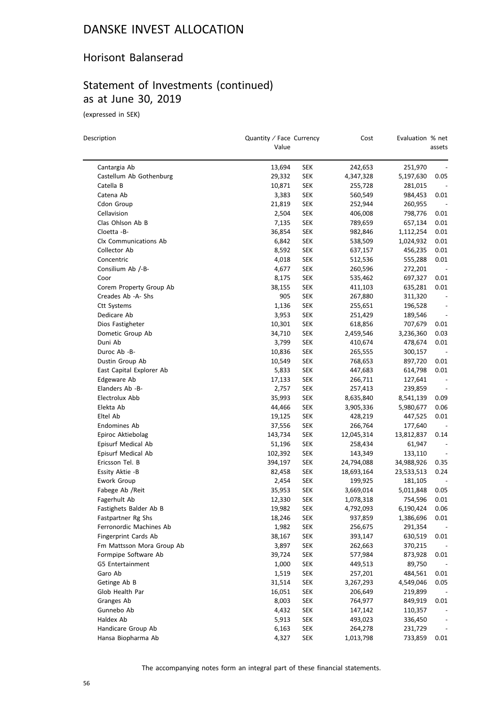#### Horisont Balanserad

# Statement of Investments (continued) as at June 30, 2019

(expressed in SEK)

| Description                     | Quantity / Face Currency<br>Value |            | Cost       | Evaluation % net | assets                   |
|---------------------------------|-----------------------------------|------------|------------|------------------|--------------------------|
| Cantargia Ab                    | 13,694                            | <b>SEK</b> | 242,653    | 251,970          |                          |
| Castellum Ab Gothenburg         | 29,332                            | <b>SEK</b> | 4,347,328  | 5,197,630        | 0.05                     |
| Catella B                       | 10,871                            | <b>SEK</b> | 255,728    | 281,015          |                          |
| Catena Ab                       | 3,383                             | <b>SEK</b> | 560,549    | 984,453          | 0.01                     |
| Cdon Group                      | 21,819                            | <b>SEK</b> | 252,944    | 260,955          | $\overline{\phantom{a}}$ |
| Cellavision                     | 2,504                             | <b>SEK</b> | 406,008    | 798,776          | 0.01                     |
| Clas Ohlson Ab B                | 7,135                             | <b>SEK</b> | 789,659    | 657,134          | 0.01                     |
| Cloetta -B-                     | 36,854                            | <b>SEK</b> | 982,846    | 1,112,254        | 0.01                     |
| Clx Communications Ab           | 6,842                             | <b>SEK</b> | 538,509    | 1,024,932        | 0.01                     |
| Collector Ab                    | 8,592                             | <b>SEK</b> | 637,157    | 456,235          | 0.01                     |
| Concentric                      | 4,018                             | <b>SEK</b> | 512,536    | 555,288          | 0.01                     |
| Consilium Ab /-B-               | 4,677                             | <b>SEK</b> |            | 272,201          | $\sim$                   |
|                                 |                                   |            | 260,596    |                  |                          |
| Coor<br>Corem Property Group Ab | 8,175                             | <b>SEK</b> | 535,462    | 697,327          | 0.01<br>0.01             |
| Creades Ab -A- Shs              | 38,155                            | <b>SEK</b> | 411,103    | 635,281          |                          |
|                                 | 905                               | <b>SEK</b> | 267,880    | 311,320          |                          |
| Ctt Systems                     | 1,136                             | <b>SEK</b> | 255,651    | 196,528          | $\overline{\phantom{0}}$ |
| Dedicare Ab                     | 3,953                             | <b>SEK</b> | 251,429    | 189,546          | $\overline{\phantom{a}}$ |
| Dios Fastigheter                | 10,301                            | <b>SEK</b> | 618,856    | 707,679          | 0.01                     |
| Dometic Group Ab                | 34,710                            | <b>SEK</b> | 2,459,546  | 3,236,360        | 0.03                     |
| Duni Ab                         | 3,799                             | <b>SEK</b> | 410,674    | 478,674          | 0.01                     |
| Duroc Ab -B-                    | 10,836                            | <b>SEK</b> | 265,555    | 300,157          |                          |
| Dustin Group Ab                 | 10,549                            | <b>SEK</b> | 768,653    | 897,720          | 0.01                     |
| East Capital Explorer Ab        | 5,833                             | <b>SEK</b> | 447,683    | 614,798          | 0.01                     |
| Edgeware Ab                     | 17,133                            | <b>SEK</b> | 266,711    | 127,641          | $\overline{\phantom{a}}$ |
| Elanders Ab -B-                 | 2,757                             | <b>SEK</b> | 257,413    | 239,859          | $\overline{\phantom{a}}$ |
| Electrolux Abb                  | 35,993                            | <b>SEK</b> | 8,635,840  | 8,541,139        | 0.09                     |
| Elekta Ab                       | 44,466                            | <b>SEK</b> | 3,905,336  | 5,980,677        | 0.06                     |
| Eltel Ab                        | 19,125                            | <b>SEK</b> | 428,219    | 447,525          | 0.01                     |
| Endomines Ab                    | 37,556                            | <b>SEK</b> | 266,764    | 177,640          |                          |
| Epiroc Aktiebolag               | 143,734                           | <b>SEK</b> | 12,045,314 | 13,812,837       | 0.14                     |
| Episurf Medical Ab              | 51,196                            | <b>SEK</b> | 258,434    | 61,947           | $\overline{\phantom{a}}$ |
| Episurf Medical Ab              | 102,392                           | <b>SEK</b> | 143,349    | 133,110          | $\overline{\phantom{a}}$ |
| Ericsson Tel. B                 | 394,197                           | <b>SEK</b> | 24,794,088 | 34,988,926       | 0.35                     |
| Essity Aktie -B                 | 82,458                            | <b>SEK</b> | 18,693,164 | 23,533,513       | 0.24                     |
| Ework Group                     | 2,454                             | <b>SEK</b> | 199,925    | 181,105          |                          |
| Fabege Ab / Reit                | 35,953                            | SEK        | 3,669,014  | 5,011,848        | 0.05                     |
| Fagerhult Ab                    | 12,330                            | <b>SEK</b> | 1,078,318  | 754,596          | 0.01                     |
| Fastighets Balder Ab B          | 19,982                            | SEK        | 4,792,093  | 6,190,424        | 0.06                     |
| Fastpartner Rg Shs              | 18,246                            | <b>SEK</b> | 937,859    | 1,386,696        | 0.01                     |
| Ferronordic Machines Ab         | 1,982                             | <b>SEK</b> | 256,675    | 291,354          |                          |
| Fingerprint Cards Ab            | 38,167                            | <b>SEK</b> | 393,147    | 630,519          | 0.01                     |
| Fm Mattsson Mora Group Ab       | 3,897                             | <b>SEK</b> | 262,663    | 370,215          | $\sim$                   |
| Formpipe Software Ab            | 39,724                            | <b>SEK</b> | 577,984    | 873,928          | 0.01                     |
| G5 Entertainment                | 1,000                             | <b>SEK</b> | 449,513    | 89,750           |                          |
| Garo Ab                         | 1,519                             | <b>SEK</b> | 257,201    | 484,561          | 0.01                     |
| Getinge Ab B                    | 31,514                            | <b>SEK</b> | 3,267,293  | 4,549,046        | 0.05                     |
| Glob Health Par                 | 16,051                            | <b>SEK</b> | 206,649    | 219,899          |                          |
| Granges Ab                      | 8,003                             | <b>SEK</b> | 764,977    | 849,919          | 0.01                     |
| Gunnebo Ab                      | 4,432                             | <b>SEK</b> | 147,142    | 110,357          |                          |
| Haldex Ab                       | 5,913                             | <b>SEK</b> | 493,023    | 336,450          |                          |
| Handicare Group Ab              | 6,163                             | <b>SEK</b> | 264,278    | 231,729          |                          |
| Hansa Biopharma Ab              | 4,327                             | <b>SEK</b> | 1,013,798  | 733,859          | 0.01                     |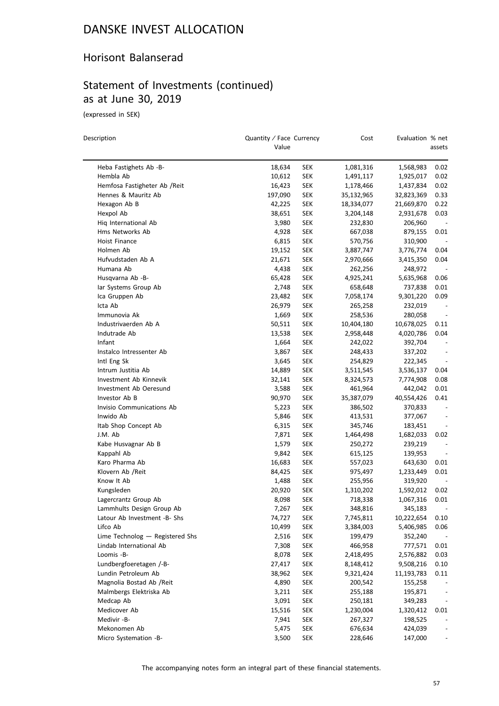#### Horisont Balanserad

### Statement of Investments (continued) as at June 30, 2019

(expressed in SEK)

| Description                     | Quantity / Face Currency<br>Value |            | Cost       | Evaluation % net      | assets                       |
|---------------------------------|-----------------------------------|------------|------------|-----------------------|------------------------------|
| Heba Fastighets Ab -B-          | 18,634                            | SEK        | 1,081,316  | 1,568,983             | 0.02                         |
| Hembla Ab                       | 10,612                            | SEK        | 1,491,117  | 1,925,017             | 0.02                         |
| Hemfosa Fastigheter Ab /Reit    | 16,423                            | SEK        | 1,178,466  | 1,437,834             | 0.02                         |
| Hennes & Mauritz Ab             | 197,090                           | <b>SEK</b> | 35,132,965 | 32,823,369            | 0.33                         |
| Hexagon Ab B                    | 42,225                            | SEK        | 18,334,077 | 21,669,870            | 0.22                         |
| Hexpol Ab                       | 38,651                            | SEK        | 3,204,148  | 2,931,678             | 0.03                         |
| Hiq International Ab            | 3,980                             | SEK        | 232,830    | 206,960               |                              |
| Hms Networks Ab                 | 4,928                             | SEK        | 667,038    | 879,155               | 0.01                         |
| Hoist Finance                   | 6,815                             | SEK        | 570,756    | 310,900               |                              |
| Holmen Ab                       | 19,152                            | SEK        | 3,887,747  | 3,776,774             | 0.04                         |
| Hufvudstaden Ab A               | 21,671                            | SEK        | 2,970,666  | 3,415,350             | 0.04                         |
| Humana Ab                       | 4,438                             | SEK        | 262,256    | 248,972               |                              |
| Husqvarna Ab -B-                | 65,428                            | SEK        | 4,925,241  | 5,635,968             | 0.06                         |
| lar Systems Group Ab            | 2,748                             | SEK        | 658,648    | 737,838               | 0.01                         |
| Ica Gruppen Ab                  | 23,482                            | SEK        | 7,058,174  | 9,301,220             | 0.09                         |
| Icta Ab                         | 26,979                            | SEK        | 265,258    | 232,019               |                              |
| Immunovia Ak                    | 1,669                             | SEK        | 258,536    |                       | $\overline{\phantom{m}}$     |
| Industrivaerden Ab A            | 50,511                            | <b>SEK</b> | 10,404,180 | 280,058<br>10,678,025 | 0.11                         |
| Indutrade Ab                    |                                   |            |            |                       | 0.04                         |
| Infant                          | 13,538<br>1,664                   | SEK        | 2,958,448  | 4,020,786             |                              |
|                                 |                                   | SEK        | 242,022    | 392,704               |                              |
| Instalco Intressenter Ab        | 3,867                             | SEK        | 248,433    | 337,202               |                              |
| Intl Eng Sk                     | 3,645                             | SEK        | 254,829    | 222,345               |                              |
| Intrum Justitia Ab              | 14,889                            | SEK        | 3,511,545  | 3,536,137             | 0.04                         |
| Investment Ab Kinnevik          | 32,141                            | <b>SEK</b> | 8,324,573  | 7,774,908             | 0.08                         |
| Investment Ab Oeresund          | 3,588                             | SEK        | 461,964    | 442,042               | 0.01                         |
| Investor Ab B                   | 90,970                            | SEK        | 35,387,079 | 40,554,426            | 0.41                         |
| Invisio Communications Ab       | 5,223                             | SEK        | 386,502    | 370,833               |                              |
| Inwido Ab                       | 5,846                             | SEK        | 413,531    | 377,067               |                              |
| Itab Shop Concept Ab            | 6,315                             | SEK        | 345,746    | 183,451               | $\qquad \qquad \blacksquare$ |
| J.M. Ab                         | 7,871                             | SEK        | 1,464,498  | 1,682,033             | 0.02                         |
| Kabe Husvagnar Ab B             | 1,579                             | SEK        | 250,272    | 239,219               | $\centerdot$                 |
| Kappahl Ab                      | 9,842                             | SEK        | 615,125    | 139,953               | $\overline{\phantom{a}}$     |
| Karo Pharma Ab                  | 16,683                            | SEK        | 557,023    | 643,630               | 0.01                         |
| Klovern Ab /Reit                | 84,425                            | SEK        | 975,497    | 1,233,449             | 0.01                         |
| Know It Ab                      | 1,488                             | SEK        | 255,956    | 319,920               |                              |
| Kungsleden                      | 20,920                            | SEK        | 1,310,202  | 1,592,012             | 0.02                         |
| Lagercrantz Group Ab            | 8,098                             | SEK        | 718,338    | 1,067,316             | 0.01                         |
| Lammhults Design Group Ab       | 7,267                             | SEK        | 348,816    | 345,183               |                              |
| Latour Ab Investment -B- Shs    | 74,727                            | SEK        | 7,745,811  | 10,222,654            | 0.10                         |
| Lifco Ab                        | 10,499                            | <b>SEK</b> | 3,384,003  | 5,406,985             | 0.06                         |
| Lime Technolog - Registered Shs | 2,516                             | <b>SEK</b> | 199,479    | 352,240               |                              |
| Lindab International Ab         | 7,308                             | <b>SEK</b> | 466,958    | 777,571               | 0.01                         |
| Loomis -B-                      | 8,078                             | <b>SEK</b> | 2,418,495  | 2,576,882             | 0.03                         |
| Lundbergfoeretagen /-B-         | 27,417                            | <b>SEK</b> | 8,148,412  | 9,508,216             | 0.10                         |
| Lundin Petroleum Ab             | 38,962                            | SEK        | 9,321,424  | 11,193,783            | 0.11                         |
| Magnolia Bostad Ab / Reit       | 4,890                             | <b>SEK</b> | 200,542    | 155,258               |                              |
| Malmbergs Elektriska Ab         | 3,211                             | <b>SEK</b> | 255,188    | 195,871               | $\overline{\phantom{a}}$     |
| Medcap Ab                       | 3,091                             | <b>SEK</b> | 250,181    | 349,283               | $\overline{\phantom{a}}$     |
| Medicover Ab                    | 15,516                            | <b>SEK</b> | 1,230,004  | 1,320,412             | 0.01                         |
| Medivir -B-                     | 7,941                             | SEK        | 267,327    | 198,525               |                              |
| Mekonomen Ab                    | 5,475                             | SEK        | 676,634    | 424,039               |                              |
| Micro Systemation -B-           | 3,500                             | <b>SEK</b> | 228,646    | 147,000               |                              |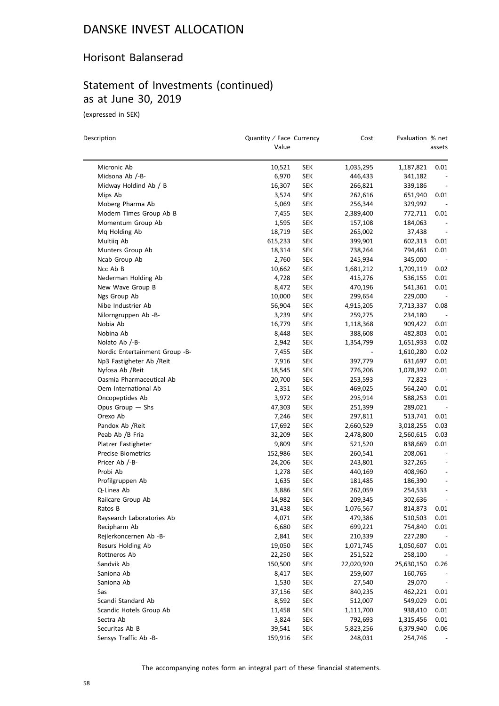#### Horisont Balanserad

### Statement of Investments (continued) as at June 30, 2019

(expressed in SEK)

| Description                                  | Quantity / Face Currency<br>Value |                   | Cost               | Evaluation % net     | assets                           |
|----------------------------------------------|-----------------------------------|-------------------|--------------------|----------------------|----------------------------------|
| Micronic Ab                                  | 10,521                            | SEK               | 1,035,295          | 1,187,821            | 0.01                             |
| Midsona Ab /-B-                              | 6,970                             | <b>SEK</b>        | 446,433            | 341,182              |                                  |
| Midway Holdind Ab / B                        | 16,307                            | SEK               | 266,821            | 339,186              |                                  |
| Mips Ab                                      | 3,524                             | SEK               | 262,616            | 651,940              | 0.01                             |
| Moberg Pharma Ab                             | 5,069                             | SEK               | 256,344            | 329,992              |                                  |
| Modern Times Group Ab B                      | 7,455                             | SEK               | 2,389,400          | 772,711              | 0.01                             |
| Momentum Group Ab                            | 1,595                             | SEK               | 157,108            | 184,063              |                                  |
| Mq Holding Ab                                | 18,719                            | <b>SEK</b>        | 265,002            | 37,438               |                                  |
| Multiiq Ab                                   | 615,233                           | <b>SEK</b>        | 399,901            | 602,313              | 0.01                             |
| Munters Group Ab                             | 18,314                            | SEK               | 738,264            | 794,461              | 0.01                             |
| Ncab Group Ab                                | 2,760                             | <b>SEK</b>        | 245,934            | 345,000              |                                  |
| Ncc Ab B                                     | 10,662                            | SEK               | 1,681,212          | 1,709,119            | 0.02                             |
| Nederman Holding Ab                          | 4,728                             | SEK               | 415,276            | 536,155              | 0.01                             |
| New Wave Group B                             | 8,472                             | <b>SEK</b>        | 470,196            | 541,361              | 0.01                             |
| Ngs Group Ab                                 | 10,000                            | <b>SEK</b>        | 299,654            | 229,000              |                                  |
| Nibe Industrier Ab                           | 56,904                            | SEK               | 4,915,205          | 7,713,337            | 0.08                             |
| Nilorngruppen Ab -B-                         | 3,239                             | <b>SEK</b>        | 259,275            | 234,180              |                                  |
| Nobia Ab                                     | 16,779                            | <b>SEK</b>        | 1,118,368          | 909,422              | 0.01                             |
| Nobina Ab                                    | 8,448                             | SEK               | 388,608            | 482,803              | 0.01                             |
| Nolato Ab /-B-                               | 2,942                             | <b>SEK</b>        | 1,354,799          | 1,651,933            | 0.02                             |
| Nordic Entertainment Group -B-               | 7,455                             | SEK               |                    |                      | 0.02                             |
| Np3 Fastigheter Ab /Reit                     |                                   |                   |                    | 1,610,280            |                                  |
|                                              | 7,916                             | SEK               | 397,779            | 631,697<br>1,078,392 | 0.01                             |
| Nyfosa Ab / Reit<br>Oasmia Pharmaceutical Ab | 18,545<br>20,700                  | <b>SEK</b><br>SEK | 776,206<br>253,593 | 72,823               | 0.01<br>$\overline{\phantom{a}}$ |
| Oem International Ab                         |                                   |                   |                    |                      |                                  |
|                                              | 2,351                             | SEK               | 469,025            | 564,240              | 0.01                             |
| Oncopeptides Ab                              | 3,972                             | <b>SEK</b>        | 295,914            | 588,253              | 0.01                             |
| Opus Group - Shs<br>Orexo Ab                 | 47,303                            | <b>SEK</b>        | 251,399            | 289,021              |                                  |
|                                              | 7,246                             | <b>SEK</b>        | 297,811            | 513,741              | 0.01                             |
| Pandox Ab / Reit                             | 17,692                            | <b>SEK</b>        | 2,660,529          | 3,018,255            | 0.03                             |
| Peab Ab /B Fria                              | 32,209                            | <b>SEK</b>        | 2,478,800          | 2,560,615            | 0.03                             |
| Platzer Fastigheter                          | 9,809                             | SEK               | 521,520            | 838,669              | 0.01                             |
| <b>Precise Biometrics</b>                    | 152,986                           | <b>SEK</b>        | 260,541            | 208,061              |                                  |
| Pricer Ab /-B-                               | 24,206                            | <b>SEK</b>        | 243,801            | 327,265              |                                  |
| Probi Ab                                     | 1,278                             | <b>SEK</b>        | 440,169            | 408,960              | $\overline{\phantom{a}}$         |
| Profilgruppen Ab                             | 1,635                             | <b>SEK</b>        | 181,485            | 186,390              |                                  |
| Q-Linea Ab                                   | 3,886                             | <b>SEK</b>        | 262,059            | 254,533              | $\qquad \qquad -$                |
| Railcare Group Ab                            | 14,982                            | SEK               | 209,345            | 302,636              | $\overline{\phantom{a}}$         |
| Ratos B                                      | 31,438                            | <b>SEK</b>        | 1,076,567          | 814,873              | 0.01                             |
| Raysearch Laboratories Ab                    | 4,071                             | <b>SEK</b>        | 479,386            | 510,503              | 0.01                             |
| Recipharm Ab                                 | 6,680                             | <b>SEK</b>        | 699,221            | 754,840              | 0.01                             |
| Rejlerkoncernen Ab -B-                       | 2,841                             | <b>SEK</b>        | 210,339            | 227,280              |                                  |
| Resurs Holding Ab                            | 19,050                            | <b>SEK</b>        | 1,071,745          | 1,050,607            | 0.01                             |
| Rottneros Ab                                 | 22,250                            | <b>SEK</b>        | 251,522            | 258,100              |                                  |
| Sandvik Ab                                   | 150,500                           | <b>SEK</b>        | 22,020,920         | 25,630,150           | 0.26                             |
| Saniona Ab                                   | 8,417                             | <b>SEK</b>        | 259,607            | 160,765              |                                  |
| Saniona Ab                                   | 1,530                             | <b>SEK</b>        | 27,540             | 29,070               |                                  |
| Sas                                          | 37,156                            | <b>SEK</b>        | 840,235            | 462,221              | 0.01                             |
| Scandi Standard Ab                           | 8,592                             | <b>SEK</b>        | 512,007            | 549,029              | 0.01                             |
| Scandic Hotels Group Ab                      | 11,458                            | <b>SEK</b>        | 1,111,700          | 938,410              | 0.01                             |
| Sectra Ab                                    | 3,824                             | <b>SEK</b>        | 792,693            | 1,315,456            | 0.01                             |
| Securitas Ab B                               | 39,541                            | <b>SEK</b>        | 5,823,256          | 6,379,940            | 0.06                             |
| Sensys Traffic Ab -B-                        | 159,916                           | <b>SEK</b>        | 248,031            | 254,746              |                                  |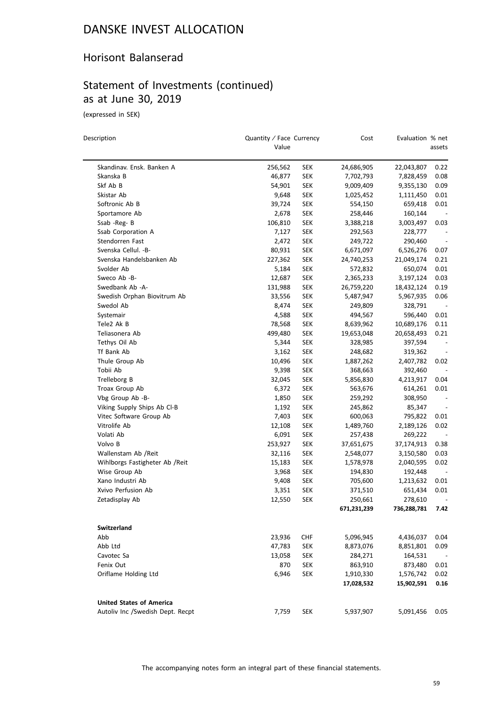#### Horisont Balanserad

### Statement of Investments (continued) as at June 30, 2019

(expressed in SEK)

| Description                      | Quantity / Face Currency<br>Value |            | Cost        | Evaluation % net | assets                   |
|----------------------------------|-----------------------------------|------------|-------------|------------------|--------------------------|
| Skandinav. Ensk. Banken A        | 256,562                           | SEK        | 24,686,905  | 22,043,807       | 0.22                     |
| Skanska B                        | 46,877                            | <b>SEK</b> | 7,702,793   | 7,828,459        | 0.08                     |
| Skf Ab B                         | 54,901                            | <b>SEK</b> | 9,009,409   | 9,355,130        | 0.09                     |
| Skistar Ab                       | 9,648                             | <b>SEK</b> | 1,025,452   | 1,111,450        | 0.01                     |
| Softronic Ab B                   | 39,724                            | SEK        | 554,150     | 659,418          | 0.01                     |
| Sportamore Ab                    | 2,678                             | <b>SEK</b> | 258,446     | 160,144          | $\overline{\phantom{a}}$ |
| Ssab -Reg-B                      | 106,810                           | SEK        | 3,388,218   | 3,003,497        | 0.03                     |
| Ssab Corporation A               | 7,127                             | SEK        | 292,563     | 228,777          |                          |
| Stendorren Fast                  | 2,472                             | <b>SEK</b> | 249,722     | 290,460          |                          |
| Svenska Cellul. - B-             | 80,931                            | <b>SEK</b> | 6,671,097   | 6,526,276        | 0.07                     |
| Svenska Handelsbanken Ab         | 227,362                           | <b>SEK</b> | 24,740,253  | 21,049,174       | 0.21                     |
| Svolder Ab                       | 5,184                             | <b>SEK</b> | 572,832     | 650,074          | 0.01                     |
| Sweco Ab -B-                     | 12,687                            | SEK        | 2,365,233   | 3,197,124        | 0.03                     |
| Swedbank Ab -A-                  | 131,988                           | SEK        | 26,759,220  | 18,432,124       | 0.19                     |
| Swedish Orphan Biovitrum Ab      | 33,556                            | SEK        | 5,487,947   | 5,967,935        | 0.06                     |
| Swedol Ab                        | 8,474                             | <b>SEK</b> | 249,809     | 328,791          |                          |
| Systemair                        | 4,588                             | SEK        | 494,567     | 596,440          | 0.01                     |
| Tele2 Ak B                       | 78,568                            | <b>SEK</b> | 8,639,962   | 10,689,176       | 0.11                     |
| Teliasonera Ab                   | 499,480                           | <b>SEK</b> | 19,653,048  | 20,658,493       | 0.21                     |
| Tethys Oil Ab                    | 5,344                             | SEK        | 328,985     | 397,594          |                          |
| Tf Bank Ab                       | 3,162                             | <b>SEK</b> | 248,682     | 319,362          |                          |
| Thule Group Ab                   | 10,496                            | <b>SEK</b> | 1,887,262   | 2,407,782        | 0.02                     |
| Tobii Ab                         | 9,398                             | <b>SEK</b> | 368,663     | 392,460          |                          |
| Trelleborg B                     | 32,045                            | <b>SEK</b> | 5,856,830   | 4,213,917        | 0.04                     |
| Troax Group Ab                   | 6,372                             | <b>SEK</b> | 563,676     | 614,261          | 0.01                     |
| Vbg Group Ab -B-                 | 1,850                             | SEK        | 259,292     | 308,950          |                          |
| Viking Supply Ships Ab Cl-B      | 1,192                             | SEK        | 245,862     | 85,347           |                          |
| Vitec Software Group Ab          | 7,403                             | SEK        | 600,063     | 795,822          | 0.01                     |
| Vitrolife Ab                     | 12,108                            | SEK        | 1,489,760   | 2,189,126        | 0.02                     |
| Volati Ab                        | 6,091                             | SEK        | 257,438     | 269,222          | $\sim$                   |
| Volvo B                          | 253,927                           | SEK        | 37,651,675  | 37,174,913       | 0.38                     |
| Wallenstam Ab /Reit              | 32,116                            | SEK        | 2,548,077   | 3,150,580        | 0.03                     |
| Wihlborgs Fastigheter Ab / Reit  | 15,183                            | <b>SEK</b> | 1,578,978   | 2,040,595        | 0.02                     |
| Wise Group Ab                    | 3,968                             | SEK        | 194,830     | 192,448          |                          |
| Xano Industri Ab                 | 9,408                             | <b>SEK</b> | 705,600     | 1,213,632        | 0.01                     |
| Xvivo Perfusion Ab               | 3,351                             | SEK        | 371,510     | 651,434          | 0.01                     |
| Zetadisplay Ab                   | 12,550                            | <b>SEK</b> | 250,661     | 278,610          | $\overline{\phantom{a}}$ |
|                                  |                                   |            | 671,231,239 | 736,288,781      | 7.42                     |
| Switzerland                      |                                   |            |             |                  |                          |
| Abb                              | 23,936                            | <b>CHF</b> | 5,096,945   | 4,436,037        | 0.04                     |
| Abb Ltd                          | 47,783                            | <b>SEK</b> | 8,873,076   | 8,851,801        | 0.09                     |
| Cavotec Sa                       | 13,058                            | <b>SEK</b> | 284,271     | 164,531          |                          |
| Fenix Out                        | 870                               | <b>SEK</b> | 863,910     | 873,480          | 0.01                     |
| Oriflame Holding Ltd             | 6,946                             | <b>SEK</b> | 1,910,330   | 1,576,742        | 0.02                     |
|                                  |                                   |            | 17,028,532  | 15,902,591       | 0.16                     |
| <b>United States of America</b>  |                                   |            |             |                  |                          |
| Autoliv Inc /Swedish Dept. Recpt | 7,759                             | SEK        | 5,937,907   | 5,091,456        | 0.05                     |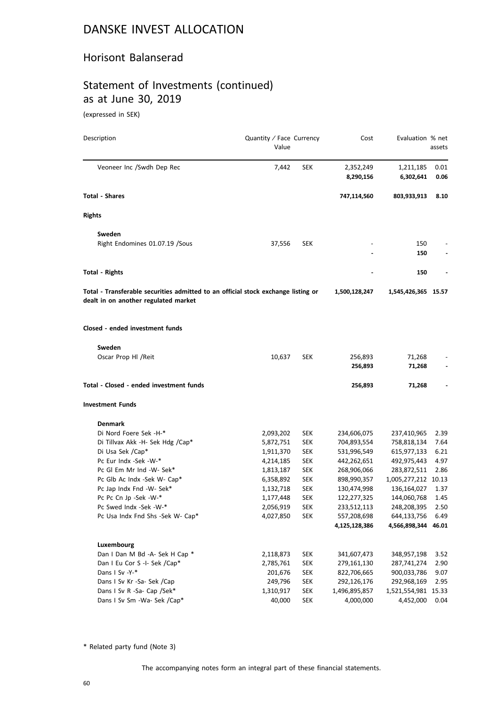#### Horisont Balanserad

### Statement of Investments (continued) as at June 30, 2019

(expressed in SEK)

| Description                                                                                                               | Quantity / Face Currency<br>Value |            | Cost               | Evaluation % net    | assets |
|---------------------------------------------------------------------------------------------------------------------------|-----------------------------------|------------|--------------------|---------------------|--------|
| Veoneer Inc /Swdh Dep Rec                                                                                                 | 7,442                             | <b>SEK</b> | 2,352,249          | 1,211,185           | 0.01   |
|                                                                                                                           |                                   |            | 8,290,156          | 6,302,641           | 0.06   |
| <b>Total - Shares</b>                                                                                                     |                                   |            | 747,114,560        | 803,933,913         | 8.10   |
| <b>Rights</b>                                                                                                             |                                   |            |                    |                     |        |
| Sweden                                                                                                                    |                                   |            |                    |                     |        |
| Right Endomines 01.07.19 /Sous                                                                                            | 37,556                            | <b>SEK</b> |                    | 150<br>150          |        |
| <b>Total - Rights</b>                                                                                                     |                                   |            |                    | 150                 |        |
| Total - Transferable securities admitted to an official stock exchange listing or<br>dealt in on another regulated market |                                   |            | 1,500,128,247      | 1,545,426,365 15.57 |        |
| Closed - ended investment funds                                                                                           |                                   |            |                    |                     |        |
| Sweden                                                                                                                    |                                   |            |                    |                     |        |
| Oscar Prop HI / Reit                                                                                                      | 10,637                            | <b>SEK</b> | 256,893<br>256,893 | 71,268<br>71,268    |        |
| Total - Closed - ended investment funds                                                                                   |                                   |            | 256,893            | 71,268              |        |
| <b>Investment Funds</b>                                                                                                   |                                   |            |                    |                     |        |
| <b>Denmark</b>                                                                                                            |                                   |            |                    |                     |        |
| Di Nord Foere Sek -H-*                                                                                                    | 2,093,202                         | <b>SEK</b> | 234,606,075        | 237,410,965         | 2.39   |
| Di Tillvax Akk -H- Sek Hdg /Cap*                                                                                          | 5,872,751                         | <b>SEK</b> | 704,893,554        | 758,818,134         | 7.64   |
| Di Usa Sek /Cap*                                                                                                          | 1,911,370                         | <b>SEK</b> | 531,996,549        | 615,977,133         | 6.21   |
| Pc Eur Indx -Sek -W-*                                                                                                     | 4,214,185                         | <b>SEK</b> | 442,262,651        | 492,975,443         | 4.97   |
| Pc Gl Em Mr Ind -W- Sek*                                                                                                  | 1,813,187                         | <b>SEK</b> | 268,906,066        | 283,872,511         | 2.86   |
| Pc Glb Ac Indx -Sek W- Cap*                                                                                               | 6,358,892                         | <b>SEK</b> | 898,990,357        | 1,005,277,212 10.13 |        |
| Pc Jap Indx Fnd -W- Sek*                                                                                                  | 1,132,718                         | <b>SEK</b> | 130,474,998        | 136,164,027         | 1.37   |
| Pc Pc Cn Jp -Sek -W-*                                                                                                     | 1,177,448                         | SEK        | 122,277,325        | 144,060,768         | 1.45   |
| Pc Swed Indx -Sek -W-*                                                                                                    | 2,056,919                         | SEK        | 233,512,113        | 248,208,395         | 2.50   |
| Pc Usa Indx Fnd Shs -Sek W- Cap*                                                                                          | 4,027,850                         | SEK        | 557,208,698        | 644,133,756         | 6.49   |
|                                                                                                                           |                                   |            | 4,125,128,386      | 4,566,898,344       | 46.01  |
| Luxembourg                                                                                                                |                                   |            |                    |                     |        |
| Dan I Dan M Bd -A- Sek H Cap *                                                                                            | 2,118,873                         | <b>SEK</b> | 341,607,473        | 348,957,198         | 3.52   |
| Dan I Eu Cor S -I- Sek /Cap*                                                                                              | 2,785,761                         | <b>SEK</b> | 279,161,130        | 287,741,274         | 2.90   |
| Dans I Sv -Y-*                                                                                                            | 201,676                           | SEK        | 822,706,665        | 900,033,786         | 9.07   |
| Dans I Sv Kr -Sa- Sek /Cap                                                                                                | 249,796                           | <b>SEK</b> | 292,126,176        | 292,968,169         | 2.95   |
| Dans I Sv R -Sa- Cap /Sek*                                                                                                | 1,310,917                         | <b>SEK</b> | 1,496,895,857      | 1,521,554,981       | 15.33  |
| Dans I Sv Sm -Wa- Sek /Cap*                                                                                               | 40,000                            | <b>SEK</b> | 4,000,000          | 4,452,000           | 0.04   |

\* Related party fund (Note 3)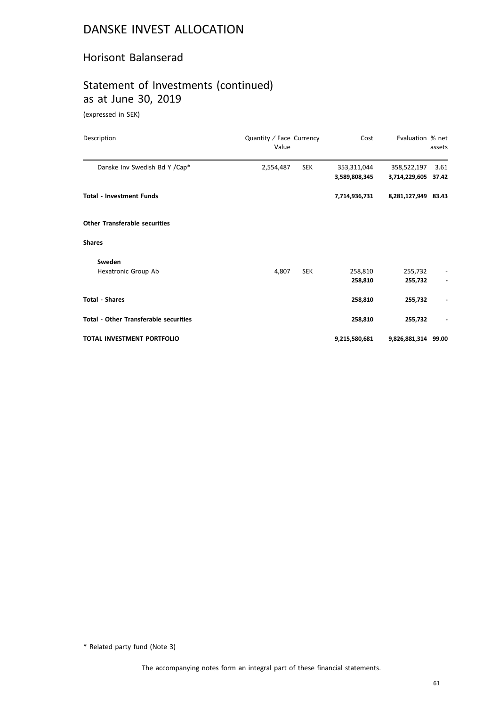#### Horisont Balanserad

### Statement of Investments (continued) as at June 30, 2019

(expressed in SEK)

| Description                                  | Quantity / Face Currency<br>Value |            | Cost                         | Evaluation % net             | assets        |
|----------------------------------------------|-----------------------------------|------------|------------------------------|------------------------------|---------------|
| Danske Inv Swedish Bd Y /Cap*                | 2,554,487                         | <b>SEK</b> | 353,311,044<br>3,589,808,345 | 358,522,197<br>3,714,229,605 | 3.61<br>37.42 |
| <b>Total - Investment Funds</b>              |                                   |            | 7,714,936,731                | 8,281,127,949 83.43          |               |
| <b>Other Transferable securities</b>         |                                   |            |                              |                              |               |
| <b>Shares</b>                                |                                   |            |                              |                              |               |
| Sweden<br>Hexatronic Group Ab                | 4,807                             | <b>SEK</b> | 258,810<br>258,810           | 255,732<br>255,732           |               |
| <b>Total - Shares</b>                        |                                   |            | 258,810                      | 255,732                      |               |
| <b>Total - Other Transferable securities</b> |                                   |            | 258,810                      | 255,732                      |               |
| TOTAL INVESTMENT PORTFOLIO                   |                                   |            | 9,215,580,681                | 9,826,881,314 99.00          |               |

\* Related party fund (Note 3)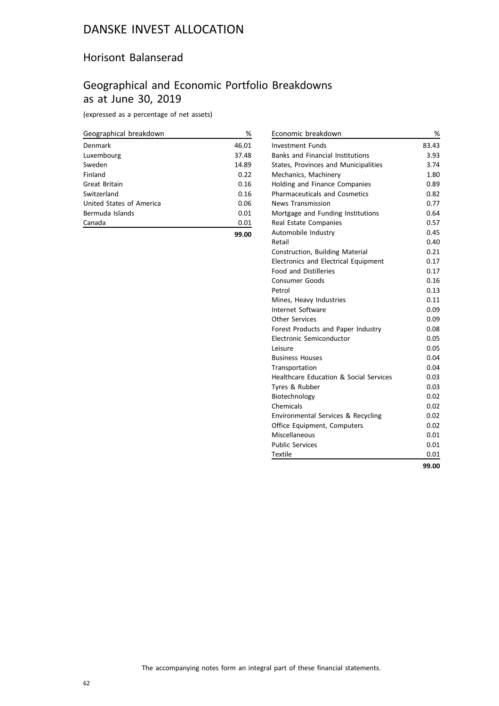#### Horisont Balanserad

### Geographical and Economic Portfolio Breakdowns as at June 30, 2019

(expressed as a percentage of net assets)

| Geographical breakdown   | %     |
|--------------------------|-------|
| Denmark                  | 46.01 |
| Luxembourg               | 37.48 |
| Sweden                   | 14.89 |
| Finland                  | 0.22  |
| Great Britain            | 0.16  |
| Switzerland              | 0.16  |
| United States of America | 0.06  |
| Bermuda Islands          | 0.01  |
| Canada                   | 0.01  |
|                          | 99.00 |

| Economic breakdown                      | %     |
|-----------------------------------------|-------|
| <b>Investment Funds</b>                 | 83.43 |
| <b>Banks and Financial Institutions</b> | 3.93  |
| States, Provinces and Municipalities    | 3.74  |
| Mechanics, Machinery                    | 1.80  |
| Holding and Finance Companies           | 0.89  |
| <b>Pharmaceuticals and Cosmetics</b>    | 0.82  |
| <b>News Transmission</b>                | 0.77  |
| Mortgage and Funding Institutions       | 0.64  |
| Real Estate Companies                   | 0.57  |
| Automobile Industry                     | 0.45  |
| Retail                                  | 0.40  |
| Construction, Building Material         | 0.21  |
| Electronics and Electrical Equipment    | 0.17  |
| <b>Food and Distilleries</b>            | 0.17  |
| <b>Consumer Goods</b>                   | 0.16  |
| Petrol                                  | 0.13  |
| Mines, Heavy Industries                 | 0.11  |
| Internet Software                       | 0.09  |
| <b>Other Services</b>                   | 0.09  |
| Forest Products and Paper Industry      | 0.08  |
| Electronic Semiconductor                | 0.05  |
| Leisure                                 | 0.05  |
| <b>Business Houses</b>                  | 0.04  |
| Transportation                          | 0.04  |
| Healthcare Education & Social Services  | 0.03  |
| Tyres & Rubber                          | 0.03  |
| Biotechnology                           | 0.02  |
| Chemicals                               | 0.02  |
| Environmental Services & Recycling      | 0.02  |
| Office Equipment, Computers             | 0.02  |
| Miscellaneous                           | 0.01  |
| <b>Public Services</b>                  | 0.01  |
| <b>Textile</b>                          | 0.01  |
|                                         | 99.00 |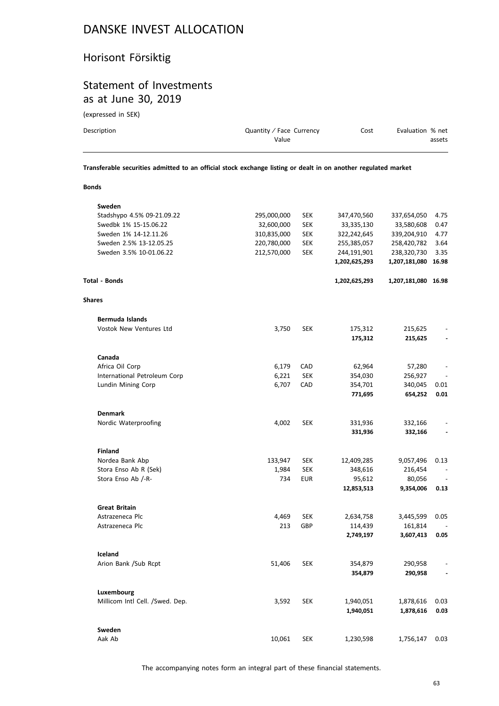### Horisont Försiktig

#### Statement of Investments as at June 30, 2019

(expressed in SEK)

| Description | Quantity / Face Currency | Cost | Evaluation % net |
|-------------|--------------------------|------|------------------|
|             | Value                    |      | assets           |
|             |                          |      |                  |

**Transferable securities admitted to an official stock exchange listing or dealt in on another regulated market**

#### **Bonds**

| Sweden                          |             |            |               |                     |      |
|---------------------------------|-------------|------------|---------------|---------------------|------|
| Stadshypo 4.5% 09-21.09.22      | 295,000,000 | <b>SEK</b> | 347,470,560   | 337,654,050         | 4.75 |
| Swedbk 1% 15-15.06.22           | 32,600,000  | <b>SEK</b> | 33,335,130    | 33,580,608          | 0.47 |
| Sweden 1% 14-12.11.26           | 310,835,000 | <b>SEK</b> | 322,242,645   | 339,204,910         | 4.77 |
| Sweden 2.5% 13-12.05.25         | 220,780,000 | <b>SEK</b> | 255,385,057   | 258,420,782         | 3.64 |
| Sweden 3.5% 10-01.06.22         | 212,570,000 | <b>SEK</b> | 244,191,901   | 238,320,730         | 3.35 |
|                                 |             |            | 1,202,625,293 | 1,207,181,080 16.98 |      |
| <b>Total - Bonds</b>            |             |            | 1,202,625,293 | 1,207,181,080 16.98 |      |
| <b>Shares</b>                   |             |            |               |                     |      |
| <b>Bermuda Islands</b>          |             |            |               |                     |      |
| Vostok New Ventures Ltd         | 3,750       | <b>SEK</b> | 175,312       | 215,625             |      |
|                                 |             |            | 175,312       | 215,625             |      |
| Canada                          |             |            |               |                     |      |
| Africa Oil Corp                 | 6,179       | CAD        | 62,964        | 57,280              |      |
| International Petroleum Corp    | 6,221       | <b>SEK</b> | 354,030       | 256,927             |      |
| Lundin Mining Corp              | 6,707       | CAD        | 354,701       | 340,045             | 0.01 |
|                                 |             |            | 771,695       | 654,252             | 0.01 |
|                                 |             |            |               |                     |      |
| <b>Denmark</b>                  |             |            |               |                     |      |
| Nordic Waterproofing            | 4,002       | <b>SEK</b> | 331,936       | 332,166             |      |
|                                 |             |            | 331,936       | 332,166             |      |
| <b>Finland</b>                  |             |            |               |                     |      |
| Nordea Bank Abp                 | 133,947     | <b>SEK</b> | 12,409,285    | 9,057,496           | 0.13 |
| Stora Enso Ab R (Sek)           | 1,984       | <b>SEK</b> | 348,616       | 216,454             |      |
| Stora Enso Ab /-R-              | 734         | <b>EUR</b> | 95,612        | 80,056              |      |
|                                 |             |            | 12,853,513    | 9,354,006           | 0.13 |
| <b>Great Britain</b>            |             |            |               |                     |      |
| Astrazeneca Plc                 | 4,469       | <b>SEK</b> | 2,634,758     | 3,445,599           | 0.05 |
| Astrazeneca Plc                 | 213         | GBP        | 114,439       | 161,814             |      |
|                                 |             |            | 2,749,197     | 3,607,413           | 0.05 |
| Iceland                         |             |            |               |                     |      |
| Arion Bank /Sub Rcpt            | 51,406      | <b>SEK</b> | 354,879       | 290,958             |      |
|                                 |             |            | 354,879       | 290,958             |      |
| Luxembourg                      |             |            |               |                     |      |
| Millicom Intl Cell. /Swed. Dep. | 3,592       | <b>SEK</b> | 1,940,051     | 1,878,616           | 0.03 |
|                                 |             |            | 1,940,051     | 1,878,616           | 0.03 |
| Sweden                          |             |            |               |                     |      |
| Aak Ab                          | 10,061      | <b>SEK</b> | 1,230,598     | 1,756,147           | 0.03 |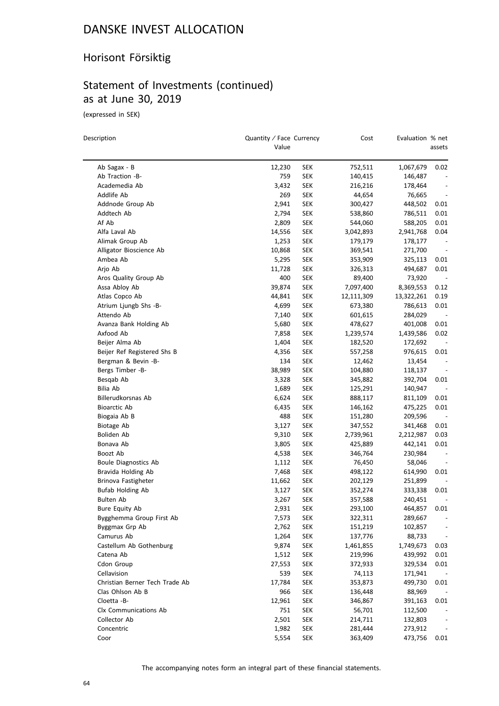### Horisont Försiktig

### Statement of Investments (continued) as at June 30, 2019

(expressed in SEK)

| Description                    | Quantity / Face Currency<br>Value |            | Cost       | Evaluation % net | assets                   |
|--------------------------------|-----------------------------------|------------|------------|------------------|--------------------------|
|                                |                                   |            |            |                  |                          |
| Ab Sagax - B                   | 12,230                            | <b>SEK</b> | 752,511    | 1,067,679        | 0.02                     |
| Ab Traction -B-                | 759                               | <b>SEK</b> | 140,415    | 146,487          |                          |
| Academedia Ab                  | 3,432                             | SEK        | 216,216    | 178,464          |                          |
| Addlife Ab                     | 269                               | <b>SEK</b> | 44,654     | 76,665           | $\overline{\phantom{a}}$ |
| Addnode Group Ab               | 2,941                             | SEK        | 300,427    | 448,502          | 0.01                     |
| Addtech Ab                     | 2,794                             | SEK        | 538,860    | 786,511          | 0.01                     |
| Af Ab                          | 2,809                             | <b>SEK</b> | 544,060    | 588,205          | 0.01                     |
| Alfa Laval Ab                  | 14,556                            | SEK        | 3,042,893  | 2,941,768        | 0.04                     |
| Alimak Group Ab                | 1,253                             | SEK        | 179,179    | 178,177          |                          |
| Alligator Bioscience Ab        | 10,868                            | SEK        | 369,541    | 271,700          |                          |
| Ambea Ab                       | 5,295                             | <b>SEK</b> | 353,909    | 325,113          | 0.01                     |
| Arjo Ab                        | 11,728                            | SEK        | 326,313    | 494,687          | 0.01                     |
| Aros Quality Group Ab          | 400                               | SEK        | 89,400     | 73,920           | $\overline{\phantom{a}}$ |
| Assa Abloy Ab                  | 39,874                            | <b>SEK</b> | 7,097,400  | 8,369,553        | 0.12                     |
| Atlas Copco Ab                 | 44,841                            | SEK        | 12,111,309 | 13,322,261       | 0.19                     |
| Atrium Ljungb Shs -B-          | 4,699                             | SEK        | 673,380    | 786,613          | 0.01                     |
| Attendo Ab                     | 7,140                             | <b>SEK</b> | 601,615    | 284,029          | $\overline{\phantom{a}}$ |
| Avanza Bank Holding Ab         | 5,680                             | <b>SEK</b> | 478,627    | 401,008          | 0.01                     |
| Axfood Ab                      | 7,858                             | <b>SEK</b> | 1,239,574  | 1,439,586        | 0.02                     |
| Beijer Alma Ab                 | 1,404                             | SEK        | 182,520    | 172,692          |                          |
| Beijer Ref Registered Shs B    | 4,356                             | SEK        | 557,258    | 976,615          | 0.01                     |
| Bergman & Bevin -B-            | 134                               | SEK        | 12,462     | 13,454           |                          |
| Bergs Timber -B-               | 38,989                            | <b>SEK</b> | 104,880    | 118,137          | $\overline{\phantom{a}}$ |
| Besqab Ab                      | 3,328                             | <b>SEK</b> | 345,882    | 392,704          | 0.01                     |
| Bilia Ab                       | 1,689                             | <b>SEK</b> | 125,291    | 140,947          | $\overline{\phantom{a}}$ |
| Billerudkorsnas Ab             | 6,624                             | SEK        | 888,117    | 811,109          | 0.01                     |
| <b>Bioarctic Ab</b>            | 6,435                             | <b>SEK</b> | 146,162    | 475,225          | 0.01                     |
| Biogaia Ab B                   | 488                               | <b>SEK</b> | 151,280    | 209,596          | $\overline{\phantom{a}}$ |
| Biotage Ab                     | 3,127                             | <b>SEK</b> | 347,552    | 341,468          | 0.01                     |
| Boliden Ab                     | 9,310                             | <b>SEK</b> | 2,739,961  | 2,212,987        | 0.03                     |
| Bonava Ab                      | 3,805                             | <b>SEK</b> | 425,889    | 442,141          | 0.01                     |
| Boozt Ab                       | 4,538                             | SEK        | 346,764    | 230,984          | $\overline{\phantom{a}}$ |
| Boule Diagnostics Ab           | 1,112                             | SEK        | 76,450     | 58,046           |                          |
| Bravida Holding Ab             | 7,468                             | SEK        | 498,122    | 614,990          | 0.01                     |
| Brinova Fastigheter            | 11,662                            | <b>SEK</b> | 202,129    | 251,899          |                          |
| <b>Bufab Holding Ab</b>        | 3,127                             | <b>SEK</b> | 352,274    | 333,338          | 0.01                     |
| <b>Bulten Ab</b>               | 3,267                             | <b>SEK</b> | 357,588    | 240,451          |                          |
| Bure Equity Ab                 | 2,931                             | SEK        | 293,100    | 464,857          | 0.01                     |
| Bygghemma Group First Ab       | 7,573                             | SEK        | 322,311    | 289,667          |                          |
| Byggmax Grp Ab                 | 2,762                             | <b>SEK</b> | 151,219    | 102,857          |                          |
| Camurus Ab                     | 1,264                             | <b>SEK</b> | 137,776    | 88,733           | $\overline{\phantom{a}}$ |
| Castellum Ab Gothenburg        | 9,874                             | <b>SEK</b> | 1,461,855  | 1,749,673        | 0.03                     |
| Catena Ab                      | 1,512                             | <b>SEK</b> | 219,996    | 439,992          | 0.01                     |
| Cdon Group                     | 27,553                            | <b>SEK</b> | 372,933    | 329,534          | 0.01                     |
| Cellavision                    | 539                               | <b>SEK</b> | 74,113     | 171,941          |                          |
| Christian Berner Tech Trade Ab | 17,784                            | <b>SEK</b> | 353,873    | 499,730          | 0.01                     |
| Clas Ohlson Ab B               | 966                               | <b>SEK</b> | 136,448    | 88,969           |                          |
| Cloetta -B-                    | 12,961                            | <b>SEK</b> | 346,867    | 391,163          | 0.01                     |
| Clx Communications Ab          | 751                               | <b>SEK</b> | 56,701     | 112,500          |                          |
| Collector Ab                   | 2,501                             | <b>SEK</b> | 214,711    | 132,803          | $\overline{\phantom{a}}$ |
| Concentric                     | 1,982                             | <b>SEK</b> | 281,444    | 273,912          |                          |
| Coor                           | 5,554                             | <b>SEK</b> | 363,409    | 473,756          | 0.01                     |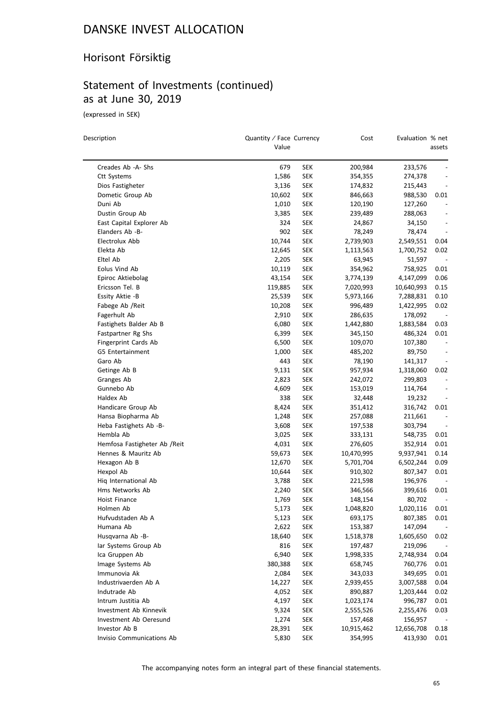### Horisont Försiktig

### Statement of Investments (continued) as at June 30, 2019

(expressed in SEK)

| Description                   | Quantity / Face Currency<br>Value |            | Cost       | Evaluation % net | assets                   |
|-------------------------------|-----------------------------------|------------|------------|------------------|--------------------------|
| Creades Ab -A- Shs            | 679                               | <b>SEK</b> | 200,984    | 233,576          |                          |
| Ctt Systems                   | 1,586                             | <b>SEK</b> | 354,355    | 274,378          |                          |
| Dios Fastigheter              | 3,136                             | SEK        | 174,832    | 215,443          |                          |
| Dometic Group Ab              | 10,602                            | <b>SEK</b> | 846,663    | 988,530          | 0.01                     |
| Duni Ab                       | 1,010                             | <b>SEK</b> | 120,190    | 127,260          | $\qquad \qquad -$        |
| Dustin Group Ab               | 3,385                             | <b>SEK</b> | 239,489    | 288,063          | $\qquad \qquad -$        |
| East Capital Explorer Ab      | 324                               | <b>SEK</b> | 24,867     | 34,150           | $\qquad \qquad -$        |
| Elanders Ab -B-               | 902                               | <b>SEK</b> | 78,249     | 78,474           | $\qquad \qquad -$        |
| Electrolux Abb                | 10,744                            | <b>SEK</b> | 2,739,903  | 2,549,551        | 0.04                     |
| Elekta Ab                     | 12,645                            | <b>SEK</b> | 1,113,563  | 1,700,752        | 0.02                     |
| Eltel Ab                      | 2,205                             | <b>SEK</b> | 63,945     | 51,597           |                          |
| Eolus Vind Ab                 | 10,119                            | <b>SEK</b> | 354,962    | 758,925          | 0.01                     |
| Epiroc Aktiebolag             | 43,154                            | <b>SEK</b> | 3,774,139  | 4,147,099        | 0.06                     |
| Ericsson Tel. B               | 119,885                           | <b>SEK</b> | 7,020,993  | 10,640,993       | 0.15                     |
| Essity Aktie -B               | 25,539                            | <b>SEK</b> | 5,973,166  | 7,288,831        | 0.10                     |
| Fabege Ab / Reit              | 10,208                            | <b>SEK</b> | 996,489    | 1,422,995        | 0.02                     |
| Fagerhult Ab                  | 2,910                             | <b>SEK</b> | 286,635    | 178,092          |                          |
| Fastighets Balder Ab B        | 6,080                             | <b>SEK</b> | 1,442,880  | 1,883,584        | 0.03                     |
| Fastpartner Rg Shs            | 6,399                             | <b>SEK</b> | 345,150    | 486,324          | 0.01                     |
| Fingerprint Cards Ab          | 6,500                             | <b>SEK</b> | 109,070    | 107,380          |                          |
| G5 Entertainment              | 1,000                             | <b>SEK</b> | 485,202    | 89,750           |                          |
| Garo Ab                       | 443                               | <b>SEK</b> | 78,190     | 141,317          | $\overline{\phantom{a}}$ |
| Getinge Ab B                  | 9,131                             | <b>SEK</b> | 957,934    | 1,318,060        | 0.02                     |
| Granges Ab                    | 2,823                             | <b>SEK</b> | 242,072    | 299,803          | $\qquad \qquad -$        |
| Gunnebo Ab                    | 4,609                             | <b>SEK</b> | 153,019    | 114,764          | $\overline{\phantom{a}}$ |
| Haldex Ab                     | 338                               | SEK        | 32,448     | 19,232           |                          |
| Handicare Group Ab            | 8,424                             | <b>SEK</b> | 351,412    | 316,742          | 0.01                     |
| Hansa Biopharma Ab            | 1,248                             | <b>SEK</b> | 257,088    | 211,661          |                          |
| Heba Fastighets Ab -B-        | 3,608                             | <b>SEK</b> | 197,538    | 303,794          | $\overline{\phantom{a}}$ |
| Hembla Ab                     | 3,025                             | <b>SEK</b> | 333,131    | 548,735          | 0.01                     |
| Hemfosa Fastigheter Ab / Reit | 4,031                             | <b>SEK</b> | 276,605    | 352,914          | 0.01                     |
| Hennes & Mauritz Ab           | 59,673                            | <b>SEK</b> | 10,470,995 | 9,937,941        | 0.14                     |
| Hexagon Ab B                  | 12,670                            | <b>SEK</b> | 5,701,704  | 6,502,244        | 0.09                     |
| Hexpol Ab                     | 10,644                            | <b>SEK</b> | 910,302    | 807,347          | 0.01                     |
| Hig International Ab          | 3,788                             | <b>SEK</b> | 221,598    | 196,976          |                          |
| Hms Networks Ab               | 2,240                             | <b>SEK</b> | 346,566    | 399,616          | 0.01                     |
| Hoist Finance                 | 1,769                             | <b>SEK</b> | 148,154    | 80,702           |                          |
| Holmen Ab                     | 5,173                             | <b>SEK</b> | 1,048,820  | 1,020,116        | 0.01                     |
| Hufvudstaden Ab A             | 5,123                             | <b>SEK</b> | 693,175    | 807,385          | 0.01                     |
| Humana Ab                     | 2,622                             | <b>SEK</b> | 153,387    | 147,094          |                          |
| Husqvarna Ab -B-              | 18,640                            | <b>SEK</b> | 1,518,378  | 1,605,650        | 0.02                     |
| lar Systems Group Ab          | 816                               | <b>SEK</b> | 197,487    | 219,096          |                          |
| Ica Gruppen Ab                | 6,940                             | <b>SEK</b> | 1,998,335  | 2,748,934        | 0.04                     |
| Image Systems Ab              | 380,388                           | <b>SEK</b> | 658,745    | 760,776          | 0.01                     |
| Immunovia Ak                  | 2,084                             | <b>SEK</b> | 343,033    | 349,695          | 0.01                     |
| Industrivaerden Ab A          | 14,227                            | <b>SEK</b> | 2,939,455  | 3,007,588        | 0.04                     |
| Indutrade Ab                  | 4,052                             | <b>SEK</b> | 890,887    | 1,203,444        | 0.02                     |
| Intrum Justitia Ab            | 4,197                             | <b>SEK</b> | 1,023,174  | 996,787          | 0.01                     |
| Investment Ab Kinnevik        | 9,324                             | <b>SEK</b> | 2,555,526  | 2,255,476        | 0.03                     |
| Investment Ab Oeresund        | 1,274                             | <b>SEK</b> | 157,468    | 156,957          |                          |
| Investor Ab B                 | 28,391                            | <b>SEK</b> | 10,915,462 | 12,656,708       | 0.18                     |
| Invisio Communications Ab     | 5,830                             | <b>SEK</b> | 354,995    | 413,930          | 0.01                     |
|                               |                                   |            |            |                  |                          |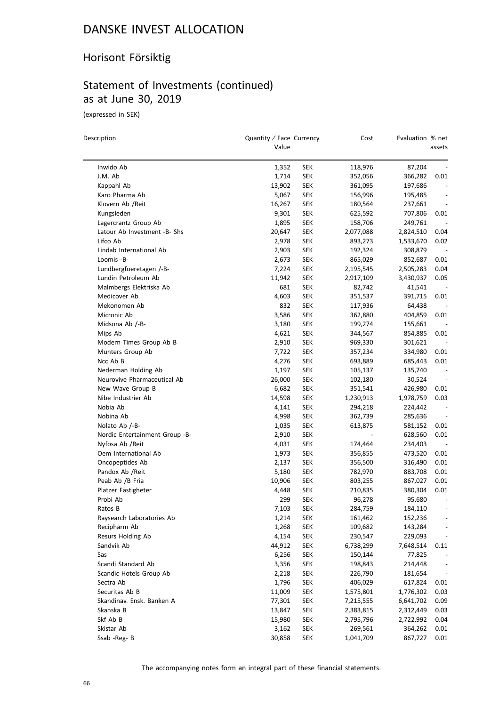### Horisont Försiktig

# Statement of Investments (continued) as at June 30, 2019

(expressed in SEK)

| Description                    | Quantity / Face Currency<br>Value |            | Cost              | Evaluation % net   | assets                       |
|--------------------------------|-----------------------------------|------------|-------------------|--------------------|------------------------------|
|                                |                                   |            |                   |                    |                              |
| Inwido Ab                      | 1,352                             | <b>SEK</b> | 118,976           | 87,204             |                              |
| J.M. Ab                        | 1,714                             | SEK        | 352,056           | 366,282            | 0.01                         |
| Kappahl Ab                     | 13,902                            | <b>SEK</b> | 361,095           | 197,686            |                              |
| Karo Pharma Ab                 | 5,067                             | SEK        | 156,996           | 195,485            |                              |
| Klovern Ab /Reit               | 16,267                            | SEK        | 180,564           | 237,661            | $\qquad \qquad \blacksquare$ |
| Kungsleden                     | 9,301                             | <b>SEK</b> | 625,592           | 707,806            | 0.01                         |
| Lagercrantz Group Ab           | 1,895                             | <b>SEK</b> | 158,706           | 249,761            |                              |
| Latour Ab Investment -B- Shs   | 20,647                            | <b>SEK</b> | 2,077,088         | 2,824,510          | 0.04                         |
| Lifco Ab                       | 2,978                             | SEK        | 893,273           | 1,533,670          | 0.02                         |
| Lindab International Ab        | 2,903                             | SEK        | 192,324           | 308,879            | $\overline{\phantom{a}}$     |
| Loomis -B-                     | 2,673                             | <b>SEK</b> | 865,029           | 852,687            | 0.01                         |
| Lundbergfoeretagen /-B-        | 7,224                             | <b>SEK</b> | 2,195,545         | 2,505,283          | 0.04                         |
| Lundin Petroleum Ab            | 11,942                            | SEK        | 2,917,109         | 3,430,937          | 0.05                         |
| Malmbergs Elektriska Ab        | 681                               | <b>SEK</b> | 82,742            | 41,541             |                              |
| Medicover Ab                   | 4,603                             | <b>SEK</b> | 351,537           | 391,715            | 0.01                         |
| Mekonomen Ab                   | 832                               | <b>SEK</b> | 117,936           | 64,438             |                              |
| Micronic Ab                    | 3,586                             | SEK        | 362,880           | 404,859            | 0.01                         |
| Midsona Ab /-B-                | 3,180                             | <b>SEK</b> | 199,274           | 155,661            |                              |
| Mips Ab                        | 4,621                             | SEK        | 344,567           | 854,885            | 0.01                         |
| Modern Times Group Ab B        | 2,910                             | <b>SEK</b> | 969,330           | 301,621            |                              |
| Munters Group Ab               | 7,722                             | <b>SEK</b> | 357,234           | 334,980            | 0.01                         |
| Ncc Ab B                       | 4,276                             | <b>SEK</b> | 693,889           | 685,443            | 0.01                         |
| Nederman Holding Ab            | 1,197                             | SEK        | 105,137           | 135,740            | $\overline{\phantom{a}}$     |
| Neurovive Pharmaceutical Ab    | 26,000                            | <b>SEK</b> | 102,180           | 30,524             |                              |
| New Wave Group B               | 6,682                             | SEK        | 351,541           | 426,980            | 0.01                         |
| Nibe Industrier Ab             | 14,598                            | SEK        | 1,230,913         | 1,978,759          | 0.03                         |
| Nobia Ab                       | 4,141                             | <b>SEK</b> | 294,218           | 224,442            |                              |
| Nobina Ab                      | 4,998                             | <b>SEK</b> | 362,739           | 285,636            |                              |
| Nolato Ab /-B-                 | 1,035                             | SEK        | 613,875           | 581,152            | 0.01                         |
| Nordic Entertainment Group -B- | 2,910                             | <b>SEK</b> |                   | 628,560            | 0.01                         |
| Nyfosa Ab / Reit               | 4,031                             | SEK        | 174,464           | 234,403            | $\overline{\phantom{a}}$     |
| Oem International Ab           | 1,973                             | <b>SEK</b> | 356,855           | 473,520            | 0.01                         |
| Oncopeptides Ab                | 2,137                             | <b>SEK</b> | 356,500           | 316,490            | 0.01                         |
| Pandox Ab / Reit               | 5,180                             | SEK        |                   |                    | 0.01                         |
| Peab Ab /B Fria                | 10,906                            | SEK        | 782,970           | 883,708<br>867,027 | 0.01                         |
| Platzer Fastigheter            |                                   | SEK        | 803,255           |                    | 0.01                         |
| Probi Ab                       | 4,448<br>299                      | <b>SEK</b> | 210,835<br>96,278 | 380,304<br>95,680  | $\overline{\phantom{a}}$     |
| Ratos B                        | 7,103                             | SEK        | 284,759           | 184.110            |                              |
| Raysearch Laboratories Ab      |                                   | <b>SEK</b> |                   |                    |                              |
| Recipharm Ab                   | 1,214                             |            | 161,462           | 152,236            |                              |
|                                | 1,268                             | <b>SEK</b> | 109,682           | 143,284            |                              |
| Resurs Holding Ab              | 4,154                             | <b>SEK</b> | 230,547           | 229,093            |                              |
| Sandvik Ab                     | 44,912                            | <b>SEK</b> | 6,738,299         | 7,648,514          | 0.11                         |
| Sas                            | 6,256                             | <b>SEK</b> | 150,144           | 77,825             |                              |
| Scandi Standard Ab             | 3,356                             | <b>SEK</b> | 198,843           | 214,448            | $\overline{\phantom{a}}$     |
| Scandic Hotels Group Ab        | 2,218                             | <b>SEK</b> | 226,790           | 181,654            |                              |
| Sectra Ab                      | 1,796                             | <b>SEK</b> | 406,029           | 617,824            | 0.01                         |
| Securitas Ab B                 | 11,009                            | <b>SEK</b> | 1,575,801         | 1,776,302          | 0.03                         |
| Skandinav. Ensk. Banken A      | 77,301                            | <b>SEK</b> | 7,215,555         | 6,641,702          | 0.09                         |
| Skanska B                      | 13,847                            | <b>SEK</b> | 2,383,815         | 2,312,449          | 0.03                         |
| Skf Ab B                       | 15,980                            | <b>SEK</b> | 2,795,796         | 2,722,992          | 0.04                         |
| Skistar Ab                     | 3,162                             | <b>SEK</b> | 269,561           | 364,262            | 0.01                         |
| Ssab - Reg-B                   | 30,858                            | <b>SEK</b> | 1,041,709         | 867,727            | 0.01                         |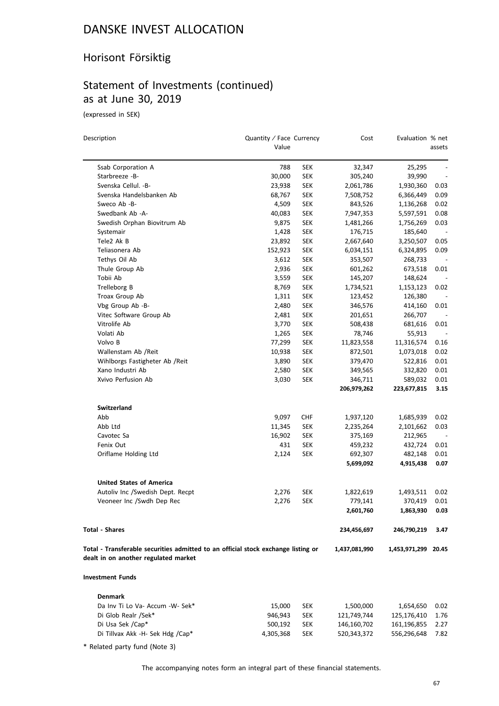### Horisont Försiktig

### Statement of Investments (continued) as at June 30, 2019

(expressed in SEK)

| Description                                                                       | Quantity / Face Currency<br>Value |            | Cost          | Evaluation % net    | assets                   |
|-----------------------------------------------------------------------------------|-----------------------------------|------------|---------------|---------------------|--------------------------|
|                                                                                   |                                   |            |               |                     |                          |
| Ssab Corporation A                                                                | 788                               | <b>SEK</b> | 32,347        | 25,295              |                          |
| Starbreeze -B-                                                                    | 30,000                            | <b>SEK</b> | 305,240       | 39,990              | $\overline{\phantom{a}}$ |
| Svenska Cellul. - B-                                                              | 23,938                            | <b>SEK</b> | 2,061,786     | 1,930,360           | 0.03                     |
| Svenska Handelsbanken Ab                                                          | 68,767                            | <b>SEK</b> | 7,508,752     | 6,366,449           | 0.09                     |
| Sweco Ab -B-                                                                      | 4,509                             | <b>SEK</b> | 843,526       | 1,136,268           | 0.02                     |
| Swedbank Ab -A-                                                                   | 40,083                            | <b>SEK</b> | 7,947,353     | 5,597,591           | 0.08                     |
| Swedish Orphan Biovitrum Ab                                                       | 9,875                             | <b>SEK</b> | 1,481,266     | 1,756,269           | 0.03                     |
| Systemair                                                                         | 1,428                             | <b>SEK</b> | 176,715       | 185,640             | $\overline{\phantom{a}}$ |
| Tele2 Ak B                                                                        | 23,892                            | <b>SEK</b> | 2,667,640     | 3,250,507           | 0.05                     |
| Teliasonera Ab                                                                    | 152,923                           | <b>SEK</b> | 6,034,151     | 6,324,895           | 0.09                     |
| Tethys Oil Ab                                                                     | 3,612                             | <b>SEK</b> | 353,507       | 268,733             |                          |
| Thule Group Ab                                                                    | 2,936                             | <b>SEK</b> | 601,262       | 673,518             | 0.01                     |
| Tobii Ab                                                                          | 3,559                             | <b>SEK</b> | 145,207       | 148,624             | $\overline{\phantom{a}}$ |
| Trelleborg B                                                                      | 8,769                             | <b>SEK</b> | 1,734,521     | 1,153,123           | 0.02                     |
| Troax Group Ab                                                                    | 1,311                             | <b>SEK</b> | 123,452       | 126,380             |                          |
| Vbg Group Ab -B-                                                                  | 2,480                             | <b>SEK</b> | 346,576       | 414,160             | 0.01                     |
| Vitec Software Group Ab                                                           | 2,481                             | <b>SEK</b> | 201,651       | 266,707             |                          |
| Vitrolife Ab                                                                      | 3,770                             | <b>SEK</b> | 508,438       | 681,616             | 0.01                     |
| Volati Ab                                                                         | 1,265                             | <b>SEK</b> | 78,746        | 55,913              | $\overline{\phantom{a}}$ |
| Volvo B                                                                           | 77,299                            | <b>SEK</b> | 11,823,558    | 11,316,574          | 0.16                     |
| Wallenstam Ab / Reit                                                              | 10,938                            | <b>SEK</b> | 872,501       | 1,073,018           | 0.02                     |
| Wihlborgs Fastigheter Ab / Reit                                                   | 3,890                             | <b>SEK</b> | 379,470       | 522,816             | 0.01                     |
| Xano Industri Ab                                                                  | 2,580                             | <b>SEK</b> | 349,565       | 332,820             | 0.01                     |
| Xvivo Perfusion Ab                                                                | 3,030                             | <b>SEK</b> | 346,711       | 589,032             | 0.01                     |
|                                                                                   |                                   |            | 206,979,262   | 223,677,815         | 3.15                     |
| <b>Switzerland</b>                                                                |                                   |            |               |                     |                          |
| Abb                                                                               | 9,097                             | <b>CHF</b> | 1,937,120     | 1,685,939           | 0.02                     |
| Abb Ltd                                                                           | 11,345                            | <b>SEK</b> | 2,235,264     | 2,101,662           | 0.03                     |
| Cavotec Sa                                                                        | 16,902                            | <b>SEK</b> | 375,169       | 212,965             |                          |
| Fenix Out                                                                         | 431                               | <b>SEK</b> | 459,232       | 432,724             | 0.01                     |
| Oriflame Holding Ltd                                                              | 2,124                             | <b>SEK</b> | 692,307       | 482,148             | 0.01                     |
|                                                                                   |                                   |            | 5,699,092     | 4,915,438           | 0.07                     |
| <b>United States of America</b>                                                   |                                   |            |               |                     |                          |
| Autoliv Inc /Swedish Dept. Recpt                                                  | 2,276                             | <b>SEK</b> | 1,822,619     | 1,493,511           | 0.02                     |
| Veoneer Inc /Swdh Dep Rec                                                         | 2,276                             | <b>SEK</b> | 779,141       | 370,419             | 0.01                     |
|                                                                                   |                                   |            | 2,601,760     | 1,863,930           | 0.03                     |
| <b>Total - Shares</b>                                                             |                                   |            | 234,456,697   | 246,790,219         | 3.47                     |
| Total - Transferable securities admitted to an official stock exchange listing or |                                   |            | 1,437,081,990 | 1,453,971,299 20.45 |                          |
| dealt in on another regulated market                                              |                                   |            |               |                     |                          |
| <b>Investment Funds</b>                                                           |                                   |            |               |                     |                          |
| <b>Denmark</b>                                                                    |                                   |            |               |                     |                          |
| Da Inv Ti Lo Va- Accum -W- Sek*                                                   | 15,000                            | <b>SEK</b> | 1,500,000     | 1,654,650           | 0.02                     |
| Di Glob Realr /Sek*                                                               | 946,943                           | <b>SEK</b> | 121,749,744   | 125,176,410         | 1.76                     |
| Di Usa Sek /Cap*                                                                  | 500,192                           | <b>SEK</b> | 146,160,702   | 161,196,855         | 2.27                     |

\* Related party fund (Note 3)

The accompanying notes form an integral part of these financial statements.

Di Tillvax Akk -H- Sek Hdg /Cap\* 4,305,368 SEK 520,343,372 556,296,648 7.82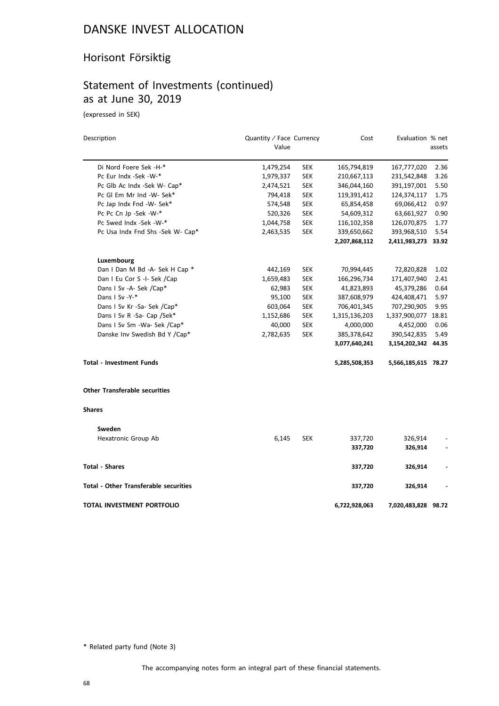### Horisont Försiktig

### Statement of Investments (continued) as at June 30, 2019

(expressed in SEK)

| Description                                  | Quantity / Face Currency |            | Cost          | Evaluation % net    |        |
|----------------------------------------------|--------------------------|------------|---------------|---------------------|--------|
|                                              | Value                    |            |               |                     | assets |
| Di Nord Foere Sek -H-*                       | 1,479,254                | <b>SEK</b> | 165,794,819   | 167,777,020         | 2.36   |
| Pc Eur Indx -Sek -W-*                        | 1,979,337                | <b>SEK</b> | 210,667,113   | 231,542,848         | 3.26   |
| Pc Glb Ac Indx -Sek W- Cap*                  | 2,474,521                | <b>SEK</b> | 346,044,160   | 391,197,001         | 5.50   |
| Pc Gl Em Mr Ind -W- Sek*                     | 794,418                  | <b>SEK</b> | 119,391,412   | 124,374,117         | 1.75   |
| Pc Jap Indx Fnd -W- Sek*                     | 574,548                  | <b>SEK</b> | 65,854,458    | 69,066,412          | 0.97   |
| Pc Pc Cn Jp -Sek -W-*                        | 520,326                  | <b>SEK</b> | 54,609,312    | 63,661,927          | 0.90   |
| Pc Swed Indx -Sek -W-*                       | 1,044,758                | <b>SEK</b> | 116,102,358   | 126,070,875         | 1.77   |
| Pc Usa Indx Fnd Shs -Sek W- Cap*             | 2,463,535                | <b>SEK</b> | 339,650,662   | 393,968,510         | 5.54   |
|                                              |                          |            | 2,207,868,112 | 2,411,983,273 33.92 |        |
| Luxembourg                                   |                          |            |               |                     |        |
| Dan I Dan M Bd -A- Sek H Cap *               | 442,169                  | <b>SEK</b> | 70,994,445    | 72,820,828          | 1.02   |
| Dan I Eu Cor S -I- Sek /Cap                  | 1,659,483                | <b>SEK</b> | 166,296,734   | 171,407,940         | 2.41   |
| Dans I Sv -A- Sek /Cap*                      | 62,983                   | <b>SEK</b> | 41,823,893    | 45,379,286          | 0.64   |
| Dans I Sv -Y-*                               | 95,100                   | <b>SEK</b> | 387,608,979   | 424,408,471         | 5.97   |
| Dans I Sv Kr -Sa- Sek /Cap*                  | 603,064                  | <b>SEK</b> | 706,401,345   | 707,290,905         | 9.95   |
| Dans I Sv R -Sa- Cap /Sek*                   | 1,152,686                | <b>SEK</b> | 1,315,136,203 | 1,337,900,077       | 18.81  |
| Dans I Sv Sm -Wa- Sek /Cap*                  | 40,000                   | <b>SEK</b> | 4,000,000     | 4,452,000           | 0.06   |
| Danske Inv Swedish Bd Y /Cap*                | 2,782,635                | <b>SEK</b> | 385,378,642   | 390,542,835         | 5.49   |
|                                              |                          |            | 3,077,640,241 | 3,154,202,342 44.35 |        |
| <b>Total - Investment Funds</b>              |                          |            | 5,285,508,353 | 5,566,185,615 78.27 |        |
| <b>Other Transferable securities</b>         |                          |            |               |                     |        |
| <b>Shares</b>                                |                          |            |               |                     |        |
| Sweden                                       |                          |            |               |                     |        |
| Hexatronic Group Ab                          | 6,145                    | <b>SEK</b> | 337,720       | 326,914             |        |
|                                              |                          |            | 337,720       | 326,914             |        |
| <b>Total - Shares</b>                        |                          |            | 337,720       | 326,914             |        |
| <b>Total - Other Transferable securities</b> |                          |            | 337,720       | 326,914             |        |
| <b>TOTAL INVESTMENT PORTFOLIO</b>            |                          |            | 6,722,928,063 | 7,020,483,828 98.72 |        |

\* Related party fund (Note 3)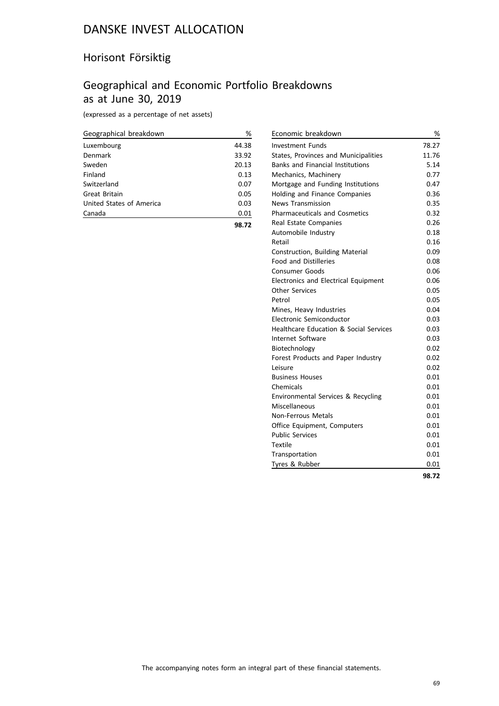### Horisont Försiktig

### Geographical and Economic Portfolio Breakdowns as at June 30, 2019

(expressed as a percentage of net assets)

| Geographical breakdown   | %     |
|--------------------------|-------|
| Luxembourg               | 44.38 |
| Denmark                  | 33.92 |
| Sweden                   | 20.13 |
| Finland                  | 0.13  |
| Switzerland              | 0.07  |
| Great Britain            | 0.05  |
| United States of America | 0.03  |
| Canada                   | 0.01  |
|                          | 98.72 |

| Economic breakdown                          | %     |
|---------------------------------------------|-------|
| <b>Investment Funds</b>                     | 78.27 |
| States, Provinces and Municipalities        | 11.76 |
| <b>Banks and Financial Institutions</b>     | 5.14  |
| Mechanics, Machinery                        | 0.77  |
| Mortgage and Funding Institutions           | 0.47  |
| Holding and Finance Companies               | 0.36  |
| <b>News Transmission</b>                    | 0.35  |
| <b>Pharmaceuticals and Cosmetics</b>        | 0.32  |
| Real Estate Companies                       | 0.26  |
| Automobile Industry                         | 0.18  |
| Retail                                      | 0.16  |
| Construction, Building Material             | 0.09  |
| <b>Food and Distilleries</b>                | 0.08  |
| Consumer Goods                              | 0.06  |
| <b>Electronics and Electrical Equipment</b> | 0.06  |
| <b>Other Services</b>                       | 0.05  |
| Petrol                                      | 0.05  |
| Mines, Heavy Industries                     | 0.04  |
| Electronic Semiconductor                    | 0.03  |
| Healthcare Education & Social Services      | 0.03  |
| Internet Software                           | 0.03  |
| Biotechnology                               | 0.02  |
| Forest Products and Paper Industry          | 0.02  |
| Leisure                                     | 0.02  |
| <b>Business Houses</b>                      | 0.01  |
| Chemicals                                   | 0.01  |
| Environmental Services & Recycling          | 0.01  |
| Miscellaneous                               | 0.01  |
| Non-Ferrous Metals                          | 0.01  |
| Office Equipment, Computers                 | 0.01  |
| <b>Public Services</b>                      | 0.01  |
| Textile                                     | 0.01  |
| Transportation                              | 0.01  |
| Tyres & Rubber                              | 0.01  |
|                                             | 98.72 |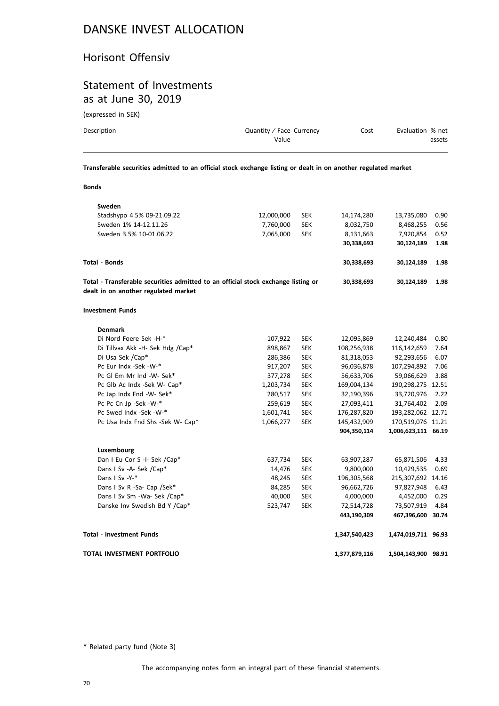#### Horisont Offensiv

### Statement of Investments as at June 30, 2019

(expressed in SEK)

**Bonds**

| Description | Quantity / Face Currency<br>Value | Cost | Evaluation % net<br>assets |
|-------------|-----------------------------------|------|----------------------------|
|             |                                   |      |                            |

**Transferable securities admitted to an official stock exchange listing or dealt in on another regulated market**

| Sweden                                                                            |            |            |               |                     |       |
|-----------------------------------------------------------------------------------|------------|------------|---------------|---------------------|-------|
| Stadshypo 4.5% 09-21.09.22                                                        | 12,000,000 | <b>SEK</b> | 14,174,280    | 13,735,080          | 0.90  |
| Sweden 1% 14-12.11.26                                                             | 7,760,000  | <b>SEK</b> | 8,032,750     | 8,468,255           | 0.56  |
| Sweden 3.5% 10-01.06.22                                                           | 7,065,000  | <b>SEK</b> | 8,131,663     | 7,920,854           | 0.52  |
|                                                                                   |            |            | 30,338,693    | 30,124,189          | 1.98  |
| Total - Bonds                                                                     |            |            | 30,338,693    | 30,124,189          | 1.98  |
| Total - Transferable securities admitted to an official stock exchange listing or |            |            | 30,338,693    | 30,124,189          | 1.98  |
| dealt in on another regulated market                                              |            |            |               |                     |       |
| Investment Funds                                                                  |            |            |               |                     |       |
| <b>Denmark</b>                                                                    |            |            |               |                     |       |
| Di Nord Foere Sek -H-*                                                            | 107,922    | <b>SEK</b> | 12,095,869    | 12,240,484          | 0.80  |
| Di Tillvax Akk -H- Sek Hdg /Cap*                                                  | 898,867    | <b>SEK</b> | 108,256,938   | 116,142,659         | 7.64  |
| Di Usa Sek /Cap*                                                                  | 286,386    | <b>SEK</b> | 81,318,053    | 92,293,656          | 6.07  |
| Pc Eur Indx -Sek -W-*                                                             | 917,207    | <b>SEK</b> | 96,036,878    | 107,294,892         | 7.06  |
| Pc Gl Em Mr Ind -W- Sek*                                                          | 377,278    | <b>SEK</b> | 56,633,706    | 59,066,629          | 3.88  |
| Pc Glb Ac Indx -Sek W- Cap*                                                       | 1,203,734  | <b>SEK</b> | 169,004,134   | 190,298,275 12.51   |       |
| Pc Jap Indx Fnd -W- Sek*                                                          | 280,517    | <b>SEK</b> | 32,190,396    | 33,720,976          | 2.22  |
| Pc Pc Cn Jp -Sek -W-*                                                             | 259,619    | <b>SEK</b> | 27,093,411    | 31,764,402          | 2.09  |
| Pc Swed Indx -Sek -W-*                                                            | 1,601,741  | <b>SEK</b> | 176,287,820   | 193,282,062 12.71   |       |
| Pc Usa Indx Fnd Shs -Sek W- Cap*                                                  | 1,066,277  | <b>SEK</b> | 145,432,909   | 170,519,076 11.21   |       |
|                                                                                   |            |            | 904,350,114   | 1,006,623,111 66.19 |       |
| Luxembourg                                                                        |            |            |               |                     |       |
| Dan I Eu Cor S -I- Sek /Cap*                                                      | 637,734    | <b>SEK</b> | 63,907,287    | 65,871,506          | 4.33  |
| Dans I Sv -A- Sek /Cap*                                                           | 14,476     | <b>SEK</b> | 9,800,000     | 10,429,535          | 0.69  |
| Dans I Sv -Y-*                                                                    | 48,245     | <b>SEK</b> | 196,305,568   | 215,307,692 14.16   |       |
| Dans I Sv R -Sa- Cap /Sek*                                                        | 84,285     | <b>SEK</b> | 96,662,726    | 97,827,948          | 6.43  |
| Dans I Sv Sm -Wa- Sek /Cap*                                                       | 40,000     | <b>SEK</b> | 4,000,000     | 4,452,000           | 0.29  |
| Danske Inv Swedish Bd Y /Cap*                                                     | 523,747    | <b>SEK</b> | 72,514,728    | 73,507,919          | 4.84  |
|                                                                                   |            |            | 443,190,309   | 467,396,600         | 30.74 |
| <b>Total - Investment Funds</b>                                                   |            |            | 1,347,540,423 | 1,474,019,711 96.93 |       |
| TOTAL INVESTMENT PORTFOLIO                                                        |            |            | 1,377,879,116 | 1,504,143,900 98.91 |       |
|                                                                                   |            |            |               |                     |       |

\* Related party fund (Note 3)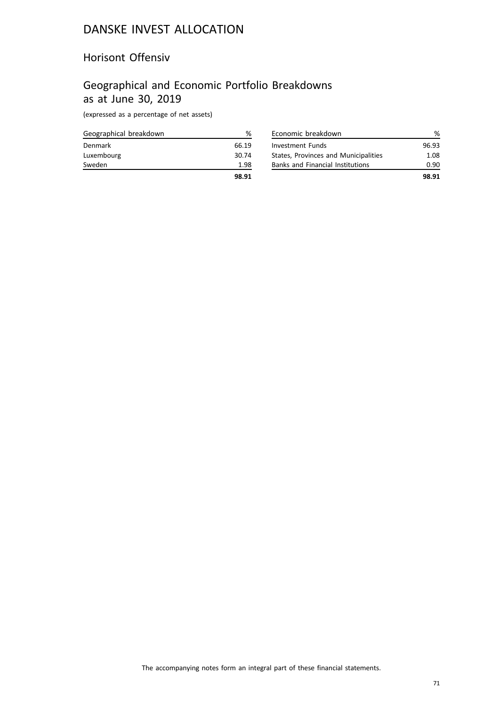### Horisont Offensiv

### Geographical and Economic Portfolio Breakdowns as at June 30, 2019

(expressed as a percentage of net assets)

| Geographical breakdown | %     |
|------------------------|-------|
| Denmark                | 66.19 |
| Luxembourg             | 30.74 |
| Sweden                 | 1.98  |
|                        | 98.91 |

| Economic breakdown                      | ℅     |
|-----------------------------------------|-------|
| <b>Investment Funds</b>                 | 96.93 |
| States, Provinces and Municipalities    | 1.08  |
| <b>Banks and Financial Institutions</b> | 0.90  |
|                                         | 98.91 |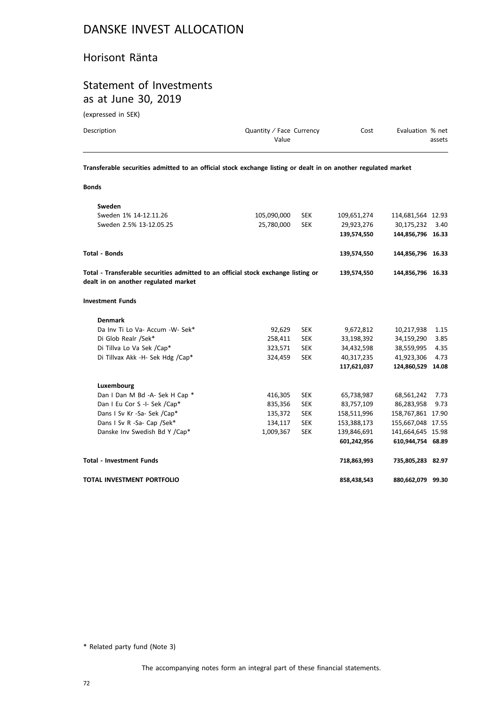#### Horisont Ränta

### Statement of Investments as at June 30, 2019

(expressed in SEK)

| Description | Quantity / Face Currency<br>Value | Cost | Evaluation % net<br>assets |
|-------------|-----------------------------------|------|----------------------------|
|             |                                   |      |                            |

**Transferable securities admitted to an official stock exchange listing or dealt in on another regulated market**

| ٦<br>. |  |
|--------|--|
|--------|--|

| Sweden                                                                                                                    |             |            |             |                   |      |
|---------------------------------------------------------------------------------------------------------------------------|-------------|------------|-------------|-------------------|------|
| Sweden 1% 14-12.11.26                                                                                                     | 105,090,000 | <b>SEK</b> | 109,651,274 | 114,681,564 12.93 |      |
| Sweden 2.5% 13-12.05.25                                                                                                   | 25,780,000  | <b>SEK</b> | 29,923,276  | 30,175,232        | 3.40 |
|                                                                                                                           |             |            | 139,574,550 | 144.856.796 16.33 |      |
| <b>Total - Bonds</b>                                                                                                      |             |            | 139,574,550 | 144,856,796 16.33 |      |
| Total - Transferable securities admitted to an official stock exchange listing or<br>dealt in on another regulated market |             |            | 139,574,550 | 144,856,796 16.33 |      |
| <b>Investment Funds</b>                                                                                                   |             |            |             |                   |      |
| <b>Denmark</b>                                                                                                            |             |            |             |                   |      |
| Da Inv Ti Lo Va- Accum - W- Sek*                                                                                          | 92,629      | <b>SEK</b> | 9,672,812   | 10,217,938        | 1.15 |
| Di Glob Realr /Sek*                                                                                                       | 258,411     | <b>SEK</b> | 33,198,392  | 34,159,290        | 3.85 |
| Di Tillva Lo Va Sek /Cap*                                                                                                 | 323,571     | <b>SEK</b> | 34,432,598  | 38,559,995        | 4.35 |
| Di Tillvax Akk -H- Sek Hdg /Cap*                                                                                          | 324,459     | <b>SEK</b> | 40,317,235  | 41,923,306        | 4.73 |
|                                                                                                                           |             |            | 117,621,037 | 124,860,529 14.08 |      |
| Luxembourg                                                                                                                |             |            |             |                   |      |
| Dan I Dan M Bd -A- Sek H Cap *                                                                                            | 416,305     | <b>SEK</b> | 65,738,987  | 68,561,242        | 7.73 |
| Dan I Eu Cor S -I- Sek /Cap*                                                                                              | 835,356     | <b>SEK</b> | 83,757,109  | 86,283,958        | 9.73 |
| Dans I Sv Kr -Sa- Sek /Cap*                                                                                               | 135,372     | <b>SEK</b> | 158,511,996 | 158,767,861 17.90 |      |
| Dans I Sv R -Sa- Cap /Sek*                                                                                                | 134,117     | <b>SEK</b> | 153,388,173 | 155,667,048 17.55 |      |
| Danske Inv Swedish Bd Y /Cap*                                                                                             | 1,009,367   | <b>SEK</b> | 139,846,691 | 141,664,645 15.98 |      |
|                                                                                                                           |             |            | 601,242,956 | 610,944,754 68.89 |      |
| <b>Total - Investment Funds</b>                                                                                           |             |            | 718,863,993 | 735,805,283 82.97 |      |
| TOTAL INVESTMENT PORTFOLIO                                                                                                |             |            | 858,438,543 | 880,662,079 99.30 |      |

\* Related party fund (Note 3)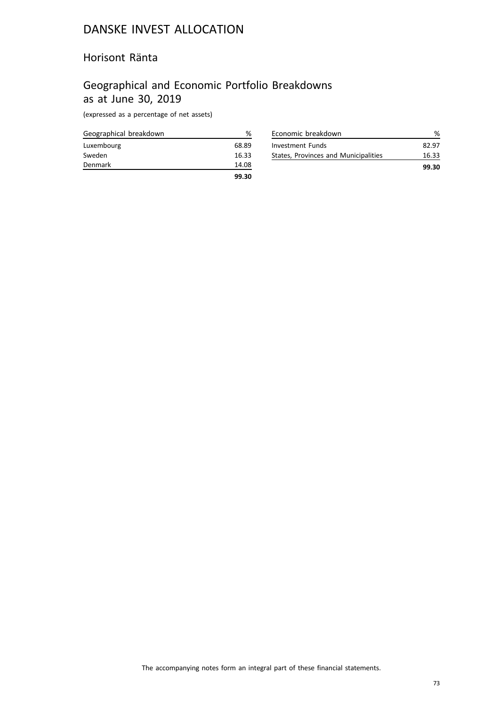### Horisont Ränta

## Geographical and Economic Portfolio Breakdowns as at June 30, 2019

| Geographical breakdown | ℅     |
|------------------------|-------|
| Luxembourg             | 68.89 |
| Sweden                 | 16.33 |
| Denmark                | 14.08 |
|                        | 99.30 |

| Economic breakdown                   |       |
|--------------------------------------|-------|
| Investment Funds                     | 82.97 |
| States, Provinces and Municipalities | 16.33 |
|                                      | 99.30 |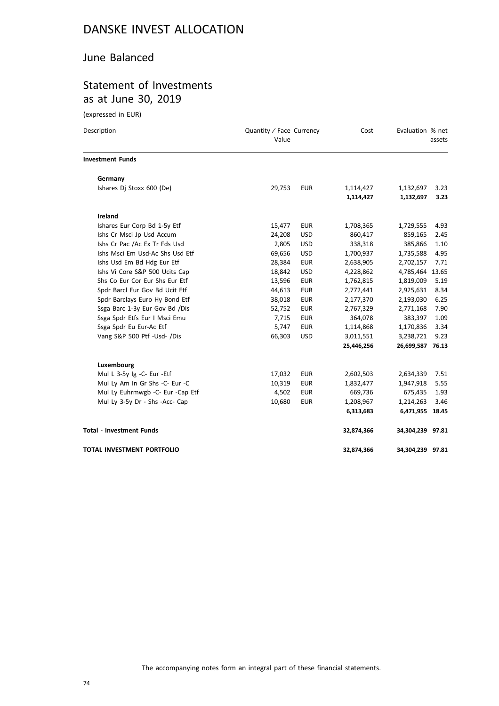### June Balanced

## Statement of Investments as at June 30, 2019

| Description                      | Quantity / Face Currency<br>Value |            | Cost       | Evaluation % net | assets |
|----------------------------------|-----------------------------------|------------|------------|------------------|--------|
| <b>Investment Funds</b>          |                                   |            |            |                  |        |
| Germany                          |                                   |            |            |                  |        |
| Ishares Dj Stoxx 600 (De)        | 29,753                            | <b>EUR</b> | 1,114,427  | 1,132,697        | 3.23   |
|                                  |                                   |            | 1,114,427  | 1,132,697        | 3.23   |
| Ireland                          |                                   |            |            |                  |        |
| Ishares Eur Corp Bd 1-5y Etf     | 15,477                            | <b>EUR</b> | 1,708,365  | 1,729,555        | 4.93   |
| Ishs Cr Msci Jp Usd Accum        | 24,208                            | <b>USD</b> | 860,417    | 859,165          | 2.45   |
| Ishs Cr Pac /Ac Ex Tr Fds Usd    | 2,805                             | <b>USD</b> | 338,318    | 385,866          | 1.10   |
| Ishs Msci Em Usd-Ac Shs Usd Etf  | 69,656                            | <b>USD</b> | 1,700,937  | 1,735,588        | 4.95   |
| Ishs Usd Em Bd Hdg Eur Etf       | 28,384                            | <b>EUR</b> | 2,638,905  | 2,702,157        | 7.71   |
| Ishs Vi Core S&P 500 Ucits Cap   | 18,842                            | <b>USD</b> | 4,228,862  | 4,785,464        | 13.65  |
| Shs Co Eur Cor Eur Shs Eur Etf   | 13,596                            | <b>EUR</b> | 1,762,815  | 1,819,009        | 5.19   |
| Spdr Barcl Eur Gov Bd Ucit Etf   | 44,613                            | <b>EUR</b> | 2,772,441  | 2,925,631        | 8.34   |
| Spdr Barclays Euro Hy Bond Etf   | 38,018                            | <b>EUR</b> | 2,177,370  | 2,193,030        | 6.25   |
| Ssga Barc 1-3y Eur Gov Bd /Dis   | 52,752                            | <b>EUR</b> | 2,767,329  | 2,771,168        | 7.90   |
| Ssga Spdr Etfs Eur I Msci Emu    | 7,715                             | <b>EUR</b> | 364,078    | 383,397          | 1.09   |
| Ssga Spdr Eu Eur-Ac Etf          | 5,747                             | <b>EUR</b> | 1,114,868  | 1,170,836        | 3.34   |
| Vang S&P 500 Ptf -Usd- /Dis      | 66,303                            | <b>USD</b> | 3,011,551  | 3,238,721        | 9.23   |
|                                  |                                   |            | 25,446,256 | 26,699,587 76.13 |        |
| Luxembourg                       |                                   |            |            |                  |        |
| Mul L 3-5y Ig -C- Eur -Etf       | 17,032                            | <b>EUR</b> | 2,602,503  | 2,634,339        | 7.51   |
| Mul Ly Am In Gr Shs -C- Eur -C   | 10,319                            | <b>EUR</b> | 1,832,477  | 1,947,918        | 5.55   |
| Mul Ly Euhrmwgb -C- Eur -Cap Etf | 4,502                             | <b>EUR</b> | 669,736    | 675,435          | 1.93   |
| Mul Ly 3-5y Dr - Shs -Acc- Cap   | 10,680                            | <b>EUR</b> | 1,208,967  | 1,214,263        | 3.46   |
|                                  |                                   |            | 6,313,683  | 6,471,955 18.45  |        |
| <b>Total - Investment Funds</b>  |                                   |            | 32,874,366 | 34,304,239 97.81 |        |
| TOTAL INVESTMENT PORTFOLIO       |                                   |            | 32,874,366 | 34,304,239 97.81 |        |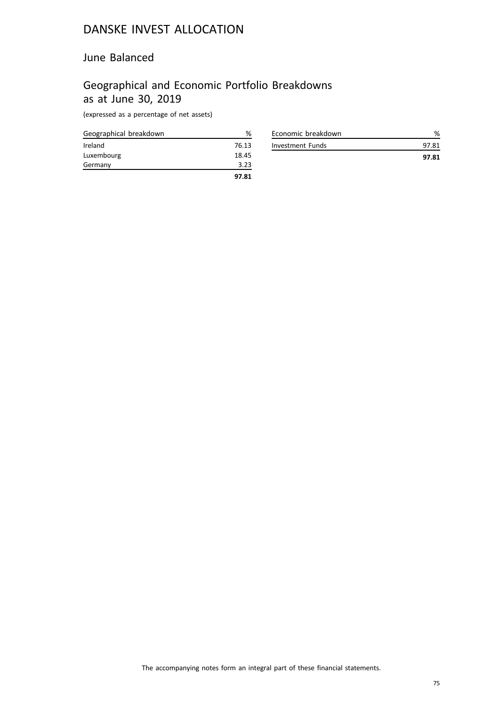### June Balanced

## Geographical and Economic Portfolio Breakdowns as at June 30, 2019

| Geographical breakdown | %     |
|------------------------|-------|
| Ireland                | 76.13 |
| Luxembourg             | 18.45 |
| Germany                | 3.23  |
|                        | 97.81 |

| Economic breakdown |       |
|--------------------|-------|
| Investment Funds   | 97.81 |
|                    | 97.81 |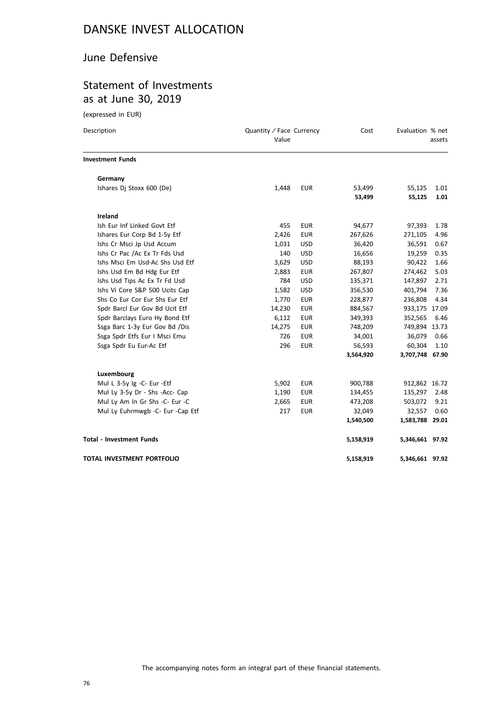### June Defensive

## Statement of Investments as at June 30, 2019

| Description                      | Quantity / Face Currency<br>Value |            | Cost      | Evaluation % net | assets |
|----------------------------------|-----------------------------------|------------|-----------|------------------|--------|
| <b>Investment Funds</b>          |                                   |            |           |                  |        |
| Germany                          |                                   |            |           |                  |        |
| Ishares Dj Stoxx 600 (De)        | 1,448                             | <b>EUR</b> | 53,499    | 55,125           | 1.01   |
|                                  |                                   |            | 53,499    | 55,125           | 1.01   |
| <b>Ireland</b>                   |                                   |            |           |                  |        |
| Ish Eur Inf Linked Govt Etf      | 455                               | <b>EUR</b> | 94,677    | 97,393           | 1.78   |
| Ishares Eur Corp Bd 1-5y Etf     | 2,426                             | <b>EUR</b> | 267,626   | 271,105          | 4.96   |
| Ishs Cr Msci Jp Usd Accum        | 1,031                             | <b>USD</b> | 36,420    | 36,591           | 0.67   |
| Ishs Cr Pac /Ac Ex Tr Fds Usd    | 140                               | <b>USD</b> | 16,656    | 19,259           | 0.35   |
| Ishs Msci Em Usd-Ac Shs Usd Etf  | 3,629                             | <b>USD</b> | 88,193    | 90,422           | 1.66   |
| Ishs Usd Em Bd Hdg Eur Etf       | 2,883                             | <b>EUR</b> | 267,807   | 274,462          | 5.03   |
| Ishs Usd Tips Ac Ex Tr Fd Usd    | 784                               | <b>USD</b> | 135,371   | 147,897          | 2.71   |
| Ishs Vi Core S&P 500 Ucits Cap   | 1,582                             | <b>USD</b> | 356,530   | 401,794          | 7.36   |
| Shs Co Eur Cor Eur Shs Eur Etf   | 1,770                             | <b>EUR</b> | 228,877   | 236,808          | 4.34   |
| Spdr Barcl Eur Gov Bd Ucit Etf   | 14,230                            | <b>EUR</b> | 884,567   | 933,175 17.09    |        |
| Spdr Barclays Euro Hy Bond Etf   | 6,112                             | <b>EUR</b> | 349,393   | 352,565          | 6.46   |
| Ssga Barc 1-3y Eur Gov Bd /Dis   | 14,275                            | <b>EUR</b> | 748,209   | 749,894 13.73    |        |
| Ssga Spdr Etfs Eur I Msci Emu    | 726                               | <b>EUR</b> | 34,001    | 36,079           | 0.66   |
| Ssga Spdr Eu Eur-Ac Etf          | 296                               | <b>EUR</b> | 56,593    | 60,304           | 1.10   |
|                                  |                                   |            | 3,564,920 | 3,707,748 67.90  |        |
| Luxembourg                       |                                   |            |           |                  |        |
| Mul L 3-5y Ig -C- Eur -Etf       | 5,902                             | <b>EUR</b> | 900,788   | 912,862 16.72    |        |
| Mul Ly 3-5y Dr - Shs -Acc- Cap   | 1,190                             | <b>EUR</b> | 134,455   | 135,297          | 2.48   |
| Mul Ly Am In Gr Shs -C- Eur -C   | 2,665                             | <b>EUR</b> | 473,208   | 503,072          | 9.21   |
| Mul Ly Euhrmwgb -C- Eur -Cap Etf | 217                               | <b>EUR</b> | 32,049    | 32,557           | 0.60   |
|                                  |                                   |            | 1,540,500 | 1,583,788 29.01  |        |
| <b>Total - Investment Funds</b>  |                                   |            | 5,158,919 | 5,346,661 97.92  |        |
| TOTAL INVESTMENT PORTFOLIO       |                                   |            | 5,158,919 | 5,346,661 97.92  |        |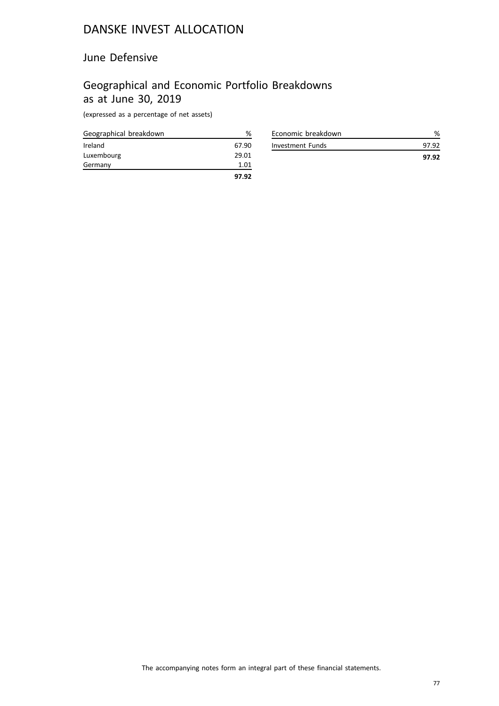### June Defensive

## Geographical and Economic Portfolio Breakdowns as at June 30, 2019

| Geographical breakdown | ℅     |
|------------------------|-------|
| Ireland                | 67.90 |
| Luxembourg             | 29.01 |
| Germany                | 1.01  |
|                        | 97.92 |

| Economic breakdown |       |
|--------------------|-------|
| Investment Funds   | 97 92 |
|                    | 97.92 |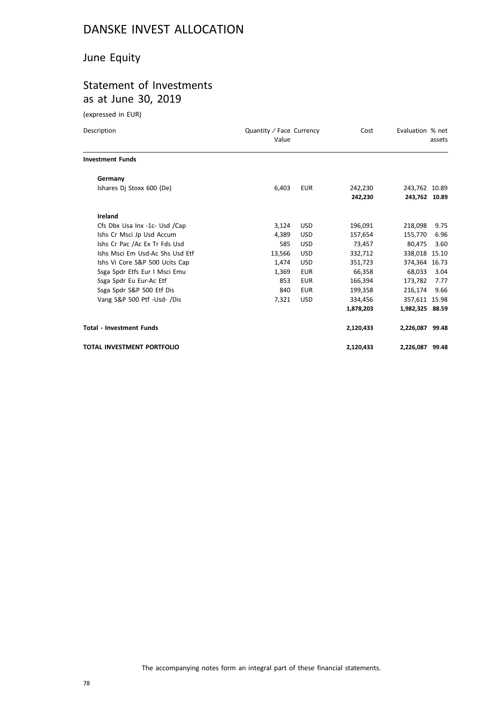## June Equity

## Statement of Investments as at June 30, 2019

| Description                     | Quantity / Face Currency<br>Value |            | Cost      | Evaluation % net | assets |
|---------------------------------|-----------------------------------|------------|-----------|------------------|--------|
| <b>Investment Funds</b>         |                                   |            |           |                  |        |
| Germany                         |                                   |            |           |                  |        |
| Ishares Dj Stoxx 600 (De)       | 6,403                             | <b>EUR</b> | 242,230   | 243,762 10.89    |        |
|                                 |                                   |            | 242,230   | 243,762 10.89    |        |
| Ireland                         |                                   |            |           |                  |        |
| Cfs Dbx Usa Inx -1c- Usd /Cap   | 3,124                             | <b>USD</b> | 196.091   | 218.098          | 9.75   |
| Ishs Cr Msci Jp Usd Accum       | 4,389                             | <b>USD</b> | 157,654   | 155,770          | 6.96   |
| Ishs Cr Pac /Ac Ex Tr Fds Usd   | 585                               | <b>USD</b> | 73,457    | 80,475           | 3.60   |
| Ishs Msci Em Usd-Ac Shs Usd Etf | 13,566                            | <b>USD</b> | 332.712   | 338,018 15.10    |        |
| Ishs Vi Core S&P 500 Ucits Cap  | 1,474                             | <b>USD</b> | 351,723   | 374.364 16.73    |        |
| Ssga Spdr Etfs Eur I Msci Emu   | 1,369                             | <b>EUR</b> | 66,358    | 68,033           | 3.04   |
| Ssga Spdr Eu Eur-Ac Etf         | 853                               | <b>EUR</b> | 166,394   | 173,782          | 7.77   |
| Ssga Spdr S&P 500 Etf Dis       | 840                               | <b>EUR</b> | 199,358   | 216,174          | 9.66   |
| Vang S&P 500 Ptf -Usd- /Dis     | 7,321                             | <b>USD</b> | 334,456   | 357,611 15.98    |        |
|                                 |                                   |            | 1,878,203 | 1,982,325 88.59  |        |
| <b>Total - Investment Funds</b> |                                   |            | 2,120,433 | 2,226,087 99.48  |        |
| TOTAL INVESTMENT PORTFOLIO      |                                   |            | 2,120,433 | 2,226,087 99.48  |        |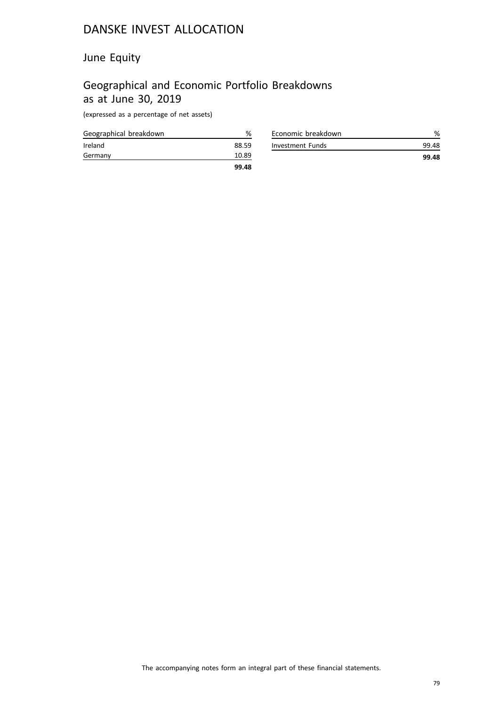## June Equity

## Geographical and Economic Portfolio Breakdowns as at June 30, 2019

| Geographical breakdown | %     |
|------------------------|-------|
| Ireland                | 88.59 |
| Germany                | 10.89 |
|                        | 99.48 |

| Investment Funds | 99.48 |
|------------------|-------|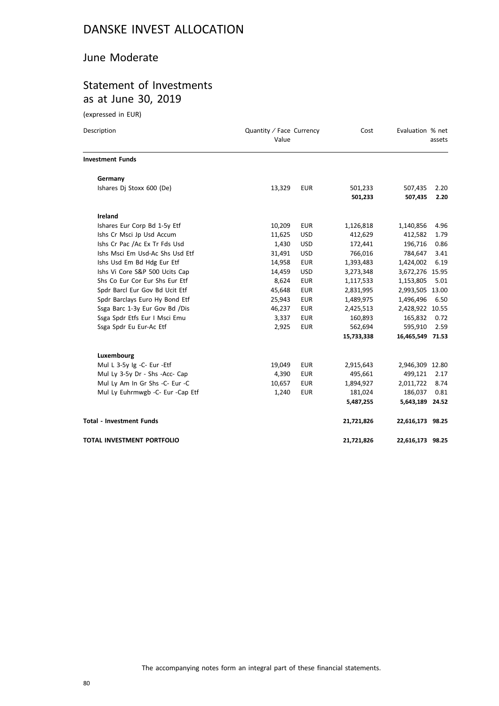### June Moderate

# Statement of Investments as at June 30, 2019

| Description                      | Quantity / Face Currency<br>Value |            | Cost               | Evaluation % net   | assets       |
|----------------------------------|-----------------------------------|------------|--------------------|--------------------|--------------|
| <b>Investment Funds</b>          |                                   |            |                    |                    |              |
| Germany                          |                                   |            |                    |                    |              |
| Ishares Dj Stoxx 600 (De)        | 13,329                            | <b>EUR</b> | 501,233<br>501,233 | 507,435<br>507,435 | 2.20<br>2.20 |
| Ireland                          |                                   |            |                    |                    |              |
| Ishares Eur Corp Bd 1-5y Etf     | 10,209                            | <b>EUR</b> | 1,126,818          | 1,140,856          | 4.96         |
| Ishs Cr Msci Jp Usd Accum        | 11,625                            | <b>USD</b> | 412,629            | 412,582            | 1.79         |
| Ishs Cr Pac /Ac Ex Tr Fds Usd    | 1,430                             | <b>USD</b> | 172,441            | 196,716            | 0.86         |
| Ishs Msci Em Usd-Ac Shs Usd Etf  | 31,491                            | <b>USD</b> | 766,016            | 784,647            | 3.41         |
| Ishs Usd Em Bd Hdg Eur Etf       | 14,958                            | <b>EUR</b> | 1,393,483          | 1,424,002          | 6.19         |
| Ishs Vi Core S&P 500 Ucits Cap   | 14,459                            | <b>USD</b> | 3,273,348          | 3,672,276 15.95    |              |
| Shs Co Eur Cor Eur Shs Eur Etf   | 8,624                             | <b>EUR</b> | 1,117,533          | 1,153,805          | 5.01         |
| Spdr Barcl Eur Gov Bd Ucit Etf   | 45,648                            | <b>EUR</b> | 2,831,995          | 2,993,505 13.00    |              |
| Spdr Barclays Euro Hy Bond Etf   | 25,943                            | <b>EUR</b> | 1,489,975          | 1,496,496          | 6.50         |
| Ssga Barc 1-3y Eur Gov Bd /Dis   | 46,237                            | <b>EUR</b> | 2,425,513          | 2,428,922 10.55    |              |
| Ssga Spdr Etfs Eur I Msci Emu    | 3,337                             | <b>EUR</b> | 160,893            | 165,832            | 0.72         |
| Ssga Spdr Eu Eur-Ac Etf          | 2,925                             | <b>EUR</b> | 562,694            | 595,910            | 2.59         |
|                                  |                                   |            | 15,733,338         | 16,465,549 71.53   |              |
| Luxembourg                       |                                   |            |                    |                    |              |
| Mul L 3-5y Ig -C- Eur -Etf       | 19,049                            | <b>EUR</b> | 2,915,643          | 2,946,309 12.80    |              |
| Mul Ly 3-5y Dr - Shs -Acc- Cap   | 4,390                             | <b>EUR</b> | 495,661            | 499,121            | 2.17         |
| Mul Ly Am In Gr Shs -C- Eur -C   | 10,657                            | <b>EUR</b> | 1,894,927          | 2,011,722          | 8.74         |
| Mul Ly Euhrmwgb -C- Eur -Cap Etf | 1,240                             | <b>EUR</b> | 181,024            | 186,037            | 0.81         |
|                                  |                                   |            | 5,487,255          | 5,643,189 24.52    |              |
| <b>Total - Investment Funds</b>  |                                   |            | 21,721,826         | 22,616,173 98.25   |              |
| TOTAL INVESTMENT PORTFOLIO       |                                   |            | 21,721,826         | 22,616,173 98.25   |              |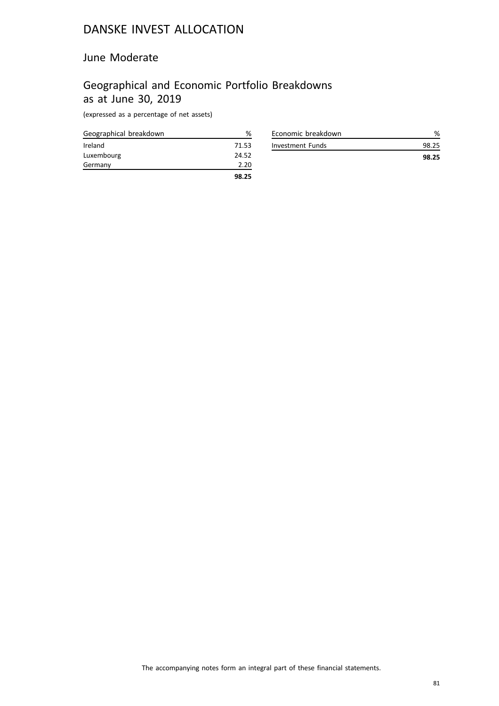### June Moderate

## Geographical and Economic Portfolio Breakdowns as at June 30, 2019

| Geographical breakdown | %     |
|------------------------|-------|
| Ireland                | 71.53 |
| Luxembourg             | 24.52 |
| Germany                | 2.20  |
|                        | 98.25 |

| Economic breakdown |       |
|--------------------|-------|
| Investment Funds   |       |
|                    | 98.25 |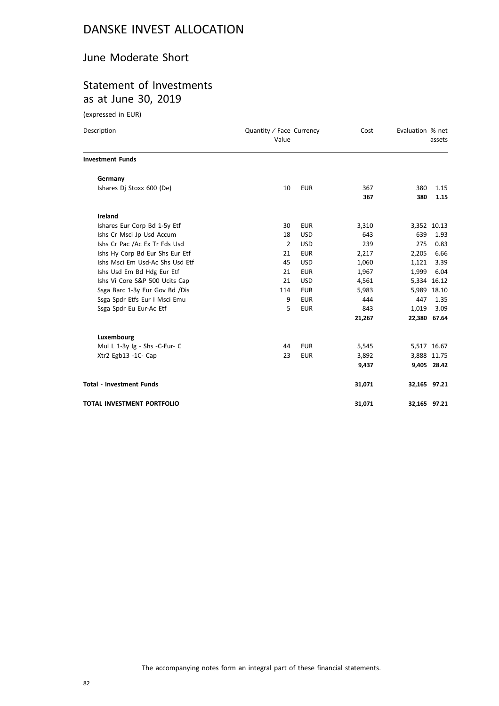### June Moderate Short

## Statement of Investments as at June 30, 2019

| Description                       | Quantity / Face Currency<br>Value |            | Cost   | Evaluation % net | assets       |
|-----------------------------------|-----------------------------------|------------|--------|------------------|--------------|
| <b>Investment Funds</b>           |                                   |            |        |                  |              |
| Germany                           |                                   |            |        |                  |              |
| Ishares Dj Stoxx 600 (De)         | 10                                | <b>EUR</b> | 367    | 380              | 1.15         |
|                                   |                                   |            | 367    | 380              | 1.15         |
| Ireland                           |                                   |            |        |                  |              |
| Ishares Eur Corp Bd 1-5y Etf      | 30                                | <b>EUR</b> | 3,310  |                  | 3,352 10.13  |
| Ishs Cr Msci Jp Usd Accum         | 18                                | <b>USD</b> | 643    | 639              | 1.93         |
| Ishs Cr Pac /Ac Ex Tr Fds Usd     | $\overline{2}$                    | <b>USD</b> | 239    | 275              | 0.83         |
| Ishs Hy Corp Bd Eur Shs Eur Etf   | 21                                | <b>EUR</b> | 2,217  | 2,205            | 6.66         |
| Ishs Msci Em Usd-Ac Shs Usd Etf   | 45                                | <b>USD</b> | 1,060  | 1,121            | 3.39         |
| Ishs Usd Em Bd Hdg Eur Etf        | 21                                | <b>EUR</b> | 1,967  | 1,999            | 6.04         |
| Ishs Vi Core S&P 500 Ucits Cap    | 21                                | <b>USD</b> | 4,561  |                  | 5,334 16.12  |
| Ssga Barc 1-3y Eur Gov Bd /Dis    | 114                               | <b>EUR</b> | 5,983  |                  | 5,989 18.10  |
| Ssga Spdr Etfs Eur I Msci Emu     | 9                                 | <b>EUR</b> | 444    | 447              | 1.35         |
| Ssga Spdr Eu Eur-Ac Etf           | 5                                 | <b>EUR</b> | 843    | 1,019            | 3.09         |
|                                   |                                   |            | 21,267 |                  | 22,380 67.64 |
| Luxembourg                        |                                   |            |        |                  |              |
| Mul L 1-3y Ig - Shs -C-Eur- C     | 44                                | <b>EUR</b> | 5,545  |                  | 5,517 16.67  |
| Xtr2 Egb13 -1C- Cap               | 23                                | <b>EUR</b> | 3,892  |                  | 3,888 11.75  |
|                                   |                                   |            | 9,437  |                  | 9,405 28.42  |
| <b>Total - Investment Funds</b>   |                                   |            | 31,071 |                  | 32,165 97.21 |
| <b>TOTAL INVESTMENT PORTFOLIO</b> |                                   |            | 31,071 |                  | 32,165 97.21 |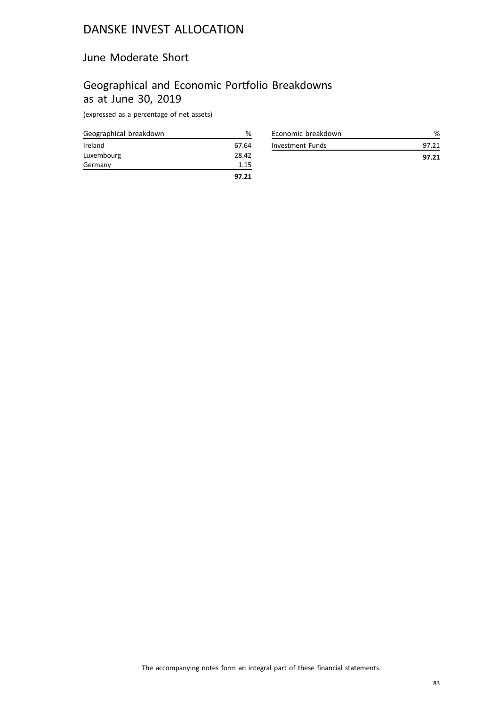### June Moderate Short

## Geographical and Economic Portfolio Breakdowns as at June 30, 2019

| Geographical breakdown | ℅     |
|------------------------|-------|
| Ireland                | 67.64 |
| Luxembourg             | 28.42 |
| Germany                | 1.15  |
|                        | 97.21 |

| Economic breakdown |       |
|--------------------|-------|
| Investment Funds   | 97 21 |
|                    | 97.21 |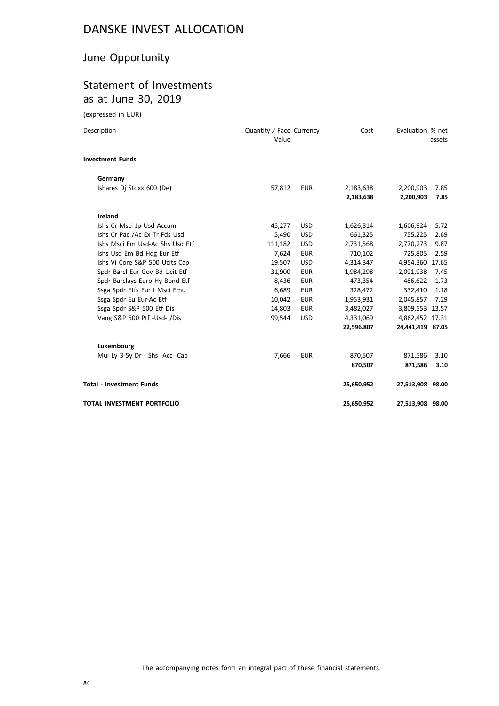## June Opportunity

# Statement of Investments as at June 30, 2019

| Description                     | Quantity / Face Currency<br>Value |            | Cost       | Evaluation % net | assets |
|---------------------------------|-----------------------------------|------------|------------|------------------|--------|
| <b>Investment Funds</b>         |                                   |            |            |                  |        |
| Germany                         |                                   |            |            |                  |        |
| Ishares Dj Stoxx 600 (De)       | 57,812                            | <b>EUR</b> | 2,183,638  | 2,200,903        | 7.85   |
|                                 |                                   |            | 2,183,638  | 2,200,903        | 7.85   |
| <b>Ireland</b>                  |                                   |            |            |                  |        |
| Ishs Cr Msci Jp Usd Accum       | 45,277                            | <b>USD</b> | 1,626,314  | 1,606,924        | 5.72   |
| Ishs Cr Pac /Ac Ex Tr Fds Usd   | 5,490                             | <b>USD</b> | 661,325    | 755,225          | 2.69   |
| Ishs Msci Em Usd-Ac Shs Usd Etf | 111,182                           | <b>USD</b> | 2,731,568  | 2,770,273        | 9.87   |
| Ishs Usd Em Bd Hdg Eur Etf      | 7,624                             | <b>EUR</b> | 710,102    | 725,805          | 2.59   |
| Ishs Vi Core S&P 500 Ucits Cap  | 19,507                            | <b>USD</b> | 4,314,347  | 4,954,360        | 17.65  |
| Spdr Barcl Eur Gov Bd Ucit Etf  | 31,900                            | <b>EUR</b> | 1,984,298  | 2,091,938        | 7.45   |
| Spdr Barclays Euro Hy Bond Etf  | 8,436                             | <b>EUR</b> | 473,354    | 486,622          | 1.73   |
| Ssga Spdr Etfs Eur I Msci Emu   | 6,689                             | <b>EUR</b> | 328,472    | 332,410          | 1.18   |
| Ssga Spdr Eu Eur-Ac Etf         | 10,042                            | <b>EUR</b> | 1,953,931  | 2,045,857        | 7.29   |
| Ssga Spdr S&P 500 Etf Dis       | 14,803                            | <b>EUR</b> | 3,482,027  | 3,809,553 13.57  |        |
| Vang S&P 500 Ptf -Usd- /Dis     | 99,544                            | <b>USD</b> | 4,331,069  | 4,862,452 17.31  |        |
|                                 |                                   |            | 22,596,807 | 24,441,419 87.05 |        |
| Luxembourg                      |                                   |            |            |                  |        |
| Mul Ly 3-5y Dr - Shs -Acc- Cap  | 7,666                             | <b>EUR</b> | 870,507    | 871,586          | 3.10   |
|                                 |                                   |            | 870,507    | 871,586          | 3.10   |
| <b>Total - Investment Funds</b> |                                   |            | 25,650,952 | 27,513,908 98.00 |        |
| TOTAL INVESTMENT PORTFOLIO      |                                   |            | 25,650,952 | 27,513,908 98.00 |        |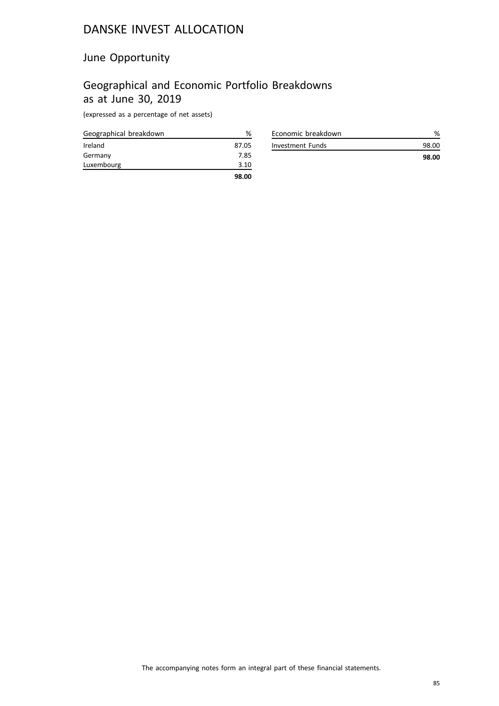## June Opportunity

# Geographical and Economic Portfolio Breakdowns as at June 30, 2019

| Geographical breakdown | %     |
|------------------------|-------|
| Ireland                | 87.05 |
| Germany                | 7.85  |
| Luxembourg             | 3.10  |
|                        | 98.00 |

| Economic breakdown |       |
|--------------------|-------|
| Investment Funds   | 98.OO |
|                    | 98.00 |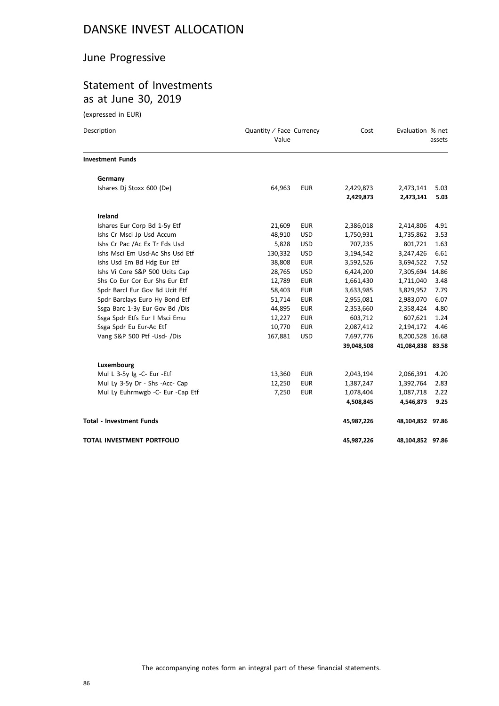## June Progressive

## Statement of Investments as at June 30, 2019

| Description                       | Quantity / Face Currency<br>Value |            | Cost                   | Evaluation % net       | assets       |
|-----------------------------------|-----------------------------------|------------|------------------------|------------------------|--------------|
| <b>Investment Funds</b>           |                                   |            |                        |                        |              |
| Germany                           |                                   |            |                        |                        |              |
| Ishares Dj Stoxx 600 (De)         | 64,963                            | <b>EUR</b> | 2,429,873<br>2,429,873 | 2,473,141<br>2,473,141 | 5.03<br>5.03 |
| Ireland                           |                                   |            |                        |                        |              |
| Ishares Eur Corp Bd 1-5y Etf      | 21,609                            | <b>EUR</b> | 2,386,018              | 2,414,806              | 4.91         |
| Ishs Cr Msci Jp Usd Accum         | 48,910                            | <b>USD</b> | 1,750,931              | 1,735,862              | 3.53         |
| Ishs Cr Pac /Ac Ex Tr Fds Usd     | 5,828                             | <b>USD</b> | 707,235                | 801,721                | 1.63         |
| Ishs Msci Em Usd-Ac Shs Usd Etf   | 130,332                           | <b>USD</b> | 3,194,542              | 3,247,426              | 6.61         |
| Ishs Usd Em Bd Hdg Eur Etf        | 38,808                            | <b>EUR</b> | 3,592,526              | 3,694,522              | 7.52         |
| Ishs Vi Core S&P 500 Ucits Cap    | 28,765                            | <b>USD</b> | 6,424,200              | 7,305,694 14.86        |              |
| Shs Co Eur Cor Eur Shs Eur Etf    | 12,789                            | <b>EUR</b> | 1,661,430              | 1,711,040              | 3.48         |
| Spdr Barcl Eur Gov Bd Ucit Etf    | 58,403                            | <b>EUR</b> | 3,633,985              | 3,829,952              | 7.79         |
| Spdr Barclays Euro Hy Bond Etf    | 51,714                            | <b>EUR</b> | 2,955,081              | 2,983,070              | 6.07         |
| Ssga Barc 1-3y Eur Gov Bd /Dis    | 44,895                            | <b>EUR</b> | 2,353,660              | 2,358,424              | 4.80         |
| Ssga Spdr Etfs Eur I Msci Emu     | 12,227                            | <b>EUR</b> | 603,712                | 607,621                | 1.24         |
| Ssga Spdr Eu Eur-Ac Etf           | 10,770                            | <b>EUR</b> | 2,087,412              | 2,194,172              | 4.46         |
| Vang S&P 500 Ptf -Usd- /Dis       | 167,881                           | <b>USD</b> | 7,697,776              | 8,200,528 16.68        |              |
|                                   |                                   |            | 39,048,508             | 41,084,838 83.58       |              |
| Luxembourg                        |                                   |            |                        |                        |              |
| Mul L 3-5y Ig -C- Eur -Etf        | 13,360                            | <b>EUR</b> | 2,043,194              | 2,066,391              | 4.20         |
| Mul Ly 3-5y Dr - Shs -Acc- Cap    | 12,250                            | <b>EUR</b> | 1,387,247              | 1,392,764              | 2.83         |
| Mul Ly Euhrmwgb -C- Eur -Cap Etf  | 7,250                             | <b>EUR</b> | 1,078,404              | 1,087,718              | 2.22         |
|                                   |                                   |            | 4,508,845              | 4,546,873              | 9.25         |
| <b>Total - Investment Funds</b>   |                                   |            | 45,987,226             | 48,104,852 97.86       |              |
| <b>TOTAL INVESTMENT PORTFOLIO</b> |                                   |            | 45,987,226             | 48,104,852 97.86       |              |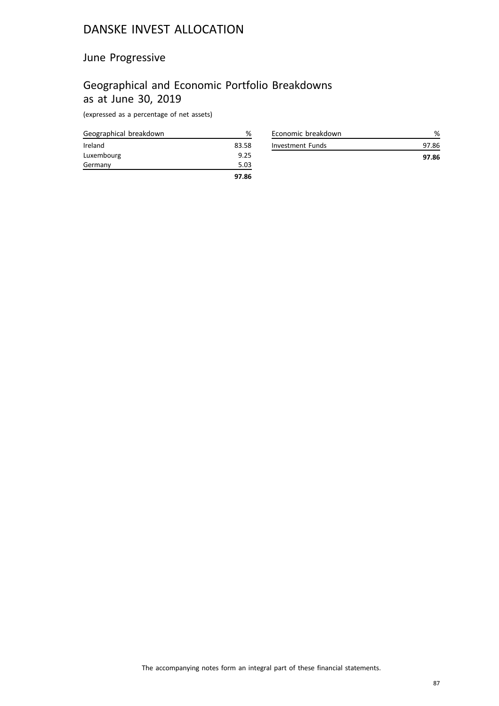## June Progressive

## Geographical and Economic Portfolio Breakdowns as at June 30, 2019

| Geographical breakdown | %     |
|------------------------|-------|
| Ireland                | 83.58 |
| Luxembourg             | 9.25  |
| Germany                | 5.03  |
|                        | 97.86 |

| Economic breakdown |       |
|--------------------|-------|
| Investment Funds   | 97.86 |
|                    | 97.86 |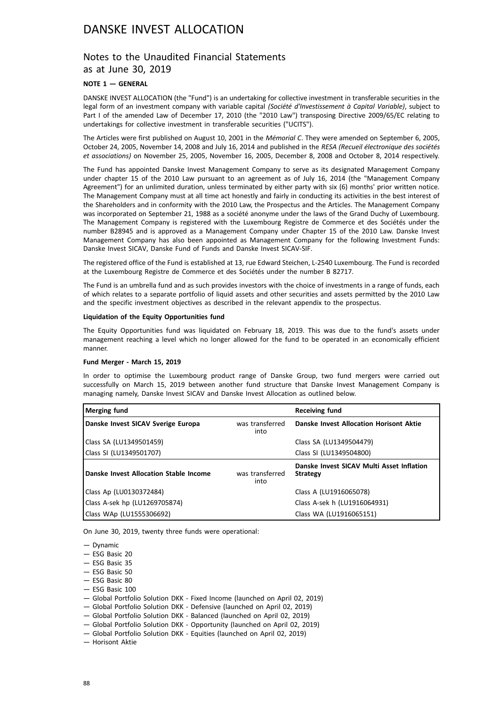### Notes to the Unaudited Financial Statements as at June 30, 2019

### **NOTE 1 — GENERAL**

DANSKE INVEST ALLOCATION (the "Fund") is an undertaking for collective investment in transferable securities in the legal form of an investment company with variable capital *(Société d'Investissement à Capital Variable)*, subject to Part I of the amended Law of December 17, 2010 (the "2010 Law") transposing Directive 2009/65/EC relating to undertakings for collective investment in transferable securities ("UCITS").

The Articles were first published on August 10, 2001 in the *Mémorial C*. They were amended on September 6, 2005, October 24, 2005, November 14, 2008 and July 16, 2014 and published in the *RESA (Recueil électronique des sociétés et associations)* on November 25, 2005, November 16, 2005, December 8, 2008 and October 8, 2014 respectively.

The Fund has appointed Danske Invest Management Company to serve as its designated Management Company under chapter 15 of the 2010 Law pursuant to an agreement as of July 16, 2014 (the "Management Company Agreement") for an unlimited duration, unless terminated by either party with six (6) months' prior written notice. The Management Company must at all time act honestly and fairly in conducting its activities in the best interest of the Shareholders and in conformity with the 2010 Law, the Prospectus and the Articles. The Management Company was incorporated on September 21, 1988 as a société anonyme under the laws of the Grand Duchy of Luxembourg. The Management Company is registered with the Luxembourg Registre de Commerce et des Sociétés under the number B28945 and is approved as a Management Company under Chapter 15 of the 2010 Law. Danske Invest Management Company has also been appointed as Management Company for the following Investment Funds: Danske Invest SICAV, Danske Fund of Funds and Danske Invest SICAV-SIF.

The registered office of the Fund is established at 13, rue Edward Steichen, L-2540 Luxembourg. The Fund is recorded at the Luxembourg Registre de Commerce et des Sociétés under the number B 82717.

The Fund is an umbrella fund and as such provides investors with the choice of investments in a range of funds, each of which relates to a separate portfolio of liquid assets and other securities and assets permitted by the 2010 Law and the specific investment objectives as described in the relevant appendix to the prospectus.

#### **Liquidation of the Equity Opportunities fund**

The Equity Opportunities fund was liquidated on February 18, 2019. This was due to the fund's assets under management reaching a level which no longer allowed for the fund to be operated in an economically efficient manner.

#### **Fund Merger - March 15, 2019**

In order to optimise the Luxembourg product range of Danske Group, two fund mergers were carried out successfully on March 15, 2019 between another fund structure that Danske Invest Management Company is managing namely, Danske Invest SICAV and Danske Invest Allocation as outlined below.

| Merging fund                           |                         | <b>Receiving fund</b>                                        |
|----------------------------------------|-------------------------|--------------------------------------------------------------|
| Danske Invest SICAV Sverige Europa     | was transferred<br>into | Danske Invest Allocation Horisont Aktie                      |
| Class SA (LU1349501459)                |                         | Class SA (LU1349504479)                                      |
| Class SI (LU1349501707)                |                         | Class SI (LU1349504800)                                      |
| Danske Invest Allocation Stable Income | was transferred<br>into | Danske Invest SICAV Multi Asset Inflation<br><b>Strategy</b> |
| Class Ap (LU0130372484)                |                         | Class A (LU1916065078)                                       |
| Class A-sek hp (LU1269705874)          |                         | Class A-sek h (LU1916064931)                                 |
| Class WAp (LU1555306692)               |                         | Class WA (LU1916065151)                                      |

On June 30, 2019, twenty three funds were operational:

— Dynamic

- ESG Basic 20
- ESG Basic 35
- ESG Basic 50
- ESG Basic 80

 $-$  ESG Basic 100

- Global Portfolio Solution DKK Fixed Income (launched on April 02, 2019)
- Global Portfolio Solution DKK Defensive (launched on April 02, 2019)
- Global Portfolio Solution DKK Balanced (launched on April 02, 2019)
- Global Portfolio Solution DKK Opportunity (launched on April 02, 2019)
- Global Portfolio Solution DKK Equities (launched on April 02, 2019)

— Horisont Aktie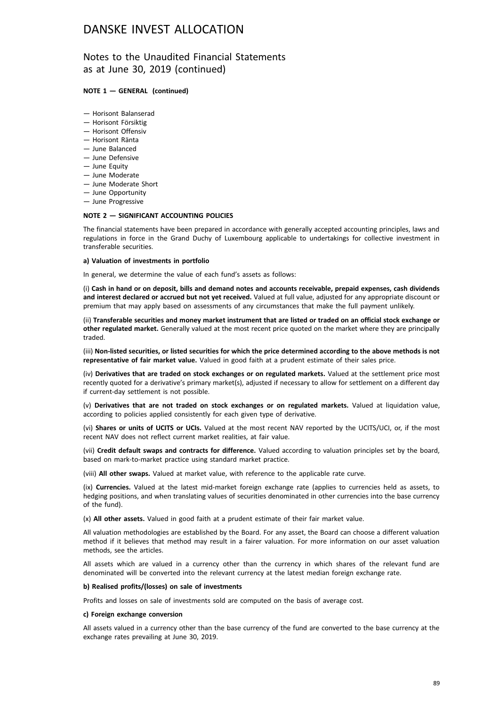### Notes to the Unaudited Financial Statements as at June 30, 2019 (continued)

#### **NOTE 1 — GENERAL (continued)**

- Horisont Balanserad
- Horisont Försiktig
- Horisont Offensiv
- Horisont Ränta
- June Balanced
- June Defensive
- June Equity
- June Moderate
- June Moderate Short
- June Opportunity
- June Progressive

#### **NOTE 2 — SIGNIFICANT ACCOUNTING POLICIES**

The financial statements have been prepared in accordance with generally accepted accounting principles, laws and regulations in force in the Grand Duchy of Luxembourg applicable to undertakings for collective investment in transferable securities.

#### **a) Valuation of investments in portfolio**

In general, we determine the value of each fund's assets as follows:

(i) **Cash in hand or on deposit, bills and demand notes and accounts receivable, prepaid expenses, cash dividends and interest declared or accrued but not yet received.** Valued at full value, adjusted for any appropriate discount or premium that may apply based on assessments of any circumstances that make the full payment unlikely.

(ii) **Transferable securities and money market instrument that are listed or traded on an official stock exchange or other regulated market.** Generally valued at the most recent price quoted on the market where they are principally traded.

(iii) **Non-listed securities, or listed securities for which the price determined according to the above methods is not representative of fair market value.** Valued in good faith at a prudent estimate of their sales price.

(iv) **Derivatives that are traded on stock exchanges or on regulated markets.** Valued at the settlement price most recently quoted for a derivative's primary market(s), adjusted if necessary to allow for settlement on a different day if current-day settlement is not possible.

(v) **Derivatives that are not traded on stock exchanges or on regulated markets.** Valued at liquidation value, according to policies applied consistently for each given type of derivative.

(vi) **Shares or units of UCITS or UCIs.** Valued at the most recent NAV reported by the UCITS/UCI, or, if the most recent NAV does not reflect current market realities, at fair value.

(vii) **Credit default swaps and contracts for difference.** Valued according to valuation principles set by the board, based on mark-to-market practice using standard market practice.

(viii) **All other swaps.** Valued at market value, with reference to the applicable rate curve.

(ix) **Currencies.** Valued at the latest mid-market foreign exchange rate (applies to currencies held as assets, to hedging positions, and when translating values of securities denominated in other currencies into the base currency of the fund).

(x) **All other assets.** Valued in good faith at a prudent estimate of their fair market value.

All valuation methodologies are established by the Board. For any asset, the Board can choose a different valuation method if it believes that method may result in a fairer valuation. For more information on our asset valuation methods, see the articles.

All assets which are valued in a currency other than the currency in which shares of the relevant fund are denominated will be converted into the relevant currency at the latest median foreign exchange rate.

#### **b) Realised profits/(losses) on sale of investments**

Profits and losses on sale of investments sold are computed on the basis of average cost.

#### **c) Foreign exchange conversion**

All assets valued in a currency other than the base currency of the fund are converted to the base currency at the exchange rates prevailing at June 30, 2019.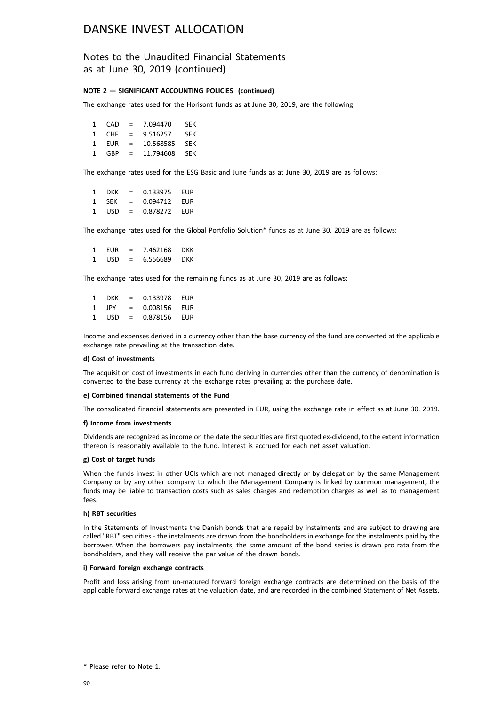### Notes to the Unaudited Financial Statements as at June 30, 2019 (continued)

#### **NOTE 2 — SIGNIFICANT ACCOUNTING POLICIES (continued)**

The exchange rates used for the Horisont funds as at June 30, 2019, are the following:

|   | 1 CAD      | <b>Simple Street</b> | 7.094470      | <b>SFK</b> |
|---|------------|----------------------|---------------|------------|
|   | 1 CHF      | $=$                  | 9.516257      | SEK        |
| 1 | <b>FUR</b> | $\equiv$             | 10.568585     | SEK        |
|   | 1 GBP      | $\equiv$             | 11.794608 SEK |            |

The exchange rates used for the ESG Basic and June funds as at June 30, 2019 are as follows:

| 1 DKK | $=$ | 0.133975 | EUR |
|-------|-----|----------|-----|
| 1 SFK | $=$ | 0.094712 | EUR |
| 1 USD | $=$ | 0.878272 | EUR |

The exchange rates used for the Global Portfolio Solution\* funds as at June 30, 2019 are as follows:

1 EUR = 7.462168 DKK 1 USD = 6.556689 DKK

The exchange rates used for the remaining funds as at June 30, 2019 are as follows:

| 1 | DKK.  | $=$ | 0.133978 | EUR |
|---|-------|-----|----------|-----|
| 1 | . IPY | $=$ | 0.008156 | EUR |
| 1 | USD   | $=$ | 0.878156 | EUR |

Income and expenses derived in a currency other than the base currency of the fund are converted at the applicable exchange rate prevailing at the transaction date.

#### **d) Cost of investments**

The acquisition cost of investments in each fund deriving in currencies other than the currency of denomination is converted to the base currency at the exchange rates prevailing at the purchase date.

#### **e) Combined financial statements of the Fund**

The consolidated financial statements are presented in EUR, using the exchange rate in effect as at June 30, 2019.

#### **f) Income from investments**

Dividends are recognized as income on the date the securities are first quoted ex-dividend, to the extent information thereon is reasonably available to the fund. Interest is accrued for each net asset valuation.

#### **g) Cost of target funds**

When the funds invest in other UCIs which are not managed directly or by delegation by the same Management Company or by any other company to which the Management Company is linked by common management, the funds may be liable to transaction costs such as sales charges and redemption charges as well as to management fees.

#### **h) RBT securities**

In the Statements of Investments the Danish bonds that are repaid by instalments and are subject to drawing are called "RBT" securities - the instalments are drawn from the bondholders in exchange for the instalments paid by the borrower. When the borrowers pay instalments, the same amount of the bond series is drawn pro rata from the bondholders, and they will receive the par value of the drawn bonds.

#### **i) Forward foreign exchange contracts**

Profit and loss arising from un-matured forward foreign exchange contracts are determined on the basis of the applicable forward exchange rates at the valuation date, and are recorded in the combined Statement of Net Assets.

<sup>\*</sup> Please refer to Note 1.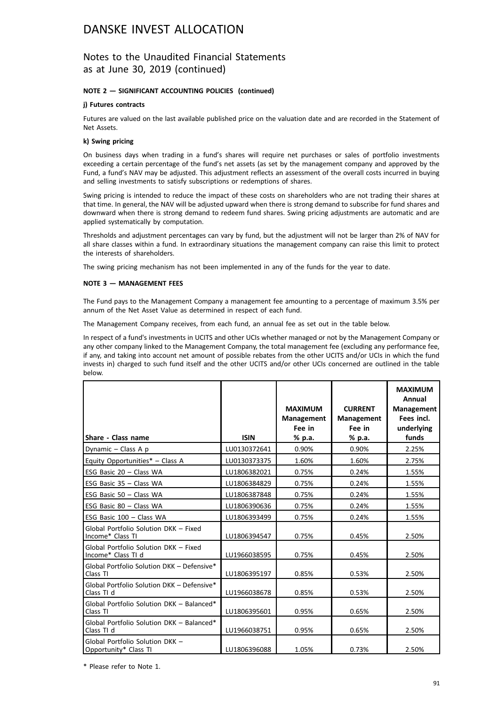### Notes to the Unaudited Financial Statements as at June 30, 2019 (continued)

#### **NOTE 2 — SIGNIFICANT ACCOUNTING POLICIES (continued)**

#### **j) Futures contracts**

Futures are valued on the last available published price on the valuation date and are recorded in the Statement of Net Assets.

#### **k) Swing pricing**

On business days when trading in a fund's shares will require net purchases or sales of portfolio investments exceeding a certain percentage of the fund's net assets (as set by the management company and approved by the Fund, a fund's NAV may be adjusted. This adjustment reflects an assessment of the overall costs incurred in buying and selling investments to satisfy subscriptions or redemptions of shares.

Swing pricing is intended to reduce the impact of these costs on shareholders who are not trading their shares at that time. In general, the NAV will be adjusted upward when there is strong demand to subscribe for fund shares and downward when there is strong demand to redeem fund shares. Swing pricing adjustments are automatic and are applied systematically by computation.

Thresholds and adjustment percentages can vary by fund, but the adjustment will not be larger than 2% of NAV for all share classes within a fund. In extraordinary situations the management company can raise this limit to protect the interests of shareholders.

The swing pricing mechanism has not been implemented in any of the funds for the year to date.

#### **NOTE 3 — MANAGEMENT FEES**

The Fund pays to the Management Company a management fee amounting to a percentage of maximum 3.5% per annum of the Net Asset Value as determined in respect of each fund.

The Management Company receives, from each fund, an annual fee as set out in the table below.

In respect of a fund's investments in UCITS and other UCIs whether managed or not by the Management Company or any other company linked to the Management Company, the total management fee (excluding any performance fee, if any, and taking into account net amount of possible rebates from the other UCITS and/or UCIs in which the fund invests in) charged to such fund itself and the other UCITS and/or other UCIs concerned are outlined in the table below.

| Share - Class name                                          | <b>ISIN</b>  | <b>MAXIMUM</b><br><b>Management</b><br>Fee in<br>% p.a. | <b>CURRENT</b><br><b>Management</b><br>Fee in<br>% p.a. | <b>MAXIMUM</b><br>Annual<br><b>Management</b><br>Fees incl.<br>underlying<br>funds |
|-------------------------------------------------------------|--------------|---------------------------------------------------------|---------------------------------------------------------|------------------------------------------------------------------------------------|
| Dynamic $-$ Class A p                                       | LU0130372641 | 0.90%                                                   | 0.90%                                                   | 2.25%                                                                              |
| Equity Opportunities* - Class A                             | LU0130373375 | 1.60%                                                   | 1.60%                                                   | 2.75%                                                                              |
| ESG Basic $20 - Class WA$                                   | LU1806382021 | 0.75%                                                   | 0.24%                                                   | 1.55%                                                                              |
| ESG Basic $35 - Class WA$                                   | LU1806384829 | 0.75%                                                   | 0.24%                                                   | 1.55%                                                                              |
| ESG Basic 50 - Class WA                                     | LU1806387848 | 0.75%                                                   | 0.24%                                                   | 1.55%                                                                              |
| ESG Basic 80 - Class WA                                     | LU1806390636 | 0.75%                                                   | 0.24%                                                   | 1.55%                                                                              |
| ESG Basic 100 - Class WA                                    | LU1806393499 | 0.75%                                                   | 0.24%                                                   | 1.55%                                                                              |
| Global Portfolio Solution DKK - Fixed<br>Income* Class TI   | LU1806394547 | 0.75%                                                   | 0.45%                                                   | 2.50%                                                                              |
| Global Portfolio Solution DKK - Fixed<br>Income* Class TI d | LU1966038595 | 0.75%                                                   | 0.45%                                                   | 2.50%                                                                              |
| Global Portfolio Solution DKK - Defensive*<br>Class TI      | LU1806395197 | 0.85%                                                   | 0.53%                                                   | 2.50%                                                                              |
| Global Portfolio Solution DKK - Defensive*<br>Class TI d    | LU1966038678 | 0.85%                                                   | 0.53%                                                   | 2.50%                                                                              |
| Global Portfolio Solution DKK - Balanced*<br>Class TI       | LU1806395601 | 0.95%                                                   | 0.65%                                                   | 2.50%                                                                              |
| Global Portfolio Solution DKK - Balanced*<br>Class TI d     | LU1966038751 | 0.95%                                                   | 0.65%                                                   | 2.50%                                                                              |
| Global Portfolio Solution DKK -<br>Opportunity* Class TI    | LU1806396088 | 1.05%                                                   | 0.73%                                                   | 2.50%                                                                              |

\* Please refer to Note 1.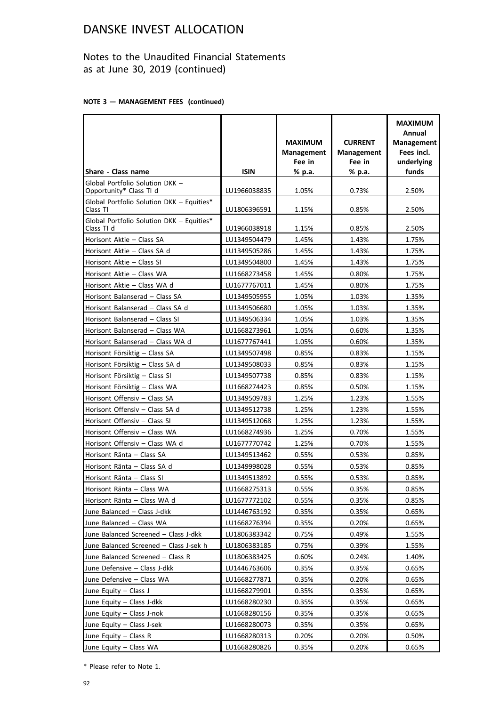### Notes to the Unaudited Financial Statements as at June 30, 2019 (continued)

#### **NOTE 3 — MANAGEMENT FEES (continued)**

|                                                            |              | <b>MAXIMUM</b><br><b>Management</b><br>Fee in | <b>CURRENT</b><br><b>Management</b><br>Fee in | <b>MAXIMUM</b><br>Annual<br><b>Management</b><br>Fees incl.<br>underlying |
|------------------------------------------------------------|--------------|-----------------------------------------------|-----------------------------------------------|---------------------------------------------------------------------------|
| Share - Class name                                         | <b>ISIN</b>  | % p.a.                                        | % p.a.                                        | funds                                                                     |
| Global Portfolio Solution DKK -<br>Opportunity* Class TI d | LU1966038835 | 1.05%                                         | 0.73%                                         | 2.50%                                                                     |
| Global Portfolio Solution DKK - Equities*<br>Class TI      | LU1806396591 | 1.15%                                         | 0.85%                                         | 2.50%                                                                     |
| Global Portfolio Solution DKK - Equities*<br>Class TI d    | LU1966038918 | 1.15%                                         | 0.85%                                         | 2.50%                                                                     |
| Horisont Aktie - Class SA                                  | LU1349504479 | 1.45%                                         | 1.43%                                         | 1.75%                                                                     |
| Horisont Aktie - Class SA d                                | LU1349505286 | 1.45%                                         | 1.43%                                         | 1.75%                                                                     |
| Horisont Aktie - Class SI                                  | LU1349504800 | 1.45%                                         | 1.43%                                         | 1.75%                                                                     |
| Horisont Aktie - Class WA                                  | LU1668273458 | 1.45%                                         | 0.80%                                         | 1.75%                                                                     |
| Horisont Aktie - Class WA d                                | LU1677767011 | 1.45%                                         | 0.80%                                         | 1.75%                                                                     |
| Horisont Balanserad - Class SA                             | LU1349505955 | 1.05%                                         | 1.03%                                         | 1.35%                                                                     |
| Horisont Balanserad - Class SA d                           | LU1349506680 | 1.05%                                         | 1.03%                                         | 1.35%                                                                     |
| Horisont Balanserad - Class SI                             | LU1349506334 | 1.05%                                         | 1.03%                                         | 1.35%                                                                     |
| Horisont Balanserad - Class WA                             | LU1668273961 | 1.05%                                         | 0.60%                                         | 1.35%                                                                     |
| Horisont Balanserad - Class WA d                           | LU1677767441 | 1.05%                                         | 0.60%                                         | 1.35%                                                                     |
| Horisont Försiktig - Class SA                              | LU1349507498 | 0.85%                                         | 0.83%                                         | 1.15%                                                                     |
| Horisont Försiktig - Class SA d                            | LU1349508033 | 0.85%                                         | 0.83%                                         | 1.15%                                                                     |
| Horisont Försiktig - Class SI                              | LU1349507738 | 0.85%                                         | 0.83%                                         | 1.15%                                                                     |
| Horisont Försiktig - Class WA                              | LU1668274423 | 0.85%                                         | 0.50%                                         | 1.15%                                                                     |
| Horisont Offensiv - Class SA                               | LU1349509783 | 1.25%                                         | 1.23%                                         | 1.55%                                                                     |
| Horisont Offensiv - Class SA d                             | LU1349512738 | 1.25%                                         | 1.23%                                         | 1.55%                                                                     |
| Horisont Offensiv - Class SI                               | LU1349512068 | 1.25%                                         | 1.23%                                         | 1.55%                                                                     |
| Horisont Offensiv - Class WA                               | LU1668274936 | 1.25%                                         | 0.70%                                         | 1.55%                                                                     |
| Horisont Offensiv - Class WA d                             | LU1677770742 | 1.25%                                         | 0.70%                                         | 1.55%                                                                     |
| Horisont Ränta - Class SA                                  | LU1349513462 | 0.55%                                         | 0.53%                                         | 0.85%                                                                     |
| Horisont Ränta - Class SA d                                | LU1349998028 | 0.55%                                         | 0.53%                                         | 0.85%                                                                     |
| Horisont Ränta - Class SI                                  | LU1349513892 | 0.55%                                         | 0.53%                                         | 0.85%                                                                     |
| Horisont Ränta – Class WA                                  | LU1668275313 | 0.55%                                         | 0.35%                                         | 0.85%                                                                     |
| Horisont Ränta - Class WA d                                | LU1677772102 | 0.55%                                         | 0.35%                                         | 0.85%                                                                     |
| June Balanced - Class J-dkk                                | LU1446763192 | 0.35%                                         | 0.35%                                         | 0.65%                                                                     |
| June Balanced - Class WA                                   | LU1668276394 | 0.35%                                         | 0.20%                                         | 0.65%                                                                     |
| June Balanced Screened - Class J-dkk                       | LU1806383342 | 0.75%                                         | 0.49%                                         | 1.55%                                                                     |
| June Balanced Screened - Class J-sek h                     | LU1806383185 | 0.75%                                         | 0.39%                                         | 1.55%                                                                     |
| June Balanced Screened - Class R                           | LU1806383425 | 0.60%                                         | 0.24%                                         | 1.40%                                                                     |
| June Defensive - Class J-dkk                               | LU1446763606 | 0.35%                                         | 0.35%                                         | 0.65%                                                                     |
| June Defensive - Class WA                                  | LU1668277871 | 0.35%                                         | 0.20%                                         | 0.65%                                                                     |
| June Equity - Class J                                      | LU1668279901 | 0.35%                                         | 0.35%                                         | 0.65%                                                                     |
| June Equity - Class J-dkk                                  | LU1668280230 | 0.35%                                         | 0.35%                                         | 0.65%                                                                     |
| June Equity - Class J-nok                                  | LU1668280156 | 0.35%                                         | 0.35%                                         | 0.65%                                                                     |
| June Equity - Class J-sek                                  | LU1668280073 | 0.35%                                         | 0.35%                                         | 0.65%                                                                     |
| June Equity - Class R                                      | LU1668280313 | 0.20%                                         | 0.20%                                         | 0.50%                                                                     |
| June Equity - Class WA                                     | LU1668280826 | 0.35%                                         | 0.20%                                         | 0.65%                                                                     |

\* Please refer to Note 1.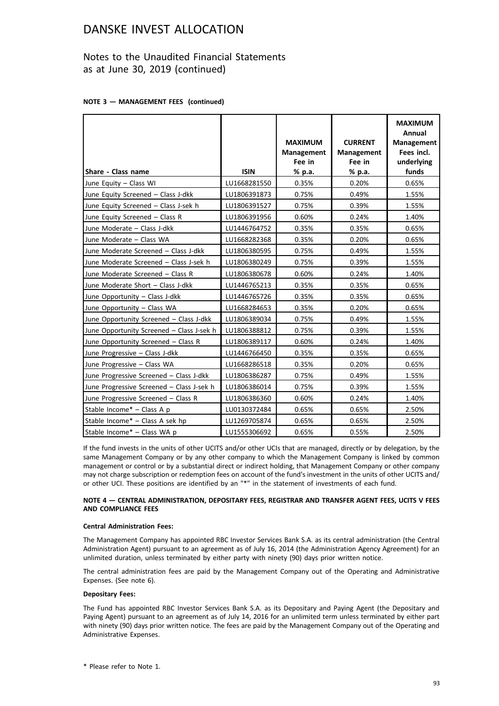### Notes to the Unaudited Financial Statements as at June 30, 2019 (continued)

#### **NOTE 3 — MANAGEMENT FEES (continued)**

| Share - Class name                        | <b>ISIN</b>  | <b>MAXIMUM</b><br>Management<br>Fee in<br>% p.a. | <b>CURRENT</b><br><b>Management</b><br>Fee in<br>% p.a. | <b>MAXIMUM</b><br>Annual<br><b>Management</b><br>Fees incl.<br>underlying<br>funds |
|-------------------------------------------|--------------|--------------------------------------------------|---------------------------------------------------------|------------------------------------------------------------------------------------|
| June Equity - Class WI                    | LU1668281550 | 0.35%                                            | 0.20%                                                   | 0.65%                                                                              |
| June Equity Screened - Class J-dkk        | LU1806391873 | 0.75%                                            | 0.49%                                                   | 1.55%                                                                              |
| June Equity Screened - Class J-sek h      | LU1806391527 | 0.75%                                            | 0.39%                                                   | 1.55%                                                                              |
| June Equity Screened - Class R            | LU1806391956 | 0.60%                                            | 0.24%                                                   | 1.40%                                                                              |
| June Moderate - Class J-dkk               | LU1446764752 | 0.35%                                            | 0.35%                                                   | 0.65%                                                                              |
| June Moderate - Class WA                  | LU1668282368 | 0.35%                                            | 0.20%                                                   | 0.65%                                                                              |
| June Moderate Screened - Class J-dkk      | LU1806380595 | 0.75%                                            | 0.49%                                                   | 1.55%                                                                              |
| June Moderate Screened - Class J-sek h    | LU1806380249 | 0.75%                                            | 0.39%                                                   | 1.55%                                                                              |
| June Moderate Screened - Class R          | LU1806380678 | 0.60%                                            | 0.24%                                                   | 1.40%                                                                              |
| June Moderate Short - Class J-dkk         | LU1446765213 | 0.35%                                            | 0.35%                                                   | 0.65%                                                                              |
| June Opportunity - Class J-dkk            | LU1446765726 | 0.35%                                            | 0.35%                                                   | 0.65%                                                                              |
| June Opportunity - Class WA               | LU1668284653 | 0.35%                                            | 0.20%                                                   | 0.65%                                                                              |
| June Opportunity Screened - Class J-dkk   | LU1806389034 | 0.75%                                            | 0.49%                                                   | 1.55%                                                                              |
| June Opportunity Screened - Class J-sek h | LU1806388812 | 0.75%                                            | 0.39%                                                   | 1.55%                                                                              |
| June Opportunity Screened - Class R       | LU1806389117 | 0.60%                                            | 0.24%                                                   | 1.40%                                                                              |
| June Progressive - Class J-dkk            | LU1446766450 | 0.35%                                            | 0.35%                                                   | 0.65%                                                                              |
| June Progressive - Class WA               | LU1668286518 | 0.35%                                            | 0.20%                                                   | 0.65%                                                                              |
| June Progressive Screened - Class J-dkk   | LU1806386287 | 0.75%                                            | 0.49%                                                   | 1.55%                                                                              |
| June Progressive Screened - Class J-sek h | LU1806386014 | 0.75%                                            | 0.39%                                                   | 1.55%                                                                              |
| June Progressive Screened - Class R       | LU1806386360 | 0.60%                                            | 0.24%                                                   | 1.40%                                                                              |
| Stable Income* - Class A p                | LU0130372484 | 0.65%                                            | 0.65%                                                   | 2.50%                                                                              |
| Stable Income* - Class A sek hp           | LU1269705874 | 0.65%                                            | 0.65%                                                   | 2.50%                                                                              |
| Stable Income* - Class WA p               | LU1555306692 | 0.65%                                            | 0.55%                                                   | 2.50%                                                                              |

If the fund invests in the units of other UCITS and/or other UCIs that are managed, directly or by delegation, by the same Management Company or by any other company to which the Management Company is linked by common management or control or by a substantial direct or indirect holding, that Management Company or other company may not charge subscription or redemption fees on account of the fund's investment in the units of other UCITS and/ or other UCI. These positions are identified by an "\*" in the statement of investments of each fund.

#### **NOTE 4 — CENTRAL ADMINISTRATION, DEPOSITARY FEES, REGISTRAR AND TRANSFER AGENT FEES, UCITS V FEES AND COMPLIANCE FEES**

#### **Central Administration Fees:**

The Management Company has appointed RBC Investor Services Bank S.A. as its central administration (the Central Administration Agent) pursuant to an agreement as of July 16, 2014 (the Administration Agency Agreement) for an unlimited duration, unless terminated by either party with ninety (90) days prior written notice.

The central administration fees are paid by the Management Company out of the Operating and Administrative Expenses. (See note 6).

#### **Depositary Fees:**

The Fund has appointed RBC Investor Services Bank S.A. as its Depositary and Paying Agent (the Depositary and Paying Agent) pursuant to an agreement as of July 14, 2016 for an unlimited term unless terminated by either part with ninety (90) days prior written notice. The fees are paid by the Management Company out of the Operating and Administrative Expenses.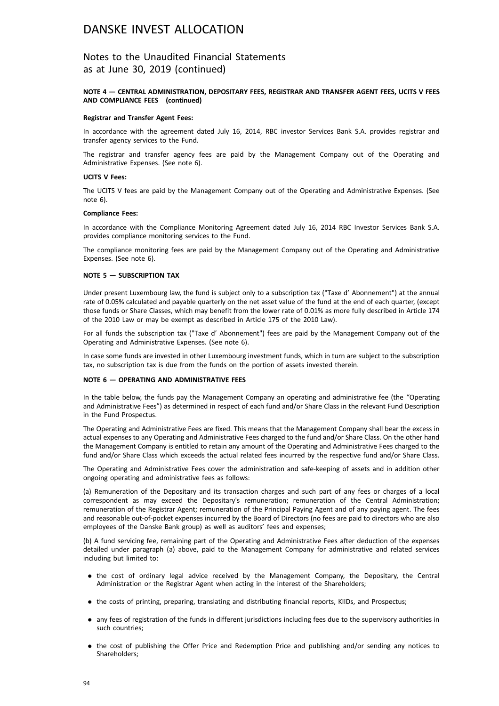### Notes to the Unaudited Financial Statements as at June 30, 2019 (continued)

#### **NOTE 4 — CENTRAL ADMINISTRATION, DEPOSITARY FEES, REGISTRAR AND TRANSFER AGENT FEES, UCITS V FEES AND COMPLIANCE FEES (continued)**

#### **Registrar and Transfer Agent Fees:**

In accordance with the agreement dated July 16, 2014, RBC investor Services Bank S.A. provides registrar and transfer agency services to the Fund.

The registrar and transfer agency fees are paid by the Management Company out of the Operating and Administrative Expenses. (See note 6).

#### **UCITS V Fees:**

The UCITS V fees are paid by the Management Company out of the Operating and Administrative Expenses. (See note 6).

#### **Compliance Fees:**

In accordance with the Compliance Monitoring Agreement dated July 16, 2014 RBC Investor Services Bank S.A. provides compliance monitoring services to the Fund.

The compliance monitoring fees are paid by the Management Company out of the Operating and Administrative Expenses. (See note 6).

#### **NOTE 5 — SUBSCRIPTION TAX**

Under present Luxembourg law, the fund is subject only to a subscription tax ("Taxe d' Abonnement") at the annual rate of 0.05% calculated and payable quarterly on the net asset value of the fund at the end of each quarter, (except those funds or Share Classes, which may benefit from the lower rate of 0.01% as more fully described in Article 174 of the 2010 Law or may be exempt as described in Article 175 of the 2010 Law).

For all funds the subscription tax ("Taxe d' Abonnement") fees are paid by the Management Company out of the Operating and Administrative Expenses. (See note 6).

In case some funds are invested in other Luxembourg investment funds, which in turn are subject to the subscription tax, no subscription tax is due from the funds on the portion of assets invested therein.

#### **NOTE 6 — OPERATING AND ADMINISTRATIVE FEES**

In the table below, the funds pay the Management Company an operating and administrative fee (the "Operating and Administrative Fees") as determined in respect of each fund and/or Share Class in the relevant Fund Description in the Fund Prospectus.

The Operating and Administrative Fees are fixed. This means that the Management Company shall bear the excess in actual expenses to any Operating and Administrative Fees charged to the fund and/or Share Class. On the other hand the Management Company is entitled to retain any amount of the Operating and Administrative Fees charged to the fund and/or Share Class which exceeds the actual related fees incurred by the respective fund and/or Share Class.

The Operating and Administrative Fees cover the administration and safe-keeping of assets and in addition other ongoing operating and administrative fees as follows:

(a) Remuneration of the Depositary and its transaction charges and such part of any fees or charges of a local correspondent as may exceed the Depositary's remuneration; remuneration of the Central Administration; remuneration of the Registrar Agent; remuneration of the Principal Paying Agent and of any paying agent. The fees and reasonable out-of-pocket expenses incurred by the Board of Directors (no fees are paid to directors who are also employees of the Danske Bank group) as well as auditors' fees and expenses;

(b) A fund servicing fee, remaining part of the Operating and Administrative Fees after deduction of the expenses detailed under paragraph (a) above, paid to the Management Company for administrative and related services including but limited to:

- . the cost of ordinary legal advice received by the Management Company, the Depositary, the Central Administration or the Registrar Agent when acting in the interest of the Shareholders;
- . the costs of printing, preparing, translating and distributing financial reports, KIIDs, and Prospectus;
- . any fees of registration of the funds in different jurisdictions including fees due to the supervisory authorities in such countries;
- . the cost of publishing the Offer Price and Redemption Price and publishing and/or sending any notices to Shareholders;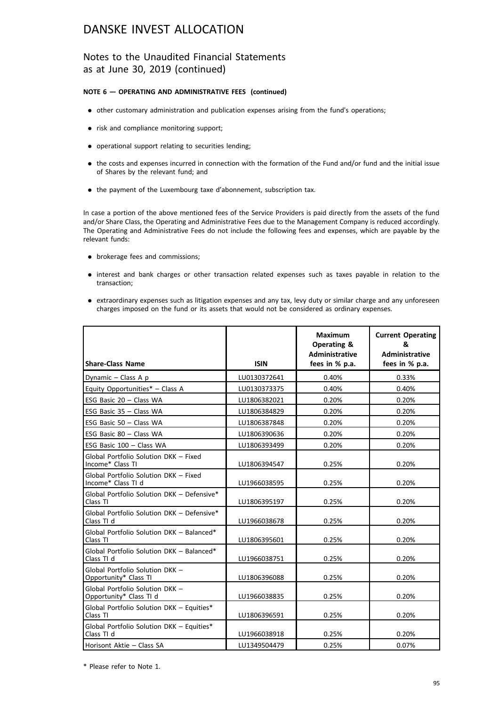### Notes to the Unaudited Financial Statements as at June 30, 2019 (continued)

#### **NOTE 6 — OPERATING AND ADMINISTRATIVE FEES (continued)**

- . other customary administration and publication expenses arising from the fund's operations;
- . risk and compliance monitoring support;
- . operational support relating to securities lending;
- . the costs and expenses incurred in connection with the formation of the Fund and/or fund and the initial issue of Shares by the relevant fund; and
- . the payment of the Luxembourg taxe d'abonnement, subscription tax.

In case a portion of the above mentioned fees of the Service Providers is paid directly from the assets of the fund and/or Share Class, the Operating and Administrative Fees due to the Management Company is reduced accordingly. The Operating and Administrative Fees do not include the following fees and expenses, which are payable by the relevant funds:

- . brokerage fees and commissions;
- . interest and bank charges or other transaction related expenses such as taxes payable in relation to the transaction;
- . extraordinary expenses such as litigation expenses and any tax, levy duty or similar charge and any unforeseen charges imposed on the fund or its assets that would not be considered as ordinary expenses.

| <b>Share-Class Name</b>                                     | <b>ISIN</b>  | <b>Maximum</b><br><b>Operating &amp;</b><br><b>Administrative</b><br>fees in % p.a. | <b>Current Operating</b><br>&<br><b>Administrative</b><br>fees in % p.a. |
|-------------------------------------------------------------|--------------|-------------------------------------------------------------------------------------|--------------------------------------------------------------------------|
| Dynamic - Class A p                                         | LU0130372641 | 0.40%                                                                               | 0.33%                                                                    |
| Equity Opportunities* - Class A                             | LU0130373375 | 0.40%                                                                               | 0.40%                                                                    |
| ESG Basic 20 - Class WA                                     | LU1806382021 | 0.20%                                                                               | 0.20%                                                                    |
| ESG Basic 35 - Class WA                                     | LU1806384829 | 0.20%                                                                               | 0.20%                                                                    |
| ESG Basic 50 - Class WA                                     | LU1806387848 | 0.20%                                                                               | 0.20%                                                                    |
| ESG Basic 80 - Class WA                                     | LU1806390636 | 0.20%                                                                               | 0.20%                                                                    |
| ESG Basic 100 - Class WA                                    | LU1806393499 | 0.20%                                                                               | 0.20%                                                                    |
| Global Portfolio Solution DKK - Fixed<br>Income* Class TI   | LU1806394547 | 0.25%                                                                               | 0.20%                                                                    |
| Global Portfolio Solution DKK - Fixed<br>Income* Class TI d | LU1966038595 | 0.25%                                                                               | 0.20%                                                                    |
| Global Portfolio Solution DKK - Defensive*<br>Class TI      | LU1806395197 | 0.25%                                                                               | 0.20%                                                                    |
| Global Portfolio Solution DKK - Defensive*<br>Class TI d    | LU1966038678 | 0.25%                                                                               | 0.20%                                                                    |
| Global Portfolio Solution DKK - Balanced*<br>Class TI       | LU1806395601 | 0.25%                                                                               | 0.20%                                                                    |
| Global Portfolio Solution DKK - Balanced*<br>Class TI d     | LU1966038751 | 0.25%                                                                               | 0.20%                                                                    |
| Global Portfolio Solution DKK -<br>Opportunity* Class TI    | LU1806396088 | 0.25%                                                                               | 0.20%                                                                    |
| Global Portfolio Solution DKK -<br>Opportunity* Class TI d  | LU1966038835 | 0.25%                                                                               | 0.20%                                                                    |
| Global Portfolio Solution DKK - Equities*<br>Class TI       | LU1806396591 | 0.25%                                                                               | 0.20%                                                                    |
| Global Portfolio Solution DKK - Equities*<br>Class TI d     | LU1966038918 | 0.25%                                                                               | 0.20%                                                                    |
| Horisont Aktie - Class SA                                   | LU1349504479 | 0.25%                                                                               | 0.07%                                                                    |

\* Please refer to Note 1.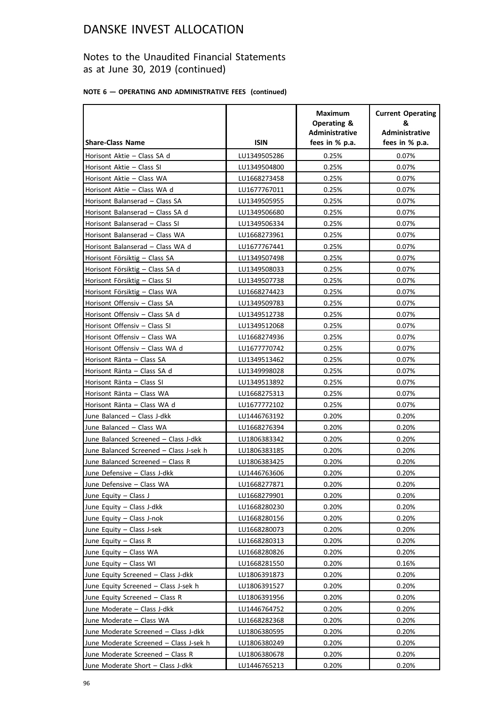### Notes to the Unaudited Financial Statements as at June 30, 2019 (continued)

### **NOTE 6 — OPERATING AND ADMINISTRATIVE FEES (continued)**

|                                        |              | <b>Maximum</b><br>Operating &<br><b>Administrative</b> | <b>Current Operating</b><br>&<br>Administrative |
|----------------------------------------|--------------|--------------------------------------------------------|-------------------------------------------------|
| <b>Share-Class Name</b>                | <b>ISIN</b>  | fees in % p.a.                                         | fees in % p.a.                                  |
| Horisont Aktie - Class SA d            | LU1349505286 | 0.25%                                                  | 0.07%                                           |
| Horisont Aktie - Class SI              | LU1349504800 | 0.25%                                                  | 0.07%                                           |
| Horisont Aktie - Class WA              | LU1668273458 | 0.25%                                                  | 0.07%                                           |
| Horisont Aktie - Class WA d            | LU1677767011 | 0.25%                                                  | 0.07%                                           |
| Horisont Balanserad - Class SA         | LU1349505955 | 0.25%                                                  | 0.07%                                           |
| Horisont Balanserad - Class SA d       | LU1349506680 | 0.25%                                                  | 0.07%                                           |
| Horisont Balanserad - Class SI         | LU1349506334 | 0.25%                                                  | 0.07%                                           |
| Horisont Balanserad - Class WA         | LU1668273961 | 0.25%                                                  | 0.07%                                           |
| Horisont Balanserad - Class WA d       | LU1677767441 | 0.25%                                                  | 0.07%                                           |
| Horisont Försiktig - Class SA          | LU1349507498 | 0.25%                                                  | 0.07%                                           |
| Horisont Försiktig - Class SA d        | LU1349508033 | 0.25%                                                  | 0.07%                                           |
| Horisont Försiktig - Class SI          | LU1349507738 | 0.25%                                                  | 0.07%                                           |
| Horisont Försiktig - Class WA          | LU1668274423 | 0.25%                                                  | 0.07%                                           |
| Horisont Offensiv - Class SA           | LU1349509783 | 0.25%                                                  | 0.07%                                           |
| Horisont Offensiv - Class SA d         | LU1349512738 | 0.25%                                                  | 0.07%                                           |
| Horisont Offensiv - Class SI           | LU1349512068 | 0.25%                                                  | 0.07%                                           |
| Horisont Offensiv - Class WA           | LU1668274936 | 0.25%                                                  | 0.07%                                           |
| Horisont Offensiv - Class WA d         | LU1677770742 | 0.25%                                                  | 0.07%                                           |
| Horisont Ränta - Class SA              | LU1349513462 | 0.25%                                                  | 0.07%                                           |
| Horisont Ränta - Class SA d            | LU1349998028 | 0.25%                                                  | 0.07%                                           |
| Horisont Ränta - Class SI              | LU1349513892 | 0.25%                                                  | 0.07%                                           |
| Horisont Ränta - Class WA              | LU1668275313 | 0.25%                                                  | 0.07%                                           |
| Horisont Ränta - Class WA d            | LU1677772102 | 0.25%                                                  | 0.07%                                           |
| June Balanced - Class J-dkk            | LU1446763192 | 0.20%                                                  | 0.20%                                           |
| June Balanced - Class WA               | LU1668276394 | 0.20%                                                  | 0.20%                                           |
| June Balanced Screened - Class J-dkk   | LU1806383342 | 0.20%                                                  | 0.20%                                           |
| June Balanced Screened - Class J-sek h | LU1806383185 | 0.20%                                                  | 0.20%                                           |
| June Balanced Screened - Class R       | LU1806383425 | 0.20%                                                  | 0.20%                                           |
| June Defensive - Class J-dkk           | LU1446763606 | 0.20%                                                  | 0.20%                                           |
| June Defensive - Class WA              | LU1668277871 | 0.20%                                                  | 0.20%                                           |
| June Equity - Class J                  | LU1668279901 | 0.20%                                                  | 0.20%                                           |
| June Equity - Class J-dkk              | LU1668280230 | 0.20%                                                  | 0.20%                                           |
| June Equity - Class J-nok              | LU1668280156 | 0.20%                                                  | 0.20%                                           |
| June Equity - Class J-sek              | LU1668280073 | 0.20%                                                  | 0.20%                                           |
| June Equity - Class R                  | LU1668280313 | 0.20%                                                  | 0.20%                                           |
| June Equity - Class WA                 | LU1668280826 | 0.20%                                                  | 0.20%                                           |
| June Equity - Class WI                 | LU1668281550 | 0.20%                                                  | 0.16%                                           |
| June Equity Screened - Class J-dkk     | LU1806391873 | 0.20%                                                  | 0.20%                                           |
| June Equity Screened - Class J-sek h   | LU1806391527 | 0.20%                                                  | 0.20%                                           |
| June Equity Screened - Class R         | LU1806391956 | 0.20%                                                  | 0.20%                                           |
| June Moderate - Class J-dkk            | LU1446764752 | 0.20%                                                  | 0.20%                                           |
| June Moderate - Class WA               | LU1668282368 | 0.20%                                                  | 0.20%                                           |
| June Moderate Screened - Class J-dkk   | LU1806380595 | 0.20%                                                  | 0.20%                                           |
| June Moderate Screened - Class J-sek h | LU1806380249 | 0.20%                                                  | 0.20%                                           |
| June Moderate Screened - Class R       | LU1806380678 | 0.20%                                                  | 0.20%                                           |
| June Moderate Short - Class J-dkk      | LU1446765213 | 0.20%                                                  | 0.20%                                           |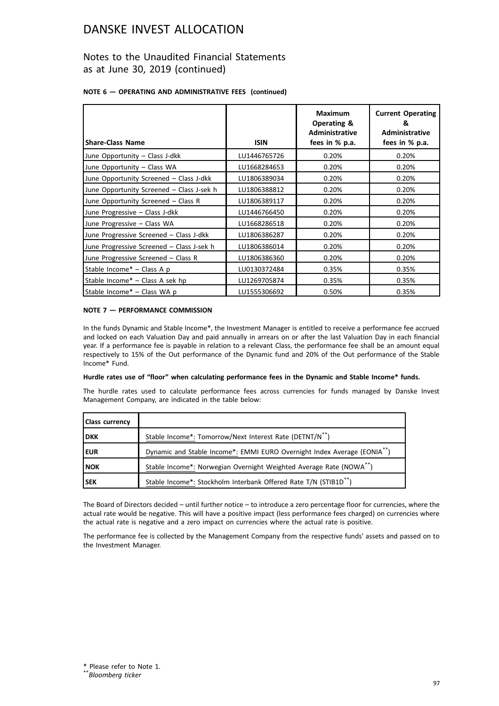### Notes to the Unaudited Financial Statements as at June 30, 2019 (continued)

#### **NOTE 6 — OPERATING AND ADMINISTRATIVE FEES (continued)**

| <b>Share-Class Name</b>                   | <b>ISIN</b>  | <b>Maximum</b><br>Operating &<br><b>Administrative</b><br>fees in % p.a. | <b>Current Operating</b><br>&<br><b>Administrative</b><br>fees in % p.a. |
|-------------------------------------------|--------------|--------------------------------------------------------------------------|--------------------------------------------------------------------------|
| June Opportunity - Class J-dkk            | LU1446765726 | 0.20%                                                                    | 0.20%                                                                    |
| June Opportunity - Class WA               | LU1668284653 | 0.20%                                                                    | 0.20%                                                                    |
| June Opportunity Screened - Class J-dkk   | LU1806389034 | 0.20%                                                                    | 0.20%                                                                    |
| June Opportunity Screened - Class J-sek h | LU1806388812 | 0.20%                                                                    | 0.20%                                                                    |
| June Opportunity Screened - Class R       | LU1806389117 | 0.20%                                                                    | 0.20%                                                                    |
| June Progressive - Class J-dkk            | LU1446766450 | 0.20%                                                                    | 0.20%                                                                    |
| June Progressive - Class WA               | LU1668286518 | 0.20%                                                                    | 0.20%                                                                    |
| June Progressive Screened - Class J-dkk   | LU1806386287 | 0.20%                                                                    | 0.20%                                                                    |
| June Progressive Screened - Class J-sek h | LU1806386014 | 0.20%                                                                    | 0.20%                                                                    |
| June Progressive Screened - Class R       | LU1806386360 | 0.20%                                                                    | 0.20%                                                                    |
| Stable Income* - Class A p                | LU0130372484 | 0.35%                                                                    | 0.35%                                                                    |
| Stable Income* - Class A sek hp           | LU1269705874 | 0.35%                                                                    | 0.35%                                                                    |
| Stable Income* - Class WA p               | LU1555306692 | 0.50%                                                                    | 0.35%                                                                    |

#### **NOTE 7 — PERFORMANCE COMMISSION**

In the funds Dynamic and Stable Income\*, the Investment Manager is entitled to receive a performance fee accrued and locked on each Valuation Day and paid annually in arrears on or after the last Valuation Day in each financial year. If a performance fee is payable in relation to a relevant Class, the performance fee shall be an amount equal respectively to 15% of the Out performance of the Dynamic fund and 20% of the Out performance of the Stable Income\* Fund.

#### **Hurdle rates use of "floor" when calculating performance fees in the Dynamic and Stable Income\* funds.**

The hurdle rates used to calculate performance fees across currencies for funds managed by Danske Invest Management Company, are indicated in the table below:

| <b>Class currency</b> |                                                                                      |
|-----------------------|--------------------------------------------------------------------------------------|
| <b>DKK</b>            | Stable Income*: Tomorrow/Next Interest Rate (DETNT/N <sup>**</sup> )                 |
| <b>EUR</b>            | Dynamic and Stable Income*: EMMI EURO Overnight Index Average (EONIA <sup>**</sup> ) |
| l NOK                 | Stable Income*: Norwegian Overnight Weighted Average Rate (NOWA**)                   |
| l SEK                 | Stable Income*: Stockholm Interbank Offered Rate T/N (STIB1D <sup>**</sup> )         |

The Board of Directors decided – until further notice – to introduce a zero percentage floor for currencies, where the actual rate would be negative. This will have a positive impact (less performance fees charged) on currencies where the actual rate is negative and a zero impact on currencies where the actual rate is positive.

The performance fee is collected by the Management Company from the respective funds' assets and passed on to the Investment Manager.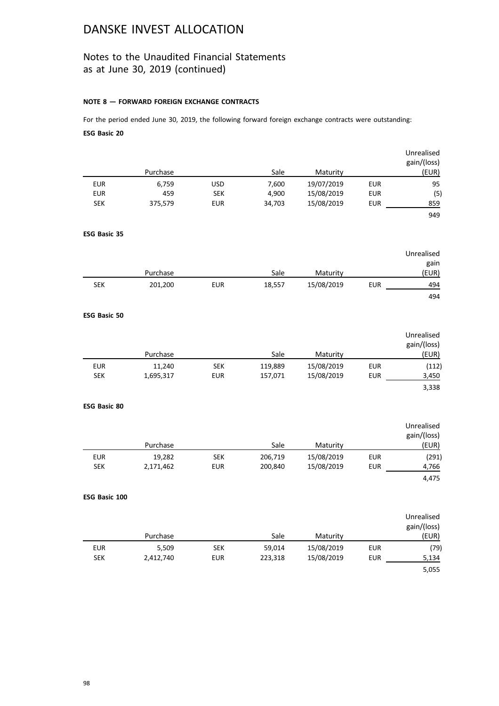### Notes to the Unaudited Financial Statements as at June 30, 2019 (continued)

#### **NOTE 8 — FORWARD FOREIGN EXCHANGE CONTRACTS**

For the period ended June 30, 2019, the following forward foreign exchange contracts were outstanding: **ESG Basic 20**

|                     |           |            |         |                        |            | Unrealised<br>gain/(loss) |
|---------------------|-----------|------------|---------|------------------------|------------|---------------------------|
|                     | Purchase  |            | Sale    | Maturity               |            | (EUR)                     |
| <b>EUR</b>          | 6,759     | <b>USD</b> | 7,600   | 19/07/2019             | <b>EUR</b> | 95                        |
| <b>EUR</b>          | 459       | <b>SEK</b> | 4,900   | 15/08/2019             | <b>EUR</b> | (5)                       |
| <b>SEK</b>          | 375,579   | <b>EUR</b> | 34,703  | 15/08/2019             | <b>EUR</b> | 859                       |
|                     |           |            |         |                        |            | 949                       |
| <b>ESG Basic 35</b> |           |            |         |                        |            |                           |
|                     |           |            |         |                        |            | Unrealised                |
|                     | Purchase  |            | Sale    | Maturity               |            | gain<br>(EUR)             |
| <b>SEK</b>          | 201,200   | <b>EUR</b> | 18,557  | 15/08/2019             | <b>EUR</b> | 494                       |
|                     |           |            |         |                        |            | 494                       |
| <b>ESG Basic 50</b> |           |            |         |                        |            |                           |
|                     |           |            |         |                        |            | Unrealised                |
|                     |           |            |         |                        |            | gain/(loss)               |
|                     | Purchase  |            | Sale    | Maturity               |            | (EUR)                     |
| <b>EUR</b>          | 11,240    | <b>SEK</b> | 119,889 | 15/08/2019             | <b>EUR</b> | (112)                     |
| <b>SEK</b>          | 1,695,317 | <b>EUR</b> | 157,071 | 15/08/2019             | <b>EUR</b> | 3,450                     |
|                     |           |            |         |                        |            | 3,338                     |
| ESG Basic 80        |           |            |         |                        |            |                           |
|                     |           |            |         |                        |            | Unrealised                |
|                     |           |            |         |                        |            | gain/(loss)               |
|                     | Purchase  |            | Sale    | Maturity               |            | (EUR)                     |
| <b>EUR</b>          | 19,282    | <b>SEK</b> | 206,719 | 15/08/2019             | <b>EUR</b> | (291)                     |
| <b>SEK</b>          | 2,171,462 | EUR        | 200,840 | 15/08/2019             | <b>EUR</b> | 4,766                     |
|                     |           |            |         |                        |            | 4,475                     |
| ESG Basic 100       |           |            |         |                        |            |                           |
|                     |           |            |         |                        |            | Unrealised                |
|                     | Purchase  |            | Sale    |                        |            | gain/(loss)<br>(EUR)      |
| <b>EUR</b>          | 5,509     | <b>SEK</b> | 59,014  | Maturity<br>15/08/2019 | <b>EUR</b> |                           |
| <b>SEK</b>          | 2,412,740 | <b>EUR</b> | 223,318 | 15/08/2019             | <b>EUR</b> | (79)<br>5,134             |
|                     |           |            |         |                        |            | 5,055                     |
|                     |           |            |         |                        |            |                           |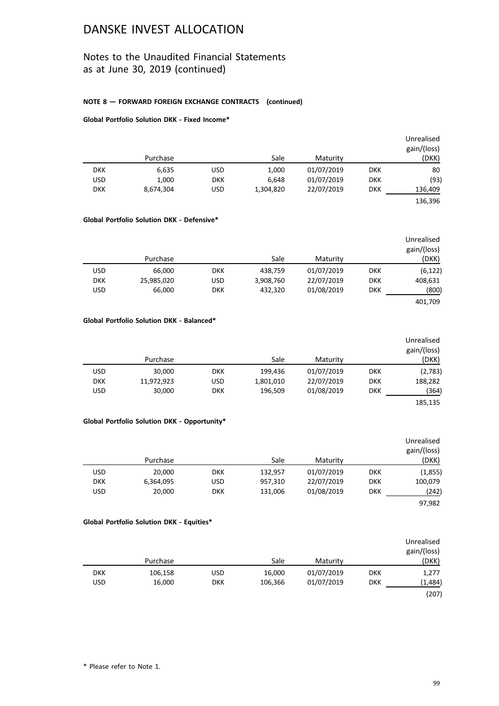### Notes to the Unaudited Financial Statements as at June 30, 2019 (continued)

#### **NOTE 8 — FORWARD FOREIGN EXCHANGE CONTRACTS (continued)**

#### **Global Portfolio Solution DKK - Fixed Income\***

|            | Purchase  |            | Sale      | Maturity   |            | Unrealised<br>gain/(loss)<br>(DKK) |
|------------|-----------|------------|-----------|------------|------------|------------------------------------|
| <b>DKK</b> | 6,635     | USD        | 1,000     | 01/07/2019 | <b>DKK</b> | 80                                 |
| USD        | 1,000     | <b>DKK</b> | 6,648     | 01/07/2019 | <b>DKK</b> | (93)                               |
| <b>DKK</b> | 8,674,304 | USD        | 1,304,820 | 22/07/2019 | <b>DKK</b> | 136,409                            |
|            |           |            |           |            |            | 136,396                            |

#### **Global Portfolio Solution DKK - Defensive\***

| Unrealised  |            |            |           |            |            |            |
|-------------|------------|------------|-----------|------------|------------|------------|
| gain/(loss) |            |            |           |            |            |            |
| (DKK)       |            | Maturity   | Sale      |            | Purchase   |            |
| (6, 122)    | <b>DKK</b> | 01/07/2019 | 438.759   | <b>DKK</b> | 66.000     | <b>USD</b> |
| 408,631     | <b>DKK</b> | 22/07/2019 | 3,908,760 | USD        | 25,985,020 | <b>DKK</b> |
| (800)       | <b>DKK</b> | 01/08/2019 | 432,320   | <b>DKK</b> | 66,000     | <b>USD</b> |
| 401,709     |            |            |           |            |            |            |

#### **Global Portfolio Solution DKK - Balanced\***

| Unrealised<br>gain/(loss) |            |            |           |            |            |            |
|---------------------------|------------|------------|-----------|------------|------------|------------|
| (DKK)                     |            | Maturity   | Sale      |            | Purchase   |            |
| (2,783)                   | <b>DKK</b> | 01/07/2019 | 199.436   | <b>DKK</b> | 30,000     | USD        |
| 188,282                   | <b>DKK</b> | 22/07/2019 | 1,801,010 | <b>USD</b> | 11,972,923 | <b>DKK</b> |
| (364)                     | <b>DKK</b> | 01/08/2019 | 196,509   | <b>DKK</b> | 30,000     | <b>USD</b> |
| 185.135                   |            |            |           |            |            |            |

#### **Global Portfolio Solution DKK - Opportunity\***

| Unrealised<br>gain/(loss) |            |            |         |            |           |            |
|---------------------------|------------|------------|---------|------------|-----------|------------|
| (DKK)                     |            | Maturity   | Sale    |            | Purchase  |            |
| (1,855)                   | <b>DKK</b> | 01/07/2019 | 132,957 | <b>DKK</b> | 20,000    | <b>USD</b> |
| 100,079                   | <b>DKK</b> | 22/07/2019 | 957,310 | USD        | 6,364,095 | <b>DKK</b> |
| (242)                     | <b>DKK</b> | 01/08/2019 | 131,006 | <b>DKK</b> | 20,000    | <b>USD</b> |
| 97.982                    |            |            |         |            |           |            |

#### **Global Portfolio Solution DKK - Equities\***

|            |          |            |         |            |            | Unrealised<br>gain/(loss) |
|------------|----------|------------|---------|------------|------------|---------------------------|
|            | Purchase |            | Sale    | Maturity   |            | (DKK)                     |
| <b>DKK</b> | 106,158  | USD        | 16,000  | 01/07/2019 | <b>DKK</b> | 1,277                     |
| USD        | 16,000   | <b>DKK</b> | 106,366 | 01/07/2019 | <b>DKK</b> | (1,484)                   |
|            |          |            |         |            |            | (207)                     |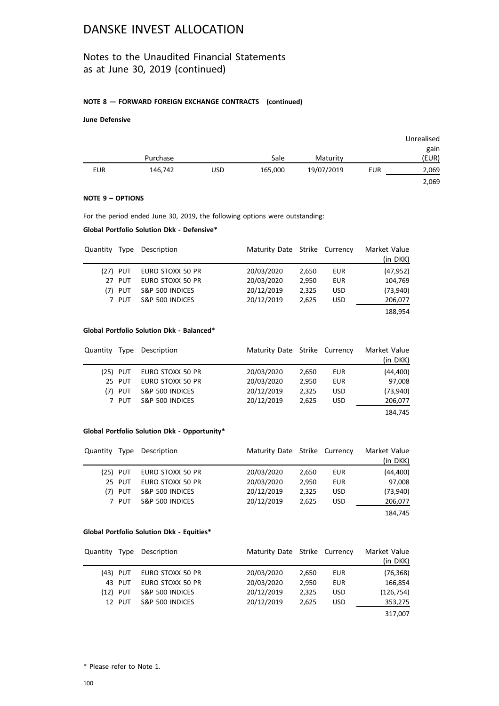### Notes to the Unaudited Financial Statements as at June 30, 2019 (continued)

#### **NOTE 8 — FORWARD FOREIGN EXCHANGE CONTRACTS (continued)**

#### **June Defensive**

|            |          |     |         |            |            | Unrealised |
|------------|----------|-----|---------|------------|------------|------------|
|            |          |     |         |            |            | gain       |
|            | Purchase |     | Sale    | Maturity   |            | (EUR)      |
| <b>EUR</b> | 146,742  | USD | 165,000 | 19/07/2019 | <b>EUR</b> | 2,069      |
|            |          |     |         |            |            | 2,069      |

#### **NOTE 9 – OPTIONS**

For the period ended June 30, 2019, the following options were outstanding:

#### **Global Portfolio Solution Dkk - Defensive\***

|            | Quantity Type Description | Maturity Date Strike Currency |       |            | Market Value<br>(in DKK) |
|------------|---------------------------|-------------------------------|-------|------------|--------------------------|
| $(27)$ PUT | EURO STOXX 50 PR          | 20/03/2020                    | 2.650 | EUR        | (47, 952)                |
| 27 PUT     | EURO STOXX 50 PR          | 20/03/2020                    | 2.950 | <b>EUR</b> | 104,769                  |
| $(7)$ PUT  | S&P 500 INDICES           | 20/12/2019                    | 2,325 | <b>USD</b> | (73,940)                 |
| 7 PUT      | S&P 500 INDICES           | 20/12/2019                    | 2.625 | <b>USD</b> | 206,077                  |
|            |                           |                               |       |            | 188,954                  |

#### **Global Portfolio Solution Dkk - Balanced\***

| Quantity |            | Type Description | Maturity Date Strike Currency |       |            | Market Value<br>(in DKK) |
|----------|------------|------------------|-------------------------------|-------|------------|--------------------------|
|          | $(25)$ PUT | EURO STOXX 50 PR | 20/03/2020                    | 2.650 | EUR        | (44, 400)                |
|          | 25 PUT     | EURO STOXX 50 PR | 20/03/2020                    | 2.950 | EUR        | 97,008                   |
|          | $(7)$ PUT  | S&P 500 INDICES  | 20/12/2019                    | 2.325 | <b>USD</b> | (73,940)                 |
|          | 7 PUT      | S&P 500 INDICES  | 20/12/2019                    | 2,625 | <b>USD</b> | 206,077                  |
|          |            |                  |                               |       |            | 184,745                  |

#### **Global Portfolio Solution Dkk - Opportunity\***

| Quantity |            | Type Description | Maturity Date Strike Currency |       |            | Market Value |
|----------|------------|------------------|-------------------------------|-------|------------|--------------|
|          |            |                  |                               |       |            | (in DKK)     |
|          | $(25)$ PUT | EURO STOXX 50 PR | 20/03/2020                    | 2,650 | EUR        | (44, 400)    |
|          | 25 PUT     | EURO STOXX 50 PR | 20/03/2020                    | 2.950 | EUR        | 97,008       |
|          | $(7)$ PUT  | S&P 500 INDICES  | 20/12/2019                    | 2,325 | <b>USD</b> | (73,940)     |
|          | 7 PUT      | S&P 500 INDICES  | 20/12/2019                    | 2.625 | <b>USD</b> | 206,077      |
|          |            |                  |                               |       |            | 184,745      |

#### **Global Portfolio Solution Dkk - Equities\***

|            | Quantity Type Description | Maturity Date Strike Currency |       |            | Market Value<br>(in DKK) |
|------------|---------------------------|-------------------------------|-------|------------|--------------------------|
| (43) PUT   | EURO STOXX 50 PR          | 20/03/2020                    | 2.650 | EUR        | (76, 368)                |
| 43 PUT     | EURO STOXX 50 PR          | 20/03/2020                    | 2.950 | <b>EUR</b> | 166,854                  |
| $(12)$ PUT | S&P 500 INDICES           | 20/12/2019                    | 2,325 | <b>USD</b> | (126, 754)               |
| 12 PUT     | S&P 500 INDICES           | 20/12/2019                    | 2.625 | <b>USD</b> | 353,275                  |
|            |                           |                               |       |            | 317,007                  |

\* Please refer to Note 1.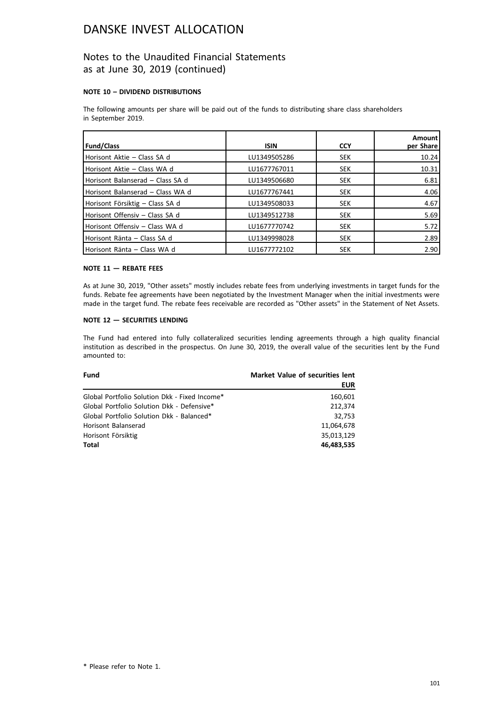### Notes to the Unaudited Financial Statements as at June 30, 2019 (continued)

#### **NOTE 10 – DIVIDEND DISTRIBUTIONS**

The following amounts per share will be paid out of the funds to distributing share class shareholders in September 2019.

| <b>Fund/Class</b>                | <b>ISIN</b>  | <b>CCY</b> | <b>Amount</b><br>per Share |
|----------------------------------|--------------|------------|----------------------------|
| Horisont Aktie - Class SA d      | LU1349505286 | <b>SEK</b> | 10.24                      |
| Horisont Aktie - Class WA d      | LU1677767011 | <b>SEK</b> | 10.31                      |
| Horisont Balanserad - Class SA d | LU1349506680 | <b>SEK</b> | 6.81                       |
| Horisont Balanserad - Class WA d | LU1677767441 | <b>SEK</b> | 4.06                       |
| Horisont Försiktig – Class SA d  | LU1349508033 | <b>SEK</b> | 4.67                       |
| Horisont Offensiv - Class SA d   | LU1349512738 | <b>SEK</b> | 5.69                       |
| Horisont Offensiv - Class WA d   | LU1677770742 | <b>SEK</b> | 5.72                       |
| Horisont Ränta – Class SA d      | LU1349998028 | <b>SEK</b> | 2.89                       |
| Horisont Ränta – Class WA d      | LU1677772102 | <b>SEK</b> | 2.90                       |

#### **NOTE 11 — REBATE FEES**

As at June 30, 2019, "Other assets" mostly includes rebate fees from underlying investments in target funds for the funds. Rebate fee agreements have been negotiated by the Investment Manager when the initial investments were made in the target fund. The rebate fees receivable are recorded as "Other assets" in the Statement of Net Assets.

#### **NOTE 12 — SECURITIES LENDING**

The Fund had entered into fully collateralized securities lending agreements through a high quality financial institution as described in the prospectus. On June 30, 2019, the overall value of the securities lent by the Fund amounted to:

| <b>Fund</b>                                   | <b>Market Value of securities lent</b> |
|-----------------------------------------------|----------------------------------------|
|                                               | <b>EUR</b>                             |
| Global Portfolio Solution Dkk - Fixed Income* | 160,601                                |
| Global Portfolio Solution Dkk - Defensive*    | 212.374                                |
| Global Portfolio Solution Dkk - Balanced*     | 32,753                                 |
| Horisont Balanserad                           | 11.064.678                             |
| Horisont Försiktig                            | 35.013.129                             |
| Total                                         | 46,483,535                             |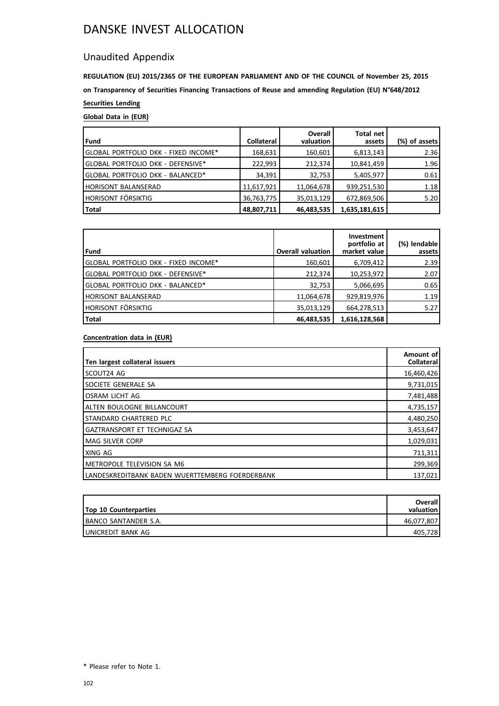### Unaudited Appendix

**REGULATION (EU) 2015/2365 OF THE EUROPEAN PARLIAMENT AND OF THE COUNCIL of November 25, 2015 on Transparency of Securities Financing Transactions of Reuse and amending Regulation (EU) N°648/2012 Securities Lending**

### **Global Data in (EUR)**

| <b>Fund</b>                          | Collateral | <b>Overall</b><br>valuation | <b>Total net</b><br>assets | (%) of assets |
|--------------------------------------|------------|-----------------------------|----------------------------|---------------|
| GLOBAL PORTFOLIO DKK - FIXED INCOME* | 168,631    | 160,601                     | 6,813,143                  | 2.36          |
| GLOBAL PORTFOLIO DKK - DEFENSIVE*    | 222,993    | 212,374                     | 10,841,459                 | 1.96          |
| GLOBAL PORTFOLIO DKK - BALANCED*     | 34,391     | 32,753                      | 5,405,977                  | 0.61          |
| <b>HORISONT BALANSERAD</b>           | 11,617,921 | 11,064,678                  | 939,251,530                | 1.18          |
| HORISONT FÖRSIKTIG                   | 36,763,775 | 35,013,129                  | 672,869,506                | 5.20          |
| Total                                | 48,807,711 | 46,483,535                  | 1,635,181,615              |               |

| <b>Fund</b>                          | <b>Overall valuation</b> | Investment<br>portfolio at<br>market value | (%) lendable<br>assets |
|--------------------------------------|--------------------------|--------------------------------------------|------------------------|
| GLOBAL PORTFOLIO DKK - FIXED INCOME* | 160,601                  | 6,709,412                                  | 2.39                   |
| GLOBAL PORTFOLIO DKK - DEFENSIVE*    | 212,374                  | 10,253,972                                 | 2.07                   |
| GLOBAL PORTFOLIO DKK - BALANCED*     | 32,753                   | 5,066,695                                  | 0.65                   |
| <b>HORISONT BALANSERAD</b>           | 11,064,678               | 929,819,976                                | 1.19                   |
| <b>HORISONT FÖRSIKTIG</b>            | 35,013,129               | 664,278,513                                | 5.27                   |
| <b>Total</b>                         | 46,483,535               | 1,616,128,568                              |                        |

#### **Concentration data in (EUR)**

| Ten largest collateral issuers                   | Amount of<br><b>Collateral</b> |
|--------------------------------------------------|--------------------------------|
| <b>SCOUT24 AG</b>                                | 16,460,426                     |
| ISOCIETE GENERALE SA                             | 9,731,015                      |
| <b>IOSRAM LICHT AG</b>                           | 7,481,488                      |
| Ialten boulogne billancourt                      | 4,735,157                      |
| Istandard Chartered PLC                          | 4,480,250                      |
| IGAZTRANSPORT ET TECHNIGAZ SA                    | 3,453,647                      |
| <b>IMAG SILVER CORP</b>                          | 1,029,031                      |
| IXING AG                                         | 711,311                        |
| IMETROPOLE TELEVISION SA M6                      | 299,369                        |
| ILANDESKREDITBANK BADEN WUERTTEMBERG FOERDERBANK | 137,021                        |

| <b>Top 10 Counterparties</b> | <b>Overall</b><br>valuation |
|------------------------------|-----------------------------|
| IBANCO SANTANDER S.A.        | 46,077,807                  |
| IUNICREDIT BANK AG           | 405.728                     |

\* Please refer to Note 1.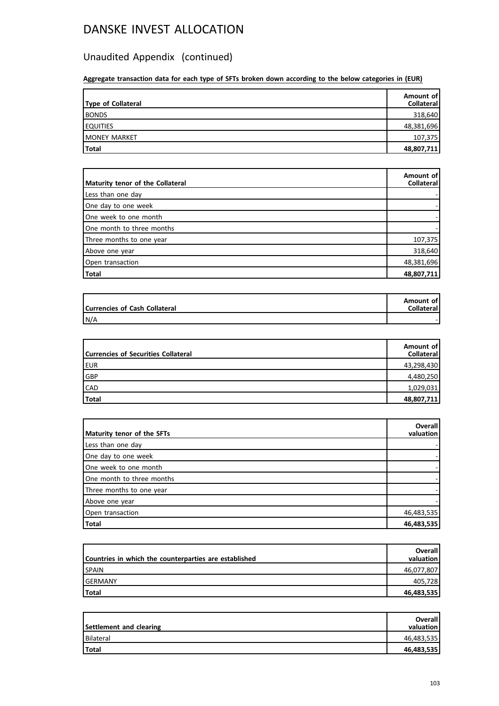## Unaudited Appendix (continued)

**Aggregate transaction data for each type of SFTs broken down according to the below categories in (EUR)**

| Type of Collateral | Amount of<br><b>Collateral</b> |
|--------------------|--------------------------------|
| <b>BONDS</b>       | 318,640                        |
| <b>EQUITIES</b>    | 48,381,696                     |
| MONEY MARKET       | 107,375                        |
| <b>Total</b>       | 48,807,711                     |

| Maturity tenor of the Collateral | Amount of<br>Collateral |
|----------------------------------|-------------------------|
| Less than one day                |                         |
| One day to one week              |                         |
| One week to one month            |                         |
| One month to three months        |                         |
| Three months to one year         | 107,375                 |
| Above one year                   | 318,640                 |
| Open transaction                 | 48,381,696              |
| Total                            | 48,807,711              |

| Currencies of Cash Collateral | Amount of<br><b>Collateral</b> |
|-------------------------------|--------------------------------|
| N/A                           |                                |

| Currencies of Securities Collateral | Amount of<br><b>Collateral</b> |
|-------------------------------------|--------------------------------|
| EUR                                 | 43,298,430                     |
| GBP                                 | 4,480,250                      |
| <b>CAD</b>                          | 1,029,031                      |
| Total                               | 48,807,711                     |

| Maturity tenor of the SFTs | <b>Overall</b><br>valuation |
|----------------------------|-----------------------------|
| Less than one day          |                             |
| One day to one week        |                             |
| One week to one month      |                             |
| One month to three months  |                             |
| Three months to one year   |                             |
| Above one year             |                             |
| Open transaction           | 46,483,535                  |
| Total                      | 46,483,535                  |

| Countries in which the counterparties are established | <b>Overall</b><br>valuation l |
|-------------------------------------------------------|-------------------------------|
| <b>SPAIN</b>                                          | 46,077,807                    |
| lGERMANY                                              | 405.728                       |
| <b>Total</b>                                          | 46,483,535                    |

| Settlement and clearing | <b>Overall</b><br>valuation |
|-------------------------|-----------------------------|
| l Bilateral             | 46,483,535                  |
| Total                   | 46,483,535                  |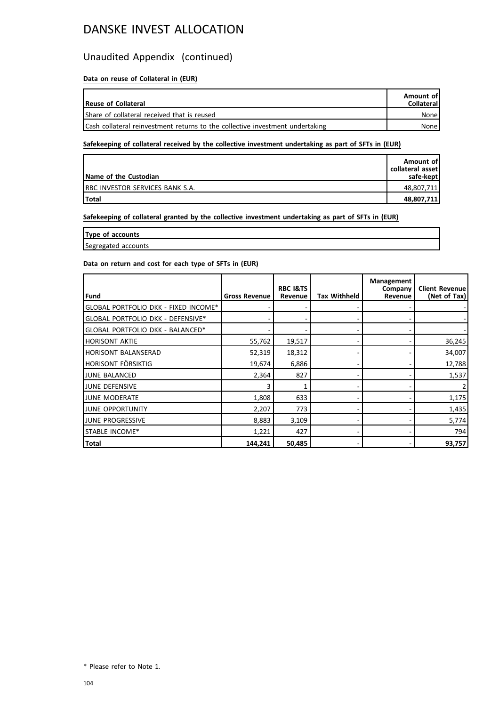### Unaudited Appendix (continued)

### **Data on reuse of Collateral in (EUR)**

| Reuse of Collateral                                                           | Amount of<br><b>Collateral</b> |
|-------------------------------------------------------------------------------|--------------------------------|
| Share of collateral received that is reused                                   | None l                         |
| Cash collateral reinvestment returns to the collective investment undertaking | None l                         |

#### **Safekeeping of collateral received by the collective investment undertaking as part of SFTs in (EUR)**

| Name of the Custodian                   | Amount of<br>collateral asset<br>safe-kept |
|-----------------------------------------|--------------------------------------------|
| <b>IRBC INVESTOR SERVICES BANK S.A.</b> | 48,807,711                                 |
| <b>Total</b>                            | 48,807,711                                 |

#### **Safekeeping of collateral granted by the collective investment undertaking as part of SFTs in (EUR)**

**Type of accounts**

Segregated accounts

### **Data on return and cost for each type of SFTs in (EUR)**

|                                      |                      | <b>RBC I&amp;TS</b> |              | Management<br>Company | <b>Client Revenue</b> |
|--------------------------------------|----------------------|---------------------|--------------|-----------------------|-----------------------|
| Fund                                 | <b>Gross Revenue</b> | Revenue             | Tax Withheld | Revenue               | (Net of Tax)          |
| GLOBAL PORTFOLIO DKK - FIXED INCOME* |                      |                     |              |                       |                       |
| GLOBAL PORTFOLIO DKK - DEFENSIVE*    |                      |                     |              |                       |                       |
| GLOBAL PORTFOLIO DKK - BALANCED*     |                      |                     |              |                       |                       |
| <b>HORISONT AKTIE</b>                | 55,762               | 19,517              |              |                       | 36,245                |
| <b>HORISONT BALANSERAD</b>           | 52,319               | 18,312              |              |                       | 34,007                |
| HORISONT FÖRSIKTIG                   | 19,674               | 6,886               |              |                       | 12,788                |
| JUNE BALANCED                        | 2.364                | 827                 |              |                       | 1,537                 |
| JUNE DEFENSIVE                       | 3                    |                     |              |                       | 2                     |
| <b>JUNE MODERATE</b>                 | 1,808                | 633                 |              |                       | 1,175                 |
| JUNE OPPORTUNITY                     | 2,207                | 773                 |              |                       | 1,435                 |
| JUNE PROGRESSIVE                     | 8,883                | 3,109               |              |                       | 5,774                 |
| <b>STABLE INCOME*</b>                | 1,221                | 427                 |              |                       | 794                   |
| Total                                | 144,241              | 50,485              |              |                       | 93,757                |

<sup>\*</sup> Please refer to Note 1.